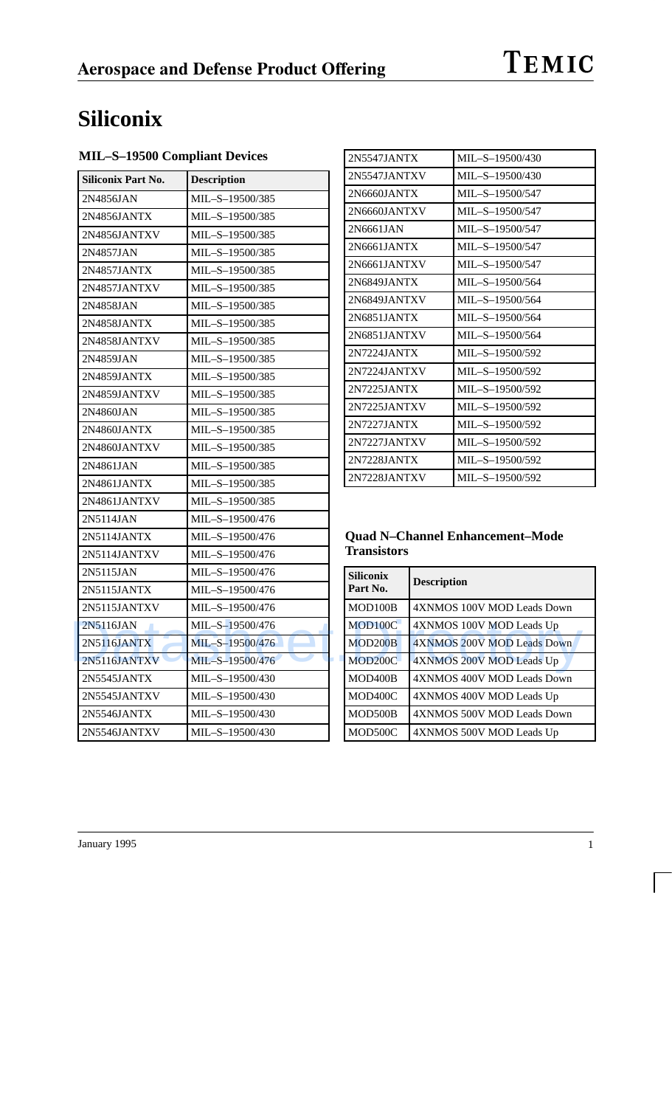# TEMIC

# **Siliconix**

**MIL–S–19500 Compliant Devices**

| <b>Siliconix Part No.</b> | <b>Description</b> |   | 2N5547JANTXV         |                    | MIL-S-19500/430                        |
|---------------------------|--------------------|---|----------------------|--------------------|----------------------------------------|
| 2N4856JAN                 | MIL-S-19500/385    |   | 2N6660JANTX          |                    | MIL-S-19500/547                        |
| 2N4856JANTX               | MIL-S-19500/385    |   | 2N6660JANTXV         |                    | MIL-S-19500/547                        |
| 2N4856JANTXV              | MIL-S-19500/385    |   | 2N6661JAN            |                    | MIL-S-19500/547                        |
| 2N4857JAN                 | MIL-S-19500/385    |   | 2N6661JANTX          |                    | MIL-S-19500/547                        |
| 2N4857JANTX               | MIL-S-19500/385    |   | 2N6661JANTXV         |                    | MIL-S-19500/547                        |
| 2N4857JANTXV              | MIL-S-19500/385    |   | 2N6849JANTX          |                    | MIL-S-19500/564                        |
| 2N4858JAN                 | MIL-S-19500/385    |   | 2N6849JANTXV         |                    | MIL-S-19500/564                        |
| 2N4858JANTX               | MIL-S-19500/385    |   | 2N6851JANTX          |                    | MIL-S-19500/564                        |
| 2N4858JANTXV              | MIL-S-19500/385    |   | 2N6851JANTXV         |                    | MIL-S-19500/564                        |
| 2N4859JAN                 | MIL-S-19500/385    |   | 2N7224JANTX          |                    | MIL-S-19500/592                        |
| 2N4859JANTX               | MIL-S-19500/385    |   | 2N7224JANTXV         |                    | MIL-S-19500/592                        |
| 2N4859JANTXV              | MIL-S-19500/385    |   | 2N7225JANTX          |                    | MIL-S-19500/592                        |
| 2N4860JAN                 | MIL-S-19500/385    |   | 2N7225JANTXV         |                    | MIL-S-19500/592                        |
| 2N4860JANTX               | MIL-S-19500/385    |   | 2N7227JANTX          |                    | MIL-S-19500/592                        |
| 2N4860JANTXV              | MIL-S-19500/385    |   | 2N7227JANTXV         |                    | MIL-S-19500/592                        |
| 2N4861JAN                 | MIL-S-19500/385    |   | 2N7228JANTX          |                    | MIL-S-19500/592                        |
| 2N4861JANTX               | MIL-S-19500/385    |   | 2N7228JANTXV         |                    | MIL-S-19500/592                        |
| 2N4861JANTXV              | MIL-S-19500/385    |   |                      |                    |                                        |
| 2N5114JAN                 | MIL-S-19500/476    |   |                      |                    |                                        |
| 2N5114JANTX               | MIL-S-19500/476    |   |                      |                    | <b>Quad N-Channel Enhancement-Mode</b> |
| 2N5114JANTXV              | MIL-S-19500/476    |   | <b>Transistors</b>   |                    |                                        |
| 2N5115JAN                 | MIL-S-19500/476    |   | <b>Siliconix</b>     |                    |                                        |
| 2N5115JANTX               | MIL-S-19500/476    |   | Part No.             | <b>Description</b> |                                        |
| 2N5115JANTXV              | MIL-S-19500/476    |   | MOD100B              |                    | 4XNMOS 100V MOD Leads Down             |
| 2N5116JAN                 | MIL-S-19500/476    |   | MOD100C              |                    | 4XNMOS 100V MOD Leads Up               |
| 2N5116JANTX               | MIL-S-19500/476    |   | MOD <sub>200</sub> B |                    | 4XNMOS 200V MOD Leads Down             |
| 2N5116JANTXV              | MIL-S-19500/476    | ٦ | MOD200C              |                    | 4XNMOS 200V MOD Leads Up               |
| 2N5545JANTX               | MIL-S-19500/430    |   | MOD400B              |                    | 4XNMOS 400V MOD Leads Down             |
| 2N5545JANTXV              | MIL-S-19500/430    |   | MOD400C              |                    | 4XNMOS 400V MOD Leads Up               |
| 2N5546JANTX               | MIL-S-19500/430    |   | MOD500B              |                    | 4XNMOS 500V MOD Leads Down             |
| 2N5546JANTXV              |                    |   | MOD500C              |                    | 4XNMOS 500V MOD Leads Up               |

| 2N5547JANTX  | MII $-S-19500/430$ |
|--------------|--------------------|
| 2N5547JANTXV | $MIL-S-19500/430$  |
| 2N6660JANTX  | $MIL-S-19500/547$  |
| 2N6660JANTXV | $MIL-S-19500/547$  |
| 2N6661JAN    | $MIL-S-19500/547$  |
| 2N6661JANTX  | MIL-S-19500/547    |
| 2N6661JANTXV | MIL-S-19500/547    |
| 2N6849JANTX  | $MIL-S-19500/564$  |
| 2N6849JANTXV | $MIL-S-19500/564$  |
| 2N6851JANTX  | $MIL-S-19500/564$  |
| 2N6851JANTXV | $MIL-S-19500/564$  |
| 2N7224JANTX  | $MIL-S-19500/592$  |
| 2N7224JANTXV | $MIL-S-19500/592$  |
| 2N7225JANTX  | MIL-S-19500/592    |
| 2N7225IANTXV | $MIL-S-19500/592$  |
| 2N7227JANTX  | $MIL-S-19500/592$  |
| 2N7227JANTXV | MIL-S-19500/592    |
| 2N7228JANTX  | $MIL-S-19500/592$  |
| 2N7228JANTXV | $MIL-S-19500/592$  |
|              |                    |

### **Quad N–Channel Enhancement–Mode Transistors**

| <b>Siliconix</b><br>Part No. | <b>Description</b>         |
|------------------------------|----------------------------|
| MOD <sub>100</sub> B         | 4XNMOS 100V MOD Leads Down |
| MOD100C                      | 4XNMOS 100V MOD Leads Up   |
| MOD <sub>200</sub> B         | 4XNMOS 200V MOD Leads Down |
| MOD <sub>200</sub> C         | 4XNMOS 200V MOD Leads Up   |
| MOD400B                      | 4XNMOS 400V MOD Leads Down |
| MOD400C                      | 4XNMOS 400V MOD Leads Up   |
| MOD500B                      | 4XNMOS 500V MOD Leads Down |
| MOD500C                      | 4XNMOS 500V MOD Leads Up   |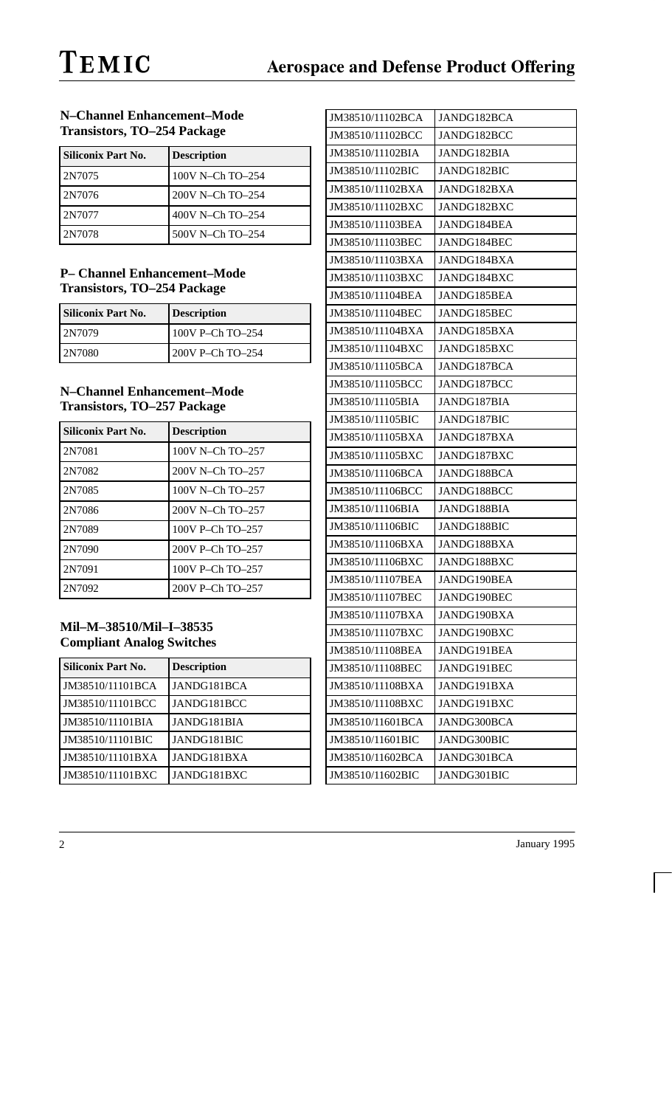### **N–Channel Enhancement–Mode Transistors, TO–254 Package**

| <b>Siliconix Part No.</b> | <b>Description</b> |
|---------------------------|--------------------|
| 2N7075                    | 100V N-Ch TO-254   |
| 2N7076                    | 200V N-Ch TO-254   |
| 2N7077                    | 400V N-Ch TO-254   |
| 2N7078                    | 500V N-Ch TO-254   |

### **P– Channel Enhancement–Mode Transistors, TO–254 Package**

| Siliconix Part No. | <b>Description</b> |
|--------------------|--------------------|
| 2N7079             | 100V P-Ch $TO-254$ |
| l 2N7080           | 200V P-Ch TO-254   |

### **N–Channel Enhancement–Mode Transistors, TO–257 Package**

| Siliconix Part No. | <b>Description</b> |
|--------------------|--------------------|
| 2N7081             | 100V N-Ch TO-257   |
| 2N7082             | 200V N-Ch TO-257   |
| 2N7085             | 100V N-Ch TO-257   |
| 2N7086             | 200V N-Ch TO-257   |
| 2N7089             | 100V P-Ch TO-257   |
| 2N7090             | 200V P-Ch TO-257   |
| 2N7091             | 100V P-Ch TO-257   |
| 2N7092             | 200V P-Ch TO-257   |

### **Mil–M–38510/Mil–I–38535 Compliant Analog Switches**

| <b>Siliconix Part No.</b> | <b>Description</b> |
|---------------------------|--------------------|
| JM38510/11101BCA          | JANDG181BCA        |
| JM38510/11101BCC          | JANDG181BCC        |
| JM38510/11101BIA          | JANDG181BIA        |
| JM38510/11101BIC          | JANDG181BIC        |
| JM38510/11101BXA          | JANDG181BXA        |
| JM38510/11101BXC          | JANDG181BXC        |

| JM38510/11102BCA | JANDG182BCA |
|------------------|-------------|
| JM38510/11102BCC | JANDG182BCC |
| JM38510/11102BIA | JANDG182BIA |
| JM38510/11102BIC | JANDG182BIC |
| JM38510/11102BXA | JANDG182BXA |
| JM38510/11102BXC | JANDG182BXC |
| JM38510/11103BEA | JANDG184BEA |
| JM38510/11103BEC | JANDG184BEC |
| JM38510/11103BXA | JANDG184BXA |
| JM38510/11103BXC | JANDG184BXC |
| JM38510/11104BEA | JANDG185BEA |
| JM38510/11104BEC | JANDG185BEC |
| JM38510/11104BXA | JANDG185BXA |
| JM38510/11104BXC | JANDG185BXC |
| JM38510/11105BCA | JANDG187BCA |
| JM38510/11105BCC | JANDG187BCC |
| JM38510/11105BIA | JANDG187BIA |
| JM38510/11105BIC | JANDG187BIC |
| JM38510/11105BXA | JANDG187BXA |
| JM38510/11105BXC | JANDG187BXC |
| JM38510/11106BCA | JANDG188BCA |
| JM38510/11106BCC | JANDG188BCC |
| JM38510/11106BIA | JANDG188BIA |
| JM38510/11106BIC | JANDG188BIC |
| JM38510/11106BXA | JANDG188BXA |
| JM38510/11106BXC | JANDG188BXC |
| JM38510/11107BEA | JANDG190BEA |
| JM38510/11107BEC | JANDG190BEC |
| JM38510/11107BXA | JANDG190BXA |
| JM38510/11107BXC | JANDG190BXC |
| JM38510/11108BEA | JANDG191BEA |
| JM38510/11108BEC | JANDG191BEC |
| JM38510/11108BXA | JANDG191BXA |
| JM38510/11108BXC | JANDG191BXC |
| JM38510/11601BCA | JANDG300BCA |
| JM38510/11601BIC | JANDG300BIC |
| JM38510/11602BCA | JANDG301BCA |
| JM38510/11602BIC | JANDG301BIC |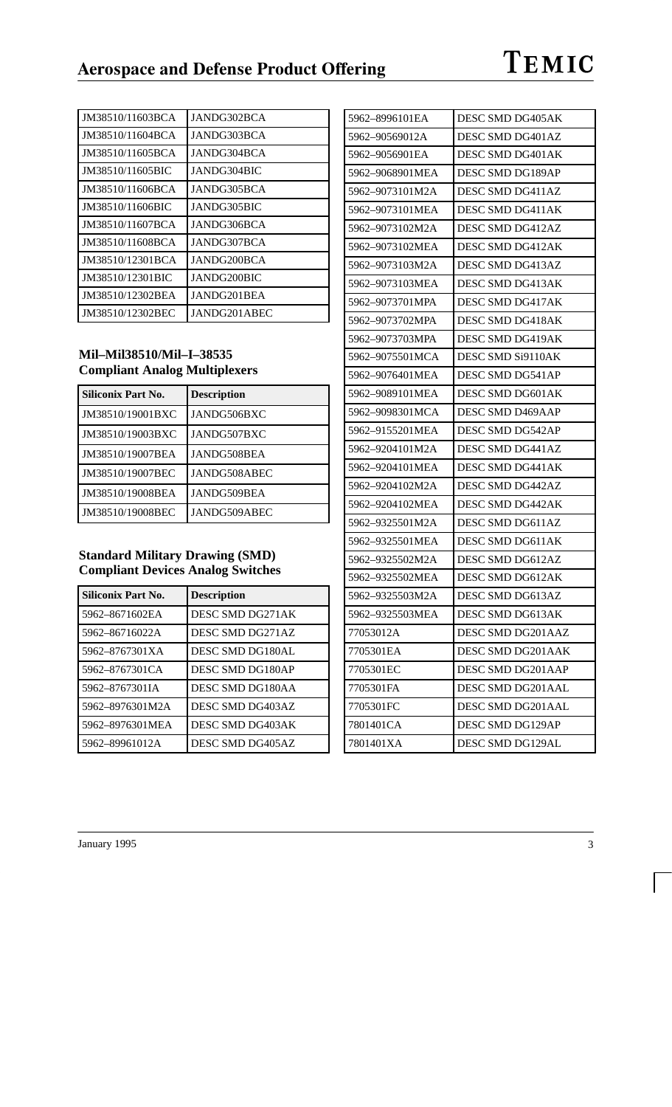| JM38510/11603BCA | JANDG302BCA  |
|------------------|--------------|
| JM38510/11604BCA | JANDG303BCA  |
| JM38510/11605BCA | JANDG304BCA  |
| JM38510/11605BIC | JANDG304BIC  |
| JM38510/11606BCA | JANDG305BCA  |
| JM38510/11606BIC | JANDG305BIC  |
| JM38510/11607BCA | JANDG306BCA  |
| JM38510/11608BCA | JANDG307BCA  |
| JM38510/12301BCA | JANDG200BCA  |
| JM38510/12301BIC | JANDG200BIC  |
| JM38510/12302BEA | JANDG201BEA  |
| JM38510/12302BEC | JANDG201ABEC |

### **Mil–Mil38510/Mil–I–38535 Compliant Analog Multiplexers**

| <b>Siliconix Part No.</b> | <b>Description</b> |
|---------------------------|--------------------|
| JM38510/19001BXC          | JANDG506BXC        |
| JM38510/19003BXC          | JANDG507BXC        |
| JM38510/19007BEA          | JANDG508BEA        |
| JM38510/19007BEC          | JANDG508ABEC       |
| JM38510/19008BEA          | JANDG509BEA        |
| JM38510/19008BEC          | JANDG509ABEC       |

### **Standard Military Drawing (SMD) Compliant Devices Analog Switches**

| Siliconix Part No. | <b>Description</b> |
|--------------------|--------------------|
| 5962-8671602EA     | DESC SMD DG271AK   |
| 5962-86716022A     | DESC SMD DG271AZ   |
| 5962-8767301XA     | DESC SMD DG180AL   |
| 5962-8767301CA     | DESC SMD DG180AP   |
| 5962-8767301IA     | DESC SMD DG180AA   |
| 5962-8976301M2A    | DESC SMD DG403AZ   |
| 5962-8976301MEA    | DESC SMD DG403AK   |
| 5962-89961012A     | DESC SMD DG405AZ   |

| 5962–8996101EA  | DESC SMD DG405AK  |
|-----------------|-------------------|
| 5962–90569012A  | DESC SMD DG401AZ  |
| 5962–9056901EA  | DESC SMD DG401AK  |
| 5962–9068901MEA | DESC SMD DG189AP  |
| 5962-9073101M2A | DESC SMD DG411AZ  |
| 5962-9073101MEA | DESC SMD DG411AK  |
| 5962–9073102M2A | DESC SMD DG412AZ  |
| 5962–9073102MEA | DESC SMD DG412AK  |
| 5962-9073103M2A | DESC SMD DG413AZ  |
| 5962–9073103MEA | DESC SMD DG413AK  |
| 5962-9073701MPA | DESC SMD DG417AK  |
| 5962–9073702MPA | DESC SMD DG418AK  |
| 5962–9073703MPA | DESC SMD DG419AK  |
| 5962–9075501MCA | DESC SMD Si9110AK |
| 5962–9076401MEA | DESC SMD DG541AP  |
| 5962–9089101MEA | DESC SMD DG601AK  |
| 5962-9098301MCA | DESC SMD D469AAP  |
| 5962–9155201MEA | DESC SMD DG542AP  |
| 5962–9204101M2A | DESC SMD DG441AZ  |
| 5962–9204101MEA | DESC SMD DG441AK  |
| 5962–9204102M2A | DESC SMD DG442AZ  |
| 5962-9204102MEA | DESC SMD DG442AK  |
| 5962-9325501M2A | DESC SMD DG611AZ  |
| 5962–9325501MEA | DESC SMD DG611AK  |
| 5962–9325502M2A | DESC SMD DG612AZ  |
| 5962–9325502MEA | DESC SMD DG612AK  |
| 5962–9325503M2A | DESC SMD DG613AZ  |
| 5962-9325503MEA | DESC SMD DG613AK  |
| 77053012A       | DESC SMD DG201AAZ |
| 7705301EA       | DESC SMD DG201AAK |
| 7705301EC       | DESC SMD DG201AAP |
| 7705301FA       | DESC SMD DG201AAL |
| 7705301FC       | DESC SMD DG201AAL |
| 7801401CA       | DESC SMD DG129AP  |
| 7801401XA       | DESC SMD DG129AL  |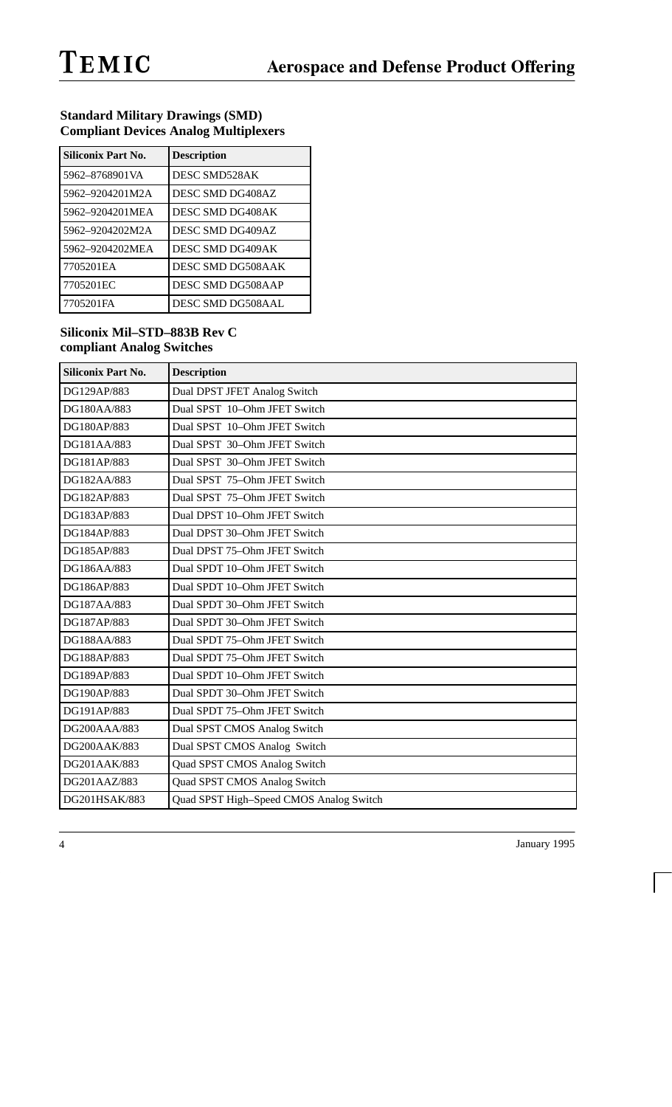#### **Standard Military Drawings (SMD) Compliant Devices Analog Multiplexers**

| <b>Siliconix Part No.</b> | <b>Description</b> |
|---------------------------|--------------------|
| 5962-8768901VA            | DESC SMD528AK      |
| 5962-9204201M2A           | DESC SMD DG408AZ   |
| 5962-9204201MEA           | DESC SMD DG408AK   |
| 5962-9204202M2A           | DESC SMD DG409AZ   |
| 5962-9204202MEA           | DESC SMD DG409AK   |
| 7705201EA                 | DESC SMD DG508AAK  |
| 7705201EC                 | DESC SMD DG508AAP  |
| 7705201FA                 | DESC SMD DG508AAL  |

### **Siliconix Mil–STD–883B Rev C compliant Analog Switches**

| <b>Siliconix Part No.</b> | <b>Description</b>                      |
|---------------------------|-----------------------------------------|
| DG129AP/883               | Dual DPST JFET Analog Switch            |
| DG180AA/883               | Dual SPST 10-Ohm JFET Switch            |
| DG180AP/883               | Dual SPST 10-Ohm JFET Switch            |
| DG181AA/883               | Dual SPST 30-Ohm JFET Switch            |
| DG181AP/883               | Dual SPST 30-Ohm JFET Switch            |
| DG182AA/883               | Dual SPST 75-Ohm JFET Switch            |
| DG182AP/883               | Dual SPST 75-Ohm JFET Switch            |
| DG183AP/883               | Dual DPST 10-Ohm JFET Switch            |
| DG184AP/883               | Dual DPST 30-Ohm JFET Switch            |
| DG185AP/883               | Dual DPST 75-Ohm JFET Switch            |
| DG186AA/883               | Dual SPDT 10-Ohm JFET Switch            |
| DG186AP/883               | Dual SPDT 10-Ohm JFET Switch            |
| DG187AA/883               | Dual SPDT 30-Ohm JFET Switch            |
| DG187AP/883               | Dual SPDT 30-Ohm JFET Switch            |
| DG188AA/883               | Dual SPDT 75-Ohm JFET Switch            |
| DG188AP/883               | Dual SPDT 75-Ohm JFET Switch            |
| DG189AP/883               | Dual SPDT 10-Ohm JFET Switch            |
| DG190AP/883               | Dual SPDT 30-Ohm JFET Switch            |
| DG191AP/883               | Dual SPDT 75-Ohm JFET Switch            |
| DG200AAA/883              | Dual SPST CMOS Analog Switch            |
| DG200AAK/883              | Dual SPST CMOS Analog Switch            |
| DG201AAK/883              | Quad SPST CMOS Analog Switch            |
| DG201AAZ/883              | Quad SPST CMOS Analog Switch            |
| DG201HSAK/883             | Quad SPST High-Speed CMOS Analog Switch |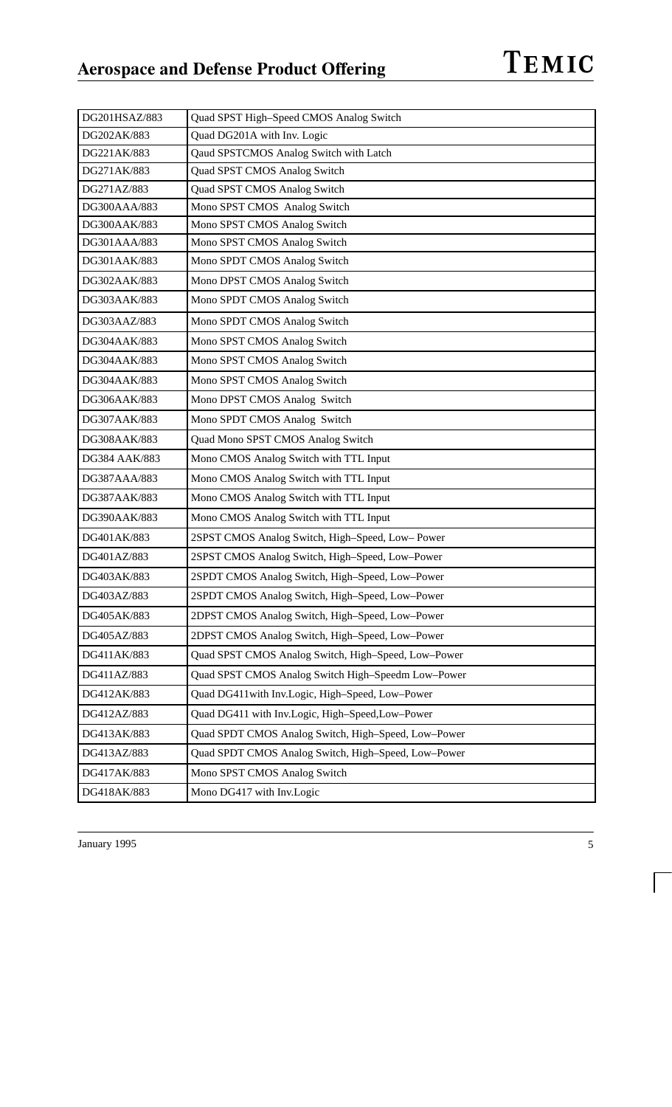| DG201HSAZ/883 | Quad SPST High-Speed CMOS Analog Switch             |
|---------------|-----------------------------------------------------|
| DG202AK/883   | Quad DG201A with Inv. Logic                         |
| DG221AK/883   | Qaud SPSTCMOS Analog Switch with Latch              |
| DG271AK/883   | Quad SPST CMOS Analog Switch                        |
| DG271AZ/883   | Quad SPST CMOS Analog Switch                        |
| DG300AAA/883  | Mono SPST CMOS Analog Switch                        |
| DG300AAK/883  | Mono SPST CMOS Analog Switch                        |
| DG301AAA/883  | Mono SPST CMOS Analog Switch                        |
| DG301AAK/883  | Mono SPDT CMOS Analog Switch                        |
| DG302AAK/883  | Mono DPST CMOS Analog Switch                        |
| DG303AAK/883  | Mono SPDT CMOS Analog Switch                        |
| DG303AAZ/883  | Mono SPDT CMOS Analog Switch                        |
| DG304AAK/883  | Mono SPST CMOS Analog Switch                        |
| DG304AAK/883  | Mono SPST CMOS Analog Switch                        |
| DG304AAK/883  | Mono SPST CMOS Analog Switch                        |
| DG306AAK/883  | Mono DPST CMOS Analog Switch                        |
| DG307AAK/883  | Mono SPDT CMOS Analog Switch                        |
| DG308AAK/883  | Quad Mono SPST CMOS Analog Switch                   |
| DG384 AAK/883 | Mono CMOS Analog Switch with TTL Input              |
| DG387AAA/883  | Mono CMOS Analog Switch with TTL Input              |
| DG387AAK/883  | Mono CMOS Analog Switch with TTL Input              |
| DG390AAK/883  | Mono CMOS Analog Switch with TTL Input              |
| DG401AK/883   | 2SPST CMOS Analog Switch, High-Speed, Low-Power     |
| DG401AZ/883   | 2SPST CMOS Analog Switch, High-Speed, Low-Power     |
| DG403AK/883   | 2SPDT CMOS Analog Switch, High-Speed, Low-Power     |
| DG403AZ/883   | 2SPDT CMOS Analog Switch, High-Speed, Low-Power     |
| DG405AK/883   | 2DPST CMOS Analog Switch, High-Speed, Low-Power     |
| DG405AZ/883   | 2DPST CMOS Analog Switch, High-Speed, Low-Power     |
| DG411AK/883   | Quad SPST CMOS Analog Switch, High-Speed, Low-Power |
| DG411AZ/883   | Quad SPST CMOS Analog Switch High-Speedm Low-Power  |
| DG412AK/883   | Quad DG411with Inv.Logic, High-Speed, Low-Power     |
| DG412AZ/883   | Quad DG411 with Inv.Logic, High-Speed,Low-Power     |
| DG413AK/883   | Quad SPDT CMOS Analog Switch, High-Speed, Low-Power |
| DG413AZ/883   | Quad SPDT CMOS Analog Switch, High-Speed, Low-Power |
| DG417AK/883   | Mono SPST CMOS Analog Switch                        |
| DG418AK/883   | Mono DG417 with Inv.Logic                           |

TEMIC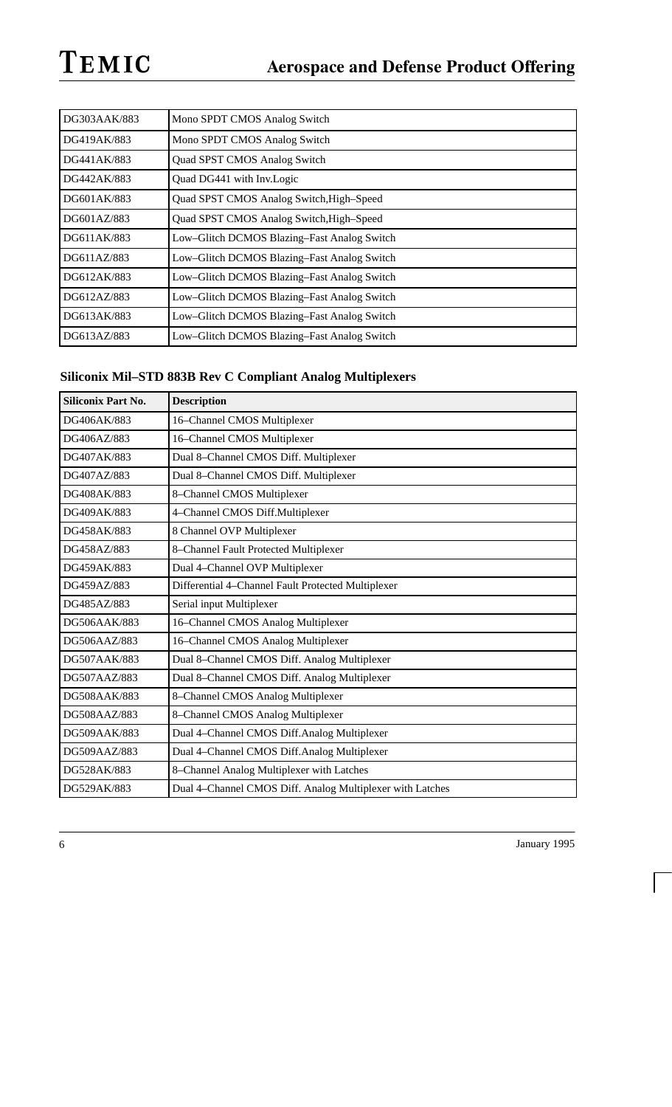| DG303AAK/883 | Mono SPDT CMOS Analog Switch                |
|--------------|---------------------------------------------|
| DG419AK/883  | Mono SPDT CMOS Analog Switch                |
| DG441AK/883  | Quad SPST CMOS Analog Switch                |
| DG442AK/883  | Quad DG441 with Inv.Logic                   |
| DG601AK/883  | Quad SPST CMOS Analog Switch, High-Speed    |
| DG601AZ/883  | Quad SPST CMOS Analog Switch, High-Speed    |
| DG611AK/883  | Low–Glitch DCMOS Blazing–Fast Analog Switch |
| DG611AZ/883  | Low-Glitch DCMOS Blazing-Fast Analog Switch |
| DG612AK/883  | Low-Glitch DCMOS Blazing-Fast Analog Switch |
| DG612AZ/883  | Low-Glitch DCMOS Blazing-Fast Analog Switch |
| DG613AK/883  | Low-Glitch DCMOS Blazing-Fast Analog Switch |
| DG613AZ/883  | Low–Glitch DCMOS Blazing–Fast Analog Switch |

## **Siliconix Mil–STD 883B Rev C Compliant Analog Multiplexers**

| <b>Siliconix Part No.</b> | <b>Description</b>                                        |
|---------------------------|-----------------------------------------------------------|
| DG406AK/883               | 16-Channel CMOS Multiplexer                               |
| DG406AZ/883               | 16-Channel CMOS Multiplexer                               |
| DG407AK/883               | Dual 8-Channel CMOS Diff. Multiplexer                     |
| DG407AZ/883               | Dual 8-Channel CMOS Diff. Multiplexer                     |
| DG408AK/883               | 8-Channel CMOS Multiplexer                                |
| DG409AK/883               | 4-Channel CMOS Diff.Multiplexer                           |
| DG458AK/883               | 8 Channel OVP Multiplexer                                 |
| DG458AZ/883               | 8-Channel Fault Protected Multiplexer                     |
| DG459AK/883               | Dual 4-Channel OVP Multiplexer                            |
| DG459AZ/883               | Differential 4-Channel Fault Protected Multiplexer        |
| DG485AZ/883               | Serial input Multiplexer                                  |
| DG506AAK/883              | 16-Channel CMOS Analog Multiplexer                        |
| DG506AAZ/883              | 16-Channel CMOS Analog Multiplexer                        |
| DG507AAK/883              | Dual 8-Channel CMOS Diff. Analog Multiplexer              |
| DG507AAZ/883              | Dual 8-Channel CMOS Diff. Analog Multiplexer              |
| DG508AAK/883              | 8-Channel CMOS Analog Multiplexer                         |
| DG508AAZ/883              | 8-Channel CMOS Analog Multiplexer                         |
| DG509AAK/883              | Dual 4-Channel CMOS Diff.Analog Multiplexer               |
| DG509AAZ/883              | Dual 4-Channel CMOS Diff.Analog Multiplexer               |
| DG528AK/883               | 8-Channel Analog Multiplexer with Latches                 |
| DG529AK/883               | Dual 4-Channel CMOS Diff. Analog Multiplexer with Latches |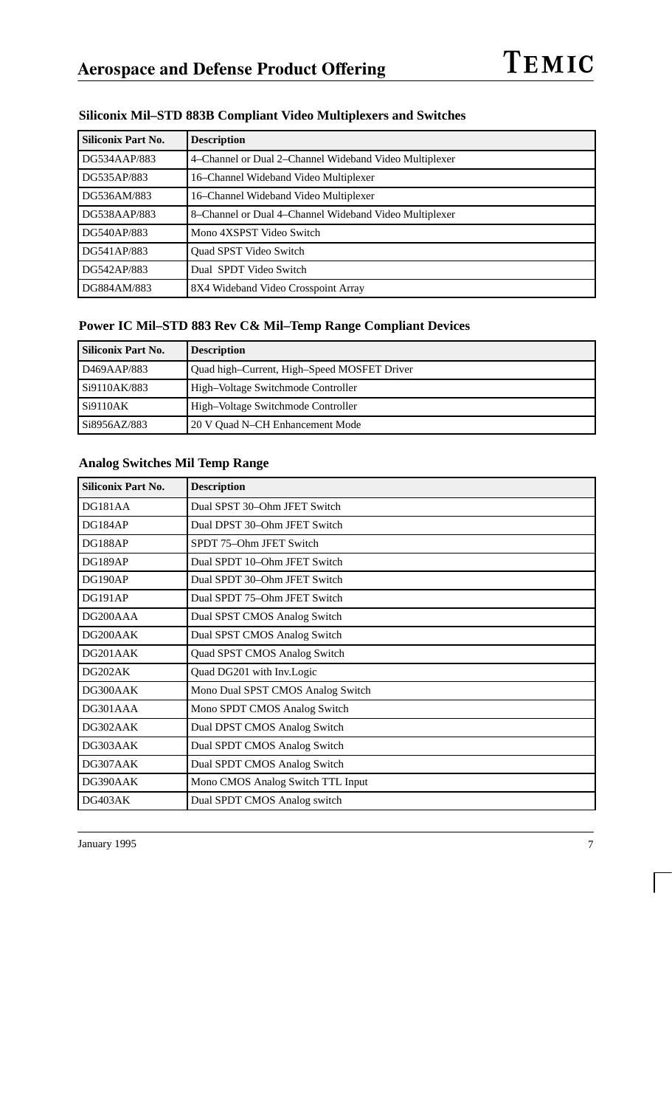| <b>Siliconix Part No.</b> | <b>Description</b>                                     |
|---------------------------|--------------------------------------------------------|
| DG534AAP/883              | 4–Channel or Dual 2–Channel Wideband Video Multiplexer |
| DG535AP/883               | 16–Channel Wideband Video Multiplexer                  |
| DG536AM/883               | 16–Channel Wideband Video Multiplexer                  |
| DG538AAP/883              | 8–Channel or Dual 4–Channel Wideband Video Multiplexer |
| DG540AP/883               | Mono 4XSPST Video Switch                               |
| DG541AP/883               | Quad SPST Video Switch                                 |
| DG542AP/883               | Dual SPDT Video Switch                                 |
| DG884AM/883               | 8X4 Wideband Video Crosspoint Array                    |

### **Siliconix Mil–STD 883B Compliant Video Multiplexers and Switches**

### **Power IC Mil–STD 883 Rev C& Mil–Temp Range Compliant Devices**

| Siliconix Part No.       | <b>Description</b>                          |
|--------------------------|---------------------------------------------|
| D <sub>469</sub> AAP/883 | Quad high–Current, High–Speed MOSFET Driver |
| Si9110AK/883             | High-Voltage Switchmode Controller          |
| S <sub>i9110</sub> AK    | High-Voltage Switchmode Controller          |
| Si8956AZ/883             | 20 V Ouad N–CH Enhancement Mode             |

### **Analog Switches Mil Temp Range**

| <b>Siliconix Part No.</b> | <b>Description</b>                |
|---------------------------|-----------------------------------|
| DG181AA                   | Dual SPST 30-Ohm JFET Switch      |
| DG184AP                   | Dual DPST 30–Ohm JFET Switch      |
| DG188AP                   | SPDT 75–Ohm JFET Switch           |
| DG189AP                   | Dual SPDT 10-Ohm JFET Switch      |
| DG190AP                   | Dual SPDT 30-Ohm JFET Switch      |
| DG191AP                   | Dual SPDT 75-Ohm JFET Switch      |
| DG200AAA                  | Dual SPST CMOS Analog Switch      |
| DG200AAK                  | Dual SPST CMOS Analog Switch      |
| DG201AAK                  | Quad SPST CMOS Analog Switch      |
| DG202AK                   | Quad DG201 with Inv.Logic         |
| DG300AAK                  | Mono Dual SPST CMOS Analog Switch |
| DG301AAA                  | Mono SPDT CMOS Analog Switch      |
| DG302AAK                  | Dual DPST CMOS Analog Switch      |
| DG303AAK                  | Dual SPDT CMOS Analog Switch      |
| DG307AAK                  | Dual SPDT CMOS Analog Switch      |
| DG390AAK                  | Mono CMOS Analog Switch TTL Input |
| DG403AK                   | Dual SPDT CMOS Analog switch      |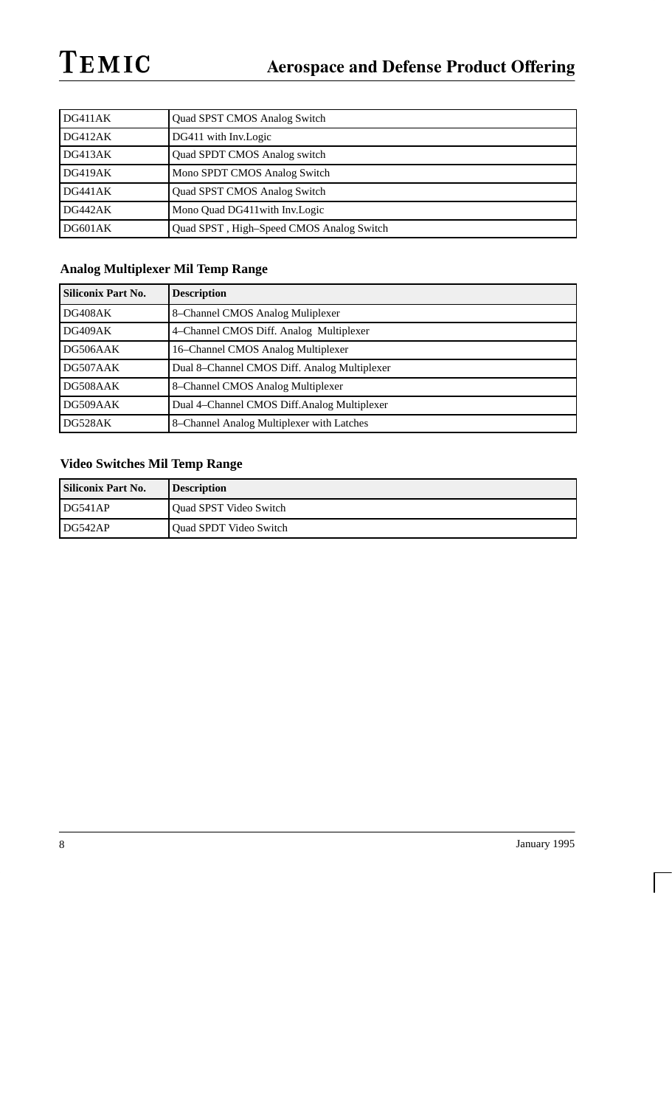| DG411AK | <b>Quad SPST CMOS Analog Switch</b>      |
|---------|------------------------------------------|
| DG412AK | DG411 with Inv.Logic                     |
| DG413AK | <b>Quad SPDT CMOS Analog switch</b>      |
| DG419AK | Mono SPDT CMOS Analog Switch             |
| DG441AK | <b>Quad SPST CMOS Analog Switch</b>      |
| DG442AK | Mono Quad DG411 with Inv. Logic          |
| DG601AK | Quad SPST, High-Speed CMOS Analog Switch |

## **Analog Multiplexer Mil Temp Range**

| <b>Siliconix Part No.</b> | <b>Description</b>                           |
|---------------------------|----------------------------------------------|
| DG408AK                   | 8-Channel CMOS Analog Muliplexer             |
| DG409AK                   | 4–Channel CMOS Diff. Analog Multiplexer      |
| DG506AAK                  | 16–Channel CMOS Analog Multiplexer           |
| DG507AAK                  | Dual 8–Channel CMOS Diff. Analog Multiplexer |
| DG508AAK                  | 8-Channel CMOS Analog Multiplexer            |
| DG509AAK                  | Dual 4–Channel CMOS Diff. Analog Multiplexer |
| DG528AK                   | 8–Channel Analog Multiplexer with Latches    |

## **Video Switches Mil Temp Range**

| <b>Siliconix Part No.</b> | <b>Description</b>     |
|---------------------------|------------------------|
| l DG541AP                 | Quad SPST Video Switch |
| l DG542AP                 | Quad SPDT Video Switch |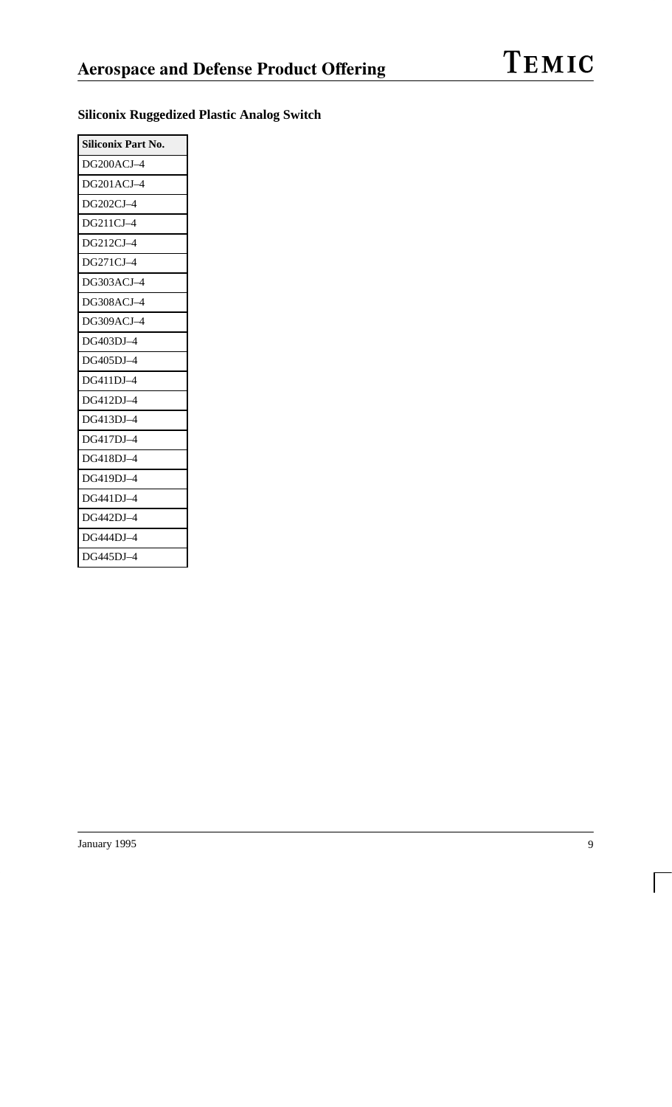| <b>Siliconix Part No.</b> |
|---------------------------|
| DG200ACJ-4                |
| $DG201ACJ-4$              |
| DG202CJ-4                 |
| DG211CJ-4                 |
| DG212CJ-4                 |
| DG271CJ-4                 |
| DG303ACJ-4                |
| DG308ACJ-4                |
| $DG309ACJ-4$              |
| DG403DJ-4                 |
| DG405DJ-4                 |
| DG411DJ-4                 |
| DG412DJ-4                 |
| DG413DJ-4                 |
| DG417DJ-4                 |
| DG418DJ-4                 |
| DG419DJ-4                 |
| DG441DJ-4                 |
| DG442DJ-4                 |
| DG444DJ-4                 |
| DG445DJ-4                 |

## **Siliconix Ruggedized Plastic Analog Switch**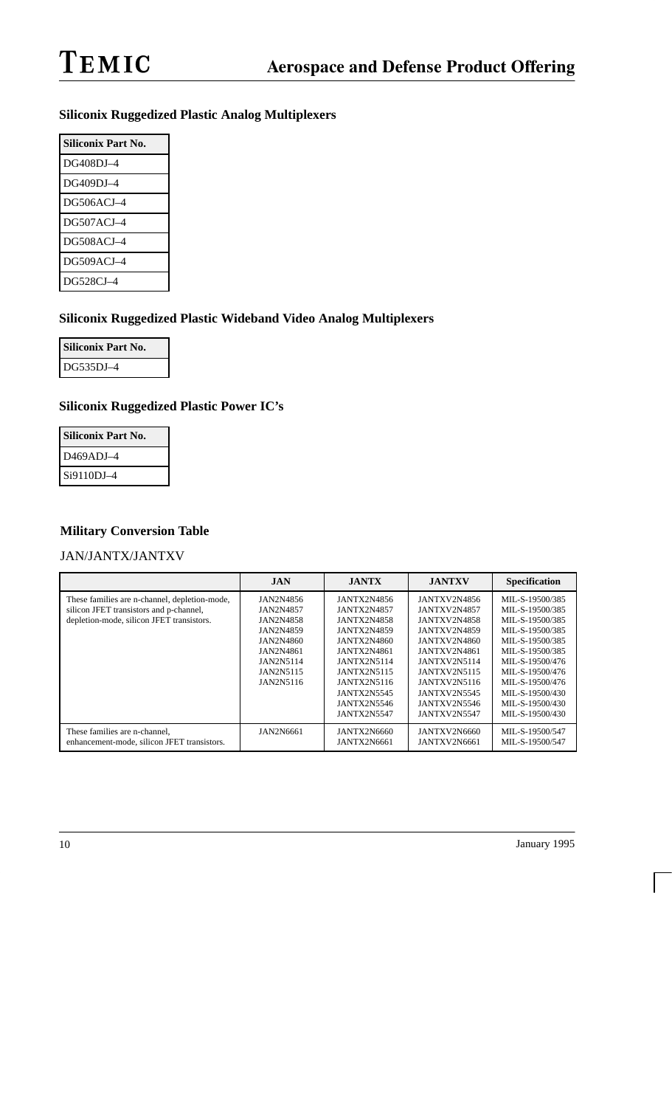## **Siliconix Ruggedized Plastic Analog Multiplexers**

| Siliconix Part No. |
|--------------------|
| DG408DJ-4          |
| DG409DJ-4          |
| DG506ACJ-4         |
| $DG507ACI=4$       |
| $DG508ACI=4$       |
| $DG509ACI-4$       |
| DG528CJ-4          |

#### **Siliconix Ruggedized Plastic Wideband Video Analog Multiplexers**

| Siliconix Part No. |  |
|--------------------|--|
| DG535DJ-4          |  |

### **Siliconix Ruggedized Plastic Power IC's**

| <b>Siliconix Part No.</b>          |
|------------------------------------|
| D <sub>469</sub> ADJ <sub>-4</sub> |
| Si9110DJ-4                         |

#### **Military Conversion Table**

#### JAN/JANTX/JANTXV

|                                                                                                                                       | <b>JAN</b>                                                                                                                             | <b>JANTX</b>                                                                                                                                                                                                                                                  | <b>JANTXV</b>                                                                                                                                                                                | <b>Specification</b>                                                                                                                                                                                                             |
|---------------------------------------------------------------------------------------------------------------------------------------|----------------------------------------------------------------------------------------------------------------------------------------|---------------------------------------------------------------------------------------------------------------------------------------------------------------------------------------------------------------------------------------------------------------|----------------------------------------------------------------------------------------------------------------------------------------------------------------------------------------------|----------------------------------------------------------------------------------------------------------------------------------------------------------------------------------------------------------------------------------|
| These families are n-channel, depletion-mode,<br>silicon JFET transistors and p-channel,<br>depletion-mode, silicon JFET transistors. | JAN2N4856<br><b>JAN2N4857</b><br><b>JAN2N4858</b><br><b>JAN2N4859</b><br>JAN2N4860<br>JAN2N4861<br>JAN2N5114<br>JAN2N5115<br>JAN2N5116 | <b>JANTX2N4856</b><br><b>JANTX2N4857</b><br><b>JANTX2N4858</b><br><b>JANTX2N4859</b><br><b>JANTX2N4860</b><br><b>JANTX2N4861</b><br><b>JANTX2N5114</b><br><b>JANTX2N5115</b><br><b>JANTX2N5116</b><br><b>JANTX2N5545</b><br>JANTX2N5546<br><b>JANTX2N5547</b> | JANTXV2N4856<br>JANTXV2N4857<br>JANTXV2N4858<br>JANTXV2N4859<br>JANTXV2N4860<br>JANTXV2N4861<br>JANTXV2N5114<br>JANTXV2N5115<br>JANTXV2N5116<br>JANTXV2N5545<br>JANTXV2N5546<br>JANTXV2N5547 | MIL-S-19500/385<br>MIL-S-19500/385<br>MIL-S-19500/385<br>MIL-S-19500/385<br>MIL-S-19500/385<br>MIL-S-19500/385<br>MIL-S-19500/476<br>MIL-S-19500/476<br>MIL-S-19500/476<br>MIL-S-19500/430<br>MIL-S-19500/430<br>MIL-S-19500/430 |
| These families are n-channel,<br>enhancement-mode, silicon JFET transistors.                                                          | <b>JAN2N6661</b>                                                                                                                       | JANTX2N6660<br>JANTX2N6661                                                                                                                                                                                                                                    | JANTXV2N6660<br>JANTXV2N6661                                                                                                                                                                 | MIL-S-19500/547<br>MIL-S-19500/547                                                                                                                                                                                               |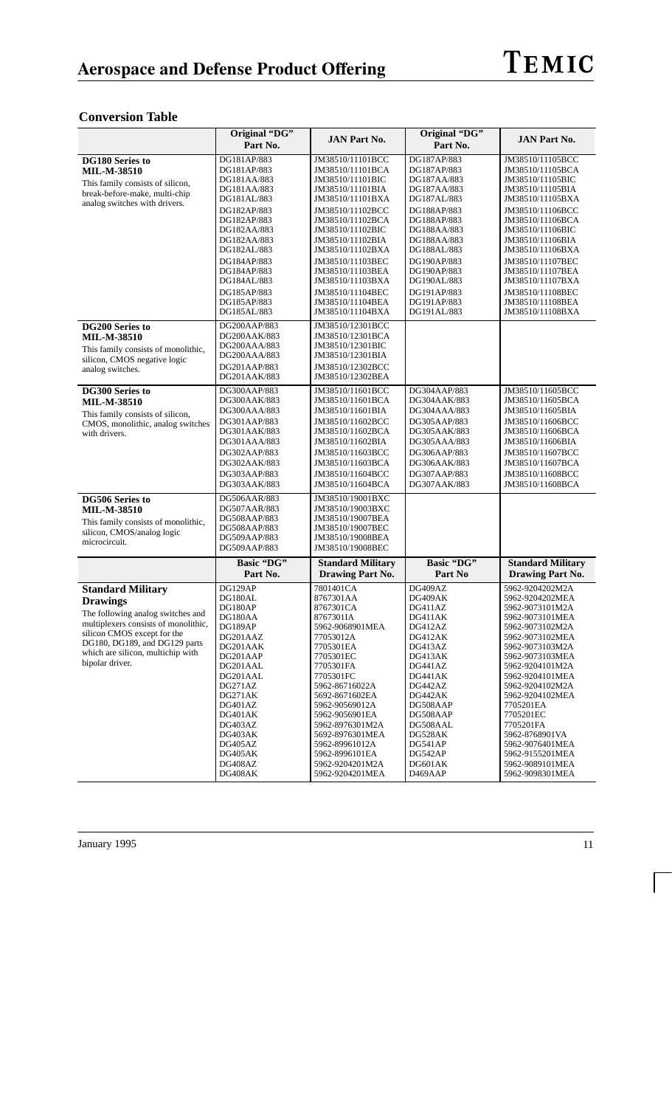### **Conversion Table**

|                                      | Original "DG"        |                          | Original "DG"      | <b>JAN Part No.</b>                |
|--------------------------------------|----------------------|--------------------------|--------------------|------------------------------------|
|                                      | Part No.             | <b>JAN Part No.</b>      | Part No.           |                                    |
| <b>DG180 Series to</b>               | DG181AP/883          | JM38510/11101BCC         | DG187AP/883        | JM38510/11105BCC                   |
| <b>MIL-M-38510</b>                   | DG181AP/883          | JM38510/11101BCA         | DG187AP/883        | JM38510/11105BCA                   |
| This family consists of silicon,     | DG181AA/883          | JM38510/11101BIC         | DG187AA/883        | JM38510/11105BIC                   |
| break-before-make, multi-chip        | DG181AA/883          | JM38510/11101BIA         | DG187AA/883        | JM38510/11105BIA                   |
| analog switches with drivers.        | DG181AL/883          | JM38510/11101BXA         | DG187AL/883        | JM38510/11105BXA                   |
|                                      | DG182AP/883          | JM38510/11102BCC         | DG188AP/883        | JM38510/11106BCC                   |
|                                      | DG182AP/883          | JM38510/11102BCA         | DG188AP/883        | JM38510/11106BCA                   |
|                                      | DG182AA/883          | JM38510/11102BIC         | DG188AA/883        | JM38510/11106BIC                   |
|                                      | DG182AA/883          | JM38510/11102BIA         | DG188AA/883        | JM38510/11106BIA                   |
|                                      | DG182AL/883          | JM38510/11102BXA         | DG188AL/883        | JM38510/11106BXA                   |
|                                      | DG184AP/883          | JM38510/11103BEC         | DG190AP/883        | JM38510/11107BEC                   |
|                                      | DG184AP/883          | JM38510/11103BEA         | DG190AP/883        | JM38510/11107BEA                   |
|                                      | DG184AL/883          | JM38510/11103BXA         | DG190AL/883        | JM38510/11107BXA                   |
|                                      | DG185AP/883          | JM38510/11104BEC         | DG191AP/883        | JM38510/11108BEC                   |
|                                      | DG185AP/883          | JM38510/11104BEA         | DG191AP/883        | JM38510/11108BEA                   |
|                                      | DG185AL/883          | JM38510/11104BXA         | DG191AL/883        | JM38510/11108BXA                   |
| <b>DG200 Series to</b>               | DG200AAP/883         | JM38510/12301BCC         |                    |                                    |
| <b>MIL-M-38510</b>                   | DG200AAK/883         | JM38510/12301BCA         |                    |                                    |
| This family consists of monolithic,  | DG200AAA/883         | JM38510/12301BIC         |                    |                                    |
| silicon, CMOS negative logic         | DG200AAA/883         | JM38510/12301BIA         |                    |                                    |
| analog switches.                     | DG201AAP/883         | JM38510/12302BCC         |                    |                                    |
|                                      | DG201AAK/883         | JM38510/12302BEA         |                    |                                    |
| DG300 Series to                      | DG300AAP/883         | JM38510/11601BCC         | DG304AAP/883       | JM38510/11605BCC                   |
| <b>MIL-M-38510</b>                   | DG300AAK/883         | JM38510/11601BCA         | DG304AAK/883       | JM38510/11605BCA                   |
| This family consists of silicon,     | DG300AAA/883         | JM38510/11601BIA         | DG304AAA/883       | JM38510/11605BIA                   |
| CMOS, monolithic, analog switches    | DG301AAP/883         | JM38510/11602BCC         | DG305AAP/883       | JM38510/11606BCC                   |
| with drivers.                        | DG301AAK/883         | JM38510/11602BCA         | DG305AAK/883       | JM38510/11606BCA                   |
|                                      | DG301AAA/883         | JM38510/11602BIA         | DG305AAA/883       | JM38510/11606BIA                   |
|                                      | DG302AAP/883         | JM38510/11603BCC         | DG306AAP/883       | JM38510/11607BCC                   |
|                                      | DG302AAK/883         | JM38510/11603BCA         | DG306AAK/883       | JM38510/11607BCA                   |
|                                      | DG303AAP/883         | JM38510/11604BCC         | DG307AAP/883       | JM38510/11608BCC                   |
|                                      | DG303AAK/883         | JM38510/11604BCA         | DG307AAK/883       | JM38510/11608BCA                   |
| <b>DG506 Series to</b>               | DG506AAR/883         | JM38510/19001BXC         |                    |                                    |
| <b>MIL-M-38510</b>                   | DG507AAR/883         | JM38510/19003BXC         |                    |                                    |
| This family consists of monolithic,  | DG508AAP/883         | JM38510/19007BEA         |                    |                                    |
| silicon, CMOS/analog logic           | DG508AAP/883         | JM38510/19007BEC         |                    |                                    |
| microcircuit.                        | DG509AAP/883         | JM38510/19008BEA         |                    |                                    |
|                                      | DG509AAP/883         | JM38510/19008BEC         |                    |                                    |
|                                      | Basic "DG"           | <b>Standard Military</b> | Basic "DG"         | <b>Standard Military</b>           |
|                                      | Part No.             | <b>Drawing Part No.</b>  | Part No            | <b>Drawing Part No.</b>            |
| <b>Standard Military</b>             | DG129AP              | 7801401CA                | DG409AZ            | 5962-9204202M2A                    |
| <b>Drawings</b>                      | DG180AL              | 8767301AA                | DG409AK            | 5962-9204202MEA                    |
| The following analog switches and    | DG180AP              | 8767301CA                | DG411AZ            | 5962-9073101M2A                    |
| multiplexers consists of monolithic, | DG180AA              | 8767301IA                | DG411AK            | 5962-9073101MEA                    |
| silicon CMOS except for the          | DG189AP              | 5962-9068901MEA          | DG412AZ            | 5962-9073102M2A                    |
| DG180, DG189, and DG129 parts        | DG201AAZ             | 77053012A                | DG412AK            | 5962-9073102MEA                    |
| which are silicon, multichip with    | DG201AAK<br>DG201AAP | 7705301EA                | DG413AZ<br>DG413AK | 5962-9073103M2A<br>5962-9073103MEA |
| bipolar driver.                      | DG201AAL             | 7705301EC<br>7705301FA   | DG441AZ            | 5962-9204101M2A                    |
|                                      | DG201AAL             | 7705301FC                | DG441AK            | 5962-9204101MEA                    |
|                                      | DG271AZ              | 5962-86716022A           | DG442AZ            | 5962-9204102M2A                    |
|                                      | DG271AK              | 5692-8671602EA           | DG442AK            | 5962-9204102MEA                    |
|                                      | DG401AZ              | 5962-90569012A           | DG508AAP           | 7705201EA                          |
|                                      | DG401AK              | 5962-9056901EA           | DG508AAP           | 7705201EC                          |
|                                      | DG403AZ              | 5962-8976301M2A          | DG508AAL           | 7705201FA                          |
|                                      | DG403AK              | 5692-8976301MEA          | DG528AK            | 5962-8768901VA                     |
|                                      | DG405AZ              | 5962-89961012A           | DG541AP            | 5962-9076401MEA                    |
|                                      | DG405AK              | 5962-8996101EA           | DG542AP            | 5962-9155201MEA                    |
|                                      | DG408AZ              | 5962-9204201M2A          | DG601AK            | 5962-9089101MEA                    |
|                                      | DG408AK              | 5962-9204201MEA          | D469AAP            | 5962-9098301MEA                    |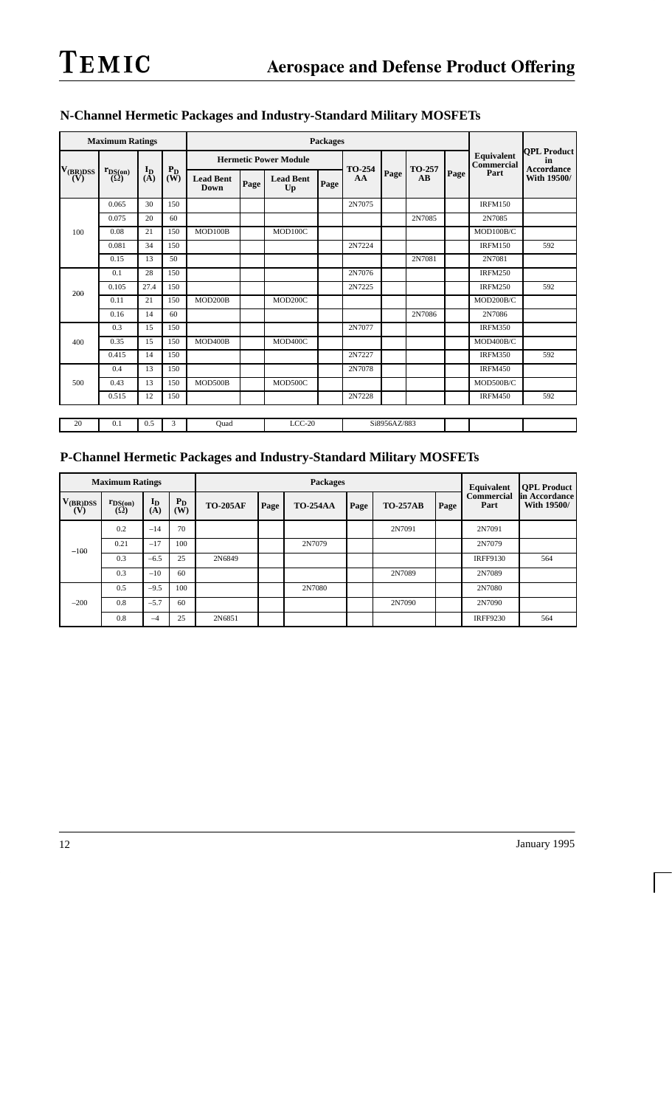|                      | <b>Maximum Ratings</b>     |                |              | <b>Packages</b>                 |      |                              |      |              |              |                                  |      |                |                                  |  |  |                          |                          |
|----------------------|----------------------------|----------------|--------------|---------------------------------|------|------------------------------|------|--------------|--------------|----------------------------------|------|----------------|----------------------------------|--|--|--------------------------|--------------------------|
|                      |                            |                |              |                                 |      | <b>Hermetic Power Module</b> |      |              | Page         |                                  |      |                |                                  |  |  | Equivalent<br>Commercial | <b>OPL Product</b><br>in |
| $V_{(BR)DSS}$<br>(V) | $r_{DS(on)}$<br>$(\Omega)$ | $I_{D}$<br>(A) | $P_D$<br>(W) | <b>Lead Bent</b><br><b>Down</b> | Page | <b>Lead Bent</b><br>Up       | Page | TO-254<br>AA |              | TO-257<br>$\mathbf{A}\mathbf{B}$ | Page | Part           | <b>Accordance</b><br>With 19500/ |  |  |                          |                          |
|                      | 0.065                      | 30             | 150          |                                 |      |                              |      | 2N7075       |              |                                  |      | <b>IRFM150</b> |                                  |  |  |                          |                          |
|                      | 0.075                      | 20             | 60           |                                 |      |                              |      |              |              | 2N7085                           |      | 2N7085         |                                  |  |  |                          |                          |
| 100                  | 0.08                       | 21             | 150          | MOD100B                         |      | MOD100C                      |      |              |              |                                  |      | MOD100B/C      |                                  |  |  |                          |                          |
|                      | 0.081                      | 34             | 150          |                                 |      |                              |      | 2N7224       |              |                                  |      | <b>IRFM150</b> | 592                              |  |  |                          |                          |
|                      | 0.15                       | 13             | 50           |                                 |      |                              |      |              |              | 2N7081                           |      | 2N7081         |                                  |  |  |                          |                          |
|                      | 0.1                        | 28             | 150          |                                 |      |                              |      | 2N7076       |              |                                  |      | <b>IRFM250</b> |                                  |  |  |                          |                          |
| 200                  | 0.105                      | 27.4           | 150          |                                 |      |                              |      | 2N7225       |              |                                  |      | <b>IRFM250</b> | 592                              |  |  |                          |                          |
|                      | 0.11                       | 21             | 150          | MOD200B                         |      | MOD200C                      |      |              |              |                                  |      | MOD200B/C      |                                  |  |  |                          |                          |
|                      | 0.16                       | 14             | 60           |                                 |      |                              |      |              |              | 2N7086                           |      | 2N7086         |                                  |  |  |                          |                          |
|                      | 0.3                        | 15             | 150          |                                 |      |                              |      | 2N7077       |              |                                  |      | <b>IRFM350</b> |                                  |  |  |                          |                          |
| 400                  | 0.35                       | 15             | 150          | MOD400B                         |      | MOD400C                      |      |              |              |                                  |      | MOD400B/C      |                                  |  |  |                          |                          |
|                      | 0.415                      | 14             | 150          |                                 |      |                              |      | 2N7227       |              |                                  |      | <b>IRFM350</b> | 592                              |  |  |                          |                          |
|                      | 0.4                        | 13             | 150          |                                 |      |                              |      | 2N7078       |              |                                  |      | <b>IRFM450</b> |                                  |  |  |                          |                          |
| 500                  | 0.43                       | 13             | 150          | MOD500B                         |      | MOD500C                      |      |              |              |                                  |      | MOD500B/C      |                                  |  |  |                          |                          |
|                      | 0.515                      | 12             | 150          |                                 |      |                              |      | 2N7228       |              |                                  |      | <b>IRFM450</b> | 592                              |  |  |                          |                          |
|                      |                            |                |              |                                 |      |                              |      |              |              |                                  |      |                |                                  |  |  |                          |                          |
| 20                   | 0.1                        | 0.5            | 3            | Ouad                            |      | $LCC-20$                     |      |              | Si8956AZ/883 |                                  |      |                |                                  |  |  |                          |                          |

## **N-Channel Hermetic Packages and Industry-Standard Military MOSFETs**

## **P-Channel Hermetic Packages and Industry-Standard Military MOSFETs**

|                      | <b>Maximum Ratings</b>     |                |                | <b>Packages</b> |      |                 |      |                 | Equivalent | <b>QPL Product</b> |                               |
|----------------------|----------------------------|----------------|----------------|-----------------|------|-----------------|------|-----------------|------------|--------------------|-------------------------------|
| $V_{(BR)DSS}$<br>(V) | $r_{DS(on)}$<br>$(\Omega)$ | $I_{D}$<br>(A) | $P_{D}$<br>(W) | <b>TO-205AF</b> | Page | <b>TO-254AA</b> | Page | <b>TO-257AB</b> | Page       | Commercial<br>Part | lin Accordance<br>With 19500/ |
|                      | 0.2                        | $-14$          | 70             |                 |      |                 |      | 2N7091          |            | 2N7091             |                               |
| $-100$               | 0.21                       | $-17$          | 100            |                 |      | 2N7079          |      |                 |            | 2N7079             |                               |
|                      | 0.3                        | $-6.5$         | 25             | 2N6849          |      |                 |      |                 |            | <b>IRFF9130</b>    | 564                           |
|                      | 0.3                        | $-10$          | 60             |                 |      |                 |      | 2N7089          |            | 2N7089             |                               |
|                      | 0.5                        | $-9.5$         | 100            |                 |      | 2N7080          |      |                 |            | 2N7080             |                               |
| $-200$               | 0.8                        | $-5.7$         | 60             |                 |      |                 |      | 2N7090          |            | 2N7090             |                               |
|                      | 0.8                        | $-4$           | 25             | 2N6851          |      |                 |      |                 |            | <b>IRFF9230</b>    | 564                           |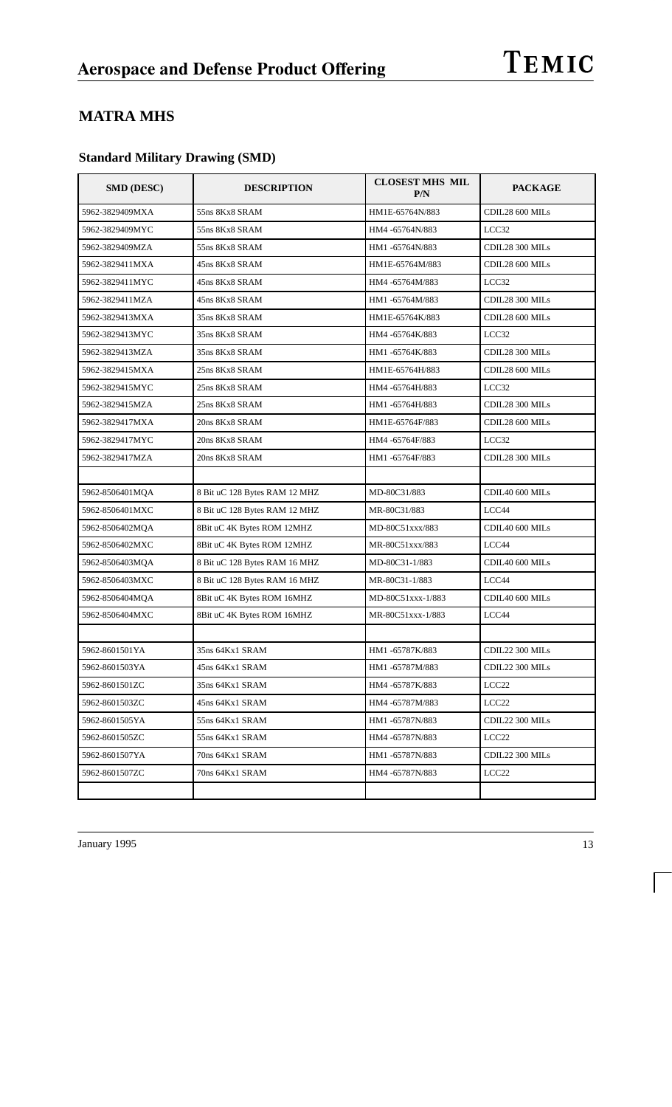## **MATRA MHS**

## **Standard Military Drawing (SMD)**

| <b>SMD (DESC)</b> | <b>DESCRIPTION</b>            | <b>CLOSEST MHS MIL</b><br>P/N | <b>PACKAGE</b>    |
|-------------------|-------------------------------|-------------------------------|-------------------|
| 5962-3829409MXA   | 55ns 8Kx8 SRAM                | HM1E-65764N/883               | CDIL28 600 MILs   |
| 5962-3829409MYC   | 55ns 8Kx8 SRAM                | HM4-65764N/883                | LCC32             |
| 5962-3829409MZA   | 55ns 8Kx8 SRAM                | HM1-65764N/883                | CDIL28 300 MILs   |
| 5962-3829411MXA   | 45ns 8Kx8 SRAM                | HM1E-65764M/883               | CDIL28 600 MILs   |
| 5962-3829411MYC   | 45ns 8Kx8 SRAM                | HM4-65764M/883                | LCC32             |
| 5962-3829411MZA   | 45ns 8Kx8 SRAM                | HM1-65764M/883                | CDIL28 300 MILs   |
| 5962-3829413MXA   | 35ns 8Kx8 SRAM                | HM1E-65764K/883               | CDIL28 600 MILs   |
| 5962-3829413MYC   | 35ns 8Kx8 SRAM                | HM4-65764K/883                | LCC32             |
| 5962-3829413MZA   | 35ns 8Kx8 SRAM                | HM1-65764K/883                | CDIL28 300 MILs   |
| 5962-3829415MXA   | 25ns 8Kx8 SRAM                | HM1E-65764H/883               | CDIL28 600 MILs   |
| 5962-3829415MYC   | 25ns 8Kx8 SRAM                | HM4-65764H/883                | LCC32             |
| 5962-3829415MZA   | 25ns 8Kx8 SRAM                | HM1-65764H/883                | CDIL28 300 MILs   |
| 5962-3829417MXA   | 20ns 8Kx8 SRAM                | HM1E-65764F/883               | CDIL28 600 MILs   |
| 5962-3829417MYC   | 20ns 8Kx8 SRAM                | HM4 -65764F/883               | LCC32             |
| 5962-3829417MZA   | 20ns 8Kx8 SRAM                | HM1-65764F/883                | CDIL28 300 MILs   |
|                   |                               |                               |                   |
| 5962-8506401MQA   | 8 Bit uC 128 Bytes RAM 12 MHZ | MD-80C31/883                  | CDIL40 600 MILs   |
| 5962-8506401MXC   | 8 Bit uC 128 Bytes RAM 12 MHZ | MR-80C31/883                  | LCC44             |
| 5962-8506402MQA   | 8Bit uC 4K Bytes ROM 12MHZ    | MD-80C51xxx/883               | CDIL40 600 MILs   |
| 5962-8506402MXC   | 8Bit uC 4K Bytes ROM 12MHZ    | MR-80C51xxx/883               | LCC44             |
| 5962-8506403MQA   | 8 Bit uC 128 Bytes RAM 16 MHZ | MD-80C31-1/883                | CDIL40 600 MILs   |
| 5962-8506403MXC   | 8 Bit uC 128 Bytes RAM 16 MHZ | MR-80C31-1/883                | LCC44             |
| 5962-8506404MQA   | 8Bit uC 4K Bytes ROM 16MHZ    | MD-80C51xxx-1/883             | CDIL40 600 MILs   |
| 5962-8506404MXC   | 8Bit uC 4K Bytes ROM 16MHZ    | MR-80C51xxx-1/883             | LCC44             |
|                   |                               |                               |                   |
| 5962-8601501YA    | 35ns 64Kx1 SRAM               | HM1-65787K/883                | CDIL22 300 MILs   |
| 5962-8601503YA    | 45ns 64Kx1 SRAM               | HM1-65787M/883                | CDIL22 300 MILs   |
| 5962-8601501ZC    | 35ns 64Kx1 SRAM               | HM4 -65787K/883               | LCC <sub>22</sub> |
| 5962-8601503ZC    | 45ns 64Kx1 SRAM               | HM4-65787M/883                | LCC <sub>22</sub> |
| 5962-8601505YA    | 55ns 64Kx1 SRAM               | HM1-65787N/883                | CDIL22 300 MILs   |
| 5962-8601505ZC    | 55ns 64Kx1 SRAM               | HM4-65787N/883                | LCC <sub>22</sub> |
| 5962-8601507YA    | 70ns 64Kx1 SRAM               | HM1-65787N/883                | CDIL22 300 MILs   |
| 5962-8601507ZC    | 70ns 64Kx1 SRAM               | HM4-65787N/883                | LCC <sub>22</sub> |
|                   |                               |                               |                   |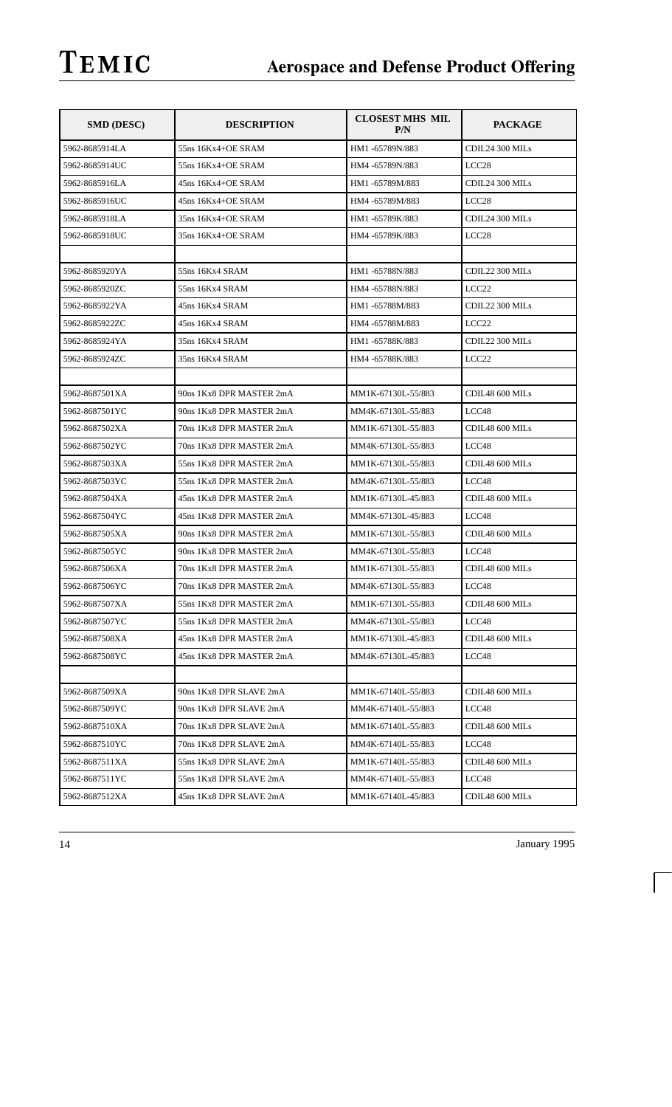| <b>SMD (DESC)</b> | <b>DESCRIPTION</b>       | <b>CLOSEST MHS MIL</b><br>P/N | <b>PACKAGE</b>    |
|-------------------|--------------------------|-------------------------------|-------------------|
| 5962-8685914LA    | 55ns 16Kx4+OE SRAM       | HM1-65789N/883                | CDIL24 300 MILs   |
| 5962-8685914UC    | 55ns 16Kx4+OE SRAM       | HM4 -65789N/883               | LCC <sub>28</sub> |
| 5962-8685916LA    | 45ns 16Kx4+OE SRAM       | HM1-65789M/883                | CDIL24 300 MILs   |
| 5962-8685916UC    | 45ns 16Kx4+OE SRAM       | HM4 -65789M/883               | LCC <sub>28</sub> |
| 5962-8685918LA    | 35ns 16Kx4+OE SRAM       | HM1-65789K/883                | CDIL24 300 MILs   |
| 5962-8685918UC    | 35ns 16Kx4+OE SRAM       | HM4-65789K/883                | LCC28             |
|                   |                          |                               |                   |
| 5962-8685920YA    | 55ns 16Kx4 SRAM          | HM1-65788N/883                | CDIL22 300 MILs   |
| 5962-8685920ZC    | 55ns 16Kx4 SRAM          | HM4 -65788N/883               | LCC <sub>22</sub> |
| 5962-8685922YA    | 45ns 16Kx4 SRAM          | HM1-65788M/883                | CDIL22 300 MILs   |
| 5962-8685922ZC    | 45ns 16Kx4 SRAM          | HM4 -65788M/883               | LCC <sub>22</sub> |
| 5962-8685924YA    | 35ns 16Kx4 SRAM          | HM1-65788K/883                | CDIL22 300 MILs   |
| 5962-8685924ZC    | 35ns 16Kx4 SRAM          | HM4 -65788K/883               | LCC <sub>22</sub> |
|                   |                          |                               |                   |
| 5962-8687501XA    | 90ns 1Kx8 DPR MASTER 2mA | MM1K-67130L-55/883            | CDIL48 600 MILs   |
| 5962-8687501YC    | 90ns 1Kx8 DPR MASTER 2mA | MM4K-67130L-55/883            | LCC48             |
| 5962-8687502XA    | 70ns 1Kx8 DPR MASTER 2mA | MM1K-67130L-55/883            | CDIL48 600 MILs   |
| 5962-8687502YC    | 70ns 1Kx8 DPR MASTER 2mA | MM4K-67130L-55/883            | LCC48             |
| 5962-8687503XA    | 55ns 1Kx8 DPR MASTER 2mA | MM1K-67130L-55/883            | CDIL48 600 MILs   |
| 5962-8687503YC    | 55ns 1Kx8 DPR MASTER 2mA | MM4K-67130L-55/883            | LCC48             |
| 5962-8687504XA    | 45ns 1Kx8 DPR MASTER 2mA | MM1K-67130L-45/883            | CDIL48 600 MILs   |
| 5962-8687504YC    | 45ns 1Kx8 DPR MASTER 2mA | MM4K-67130L-45/883            | LCC48             |
| 5962-8687505XA    | 90ns 1Kx8 DPR MASTER 2mA | MM1K-67130L-55/883            | CDIL48 600 MILs   |
| 5962-8687505YC    | 90ns 1Kx8 DPR MASTER 2mA | MM4K-67130L-55/883            | LCC48             |
| 5962-8687506XA    | 70ns 1Kx8 DPR MASTER 2mA | MM1K-67130L-55/883            | CDIL48 600 MILs   |
| 5962-8687506YC    | 70ns 1Kx8 DPR MASTER 2mA | MM4K-67130L-55/883            | LCC <sub>48</sub> |
| 5962-8687507XA    | 55ns 1Kx8 DPR MASTER 2mA | MM1K-67130L-55/883            | CDIL48 600 MILs   |
| 5962-8687507YC    | 55ns 1Kx8 DPR MASTER 2mA | MM4K-67130L-55/883            | LCC48             |
| 5962-8687508XA    | 45ns 1Kx8 DPR MASTER 2mA | MM1K-67130L-45/883            | CDIL48 600 MILs   |
| 5962-8687508YC    | 45ns 1Kx8 DPR MASTER 2mA | MM4K-67130L-45/883            | LCC <sub>48</sub> |
|                   |                          |                               |                   |
| 5962-8687509XA    | 90ns 1Kx8 DPR SLAVE 2mA  | MM1K-67140L-55/883            | CDIL48 600 MILs   |
| 5962-8687509YC    | 90ns 1Kx8 DPR SLAVE 2mA  | MM4K-67140L-55/883            | LCC48             |
| 5962-8687510XA    | 70ns 1Kx8 DPR SLAVE 2mA  | MM1K-67140L-55/883            | CDIL48 600 MILs   |
| 5962-8687510YC    | 70ns 1Kx8 DPR SLAVE 2mA  | MM4K-67140L-55/883            | LCC48             |
| 5962-8687511XA    | 55ns 1Kx8 DPR SLAVE 2mA  | MM1K-67140L-55/883            | CDIL48 600 MILs   |
| 5962-8687511YC    | 55ns 1Kx8 DPR SLAVE 2mA  | MM4K-67140L-55/883            | LCC48             |
| 5962-8687512XA    | 45ns 1Kx8 DPR SLAVE 2mA  | MM1K-67140L-45/883            | CDIL48 600 MILs   |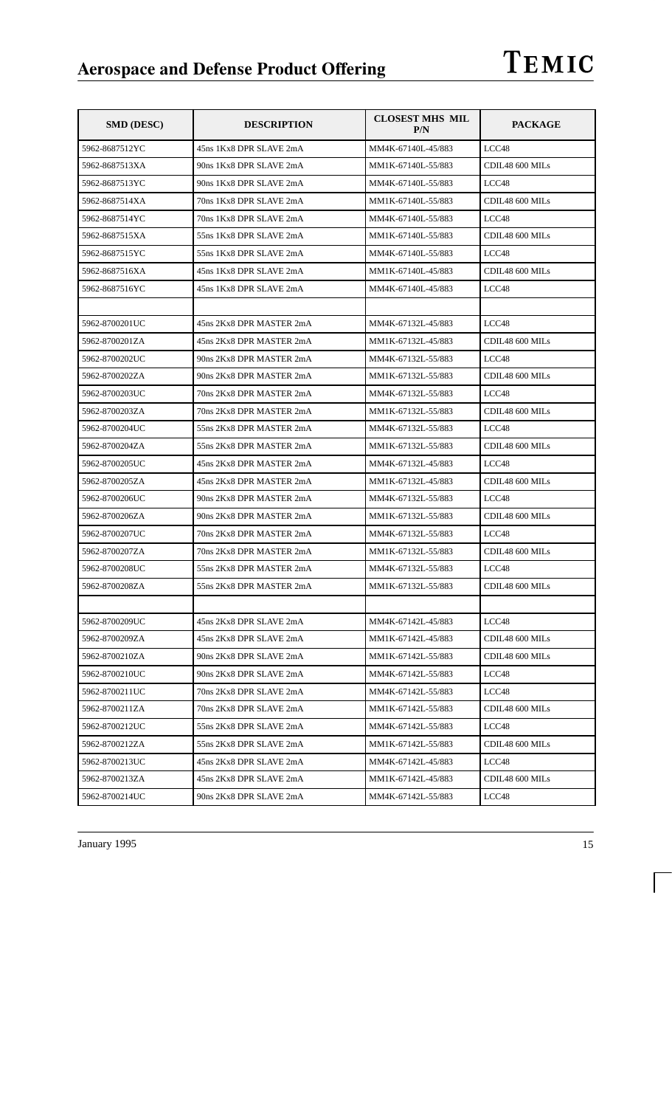| <b>SMD (DESC)</b> | <b>DESCRIPTION</b>       | <b>CLOSEST MHS MIL</b><br>P/N | <b>PACKAGE</b>  |
|-------------------|--------------------------|-------------------------------|-----------------|
| 5962-8687512YC    | 45ns 1Kx8 DPR SLAVE 2mA  | MM4K-67140L-45/883            | LCC48           |
| 5962-8687513XA    | 90ns 1Kx8 DPR SLAVE 2mA  | MM1K-67140L-55/883            | CDIL48 600 MILs |
| 5962-8687513YC    | 90ns 1Kx8 DPR SLAVE 2mA  | MM4K-67140L-55/883            | LCC48           |
| 5962-8687514XA    | 70ns 1Kx8 DPR SLAVE 2mA  | MM1K-67140L-55/883            | CDIL48 600 MILs |
| 5962-8687514YC    | 70ns 1Kx8 DPR SLAVE 2mA  | MM4K-67140L-55/883            | LCC48           |
| 5962-8687515XA    | 55ns 1Kx8 DPR SLAVE 2mA  | MM1K-67140L-55/883            | CDIL48 600 MILs |
| 5962-8687515YC    | 55ns 1Kx8 DPR SLAVE 2mA  | MM4K-67140L-55/883            | LCC48           |
| 5962-8687516XA    | 45ns 1Kx8 DPR SLAVE 2mA  | MM1K-67140L-45/883            | CDIL48 600 MILs |
| 5962-8687516YC    | 45ns 1Kx8 DPR SLAVE 2mA  | MM4K-67140L-45/883            | LCC48           |
|                   |                          |                               |                 |
| 5962-8700201UC    | 45ns 2Kx8 DPR MASTER 2mA | MM4K-67132L-45/883            | LCC48           |
| 5962-8700201ZA    | 45ns 2Kx8 DPR MASTER 2mA | MM1K-67132L-45/883            | CDIL48 600 MILs |
| 5962-8700202UC    | 90ns 2Kx8 DPR MASTER 2mA | MM4K-67132L-55/883            | LCC48           |
| 5962-8700202ZA    | 90ns 2Kx8 DPR MASTER 2mA | MM1K-67132L-55/883            | CDIL48 600 MILs |
| 5962-8700203UC    | 70ns 2Kx8 DPR MASTER 2mA | MM4K-67132L-55/883            | LCC48           |
| 5962-8700203ZA    | 70ns 2Kx8 DPR MASTER 2mA | MM1K-67132L-55/883            | CDIL48 600 MILs |
| 5962-8700204UC    | 55ns 2Kx8 DPR MASTER 2mA | MM4K-67132L-55/883            | LCC48           |
| 5962-8700204ZA    | 55ns 2Kx8 DPR MASTER 2mA | MM1K-67132L-55/883            | CDIL48 600 MILs |
| 5962-8700205UC    | 45ns 2Kx8 DPR MASTER 2mA | MM4K-67132L-45/883            | LCC48           |
| 5962-8700205ZA    | 45ns 2Kx8 DPR MASTER 2mA | MM1K-67132L-45/883            | CDIL48 600 MILs |
| 5962-8700206UC    | 90ns 2Kx8 DPR MASTER 2mA | MM4K-67132L-55/883            | LCC48           |
| 5962-8700206ZA    | 90ns 2Kx8 DPR MASTER 2mA | MM1K-67132L-55/883            | CDIL48 600 MILs |
| 5962-8700207UC    | 70ns 2Kx8 DPR MASTER 2mA | MM4K-67132L-55/883            | LCC48           |
| 5962-8700207ZA    | 70ns 2Kx8 DPR MASTER 2mA | MM1K-67132L-55/883            | CDIL48 600 MILs |
| 5962-8700208UC    | 55ns 2Kx8 DPR MASTER 2mA | MM4K-67132L-55/883            | LCC48           |
| 5962-8700208ZA    | 55ns 2Kx8 DPR MASTER 2mA | MM1K-67132L-55/883            | CDIL48 600 MILs |
|                   |                          |                               |                 |
| 5962-8700209UC    | 45ns 2Kx8 DPR SLAVE 2mA  | MM4K-67142L-45/883            | LCC48           |
| 5962-8700209ZA    | 45ns 2Kx8 DPR SLAVE 2mA  | MM1K-67142L-45/883            | CDIL48 600 MILs |
| 5962-8700210ZA    | 90ns 2Kx8 DPR SLAVE 2mA  | MM1K-67142L-55/883            | CDIL48 600 MILs |
| 5962-8700210UC    | 90ns 2Kx8 DPR SLAVE 2mA  | MM4K-67142L-55/883            | LCC48           |
| 5962-8700211UC    | 70ns 2Kx8 DPR SLAVE 2mA  | MM4K-67142L-55/883            | LCC48           |
| 5962-8700211ZA    | 70ns 2Kx8 DPR SLAVE 2mA  | MM1K-67142L-55/883            | CDIL48 600 MILs |
| 5962-8700212UC    | 55ns 2Kx8 DPR SLAVE 2mA  | MM4K-67142L-55/883            | LCC48           |
| 5962-8700212ZA    | 55ns 2Kx8 DPR SLAVE 2mA  | MM1K-67142L-55/883            | CDIL48 600 MILs |
| 5962-8700213UC    | 45ns 2Kx8 DPR SLAVE 2mA  | MM4K-67142L-45/883            | LCC48           |
| 5962-8700213ZA    | 45ns 2Kx8 DPR SLAVE 2mA  | MM1K-67142L-45/883            | CDIL48 600 MILs |
| 5962-8700214UC    | 90ns 2Kx8 DPR SLAVE 2mA  | MM4K-67142L-55/883            | LCC48           |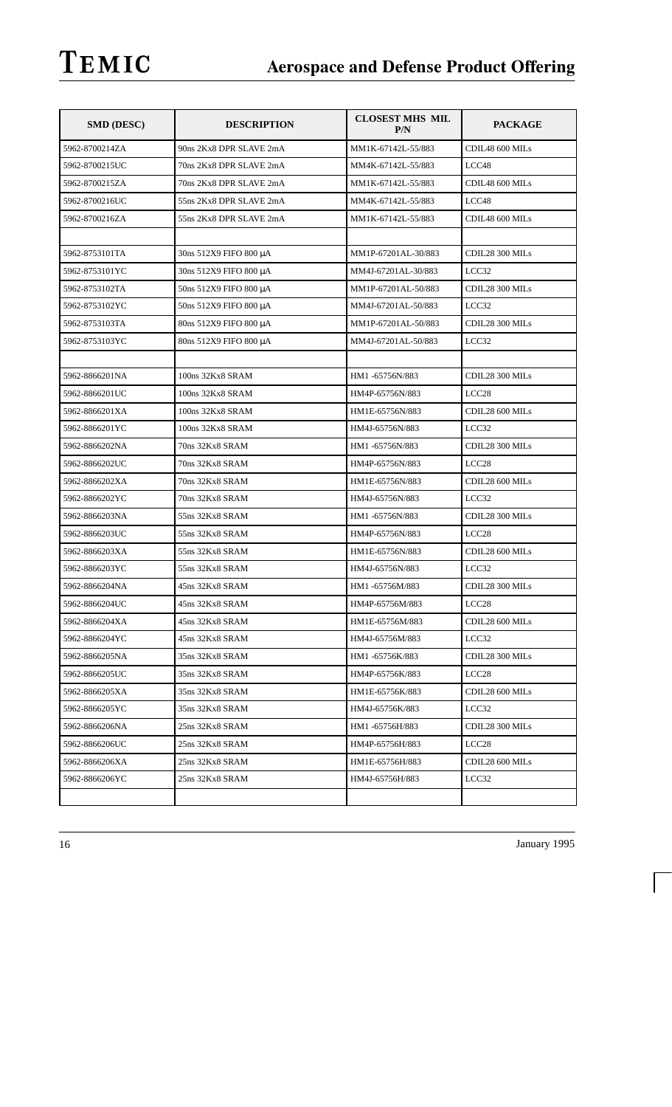| <b>SMD (DESC)</b> | <b>DESCRIPTION</b>      | <b>CLOSEST MHS MIL</b><br>P/N | <b>PACKAGE</b>    |
|-------------------|-------------------------|-------------------------------|-------------------|
| 5962-8700214ZA    | 90ns 2Kx8 DPR SLAVE 2mA | MM1K-67142L-55/883            | CDIL48 600 MILs   |
| 5962-8700215UC    | 70ns 2Kx8 DPR SLAVE 2mA | MM4K-67142L-55/883            | LCC48             |
| 5962-8700215ZA    | 70ns 2Kx8 DPR SLAVE 2mA | MM1K-67142L-55/883            | CDIL48 600 MILs   |
| 5962-8700216UC    | 55ns 2Kx8 DPR SLAVE 2mA | MM4K-67142L-55/883            | LCC48             |
| 5962-8700216ZA    | 55ns 2Kx8 DPR SLAVE 2mA | MM1K-67142L-55/883            | CDIL48 600 MILs   |
|                   |                         |                               |                   |
| 5962-8753101TA    | 30ns 512X9 FIFO 800 μA  | MM1P-67201AL-30/883           | CDIL28 300 MILs   |
| 5962-8753101YC    | 30ns 512X9 FIFO 800 μA  | MM4J-67201AL-30/883           | LCC32             |
| 5962-8753102TA    | 50ns 512X9 FIFO 800 μA  | MM1P-67201AL-50/883           | CDIL28 300 MILs   |
| 5962-8753102YC    | 50ns 512X9 FIFO 800 μA  | MM4J-67201AL-50/883           | LCC32             |
| 5962-8753103TA    | 80ns 512X9 FIFO 800 μA  | MM1P-67201AL-50/883           | CDIL28 300 MILs   |
| 5962-8753103YC    | 80ns 512X9 FIFO 800 μA  | MM4J-67201AL-50/883           | LCC32             |
|                   |                         |                               |                   |
| 5962-8866201NA    | 100ns 32Kx8 SRAM        | HM1-65756N/883                | CDIL28 300 MILs   |
| 5962-8866201UC    | 100ns 32Kx8 SRAM        | HM4P-65756N/883               | LCC <sub>28</sub> |
| 5962-8866201XA    | 100ns 32Kx8 SRAM        | HM1E-65756N/883               | CDIL28 600 MILs   |
| 5962-8866201YC    | 100ns 32Kx8 SRAM        | HM4J-65756N/883               | LCC32             |
| 5962-8866202NA    | 70ns 32Kx8 SRAM         | HM1-65756N/883                | CDIL28 300 MILs   |
| 5962-8866202UC    | 70ns 32Kx8 SRAM         | HM4P-65756N/883               | LCC <sub>28</sub> |
| 5962-8866202XA    | 70ns 32Kx8 SRAM         | HM1E-65756N/883               | CDIL28 600 MILs   |
| 5962-8866202YC    | 70ns 32Kx8 SRAM         | HM4J-65756N/883               | LCC32             |
| 5962-8866203NA    | 55ns 32Kx8 SRAM         | HM1-65756N/883                | CDIL28 300 MILs   |
| 5962-8866203UC    | 55ns 32Kx8 SRAM         | HM4P-65756N/883               | LCC28             |
| 5962-8866203XA    | 55ns 32Kx8 SRAM         | HM1E-65756N/883               | CDIL28 600 MILs   |
| 5962-8866203YC    | 55ns 32Kx8 SRAM         | HM4J-65756N/883               | LCC32             |
| 5962-8866204NA    | 45ns 32Kx8 SRAM         | HM1-65756M/883                | CDIL28 300 MILs   |
| 5962-8866204UC    | 45ns 32Kx8 SRAM         | HM4P-65756M/883               | LCC28             |
| 5962-8866204XA    | 45ns 32Kx8 SRAM         | HM1E-65756M/883               | CDIL28 600 MILs   |
| 5962-8866204YC    | 45ns 32Kx8 SRAM         | HM4J-65756M/883               | LCC32             |
| 5962-8866205NA    | 35ns 32Kx8 SRAM         | HM1-65756K/883                | CDIL28 300 MILs   |
| 5962-8866205UC    | 35ns 32Kx8 SRAM         | HM4P-65756K/883               | LCC <sub>28</sub> |
| 5962-8866205XA    | 35ns 32Kx8 SRAM         | HM1E-65756K/883               | CDIL28 600 MILs   |
| 5962-8866205YC    | 35ns 32Kx8 SRAM         | HM4J-65756K/883               | LCC32             |
| 5962-8866206NA    | 25ns 32Kx8 SRAM         | HM1-65756H/883                | CDIL28 300 MILs   |
| 5962-8866206UC    | 25ns 32Kx8 SRAM         | HM4P-65756H/883               | LCC <sub>28</sub> |
| 5962-8866206XA    | 25ns 32Kx8 SRAM         | HM1E-65756H/883               | CDIL28 600 MILs   |
| 5962-8866206YC    | 25ns 32Kx8 SRAM         | HM4J-65756H/883               | LCC32             |
|                   |                         |                               |                   |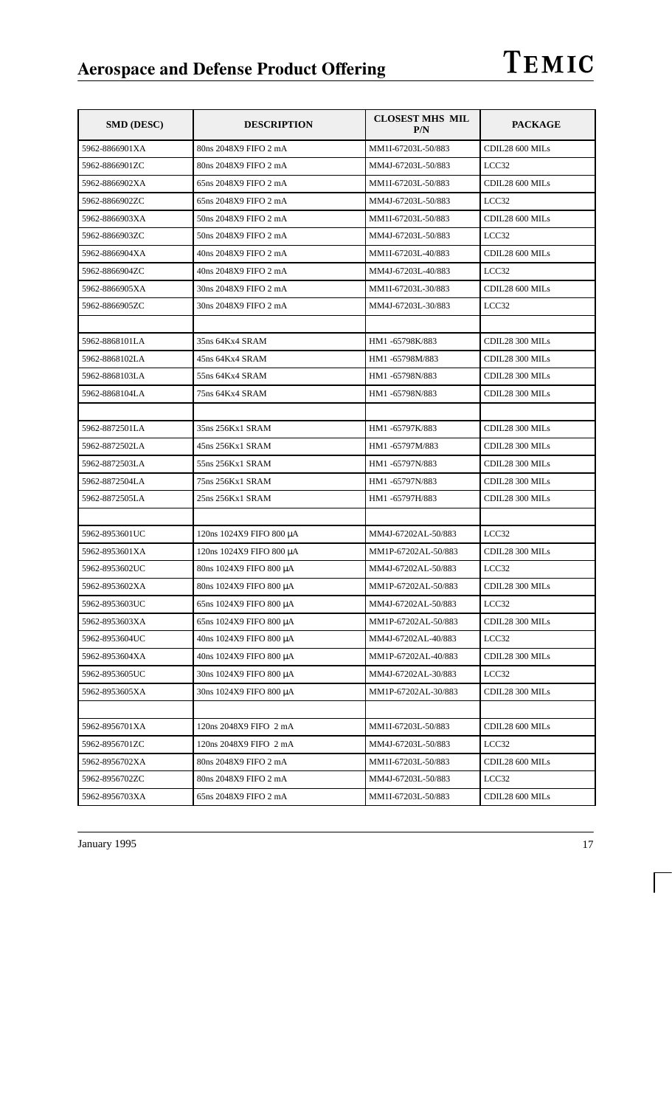| <b>SMD (DESC)</b> | <b>DESCRIPTION</b>       | <b>CLOSEST MHS MIL</b><br>P/N | <b>PACKAGE</b>  |
|-------------------|--------------------------|-------------------------------|-----------------|
| 5962-8866901XA    | 80ns 2048X9 FIFO 2 mA    | MM1I-67203L-50/883            | CDIL28 600 MILs |
| 5962-8866901ZC    | 80ns 2048X9 FIFO 2 mA    | MM4J-67203L-50/883            | LCC32           |
| 5962-8866902XA    | 65ns 2048X9 FIFO 2 mA    | MM1I-67203L-50/883            | CDIL28 600 MILs |
| 5962-8866902ZC    | 65ns 2048X9 FIFO 2 mA    | MM4J-67203L-50/883            | LCC32           |
| 5962-8866903XA    | 50ns 2048X9 FIFO 2 mA    | MM1I-67203L-50/883            | CDIL28 600 MILs |
| 5962-8866903ZC    | 50ns 2048X9 FIFO 2 mA    | MM4J-67203L-50/883            | LCC32           |
| 5962-8866904XA    | 40ns 2048X9 FIFO 2 mA    | MM1I-67203L-40/883            | CDIL28 600 MILs |
| 5962-8866904ZC    | 40ns 2048X9 FIFO 2 mA    | MM4J-67203L-40/883            | LCC32           |
| 5962-8866905XA    | 30ns 2048X9 FIFO 2 mA    | MM1I-67203L-30/883            | CDIL28 600 MILs |
| 5962-8866905ZC    | 30ns 2048X9 FIFO 2 mA    | MM4J-67203L-30/883            | LCC32           |
|                   |                          |                               |                 |
| 5962-8868101LA    | 35ns 64Kx4 SRAM          | HM1-65798K/883                | CDIL28 300 MILs |
| 5962-8868102LA    | 45ns 64Kx4 SRAM          | HM1-65798M/883                | CDIL28 300 MILs |
| 5962-8868103LA    | 55ns 64Kx4 SRAM          | HM1-65798N/883                | CDIL28 300 MILs |
| 5962-8868104LA    | 75ns 64Kx4 SRAM          | HM1-65798N/883                | CDIL28 300 MILs |
|                   |                          |                               |                 |
| 5962-8872501LA    | 35ns 256Kx1 SRAM         | HM1-65797K/883                | CDIL28 300 MILs |
| 5962-8872502LA    | 45ns 256Kx1 SRAM         | HM1-65797M/883                | CDIL28 300 MILs |
| 5962-8872503LA    | 55ns 256Kx1 SRAM         | HM1-65797N/883                | CDIL28 300 MILs |
| 5962-8872504LA    | 75ns 256Kx1 SRAM         | HM1-65797N/883                | CDIL28 300 MILs |
| 5962-8872505LA    | 25ns 256Kx1 SRAM         | HM1-65797H/883                | CDIL28 300 MILs |
|                   |                          |                               |                 |
| 5962-8953601UC    | 120ns 1024X9 FIFO 800 μA | MM4J-67202AL-50/883           | LCC32           |
| 5962-8953601XA    | 120ns 1024X9 FIFO 800 μA | MM1P-67202AL-50/883           | CDIL28 300 MILs |
| 5962-8953602UC    | 80ns 1024X9 FIFO 800 μA  | MM4J-67202AL-50/883           | LCC32           |
| 5962-8953602XA    | 80ns 1024X9 FIFO 800 μA  | MM1P-67202AL-50/883           | CDIL28 300 MILs |
| 5962-8953603UC    | 65ns 1024X9 FIFO 800 μA  | MM4J-67202AL-50/883           | LCC32           |
| 5962-8953603XA    | 65ns 1024X9 FIFO 800 μA  | MM1P-67202AL-50/883           | CDIL28 300 MILs |
| 5962-8953604UC    | 40ns 1024X9 FIFO 800 μA  | MM4J-67202AL-40/883           | LCC32           |
| 5962-8953604XA    | 40ns 1024X9 FIFO 800 μA  | MM1P-67202AL-40/883           | CDIL28 300 MILs |
| 5962-8953605UC    | 30ns 1024X9 FIFO 800 µA  | MM4J-67202AL-30/883           | LCC32           |
| 5962-8953605XA    | 30ns 1024X9 FIFO 800 μA  | MM1P-67202AL-30/883           | CDIL28 300 MILs |
|                   |                          |                               |                 |
| 5962-8956701XA    | 120ns 2048X9 FIFO 2 mA   | MM1I-67203L-50/883            | CDIL28 600 MILs |
| 5962-8956701ZC    | 120ns 2048X9 FIFO 2 mA   | MM4J-67203L-50/883            | LCC32           |
| 5962-8956702XA    | 80ns 2048X9 FIFO 2 mA    | MM1I-67203L-50/883            | CDIL28 600 MILs |
| 5962-8956702ZC    | 80ns 2048X9 FIFO 2 mA    | MM4J-67203L-50/883            | LCC32           |
| 5962-8956703XA    | 65ns 2048X9 FIFO 2 mA    | MM1I-67203L-50/883            | CDIL28 600 MILs |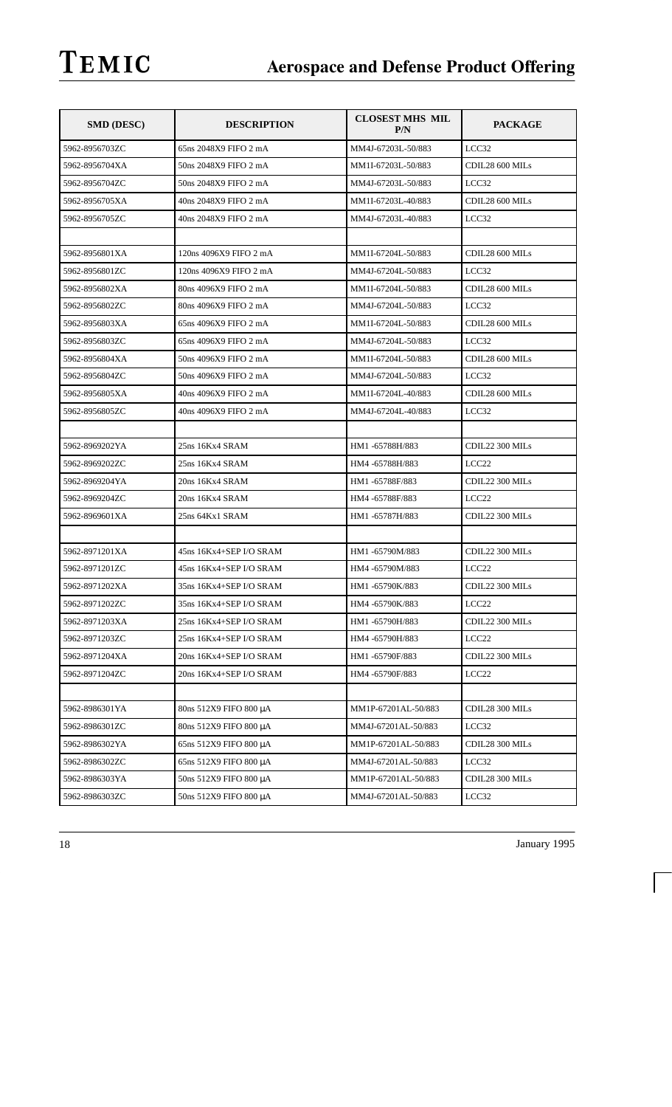| <b>SMD (DESC)</b> | <b>DESCRIPTION</b>                               | <b>CLOSEST MHS MIL</b><br>P/N | <b>PACKAGE</b>    |
|-------------------|--------------------------------------------------|-------------------------------|-------------------|
| 5962-8956703ZC    | 65ns 2048X9 FIFO 2 mA                            | MM4J-67203L-50/883            | LCC32             |
| 5962-8956704XA    | 50ns 2048X9 FIFO 2 mA                            | MM1I-67203L-50/883            | CDIL28 600 MILs   |
| 5962-8956704ZC    | 50ns 2048X9 FIFO 2 mA                            | MM4J-67203L-50/883            | LCC32             |
| 5962-8956705XA    | 40ns 2048X9 FIFO 2 mA                            | MM1I-67203L-40/883            | CDIL28 600 MILs   |
| 5962-8956705ZC    | 40ns 2048X9 FIFO 2 mA                            | MM4J-67203L-40/883            | LCC32             |
|                   |                                                  |                               |                   |
| 5962-8956801XA    | 120ns 4096X9 FIFO 2 mA                           | MM1I-67204L-50/883            | CDIL28 600 MILs   |
| 5962-8956801ZC    | 120ns 4096X9 FIFO 2 mA                           | MM4J-67204L-50/883            | LCC32             |
| 5962-8956802XA    | 80ns 4096X9 FIFO 2 mA                            | MM1I-67204L-50/883            | CDIL28 600 MILs   |
| 5962-8956802ZC    | 80ns 4096X9 FIFO 2 mA                            | MM4J-67204L-50/883            | LCC32             |
| 5962-8956803XA    | 65ns 4096X9 FIFO 2 mA                            | MM1I-67204L-50/883            | CDIL28 600 MILs   |
| 5962-8956803ZC    | 65ns 4096X9 FIFO 2 mA                            | MM4J-67204L-50/883            | LCC32             |
| 5962-8956804XA    | 50ns 4096X9 FIFO 2 mA                            | MM1I-67204L-50/883            | CDIL28 600 MILs   |
| 5962-8956804ZC    | 50ns 4096X9 FIFO 2 mA                            | MM4J-67204L-50/883            | LCC32             |
| 5962-8956805XA    | 40ns 4096X9 FIFO 2 mA                            | MM1I-67204L-40/883            | CDIL28 600 MILs   |
| 5962-8956805ZC    | 40ns 4096X9 FIFO 2 mA                            | MM4J-67204L-40/883            | LCC32             |
|                   |                                                  |                               |                   |
| 5962-8969202YA    | 25ns 16Kx4 SRAM                                  | HM1-65788H/883                | CDIL22 300 MILs   |
| 5962-8969202ZC    | 25ns 16Kx4 SRAM                                  | HM4 -65788H/883               | LCC <sub>22</sub> |
| 5962-8969204YA    | 20ns 16Kx4 SRAM                                  | HM1-65788F/883                | CDIL22 300 MILs   |
| 5962-8969204ZC    | 20ns 16Kx4 SRAM                                  | HM4 -65788F/883               | LCC <sub>22</sub> |
| 5962-8969601XA    | 25ns 64Kx1 SRAM                                  | HM1-65787H/883                | CDIL22 300 MILs   |
|                   |                                                  |                               |                   |
| 5962-8971201XA    | 45ns 16Kx4+SEP I/O SRAM                          | HM1-65790M/883                | CDIL22 300 MILs   |
| 5962-8971201ZC    | 45ns 16Kx4+SEP I/O SRAM                          | HM4 -65790M/883               | LCC <sub>22</sub> |
| 5962-8971202XA    | 35ns 16Kx4+SEP I/O SRAM                          | HM1-65790K/883                | CDIL22 300 MILs   |
| 5962-8971202ZC    | $35 \mathrm{ns}$ $16 \mathrm{Kx}$ 4+SEP I/O SRAM | HM4-65790K/883                | LCC22             |
| 5962-8971203XA    | 25ns 16Kx4+SEP I/O SRAM                          | HM1-65790H/883                | CDIL22 300 MILs   |
| 5962-8971203ZC    | 25ns 16Kx4+SEP I/O SRAM                          | HM4 -65790H/883               | LCC <sub>22</sub> |
| 5962-8971204XA    | 20ns 16Kx4+SEP I/O SRAM                          | HM1-65790F/883                | CDIL22 300 MILs   |
| 5962-8971204ZC    | 20ns 16Kx4+SEP I/O SRAM                          | HM4-65790F/883                | LCC <sub>22</sub> |
|                   |                                                  |                               |                   |
| 5962-8986301YA    | 80ns 512X9 FIFO 800 μA                           | MM1P-67201AL-50/883           | CDIL28 300 MILs   |
| 5962-8986301ZC    | 80ns 512X9 FIFO 800 µA                           | MM4J-67201AL-50/883           | LCC32             |
| 5962-8986302YA    | 65ns 512X9 FIFO 800 μA                           | MM1P-67201AL-50/883           | CDIL28 300 MILs   |
| 5962-8986302ZC    | 65ns 512X9 FIFO 800 μA                           | MM4J-67201AL-50/883           | LCC32             |
| 5962-8986303YA    | 50ns 512X9 FIFO 800 μA                           | MM1P-67201AL-50/883           | CDIL28 300 MILs   |
| 5962-8986303ZC    | 50ns 512X9 FIFO 800 μA                           | MM4J-67201AL-50/883           | LCC32             |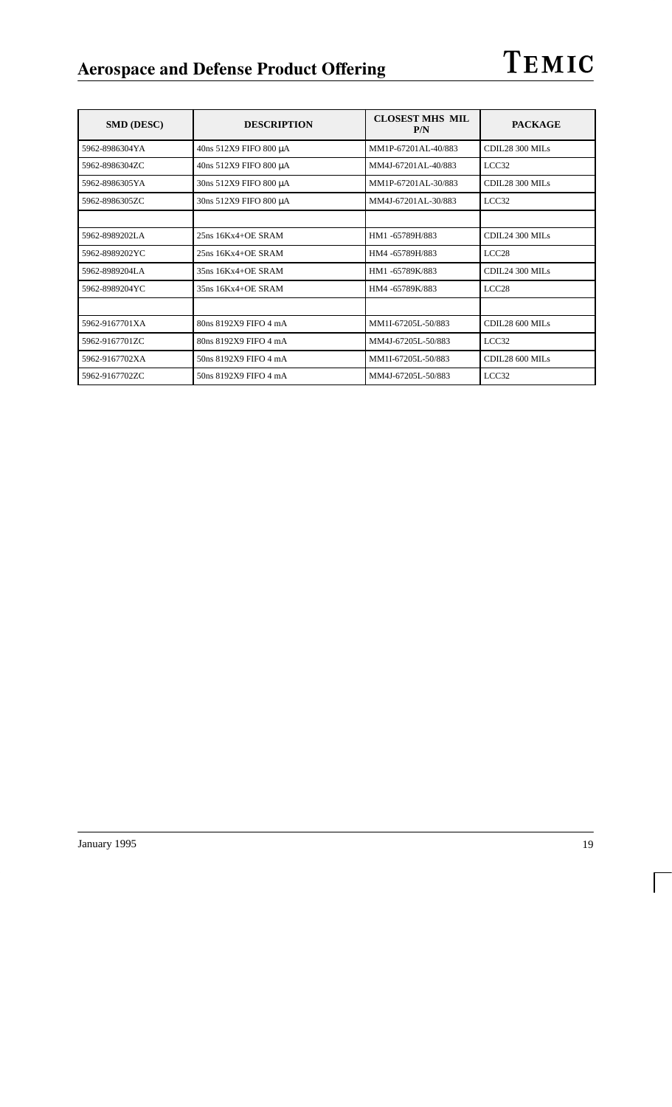| <b>SMD (DESC)</b> | <b>DESCRIPTION</b>     | <b>CLOSEST MHS MIL</b><br>P/N | <b>PACKAGE</b>    |
|-------------------|------------------------|-------------------------------|-------------------|
| 5962-8986304YA    | 40ns 512X9 FIFO 800 μA | MM1P-67201AL-40/883           | CDIL28 300 MILs   |
| 5962-8986304ZC    | 40ns 512X9 FIFO 800 μA | MM4J-67201AL-40/883           | LCC32             |
| 5962-8986305YA    | 30ns 512X9 FIFO 800 μA | MM1P-67201AL-30/883           | CDIL28 300 MILs   |
| 5962-8986305ZC    | 30ns 512X9 FIFO 800 µA | MM4J-67201AL-30/883           | LCC32             |
|                   |                        |                               |                   |
| 5962-8989202LA    | $25ns$ $16Kx4+OE$ SRAM | HM1-65789H/883                | CDIL24 300 MILs   |
| 5962-8989202YC    | $25ns$ $16Kx4+OE$ SRAM | HM4 -65789H/883               | LCC <sub>28</sub> |
| 5962-8989204LA    | $35ns$ $16Kx4+OE$ SRAM | HM1-65789K/883                | CDIL24 300 MILs   |
| 5962-8989204YC    | 35ns 16Kx4+OE SRAM     | HM4-65789K/883                | LCC <sub>28</sub> |
|                   |                        |                               |                   |
| 5962-9167701XA    | 80ns 8192X9 FIFO 4 mA  | MM1I-67205L-50/883            | CDIL28 600 MILs   |
| 5962-9167701ZC    | 80ns 8192X9 FIFO 4 mA  | MM4J-67205L-50/883            | LCC32             |
| 5962-9167702XA    | 50ns 8192X9 FIFO 4 mA  | MM1I-67205L-50/883            | CDIL28 600 MILs   |
| 5962-9167702ZC    | 50ns 8192X9 FIFO 4 mA  | MM4J-67205L-50/883            | LCC32             |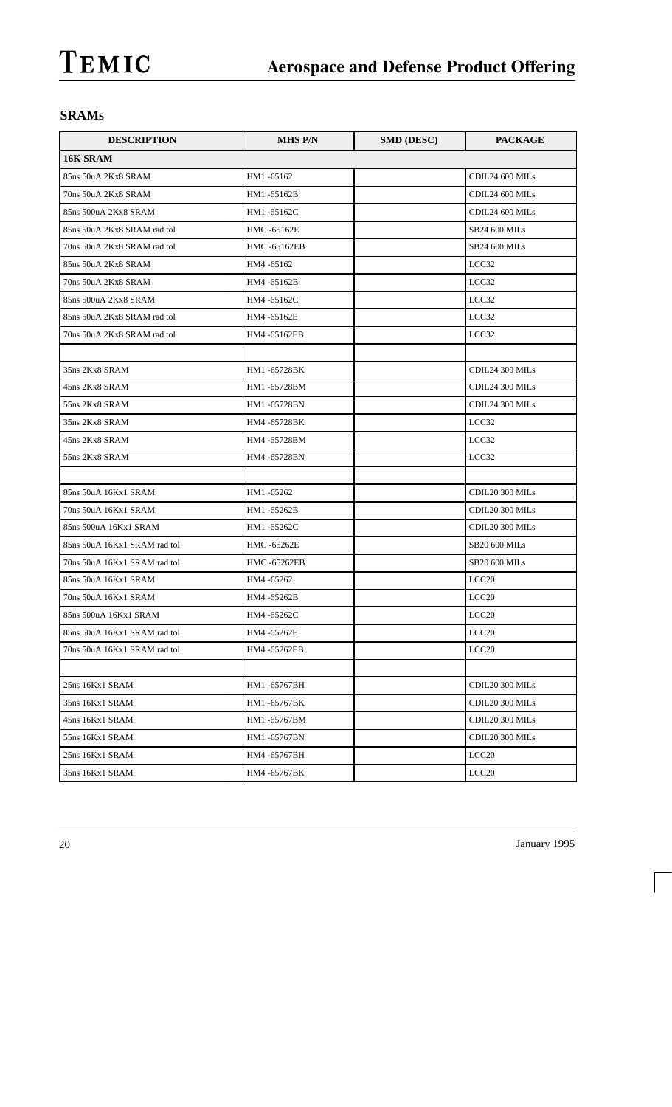## **SRAMs**

| <b>DESCRIPTION</b>           | <b>MHS P/N</b>      | <b>SMD (DESC)</b> | <b>PACKAGE</b>       |
|------------------------------|---------------------|-------------------|----------------------|
| 16K SRAM                     |                     |                   |                      |
| 85ns 50uA 2Kx8 SRAM          | HM1-65162           |                   | CDIL24 600 MILs      |
| 70ns 50uA 2Kx8 SRAM          | HM1-65162B          |                   | CDIL24 600 MILs      |
| 85ns 500uA 2Kx8 SRAM         | HM1-65162C          |                   | CDIL24 600 MILs      |
| 85ns 50uA 2Kx8 SRAM rad tol  | HMC -65162E         |                   | <b>SB24 600 MILs</b> |
| 70ns 50uA 2Kx8 SRAM rad tol  | HMC -65162EB        |                   | <b>SB24 600 MILs</b> |
| 85ns 50uA 2Kx8 SRAM          | HM4 -65162          |                   | LCC <sub>32</sub>    |
| 70ns 50uA 2Kx8 SRAM          | HM4 -65162B         |                   | LCC32                |
| 85ns 500uA 2Kx8 SRAM         | HM4 -65162C         |                   | LCC32                |
| 85ns 50uA 2Kx8 SRAM rad tol  | HM4 -65162E         |                   | LCC32                |
| 70ns 50uA 2Kx8 SRAM rad tol  | HM4 -65162EB        |                   | LCC32                |
|                              |                     |                   |                      |
| 35ns 2Kx8 SRAM               | HM1-65728BK         |                   | CDIL24 300 MILs      |
| 45ns 2Kx8 SRAM               | HM1-65728BM         |                   | CDIL24 300 MILs      |
| 55ns 2Kx8 SRAM               | HM1-65728BN         |                   | CDIL24 300 MILs      |
| 35ns 2Kx8 SRAM               | HM4 -65728BK        |                   | LCC32                |
| 45ns 2Kx8 SRAM               | HM4 -65728BM        |                   | LCC32                |
| 55ns 2Kx8 SRAM               | HM4 -65728BN        |                   | LCC32                |
|                              |                     |                   |                      |
| 85ns 50uA 16Kx1 SRAM         | HM1-65262           |                   | CDIL20 300 MILs      |
| 70ns 50uA 16Kx1 SRAM         | HM1-65262B          |                   | CDIL20 300 MILs      |
| 85ns 500uA 16Kx1 SRAM        | HM1-65262C          |                   | CDIL20 300 MILs      |
| 85ns 50uA 16Kx1 SRAM rad tol | HMC -65262E         |                   | <b>SB20 600 MILs</b> |
| 70ns 50uA 16Kx1 SRAM rad tol | <b>HMC -65262EB</b> |                   | SB20 600 MILs        |
| 85ns 50uA 16Kx1 SRAM         | HM4 -65262          |                   | LCC <sub>20</sub>    |
| 70ns 50uA 16Kx1 SRAM         | HM4 -65262B         |                   | LCC <sub>20</sub>    |
| 85ns 500uA 16Kx1 SRAM        | HM4-65262C          |                   | LCC <sub>20</sub>    |
| 85ns 50uA 16Kx1 SRAM rad tol | HM4 -65262E         |                   | LCC <sub>20</sub>    |
| 70ns 50uA 16Kx1 SRAM rad tol | HM4-65262EB         |                   | LCC <sub>20</sub>    |
|                              |                     |                   |                      |
| 25ns 16Kx1 SRAM              | HM1-65767BH         |                   | CDIL20 300 MILs      |
| 35ns 16Kx1 SRAM              | HM1 -65767BK        |                   | CDIL20 300 MILs      |
| 45ns 16Kx1 SRAM              | HM1-65767BM         |                   | CDIL20 300 MILs      |
| 55ns 16Kx1 SRAM              | HM1 -65767BN        |                   | CDIL20 300 MILs      |
| 25ns 16Kx1 SRAM              | HM4 -65767BH        |                   | LCC <sub>20</sub>    |
| 35ns 16Kx1 SRAM              | HM4-65767BK         |                   | LCC <sub>20</sub>    |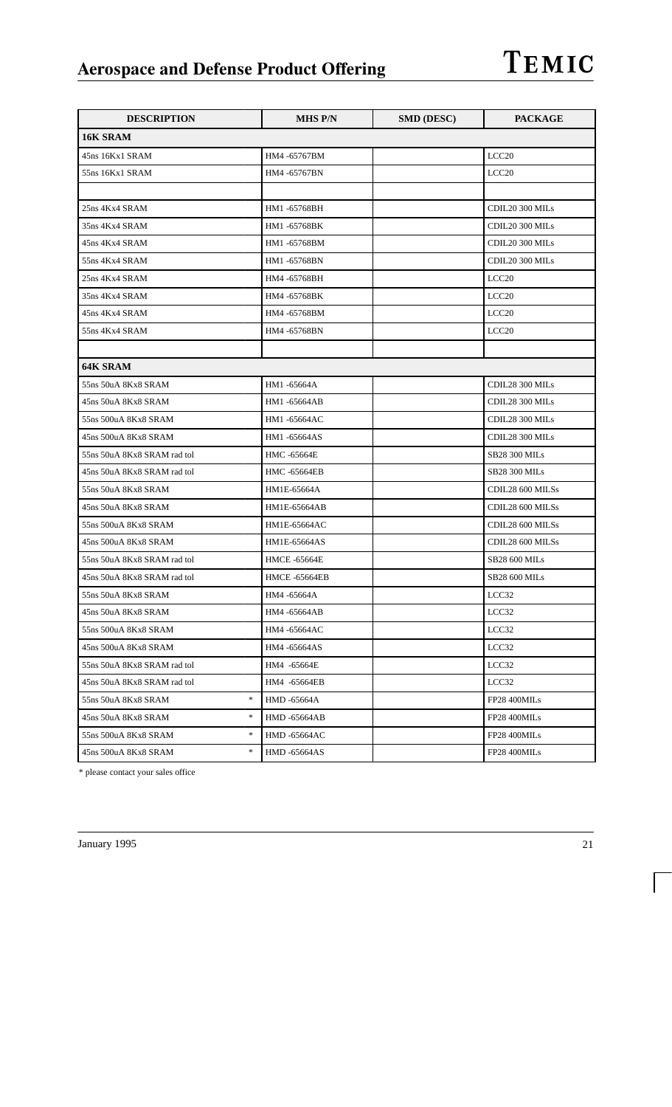| <b>DESCRIPTION</b>             | <b>MHS P/N</b>       | <b>SMD (DESC)</b> | <b>PACKAGE</b>       |
|--------------------------------|----------------------|-------------------|----------------------|
| 16K SRAM                       |                      |                   |                      |
| 45ns 16Kx1 SRAM                | HM4 -65767BM         |                   | LCC <sub>20</sub>    |
| 55ns 16Kx1 SRAM                | HM4 -65767BN         |                   | LCC20                |
|                                |                      |                   |                      |
| 25ns 4Kx4 SRAM                 | HM1-65768BH          |                   | CDIL20 300 MILs      |
| 35ns 4Kx4 SRAM                 | HM1-65768BK          |                   | CDIL20 300 MILs      |
| 45ns 4Kx4 SRAM                 | HM1-65768BM          |                   | CDIL20 300 MILs      |
| 55ns 4Kx4 SRAM                 | HM1-65768BN          |                   | CDIL20 300 MILs      |
| 25ns 4Kx4 SRAM                 | HM4 -65768BH         |                   | LCC <sub>20</sub>    |
| 35ns 4Kx4 SRAM                 | HM4 -65768BK         |                   | LCC <sub>20</sub>    |
| 45ns 4Kx4 SRAM                 | HM4 -65768BM         |                   | LCC20                |
| 55ns 4Kx4 SRAM                 | HM4 -65768BN         |                   | LCC <sub>20</sub>    |
|                                |                      |                   |                      |
| 64K SRAM                       |                      |                   |                      |
| 55ns 50uA 8Kx8 SRAM            | HM1-65664A           |                   | CDIL28 300 MILs      |
| 45ns 50uA 8Kx8 SRAM            | HM1-65664AB          |                   | CDIL28 300 MILs      |
| 55ns 500uA 8Kx8 SRAM           | HM1-65664AC          |                   | CDIL28 300 MILs      |
| 45ns 500uA 8Kx8 SRAM           | HM1-65664AS          |                   | CDIL28 300 MILs      |
| 55ns 50uA 8Kx8 SRAM rad tol    | HMC -65664E          |                   | <b>SB28 300 MILs</b> |
| 45ns 50uA 8Kx8 SRAM rad tol    | <b>HMC -65664EB</b>  |                   | <b>SB28 300 MILs</b> |
| 55ns 50uA 8Kx8 SRAM            | HM1E-65664A          |                   | CDIL28 600 MILSs     |
| 45ns 50uA 8Kx8 SRAM            | HM1E-65664AB         |                   | CDIL28 600 MILSs     |
| 55ns 500uA 8Kx8 SRAM           | HM1E-65664AC         |                   | CDIL28 600 MILSs     |
| 45ns 500uA 8Kx8 SRAM           | HM1E-65664AS         |                   | CDIL28 600 MILSs     |
| 55ns 50uA 8Kx8 SRAM rad tol    | <b>HMCE-65664E</b>   |                   | <b>SB28 600 MILs</b> |
| 45ns 50uA 8Kx8 SRAM rad tol    | <b>HMCE -65664EB</b> |                   | <b>SB28 600 MILs</b> |
| 55ns 50uA 8Kx8 SRAM            | HM4 -65664A          |                   | LCC32                |
| 45ns 50uA 8Kx8 SRAM            | HM4 -65664AB         |                   | LCC32                |
| 55ns 500uA 8Kx8 SRAM           | HM4 -65664AC         |                   | LCC32                |
| 45ns 500uA 8Kx8 SRAM           | HM4 -65664AS         |                   | LCC32                |
| 55ns 50uA 8Kx8 SRAM rad tol    | HM4 -65664E          |                   | LCC32                |
| 45ns 50uA 8Kx8 SRAM rad tol    | HM4 -65664EB         |                   | LCC32                |
| $\ast$<br>55ns 50uA 8Kx8 SRAM  | HMD -65664A          |                   | FP28 400MILs         |
| *<br>45ns 50uA 8Kx8 SRAM       | <b>HMD -65664AB</b>  |                   | FP28 400MILs         |
| $\ast$<br>55ns 500uA 8Kx8 SRAM | <b>HMD -65664AC</b>  |                   | FP28 400MILs         |
| $\ast$<br>45ns 500uA 8Kx8 SRAM | <b>HMD -65664AS</b>  |                   | FP28 400MILs         |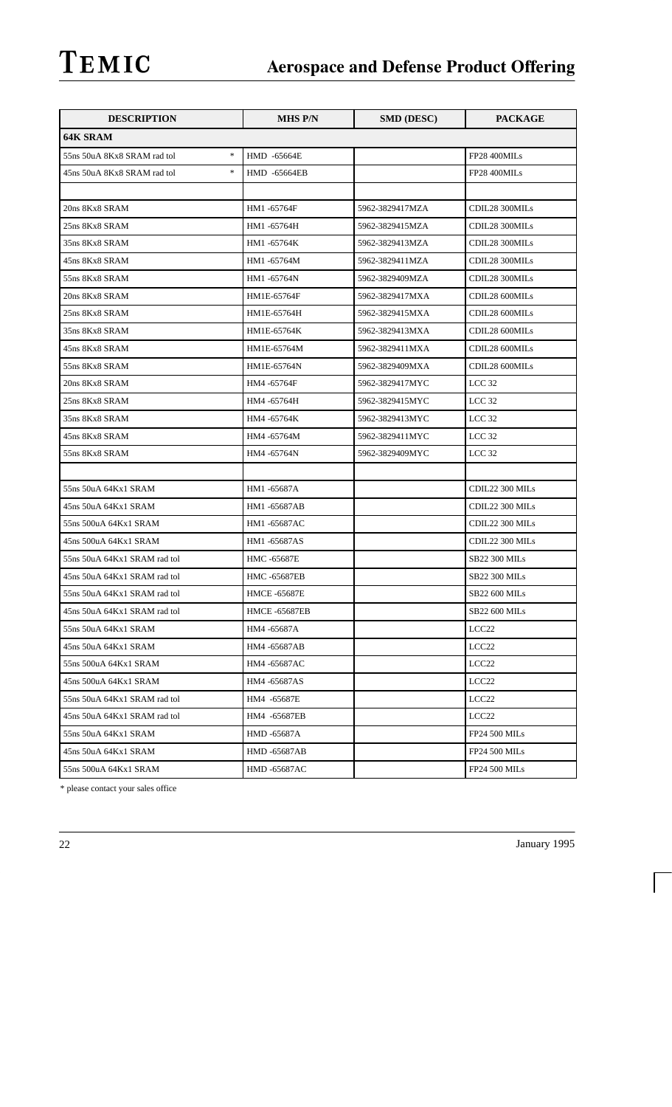| <b>DESCRIPTION</b>                                               | <b>MHS P/N</b>       | <b>SMD (DESC)</b> | <b>PACKAGE</b>       |
|------------------------------------------------------------------|----------------------|-------------------|----------------------|
| 64K SRAM                                                         |                      |                   |                      |
| $\frac{1}{2}$<br>55ns 50uA 8Kx8 SRAM rad tol                     | HMD -65664E          |                   | FP28 400MILs         |
| $\frac{d\mathbf{r}}{d\mathbf{r}}$<br>45ns 50uA 8Kx8 SRAM rad tol | HMD -65664EB         |                   | FP28 400MILs         |
|                                                                  |                      |                   |                      |
| 20ns 8Kx8 SRAM                                                   | HM1-65764F           | 5962-3829417MZA   | CDIL28 300MILs       |
| 25ns 8Kx8 SRAM                                                   | HM1-65764H           | 5962-3829415MZA   | CDIL28 300MILs       |
| 35ns 8Kx8 SRAM                                                   | HM1-65764K           | 5962-3829413MZA   | CDIL28 300MILs       |
| 45ns 8Kx8 SRAM                                                   | HM1 -65764M          | 5962-3829411MZA   | CDIL28 300MILs       |
| 55ns 8Kx8 SRAM                                                   | HM1 -65764N          | 5962-3829409MZA   | CDIL28 300MILs       |
| 20ns 8Kx8 SRAM                                                   | HM1E-65764F          | 5962-3829417MXA   | CDIL28 600MILs       |
| 25ns 8Kx8 SRAM                                                   | HM1E-65764H          | 5962-3829415MXA   | CDIL28 600MILs       |
| 35ns 8Kx8 SRAM                                                   | HM1E-65764K          | 5962-3829413MXA   | CDIL28 600MILs       |
| 45ns 8Kx8 SRAM                                                   | HM1E-65764M          | 5962-3829411MXA   | CDIL28 600MILs       |
| 55ns 8Kx8 SRAM                                                   | HM1E-65764N          | 5962-3829409MXA   | CDIL28 600MILs       |
| 20ns 8Kx8 SRAM                                                   | HM4 -65764F          | 5962-3829417MYC   | LCC <sub>32</sub>    |
| 25ns 8Kx8 SRAM                                                   | HM4 -65764H          | 5962-3829415MYC   | LCC <sub>32</sub>    |
| 35ns 8Kx8 SRAM                                                   | HM4 -65764K          | 5962-3829413MYC   | LCC <sub>32</sub>    |
| 45ns 8Kx8 SRAM                                                   | HM4 -65764M          | 5962-3829411MYC   | LCC <sub>32</sub>    |
| 55ns 8Kx8 SRAM                                                   | HM4 -65764N          | 5962-3829409MYC   | LCC <sub>32</sub>    |
|                                                                  |                      |                   |                      |
| 55ns 50uA 64Kx1 SRAM                                             | HM1-65687A           |                   | CDIL22 300 MILs      |
| 45ns 50uA 64Kx1 SRAM                                             | HM1-65687AB          |                   | CDIL22 300 MILs      |
| 55ns 500uA 64Kx1 SRAM                                            | HM1-65687AC          |                   | CDIL22 300 MILs      |
| 45ns 500uA 64Kx1 SRAM                                            | HM1-65687AS          |                   | CDIL22 300 MILs      |
| 55ns 50uA 64Kx1 SRAM rad tol                                     | HMC -65687E          |                   | <b>SB22 300 MILs</b> |
| 45ns 50uA 64Kx1 SRAM rad tol                                     | <b>HMC -65687EB</b>  |                   | <b>SB22 300 MILs</b> |
| 55ns 50uA 64Kx1 SRAM rad tol                                     | <b>HMCE-65687E</b>   |                   | <b>SB22 600 MILs</b> |
| 45ns 50uA 64Kx1 SRAM rad tol                                     | <b>HMCE -65687EB</b> |                   | <b>SB22 600 MILs</b> |
| 55ns 50uA 64Kx1 SRAM                                             | HM4 -65687A          |                   | LCC <sub>22</sub>    |
| 45ns 50uA 64Kx1 SRAM                                             | HM4 -65687AB         |                   | LCC <sub>22</sub>    |
| 55ns 500uA 64Kx1 SRAM                                            | HM4 -65687AC         |                   | LCC <sub>22</sub>    |
| 45ns 500uA 64Kx1 SRAM                                            | HM4 -65687AS         |                   | LCC <sub>22</sub>    |
| 55ns 50uA 64Kx1 SRAM rad tol                                     | HM4 -65687E          |                   | LCC <sub>22</sub>    |
| 45ns 50uA 64Kx1 SRAM rad tol                                     | HM4 -65687EB         |                   | LCC <sub>22</sub>    |
| 55ns 50uA 64Kx1 SRAM                                             | HMD -65687A          |                   | <b>FP24 500 MILs</b> |
| 45ns 50uA 64Kx1 SRAM                                             | HMD -65687AB         |                   | <b>FP24 500 MILs</b> |
| 55ns 500uA 64Kx1 SRAM                                            | <b>HMD -65687AC</b>  |                   | <b>FP24 500 MILs</b> |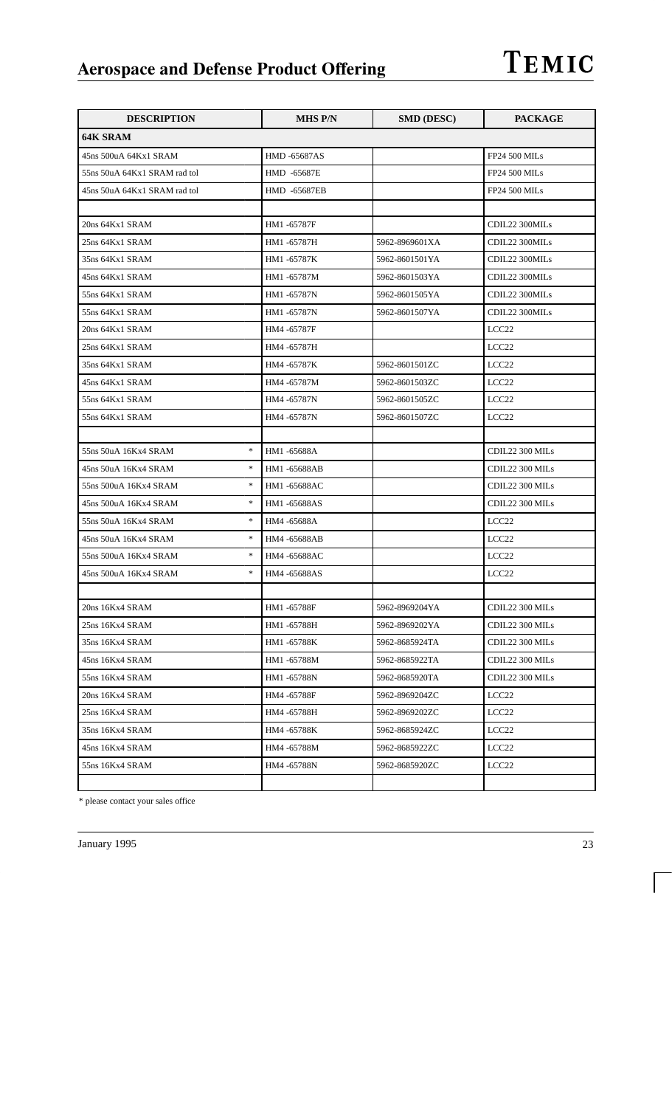| <b>DESCRIPTION</b>              | <b>MHS P/N</b>      | <b>SMD (DESC)</b> | <b>PACKAGE</b>       |
|---------------------------------|---------------------|-------------------|----------------------|
| <b>64K SRAM</b>                 |                     |                   |                      |
| 45ns 500uA 64Kx1 SRAM           | <b>HMD -65687AS</b> |                   | <b>FP24 500 MILs</b> |
| 55ns 50uA 64Kx1 SRAM rad tol    | HMD -65687E         |                   | <b>FP24 500 MILs</b> |
| 45ns 50uA 64Kx1 SRAM rad tol    | HMD -65687EB        |                   | <b>FP24 500 MILs</b> |
|                                 |                     |                   |                      |
| 20ns 64Kx1 SRAM                 | HM1-65787F          |                   | CDIL22 300MILs       |
| 25ns 64Kx1 SRAM                 | HM1-65787H          | 5962-8969601XA    | CDIL22 300MILs       |
| 35ns 64Kx1 SRAM                 | HM1 -65787K         | 5962-8601501YA    | CDIL22 300MILs       |
| 45ns 64Kx1 SRAM                 | HM1-65787M          | 5962-8601503YA    | CDIL22 300MILs       |
| 55ns 64Kx1 SRAM                 | HM1 -65787N         | 5962-8601505YA    | CDIL22 300MILs       |
| 55ns 64Kx1 SRAM                 | HM1 -65787N         | 5962-8601507YA    | CDIL22 300MILs       |
| 20ns 64Kx1 SRAM                 | HM4 -65787F         |                   | LCC <sub>22</sub>    |
| 25ns 64Kx1 SRAM                 | HM4 -65787H         |                   | LCC <sub>22</sub>    |
| 35ns 64Kx1 SRAM                 | HM4 -65787K         | 5962-8601501ZC    | LCC <sub>22</sub>    |
| 45ns 64Kx1 SRAM                 | HM4 -65787M         | 5962-8601503ZC    | LCC <sub>22</sub>    |
| 55ns 64Kx1 SRAM                 | HM4 -65787N         | 5962-8601505ZC    | LCC <sub>22</sub>    |
| 55ns 64Kx1 SRAM                 | HM4 -65787N         | 5962-8601507ZC    | LCC <sub>22</sub>    |
|                                 |                     |                   |                      |
| $\ast$<br>55ns 50uA 16Kx4 SRAM  | HM1-65688A          |                   | CDIL22 300 MILs      |
| $\ast$<br>45ns 50uA 16Kx4 SRAM  | HM1-65688AB         |                   | CDIL22 300 MILs      |
| $\ast$<br>55ns 500uA 16Kx4 SRAM | HM1-65688AC         |                   | CDIL22 300 MILs      |
| $\ast$<br>45ns 500uA 16Kx4 SRAM | HM1-65688AS         |                   | CDIL22 300 MILs      |
| $\ast$<br>55ns 50uA 16Kx4 SRAM  | HM4 -65688A         |                   | LCC <sub>22</sub>    |
| $\ast$<br>45ns 50uA 16Kx4 SRAM  | HM4 -65688AB        |                   | LCC <sub>22</sub>    |
| $\ast$<br>55ns 500uA 16Kx4 SRAM | HM4-65688AC         |                   | LCC <sub>22</sub>    |
| $\ast$<br>45ns 500uA 16Kx4 SRAM | HM4 -65688AS        |                   | LCC <sub>22</sub>    |
|                                 |                     |                   |                      |
| 20ns 16Kx4 SRAM                 | HM1-65788F          | 5962-8969204YA    | CDIL22 300 MILs      |
| 25ns 16Kx4 SRAM                 | HM1 -65788H         | 5962-8969202YA    | CDIL22 300 MILs      |
| 35ns 16Kx4 SRAM                 | HM1-65788K          | 5962-8685924TA    | CDIL22 300 MILs      |
| 45ns 16Kx4 SRAM                 | HM1-65788M          | 5962-8685922TA    | CDIL22 300 MILs      |
| 55ns 16Kx4 SRAM                 | HM1-65788N          | 5962-8685920TA    | CDIL22 300 MILs      |
| 20ns 16Kx4 SRAM                 | HM4 -65788F         | 5962-8969204ZC    | LCC <sub>22</sub>    |
| 25ns 16Kx4 SRAM                 | HM4 -65788H         | 5962-8969202ZC    | LCC <sub>22</sub>    |
| 35ns 16Kx4 SRAM                 | HM4 -65788K         | 5962-8685924ZC    | LCC <sub>22</sub>    |
| 45ns 16Kx4 SRAM                 | HM4 -65788M         | 5962-8685922ZC    | LCC <sub>22</sub>    |
| 55ns 16Kx4 SRAM                 | HM4 -65788N         | 5962-8685920ZC    | LCC <sub>22</sub>    |
|                                 |                     |                   |                      |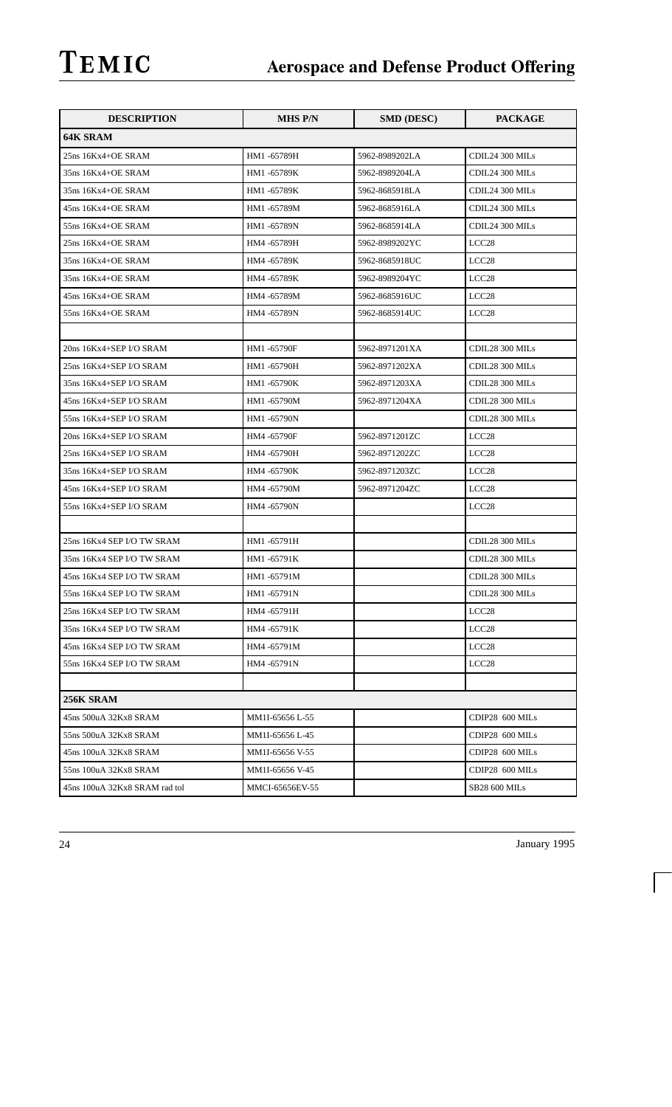| <b>DESCRIPTION</b>            | <b>MHS P/N</b>  | <b>SMD (DESC)</b> | <b>PACKAGE</b>       |
|-------------------------------|-----------------|-------------------|----------------------|
| 64K SRAM                      |                 |                   |                      |
| 25ns 16Kx4+OE SRAM            | HM1-65789H      | 5962-8989202LA    | CDIL24 300 MILs      |
| 35ns 16Kx4+OE SRAM            | HM1-65789K      | 5962-8989204LA    | CDIL24 300 MILs      |
| 35ns 16Kx4+OE SRAM            | HM1-65789K      | 5962-8685918LA    | CDIL24 300 MILs      |
| 45ns 16Kx4+OE SRAM            | HM1-65789M      | 5962-8685916LA    | CDIL24 300 MILs      |
| 55ns 16Kx4+OE SRAM            | HM1 -65789N     | 5962-8685914LA    | CDIL24 300 MILs      |
| 25ns 16Kx4+OE SRAM            | HM4 -65789H     | 5962-8989202YC    | LCC <sub>28</sub>    |
| 35ns 16Kx4+OE SRAM            | HM4 -65789K     | 5962-8685918UC    | LCC <sub>28</sub>    |
| 35ns 16Kx4+OE SRAM            | HM4 -65789K     | 5962-8989204YC    | LCC <sub>28</sub>    |
| 45ns 16Kx4+OE SRAM            | HM4 -65789M     | 5962-8685916UC    | LCC <sub>28</sub>    |
| 55ns 16Kx4+OE SRAM            | HM4 -65789N     | 5962-8685914UC    | LCC <sub>28</sub>    |
|                               |                 |                   |                      |
| 20ns 16Kx4+SEP I/O SRAM       | HM1-65790F      | 5962-8971201XA    | CDIL28 300 MILs      |
| 25ns 16Kx4+SEP I/O SRAM       | HM1 -65790H     | 5962-8971202XA    | CDIL28 300 MILs      |
| 35ns 16Kx4+SEP I/O SRAM       | HM1-65790K      | 5962-8971203XA    | CDIL28 300 MILs      |
| 45ns 16Kx4+SEP I/O SRAM       | HM1-65790M      | 5962-8971204XA    | CDIL28 300 MILs      |
| 55ns 16Kx4+SEP I/O SRAM       | HM1-65790N      |                   | CDIL28 300 MILs      |
| 20ns 16Kx4+SEP I/O SRAM       | HM4 -65790F     | 5962-8971201ZC    | LCC <sub>28</sub>    |
| 25ns 16Kx4+SEP I/O SRAM       | HM4 -65790H     | 5962-8971202ZC    | LCC <sub>28</sub>    |
| 35ns 16Kx4+SEP I/O SRAM       | HM4 -65790K     | 5962-8971203ZC    | LCC <sub>28</sub>    |
| 45ns 16Kx4+SEP I/O SRAM       | HM4 -65790M     | 5962-8971204ZC    | LCC <sub>28</sub>    |
| 55ns 16Kx4+SEP I/O SRAM       | HM4 -65790N     |                   | LCC <sub>28</sub>    |
|                               |                 |                   |                      |
| 25ns 16Kx4 SEP I/O TW SRAM    | HM1-65791H      |                   | CDIL28 300 MILs      |
| 35ns 16Kx4 SEP I/O TW SRAM    | HM1-65791K      |                   | CDIL28 300 MILs      |
| 45ns 16Kx4 SEP I/O TW SRAM    | HM1-65791M      |                   | CDIL28 300 MILs      |
| 55ns 16Kx4 SEP I/O TW SRAM    | HM1 -65791N     |                   | CDIL28 300 MILs      |
| 25ns 16Kx4 SEP I/O TW SRAM    | HM4 -65791H     |                   | LCC <sub>28</sub>    |
| 35ns 16Kx4 SEP I/O TW SRAM    | HM4 -65791K     |                   | LCC28                |
| 45ns 16Kx4 SEP I/O TW SRAM    | HM4 -65791M     |                   | LCC <sub>28</sub>    |
| 55ns 16Kx4 SEP I/O TW SRAM    | HM4 -65791N     |                   | LCC <sub>28</sub>    |
|                               |                 |                   |                      |
| 256K SRAM                     |                 |                   |                      |
| 45ns 500uA 32Kx8 SRAM         | MM1I-65656 L-55 |                   | CDIP28 600 MILs      |
| 55ns 500uA 32Kx8 SRAM         | MM1I-65656 L-45 |                   | CDIP28 600 MILs      |
| 45ns 100uA 32Kx8 SRAM         | MM1I-65656 V-55 |                   | CDIP28 600 MILs      |
| 55ns 100uA 32Kx8 SRAM         | MM1I-65656 V-45 |                   | CDIP28 600 MILs      |
| 45ns 100uA 32Kx8 SRAM rad tol | MMCI-65656EV-55 |                   | <b>SB28 600 MILs</b> |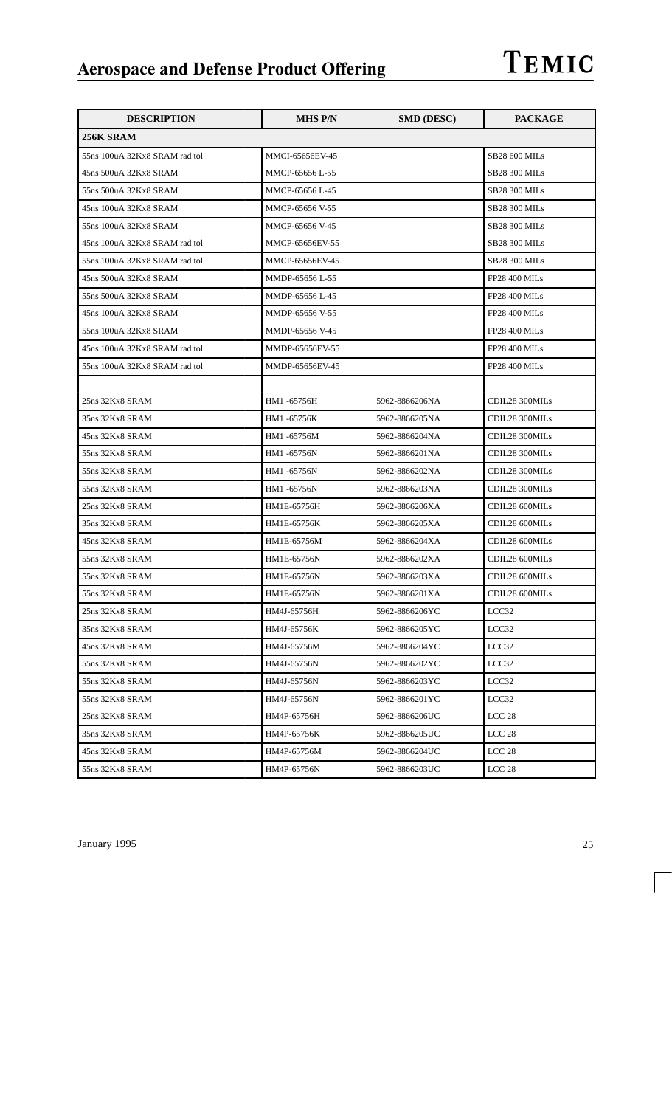| <b>DESCRIPTION</b>            | <b>MHS P/N</b>  | <b>SMD (DESC)</b> | <b>PACKAGE</b>       |
|-------------------------------|-----------------|-------------------|----------------------|
| 256K SRAM                     |                 |                   |                      |
| 55ns 100uA 32Kx8 SRAM rad tol | MMCI-65656EV-45 |                   | <b>SB28 600 MILs</b> |
| 45ns 500uA 32Kx8 SRAM         | MMCP-65656 L-55 |                   | <b>SB28 300 MILs</b> |
| 55ns 500uA 32Kx8 SRAM         | MMCP-65656 L-45 |                   | <b>SB28 300 MILs</b> |
| 45ns 100uA 32Kx8 SRAM         | MMCP-65656 V-55 |                   | <b>SB28 300 MILs</b> |
| 55ns 100uA 32Kx8 SRAM         | MMCP-65656 V-45 |                   | <b>SB28 300 MILs</b> |
| 45ns 100uA 32Kx8 SRAM rad tol | MMCP-65656EV-55 |                   | SB28 300 MILs        |
| 55ns 100uA 32Kx8 SRAM rad tol | MMCP-65656EV-45 |                   | <b>SB28 300 MILs</b> |
| 45ns 500uA 32Kx8 SRAM         | MMDP-65656 L-55 |                   | <b>FP28 400 MILs</b> |
| 55ns 500uA 32Kx8 SRAM         | MMDP-65656 L-45 |                   | <b>FP28 400 MILs</b> |
| 45ns 100uA 32Kx8 SRAM         | MMDP-65656 V-55 |                   | <b>FP28 400 MILs</b> |
| 55ns 100uA 32Kx8 SRAM         | MMDP-65656 V-45 |                   | <b>FP28 400 MILs</b> |
| 45ns 100uA 32Kx8 SRAM rad tol | MMDP-65656EV-55 |                   | <b>FP28 400 MILs</b> |
| 55ns 100uA 32Kx8 SRAM rad tol | MMDP-65656EV-45 |                   | <b>FP28 400 MILs</b> |
|                               |                 |                   |                      |
| 25ns 32Kx8 SRAM               | HM1 -65756H     | 5962-8866206NA    | CDIL28 300MILs       |
| 35ns 32Kx8 SRAM               | HM1-65756K      | 5962-8866205NA    | CDIL28 300MILs       |
| 45ns 32Kx8 SRAM               | HM1-65756M      | 5962-8866204NA    | CDIL28 300MILs       |
| 55ns 32Kx8 SRAM               | HM1 -65756N     | 5962-8866201NA    | CDIL28 300MILs       |
| 55ns 32Kx8 SRAM               | HM1 -65756N     | 5962-8866202NA    | CDIL28 300MILs       |
| 55ns 32Kx8 SRAM               | HM1 -65756N     | 5962-8866203NA    | CDIL28 300MILs       |
| 25ns 32Kx8 SRAM               | HM1E-65756H     | 5962-8866206XA    | CDIL28 600MILs       |
| 35ns 32Kx8 SRAM               | HM1E-65756K     | 5962-8866205XA    | CDIL28 600MILs       |
| 45ns 32Kx8 SRAM               | HM1E-65756M     | 5962-8866204XA    | CDIL28 600MILs       |
| 55ns 32Kx8 SRAM               | HM1E-65756N     | 5962-8866202XA    | CDIL28 600MILs       |
| 55ns 32Kx8 SRAM               | HM1E-65756N     | 5962-8866203XA    | CDIL28 600MILs       |
| 55ns 32Kx8 SRAM               | HM1E-65756N     | 5962-8866201XA    | CDIL28 600MILs       |
| 25ns 32Kx8 SRAM               | HM4J-65756H     | 5962-8866206YC    | LCC32                |
| 35ns 32Kx8 SRAM               | HM4J-65756K     | 5962-8866205YC    | LCC32                |
| 45ns 32Kx8 SRAM               | HM4J-65756M     | 5962-8866204YC    | LCC32                |
| 55ns 32Kx8 SRAM               | HM4J-65756N     | 5962-8866202YC    | LCC32                |
| 55ns 32Kx8 SRAM               | HM4J-65756N     | 5962-8866203YC    | LCC32                |
| 55ns 32Kx8 SRAM               | HM4J-65756N     | 5962-8866201YC    | LCC32                |
| 25ns 32Kx8 SRAM               | HM4P-65756H     | 5962-8866206UC    | LCC <sub>28</sub>    |
| 35ns 32Kx8 SRAM               | HM4P-65756K     | 5962-8866205UC    | LCC <sub>28</sub>    |
| 45ns 32Kx8 SRAM               | HM4P-65756M     | 5962-8866204UC    | LCC <sub>28</sub>    |
| 55ns 32Kx8 SRAM               | HM4P-65756N     | 5962-8866203UC    | LCC <sub>28</sub>    |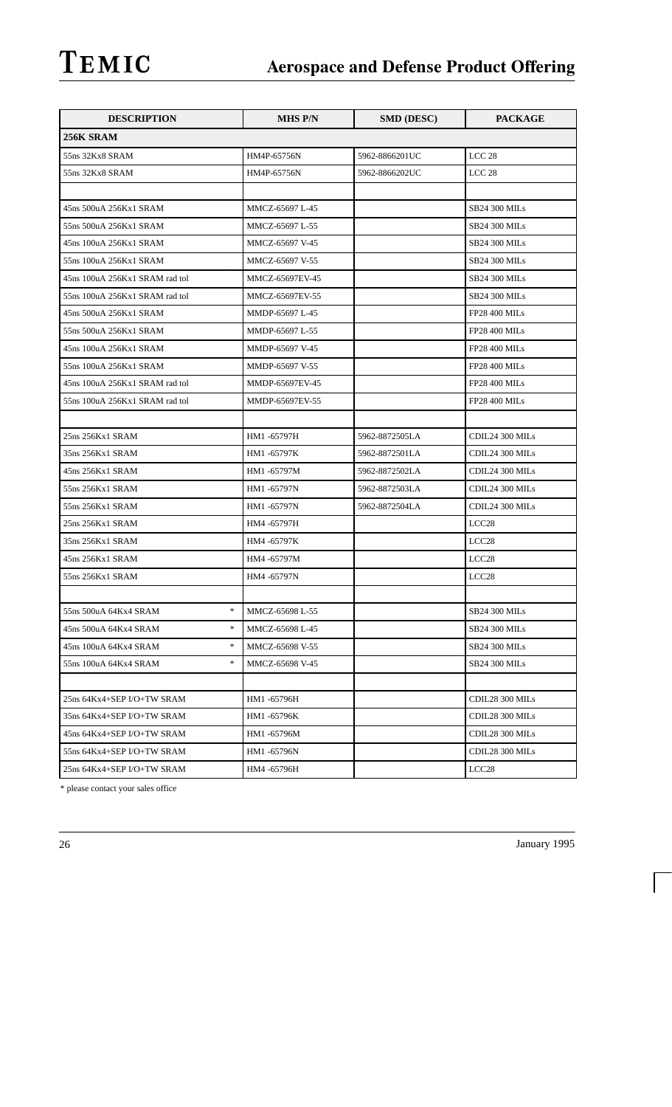| <b>DESCRIPTION</b>                                         | <b>MHS P/N</b>  | <b>SMD (DESC)</b> | <b>PACKAGE</b>       |
|------------------------------------------------------------|-----------------|-------------------|----------------------|
| 256K SRAM                                                  |                 |                   |                      |
| 55ns 32Kx8 SRAM                                            | HM4P-65756N     | 5962-8866201UC    | LCC <sub>28</sub>    |
| 55ns 32Kx8 SRAM                                            | HM4P-65756N     | 5962-8866202UC    | LCC <sub>28</sub>    |
|                                                            |                 |                   |                      |
| 45ns 500uA 256Kx1 SRAM                                     | MMCZ-65697 L-45 |                   | <b>SB24 300 MILs</b> |
| 55ns 500uA 256Kx1 SRAM                                     | MMCZ-65697 L-55 |                   | <b>SB24 300 MILs</b> |
| 45ns 100uA 256Kx1 SRAM                                     | MMCZ-65697 V-45 |                   | <b>SB24 300 MILs</b> |
| 55ns 100uA 256Kx1 SRAM                                     | MMCZ-65697 V-55 |                   | <b>SB24 300 MILs</b> |
| 45ns 100uA 256Kx1 SRAM rad tol                             | MMCZ-65697EV-45 |                   | <b>SB24 300 MILs</b> |
| 55ns 100uA 256Kx1 SRAM rad tol                             | MMCZ-65697EV-55 |                   | <b>SB24 300 MILs</b> |
| 45ns 500uA 256Kx1 SRAM                                     | MMDP-65697 L-45 |                   | <b>FP28 400 MILs</b> |
| 55ns 500uA 256Kx1 SRAM                                     | MMDP-65697 L-55 |                   | <b>FP28 400 MILs</b> |
| 45ns 100uA 256Kx1 SRAM                                     | MMDP-65697 V-45 |                   | <b>FP28 400 MILs</b> |
| 55ns 100uA 256Kx1 SRAM                                     | MMDP-65697 V-55 |                   | <b>FP28 400 MILs</b> |
| 45ns 100uA 256Kx1 SRAM rad tol                             | MMDP-65697EV-45 |                   | <b>FP28 400 MILs</b> |
| 55ns 100uA 256Kx1 SRAM rad tol                             | MMDP-65697EV-55 |                   | <b>FP28 400 MILs</b> |
|                                                            |                 |                   |                      |
| 25ns 256Kx1 SRAM                                           | HM1 -65797H     | 5962-8872505LA    | CDIL24 300 MILs      |
| 35ns 256Kx1 SRAM                                           | HM1-65797K      | 5962-8872501LA    | CDIL24 300 MILs      |
| 45ns 256Kx1 SRAM                                           | HM1-65797M      | 5962-8872502LA    | CDIL24 300 MILs      |
| 55ns 256Kx1 SRAM                                           | HM1 -65797N     | 5962-8872503LA    | CDIL24 300 MILs      |
| 55ns 256Kx1 SRAM                                           | HM1 -65797N     | 5962-8872504LA    | CDIL24 300 MILs      |
| 25ns 256Kx1 SRAM                                           | HM4 -65797H     |                   | LCC <sub>28</sub>    |
| 35ns 256Kx1 SRAM                                           | HM4 -65797K     |                   | LCC <sub>28</sub>    |
| 45ns 256Kx1 SRAM                                           | HM4 -65797M     |                   | LCC <sub>28</sub>    |
| 55ns 256Kx1 SRAM                                           | HM4 -65797N     |                   | LCC <sub>28</sub>    |
|                                                            |                 |                   |                      |
| *<br>55ns 500uA 64Kx4 SRAM                                 | MMCZ-65698 L-55 |                   | <b>SB24 300 MILs</b> |
| $\ast$<br>45ns 500uA 64Kx4 SRAM                            | MMCZ-65698 L-45 |                   | <b>SB24 300 MILs</b> |
| $\frac{d\mathbf{x}}{d\mathbf{x}}$<br>45ns 100uA 64Kx4 SRAM | MMCZ-65698 V-55 |                   | <b>SB24 300 MILs</b> |
| *.<br>55ns 100uA 64Kx4 SRAM                                | MMCZ-65698 V-45 |                   | <b>SB24 300 MILs</b> |
|                                                            |                 |                   |                      |
| 25ns 64Kx4+SEP I/O+TW SRAM                                 | HM1 -65796H     |                   | CDIL28 300 MILs      |
| 35ns 64Kx4+SEP I/O+TW SRAM                                 | HM1 -65796K     |                   | CDIL28 300 MILs      |
| 45ns 64Kx4+SEP I/O+TW SRAM                                 | HM1-65796M      |                   | CDIL28 300 MILs      |
| 55ns 64Kx4+SEP I/O+TW SRAM                                 | HM1 -65796N     |                   | CDIL28 300 MILs      |
| 25ns 64Kx4+SEP I/O+TW SRAM                                 | HM4 -65796H     |                   | LCC <sub>28</sub>    |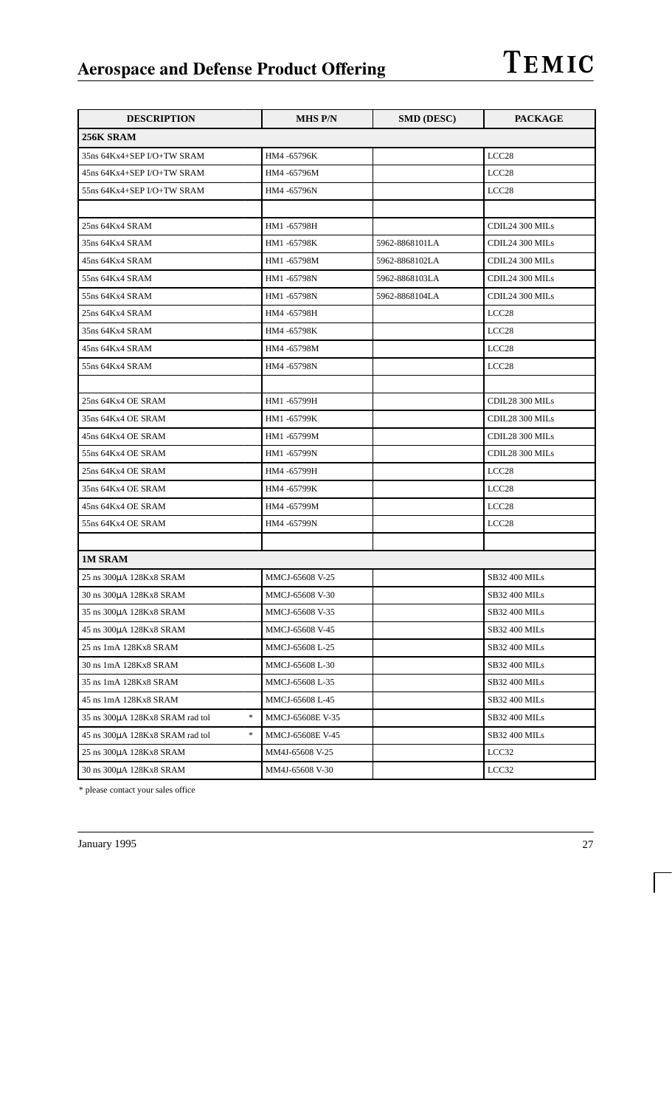| <b>DESCRIPTION</b>                        | <b>MHS P/N</b>   | <b>SMD (DESC)</b> | <b>PACKAGE</b>       |
|-------------------------------------------|------------------|-------------------|----------------------|
| 256K SRAM                                 |                  |                   |                      |
| 35ns 64Kx4+SEP I/O+TW SRAM                | HM4 -65796K      |                   | LCC <sub>28</sub>    |
| 45ns 64Kx4+SEP I/O+TW SRAM                | HM4 -65796M      |                   | LCC <sub>28</sub>    |
| 55ns 64Kx4+SEP I/O+TW SRAM                | HM4 -65796N      |                   | LCC <sub>28</sub>    |
|                                           |                  |                   |                      |
| 25ns 64Kx4 SRAM                           | HM1-65798H       |                   | CDIL24 300 MILs      |
| 35ns 64Kx4 SRAM                           | HM1-65798K       | 5962-8868101LA    | CDIL24 300 MILs      |
| 45ns 64Kx4 SRAM                           | HM1-65798M       | 5962-8868102LA    | CDIL24 300 MILs      |
| 55ns 64Kx4 SRAM                           | HM1 -65798N      | 5962-8868103LA    | CDIL24 300 MILs      |
| 55ns 64Kx4 SRAM                           | HM1 -65798N      | 5962-8868104LA    | CDIL24 300 MILs      |
| 25ns 64Kx4 SRAM                           | HM4 -65798H      |                   | LCC <sub>28</sub>    |
| 35ns 64Kx4 SRAM                           | HM4 -65798K      |                   | LCC <sub>28</sub>    |
| 45ns 64Kx4 SRAM                           | HM4 -65798M      |                   | LCC <sub>28</sub>    |
| 55ns 64Kx4 SRAM                           | HM4 -65798N      |                   | LCC <sub>28</sub>    |
|                                           |                  |                   |                      |
| 25ns 64Kx4 OE SRAM                        | HM1 -65799H      |                   | CDIL28 300 MILs      |
| 35ns 64Kx4 OE SRAM                        | HM1 -65799K      |                   | CDIL28 300 MILs      |
| 45ns 64Kx4 OE SRAM                        | HM1-65799M       |                   | CDIL28 300 MILs      |
| 55ns 64Kx4 OE SRAM                        | HM1 -65799N      |                   | CDIL28 300 MILs      |
| 25ns 64Kx4 OE SRAM                        | HM4 -65799H      |                   | LCC <sub>28</sub>    |
| 35ns 64Kx4 OE SRAM                        | HM4 -65799K      |                   | LCC <sub>28</sub>    |
| 45ns 64Kx4 OE SRAM                        | HM4 -65799M      |                   | LCC <sub>28</sub>    |
| 55ns 64Kx4 OE SRAM                        | HM4 -65799N      |                   | LCC <sub>28</sub>    |
|                                           |                  |                   |                      |
| <b>1M SRAM</b>                            |                  |                   |                      |
| 25 ns 300µA 128Kx8 SRAM                   | MMCJ-65608 V-25  |                   | <b>SB32 400 MILs</b> |
| 30 ns 300µA 128Kx8 SRAM                   | MMCJ-65608 V-30  |                   | <b>SB32 400 MILs</b> |
| 35 ns 300µA 128Kx8 SRAM                   | MMCJ-65608 V-35  |                   | SB32 400 MILs        |
| 45 ns 300µA 128Kx8 SRAM                   | MMCJ-65608 V-45  |                   | SB32 400 MILs        |
| 25 ns 1mA 128Kx8 SRAM                     | MMCJ-65608 L-25  |                   | <b>SB32 400 MILs</b> |
| 30 ns 1mA 128Kx8 SRAM                     | MMCJ-65608 L-30  |                   | SB32 400 MILs        |
| 35 ns 1mA 128Kx8 SRAM                     | MMCJ-65608 L-35  |                   | SB32 400 MILs        |
| 45 ns 1mA 128Kx8 SRAM                     | MMCJ-65608 L-45  |                   | SB32 400 MILs        |
| *<br>35 ns 300µA 128Kx8 SRAM rad tol      | MMCJ-65608E V-35 |                   | SB32 400 MILs        |
| $\ast$<br>45 ns 300µA 128Kx8 SRAM rad tol | MMCJ-65608E V-45 |                   | SB32 400 MILs        |
| 25 ns 300µA 128Kx8 SRAM                   | MM4J-65608 V-25  |                   | LCC32                |
| 30 ns 300µA 128Kx8 SRAM                   | MM4J-65608 V-30  |                   | LCC32                |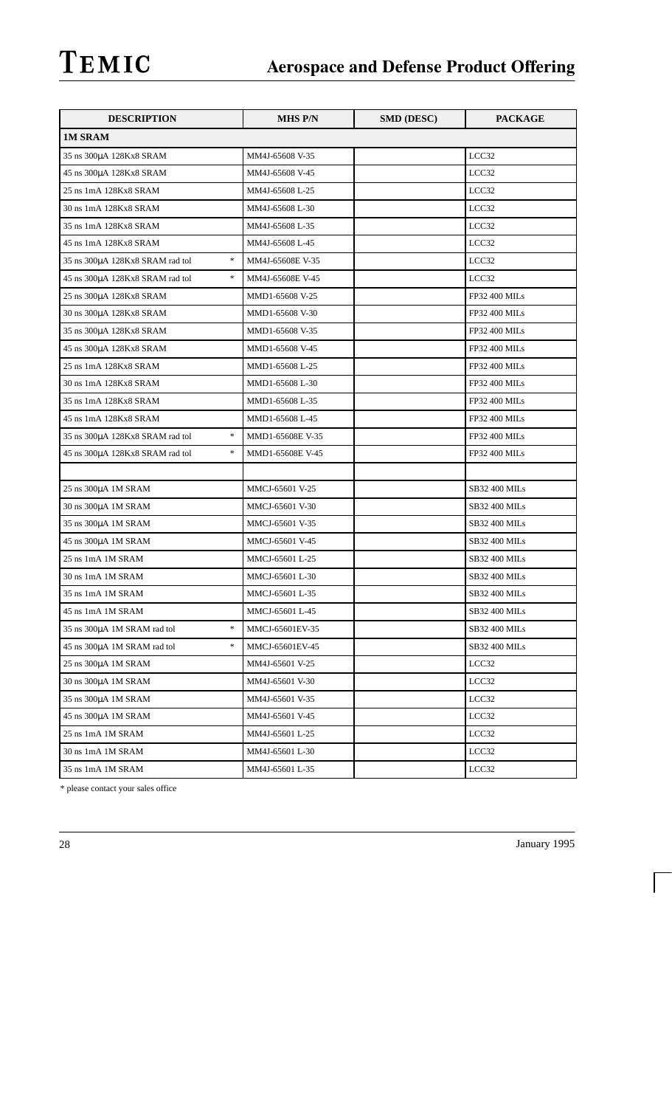| <b>DESCRIPTION</b>                                                   | <b>MHS P/N</b>   | <b>SMD (DESC)</b> | <b>PACKAGE</b>       |
|----------------------------------------------------------------------|------------------|-------------------|----------------------|
| <b>1M SRAM</b>                                                       |                  |                   |                      |
| 35 ns 300µA 128Kx8 SRAM                                              | MM4J-65608 V-35  |                   | LCC32                |
| 45 ns 300µA 128Kx8 SRAM                                              | MM4J-65608 V-45  |                   | LCC32                |
| 25 ns 1mA 128Kx8 SRAM                                                | MM4J-65608 L-25  |                   | LCC32                |
| 30 ns 1mA 128Kx8 SRAM                                                | MM4J-65608 L-30  |                   | LCC32                |
| 35 ns 1mA 128Kx8 SRAM                                                | MM4J-65608 L-35  |                   | LCC32                |
| 45 ns 1mA 128Kx8 SRAM                                                | MM4J-65608 L-45  |                   | LCC32                |
| $\frac{1}{25}$<br>35 ns 300µA 128Kx8 SRAM rad tol                    | MM4J-65608E V-35 |                   | LCC32                |
| $\ast$<br>45 ns 300µA 128Kx8 SRAM rad tol                            | MM4J-65608E V-45 |                   | LCC32                |
| 25 ns 300µA 128Kx8 SRAM                                              | MMD1-65608 V-25  |                   | <b>FP32 400 MILs</b> |
| 30 ns 300µA 128Kx8 SRAM                                              | MMD1-65608 V-30  |                   | <b>FP32 400 MILs</b> |
| 35 ns 300µA 128Kx8 SRAM                                              | MMD1-65608 V-35  |                   | <b>FP32 400 MILs</b> |
| 45 ns 300µA 128Kx8 SRAM                                              | MMD1-65608 V-45  |                   | <b>FP32 400 MILs</b> |
| 25 ns 1mA 128Kx8 SRAM                                                | MMD1-65608 L-25  |                   | <b>FP32 400 MILs</b> |
| 30 ns 1mA 128Kx8 SRAM                                                | MMD1-65608 L-30  |                   | <b>FP32 400 MILs</b> |
| 35 ns 1mA 128Kx8 SRAM                                                | MMD1-65608 L-35  |                   | <b>FP32 400 MILs</b> |
| 45 ns 1mA 128Kx8 SRAM                                                | MMD1-65608 L-45  |                   | <b>FP32 400 MILs</b> |
| $\frac{d\mathbf{x}}{d\mathbf{x}}$<br>35 ns 300µA 128Kx8 SRAM rad tol | MMD1-65608E V-35 |                   | FP32 400 MILs        |
| $\frac{d\mathbf{x}}{d\mathbf{x}}$<br>45 ns 300µA 128Kx8 SRAM rad tol | MMD1-65608E V-45 |                   | <b>FP32 400 MILs</b> |
|                                                                      |                  |                   |                      |
| 25 ns 300µA 1M SRAM                                                  | MMCJ-65601 V-25  |                   | SB32 400 MILs        |
| 30 ns 300µA 1M SRAM                                                  | MMCJ-65601 V-30  |                   | <b>SB32 400 MILs</b> |
| 35 ns 300µA 1M SRAM                                                  | MMCJ-65601 V-35  |                   | <b>SB32 400 MILs</b> |
| 45 ns 300µA 1M SRAM                                                  | MMCJ-65601 V-45  |                   | SB32 400 MILs        |
| 25 ns 1mA 1M SRAM                                                    | MMCJ-65601 L-25  |                   | <b>SB32 400 MILs</b> |
| 30 ns 1mA 1M SRAM                                                    | MMCJ-65601 L-30  |                   | SB32 400 MILs        |
| 35 ns 1mA 1M SRAM                                                    | MMCJ-65601 L-35  |                   | <b>SB32 400 MILs</b> |
| 45 ns 1mA 1M SRAM                                                    | MMCJ-65601 L-45  |                   | SB32 400 MILs        |
| $\ast$<br>35 ns 300µA 1M SRAM rad tol                                | MMCJ-65601EV-35  |                   | SB32 400 MILs        |
| $\frac{d\mathbf{x}}{d\mathbf{x}}$<br>45 ns 300µA 1M SRAM rad tol     | MMCJ-65601EV-45  |                   | SB32 400 MILs        |
| 25 ns 300µA 1M SRAM                                                  | MM4J-65601 V-25  |                   | LCC32                |
| 30 ns 300µA 1M SRAM                                                  | MM4J-65601 V-30  |                   | LCC32                |
| 35 ns 300µA 1M SRAM                                                  | MM4J-65601 V-35  |                   | $_{\rm LCC32}$       |
| 45 ns 300μA 1M SRAM                                                  | MM4J-65601 V-45  |                   | LCC32                |
| 25 ns 1mA 1M SRAM                                                    | MM4J-65601 L-25  |                   | LCC32                |
| 30 ns 1mA 1M SRAM                                                    | MM4J-65601 L-30  |                   | LCC32                |
| 35 ns 1mA 1M SRAM                                                    | MM4J-65601 L-35  |                   | LCC32                |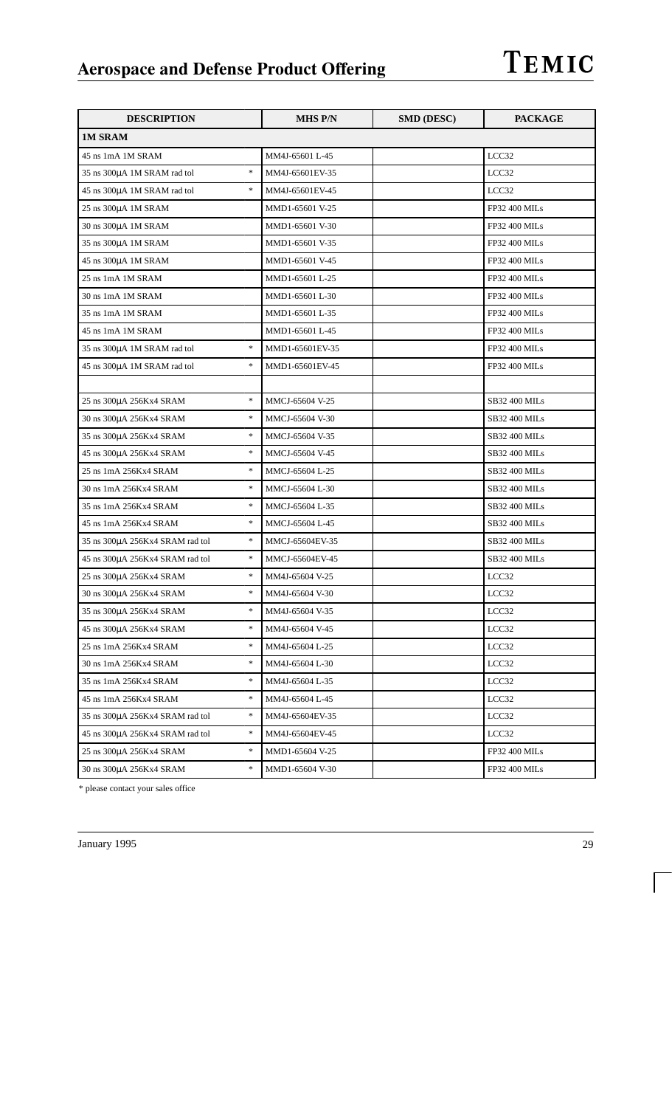| <b>DESCRIPTION</b>                        | <b>MHS P/N</b>  | <b>SMD (DESC)</b> | <b>PACKAGE</b>       |
|-------------------------------------------|-----------------|-------------------|----------------------|
| <b>1M SRAM</b>                            |                 |                   |                      |
| 45 ns 1mA 1M SRAM                         | MM4J-65601 L-45 |                   | LCC32                |
| $\ast$<br>35 ns 300µA 1M SRAM rad tol     | MM4J-65601EV-35 |                   | LCC32                |
| $\ast$<br>45 ns 300µA 1M SRAM rad tol     | MM4J-65601EV-45 |                   | LCC32                |
| 25 ns 300µA 1M SRAM                       | MMD1-65601 V-25 |                   | FP32 400 MILs        |
| 30 ns 300µA 1M SRAM                       | MMD1-65601 V-30 |                   | <b>FP32 400 MILs</b> |
| 35 ns 300µA 1M SRAM                       | MMD1-65601 V-35 |                   | <b>FP32 400 MILs</b> |
| 45 ns 300μA 1M SRAM                       | MMD1-65601 V-45 |                   | <b>FP32 400 MILs</b> |
| 25 ns 1mA 1M SRAM                         | MMD1-65601 L-25 |                   | <b>FP32 400 MILs</b> |
| 30 ns 1mA 1M SRAM                         | MMD1-65601 L-30 |                   | <b>FP32 400 MILs</b> |
| 35 ns 1mA 1M SRAM                         | MMD1-65601 L-35 |                   | <b>FP32 400 MILs</b> |
| 45 ns 1mA 1M SRAM                         | MMD1-65601 L-45 |                   | <b>FP32 400 MILs</b> |
| $\ast$<br>35 ns 300µA 1M SRAM rad tol     | MMD1-65601EV-35 |                   | <b>FP32 400 MILs</b> |
| $\ast$<br>45 ns 300µA 1M SRAM rad tol     | MMD1-65601EV-45 |                   | <b>FP32 400 MILs</b> |
|                                           |                 |                   |                      |
| $\ast$<br>25 ns 300µA 256Kx4 SRAM         | MMCJ-65604 V-25 |                   | <b>SB32 400 MILs</b> |
| $\ast$<br>30 ns 300µA 256Kx4 SRAM         | MMCJ-65604 V-30 |                   | <b>SB32 400 MILs</b> |
| $\ast$<br>35 ns 300µA 256Kx4 SRAM         | MMCJ-65604 V-35 |                   | SB32 400 MILs        |
| $\ast$<br>45 ns 300µA 256Kx4 SRAM         | MMCJ-65604 V-45 |                   | <b>SB32 400 MILs</b> |
| $\ast$<br>25 ns 1mA 256Kx4 SRAM           | MMCJ-65604 L-25 |                   | <b>SB32 400 MILs</b> |
| $\ast$<br>30 ns 1mA 256Kx4 SRAM           | MMCJ-65604 L-30 |                   | SB32 400 MILs        |
| $\ast$<br>35 ns 1mA 256Kx4 SRAM           | MMCJ-65604 L-35 |                   | <b>SB32 400 MILs</b> |
| $\ast$<br>45 ns 1mA 256Kx4 SRAM           | MMCJ-65604 L-45 |                   | SB32 400 MILs        |
| $\ast$<br>35 ns 300µA 256Kx4 SRAM rad tol | MMCJ-65604EV-35 |                   | SB32 400 MILs        |
| $\ast$<br>45 ns 300µA 256Kx4 SRAM rad tol | MMCJ-65604EV-45 |                   | <b>SB32 400 MILs</b> |
| $\ast$<br>25 ns 300µA 256Kx4 SRAM         | MM4J-65604 V-25 |                   | LCC32                |
| $\ast$<br>30 ns 300µA 256Kx4 SRAM         | MM4J-65604 V-30 |                   | LCC32                |
| $\ast$<br>35 ns 300µA 256Kx4 SRAM         | MM4J-65604 V-35 |                   | LCC32                |
| $\ast$<br>45 ns 300µA 256Kx4 SRAM         | MM4J-65604 V-45 |                   | LCC32                |
| *<br>25 ns 1mA 256Kx4 SRAM                | MM4J-65604 L-25 |                   | LCC32                |
| *<br>30 ns 1mA 256Kx4 SRAM                | MM4J-65604 L-30 |                   | LCC32                |
| $\ast$<br>35 ns 1mA 256Kx4 SRAM           | MM4J-65604 L-35 |                   | LCC32                |
| $\ast$<br>45 ns 1mA 256Kx4 SRAM           | MM4J-65604 L-45 |                   | LCC32                |
| *<br>35 ns 300µA 256Kx4 SRAM rad tol      | MM4J-65604EV-35 |                   | LCC32                |
| $\ast$<br>45 ns 300µA 256Kx4 SRAM rad tol | MM4J-65604EV-45 |                   | LCC32                |
| $\ast$<br>25 ns 300µA 256Kx4 SRAM         | MMD1-65604 V-25 |                   | FP32 400 MILs        |
| *<br>30 ns 300µA 256Kx4 SRAM              | MMD1-65604 V-30 |                   | FP32 400 MILs        |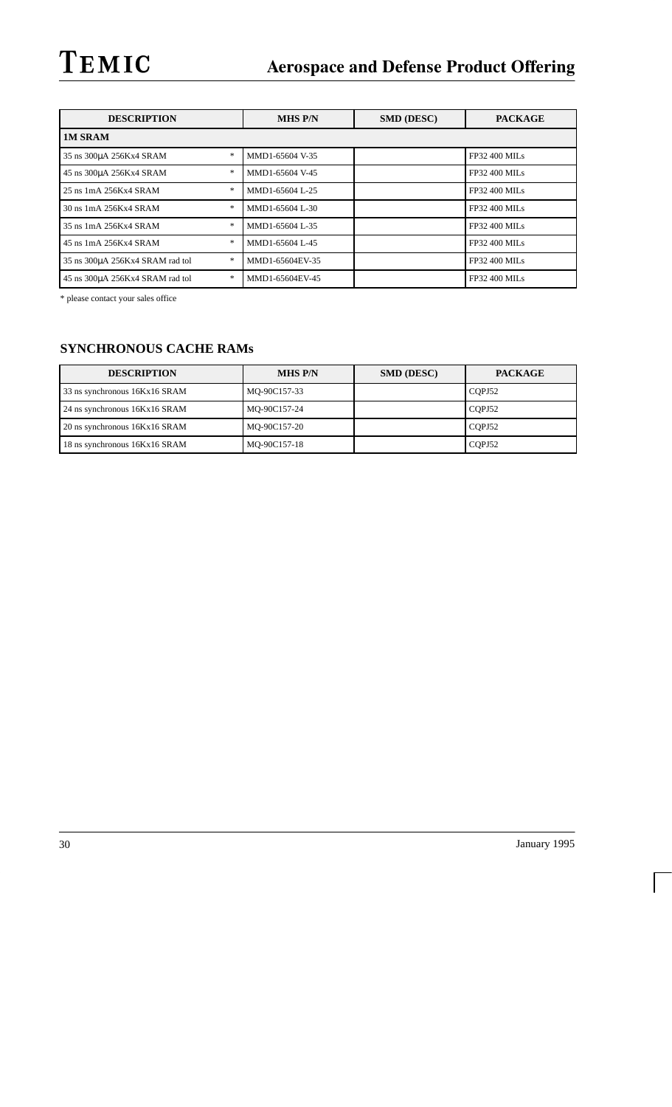| <b>DESCRIPTION</b>                   | <b>MHS P/N</b>  | <b>SMD (DESC)</b> | <b>PACKAGE</b>       |
|--------------------------------------|-----------------|-------------------|----------------------|
| <b>1M SRAM</b>                       |                 |                   |                      |
| ∗<br>35 ns 300µA 256Kx4 SRAM         | MMD1-65604 V-35 |                   | FP32 400 MILs        |
| *<br>45 ns 300µA 256Kx4 SRAM         | MMD1-65604 V-45 |                   | <b>FP32 400 MILs</b> |
| ∗<br>25 ns 1mA 256Kx4 SRAM           | MMD1-65604 L-25 |                   | <b>FP32 400 MILs</b> |
| ∗<br>30 ns 1mA 256Kx4 SRAM           | MMD1-65604 L-30 |                   | <b>FP32 400 MILs</b> |
| *<br>35 ns 1mA 256Kx4 SRAM           | MMD1-65604 L-35 |                   | <b>FP32 400 MILS</b> |
| ∗<br>45 ns 1mA 256Kx4 SRAM           | MMD1-65604 L-45 |                   | <b>FP32 400 MILs</b> |
| ∗<br>35 ns 300µA 256Kx4 SRAM rad tol | MMD1-65604EV-35 |                   | <b>FP32 400 MILs</b> |
| *<br>45 ns 300uA 256Kx4 SRAM rad tol | MMD1-65604EV-45 |                   | <b>FP32 400 MILs</b> |

\* please contact your sales office

## **SYNCHRONOUS CACHE RAMs**

| <b>DESCRIPTION</b>            | <b>MHS P/N</b> | <b>SMD (DESC)</b> | <b>PACKAGE</b> |
|-------------------------------|----------------|-------------------|----------------|
| 33 ns synchronous 16Kx16 SRAM | MO-90C157-33   |                   | COPJ52         |
| 24 ns synchronous 16Kx16 SRAM | MO-90C157-24   |                   | COPJ52         |
| 20 ns synchronous 16Kx16 SRAM | MO-90C157-20   |                   | COPJ52         |
| 18 ns synchronous 16Kx16 SRAM | MQ-90C157-18   |                   | CQPJ52         |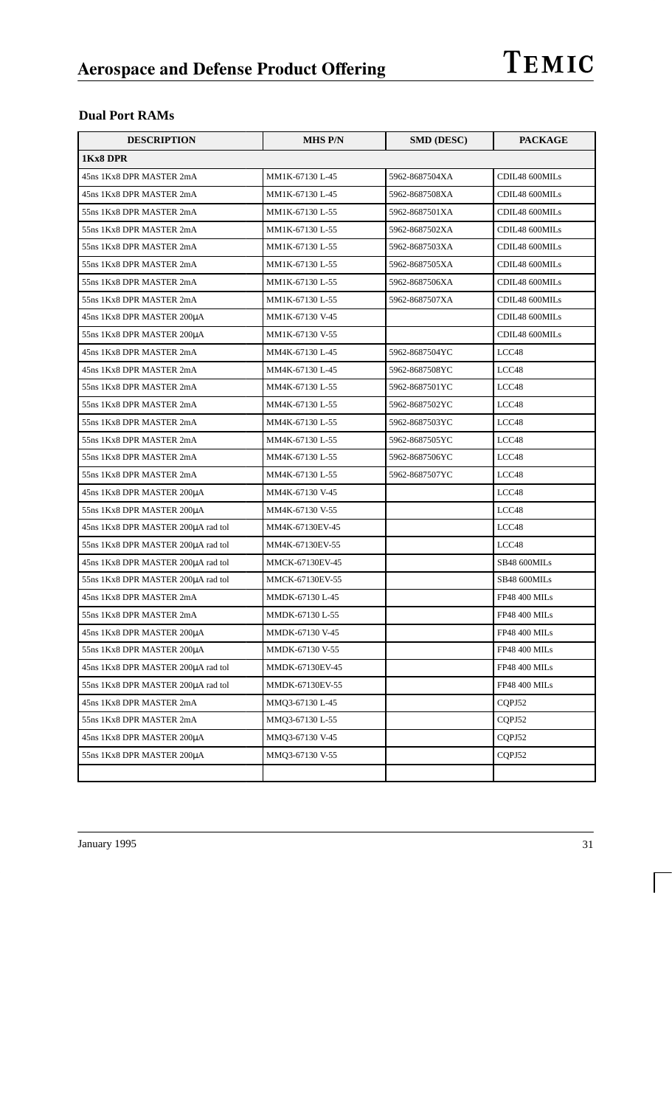## **Dual Port RAMs**

| <b>DESCRIPTION</b>                 | <b>MHS P/N</b>  | <b>SMD (DESC)</b> | <b>PACKAGE</b>       |
|------------------------------------|-----------------|-------------------|----------------------|
| 1Kx8 DPR                           |                 |                   |                      |
| 45ns 1Kx8 DPR MASTER 2mA           | MM1K-67130 L-45 | 5962-8687504XA    | CDIL48 600MILs       |
| 45ns 1Kx8 DPR MASTER 2mA           | MM1K-67130 L-45 | 5962-8687508XA    | CDIL48 600MILs       |
| 55ns 1Kx8 DPR MASTER 2mA           | MM1K-67130 L-55 | 5962-8687501XA    | CDIL48 600MILs       |
| 55ns 1Kx8 DPR MASTER 2mA           | MM1K-67130 L-55 | 5962-8687502XA    | CDIL48 600MILs       |
| 55ns 1Kx8 DPR MASTER 2mA           | MM1K-67130 L-55 | 5962-8687503XA    | CDIL48 600MILs       |
| 55ns 1Kx8 DPR MASTER 2mA           | MM1K-67130 L-55 | 5962-8687505XA    | CDIL48 600MILs       |
| 55ns 1Kx8 DPR MASTER 2mA           | MM1K-67130 L-55 | 5962-8687506XA    | CDIL48 600MILs       |
| 55ns 1Kx8 DPR MASTER 2mA           | MM1K-67130 L-55 | 5962-8687507XA    | CDIL48 600MILs       |
| 45ns 1Kx8 DPR MASTER 200µA         | MM1K-67130 V-45 |                   | CDIL48 600MILs       |
| 55ns 1Kx8 DPR MASTER 200µA         | MM1K-67130 V-55 |                   | CDIL48 600MILs       |
| 45ns 1Kx8 DPR MASTER 2mA           | MM4K-67130 L-45 | 5962-8687504YC    | LCC48                |
| 45ns 1Kx8 DPR MASTER 2mA           | MM4K-67130 L-45 | 5962-8687508YC    | LCC48                |
| 55ns 1Kx8 DPR MASTER 2mA           | MM4K-67130 L-55 | 5962-8687501YC    | LCC48                |
| 55ns 1Kx8 DPR MASTER 2mA           | MM4K-67130 L-55 | 5962-8687502YC    | LCC48                |
| 55ns 1Kx8 DPR MASTER 2mA           | MM4K-67130 L-55 | 5962-8687503YC    | LCC48                |
| 55ns 1Kx8 DPR MASTER 2mA           | MM4K-67130 L-55 | 5962-8687505YC    | LCC48                |
| 55ns 1Kx8 DPR MASTER 2mA           | MM4K-67130 L-55 | 5962-8687506YC    | LCC48                |
| 55ns 1Kx8 DPR MASTER 2mA           | MM4K-67130 L-55 | 5962-8687507YC    | LCC48                |
| 45ns 1Kx8 DPR MASTER 200µA         | MM4K-67130 V-45 |                   | LCC48                |
| 55ns 1Kx8 DPR MASTER 200µA         | MM4K-67130 V-55 |                   | LCC48                |
| 45ns 1Kx8 DPR MASTER 200µA rad tol | MM4K-67130EV-45 |                   | LCC48                |
| 55ns 1Kx8 DPR MASTER 200µA rad tol | MM4K-67130EV-55 |                   | LCC48                |
| 45ns 1Kx8 DPR MASTER 200µA rad tol | MMCK-67130EV-45 |                   | SB48 600MILs         |
| 55ns 1Kx8 DPR MASTER 200µA rad tol | MMCK-67130EV-55 |                   | SB48 600MILs         |
| 45ns 1Kx8 DPR MASTER 2mA           | MMDK-67130 L-45 |                   | <b>FP48 400 MILs</b> |
| 55ns 1Kx8 DPR MASTER 2mA           | MMDK-67130 L-55 |                   | <b>FP48 400 MILs</b> |
| 45ns 1Kx8 DPR MASTER 200µA         | MMDK-67130 V-45 |                   | <b>FP48 400 MILs</b> |
| 55ns 1Kx8 DPR MASTER 200µA         | MMDK-67130 V-55 |                   | <b>FP48 400 MILs</b> |
| 45ns 1Kx8 DPR MASTER 200µA rad tol | MMDK-67130EV-45 |                   | FP48 400 MILs        |
| 55ns 1Kx8 DPR MASTER 200µA rad tol | MMDK-67130EV-55 |                   | <b>FP48 400 MILs</b> |
| 45ns 1Kx8 DPR MASTER 2mA           | MMQ3-67130 L-45 |                   | CQPJ52               |
| 55ns 1Kx8 DPR MASTER 2mA           | MMQ3-67130 L-55 |                   | COPJ52               |
| 45ns 1Kx8 DPR MASTER 200µA         | MMQ3-67130 V-45 |                   | CQPJ52               |
| 55ns 1Kx8 DPR MASTER 200µA         | MMQ3-67130 V-55 |                   | COPJ52               |
|                                    |                 |                   |                      |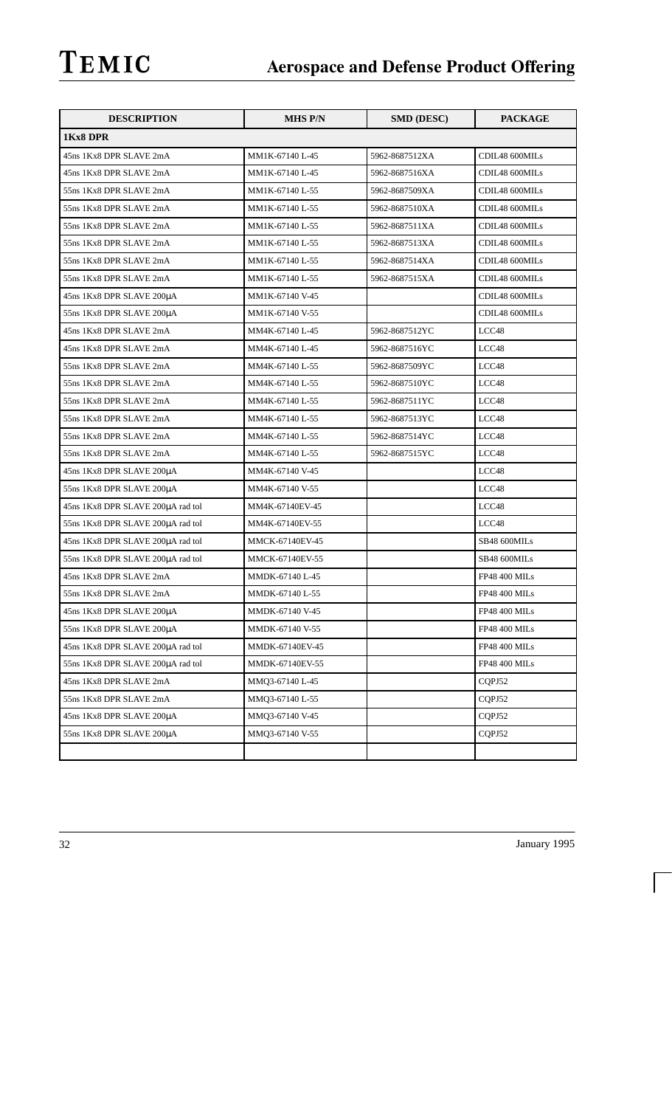| <b>DESCRIPTION</b>                | <b>MHS P/N</b>  | <b>SMD (DESC)</b> | <b>PACKAGE</b>       |
|-----------------------------------|-----------------|-------------------|----------------------|
| 1Kx8 DPR                          |                 |                   |                      |
| 45ns 1Kx8 DPR SLAVE 2mA           | MM1K-67140 L-45 | 5962-8687512XA    | CDIL48 600MILs       |
| 45ns 1Kx8 DPR SLAVE 2mA           | MM1K-67140 L-45 | 5962-8687516XA    | CDIL48 600MILs       |
| 55ns 1Kx8 DPR SLAVE 2mA           | MM1K-67140 L-55 | 5962-8687509XA    | CDIL48 600MILs       |
| 55ns 1Kx8 DPR SLAVE 2mA           | MM1K-67140 L-55 | 5962-8687510XA    | CDIL48 600MILs       |
| 55ns 1Kx8 DPR SLAVE 2mA           | MM1K-67140 L-55 | 5962-8687511XA    | CDIL48 600MILs       |
| 55ns 1Kx8 DPR SLAVE 2mA           | MM1K-67140 L-55 | 5962-8687513XA    | CDIL48 600MILs       |
| 55ns 1Kx8 DPR SLAVE 2mA           | MM1K-67140 L-55 | 5962-8687514XA    | CDIL48 600MILs       |
| 55ns 1Kx8 DPR SLAVE 2mA           | MM1K-67140 L-55 | 5962-8687515XA    | CDIL48 600MILs       |
| 45ns 1Kx8 DPR SLAVE 200µA         | MM1K-67140 V-45 |                   | CDIL48 600MILs       |
| 55ns 1Kx8 DPR SLAVE 200µA         | MM1K-67140 V-55 |                   | CDIL48 600MILs       |
| 45ns 1Kx8 DPR SLAVE 2mA           | MM4K-67140 L-45 | 5962-8687512YC    | LCC48                |
| 45ns 1Kx8 DPR SLAVE 2mA           | MM4K-67140 L-45 | 5962-8687516YC    | LCC48                |
| 55ns 1Kx8 DPR SLAVE 2mA           | MM4K-67140 L-55 | 5962-8687509YC    | LCC48                |
| 55ns 1Kx8 DPR SLAVE 2mA           | MM4K-67140 L-55 | 5962-8687510YC    | LCC48                |
| 55ns 1Kx8 DPR SLAVE 2mA           | MM4K-67140 L-55 | 5962-8687511YC    | LCC48                |
| 55ns 1Kx8 DPR SLAVE 2mA           | MM4K-67140 L-55 | 5962-8687513YC    | LCC48                |
| 55ns 1Kx8 DPR SLAVE 2mA           | MM4K-67140 L-55 | 5962-8687514YC    | LCC48                |
| 55ns 1Kx8 DPR SLAVE 2mA           | MM4K-67140 L-55 | 5962-8687515YC    | LCC48                |
| 45ns 1Kx8 DPR SLAVE 200µA         | MM4K-67140 V-45 |                   | LCC48                |
| 55ns 1Kx8 DPR SLAVE 200µA         | MM4K-67140 V-55 |                   | LCC48                |
| 45ns 1Kx8 DPR SLAVE 200µA rad tol | MM4K-67140EV-45 |                   | LCC48                |
| 55ns 1Kx8 DPR SLAVE 200µA rad tol | MM4K-67140EV-55 |                   | LCC48                |
| 45ns 1Kx8 DPR SLAVE 200µA rad tol | MMCK-67140EV-45 |                   | SB48 600MILs         |
| 55ns 1Kx8 DPR SLAVE 200µA rad tol | MMCK-67140EV-55 |                   | SB48 600MILs         |
| 45ns 1Kx8 DPR SLAVE 2mA           | MMDK-67140 L-45 |                   | <b>FP48 400 MILs</b> |
| 55ns 1Kx8 DPR SLAVE 2mA           | MMDK-67140 L-55 |                   | <b>FP48 400 MILs</b> |
| 45ns 1Kx8 DPR SLAVE 200uA         | MMDK-67140 V-45 |                   | <b>FP48 400 MILs</b> |
| 55ns 1Kx8 DPR SLAVE 200µA         | MMDK-67140 V-55 |                   | <b>FP48 400 MILs</b> |
| 45ns 1Kx8 DPR SLAVE 200µA rad tol | MMDK-67140EV-45 |                   | <b>FP48 400 MILs</b> |
| 55ns 1Kx8 DPR SLAVE 200µA rad tol | MMDK-67140EV-55 |                   | <b>FP48 400 MILs</b> |
| 45ns 1Kx8 DPR SLAVE 2mA           | MMQ3-67140 L-45 |                   | CQPJ52               |
| 55ns 1Kx8 DPR SLAVE 2mA           | MMQ3-67140 L-55 |                   | CQPJ52               |
| 45ns 1Kx8 DPR SLAVE 200µA         | MMQ3-67140 V-45 |                   | CQPJ52               |
| 55ns 1Kx8 DPR SLAVE 200µA         | MMQ3-67140 V-55 |                   | COPJ52               |
|                                   |                 |                   |                      |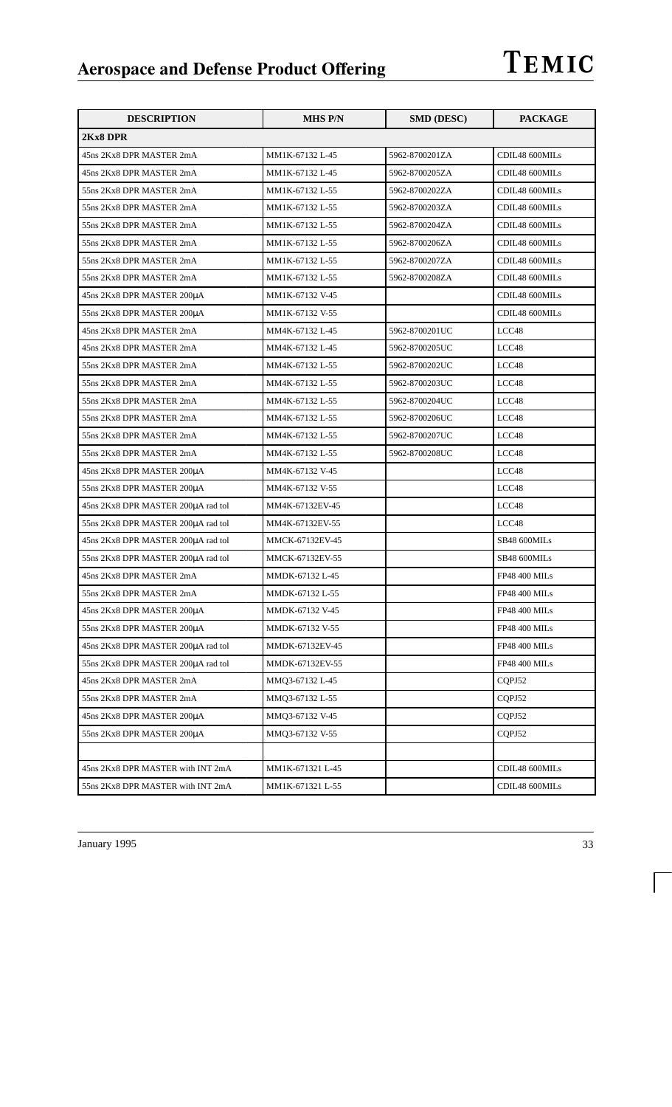| <b>DESCRIPTION</b>                 | <b>MHS P/N</b>   | <b>SMD (DESC)</b> | <b>PACKAGE</b>       |
|------------------------------------|------------------|-------------------|----------------------|
| 2Kx8 DPR                           |                  |                   |                      |
| 45ns 2Kx8 DPR MASTER 2mA           | MM1K-67132 L-45  | 5962-8700201ZA    | CDIL48 600MILs       |
| 45ns 2Kx8 DPR MASTER 2mA           | MM1K-67132 L-45  | 5962-8700205ZA    | CDIL48 600MILs       |
| 55ns 2Kx8 DPR MASTER 2mA           | MM1K-67132 L-55  | 5962-8700202ZA    | CDIL48 600MILs       |
| 55ns 2Kx8 DPR MASTER 2mA           | MM1K-67132 L-55  | 5962-8700203ZA    | CDIL48 600MILs       |
| 55ns 2Kx8 DPR MASTER 2mA           | MM1K-67132 L-55  | 5962-8700204ZA    | CDIL48 600MILs       |
| 55ns 2Kx8 DPR MASTER 2mA           | MM1K-67132 L-55  | 5962-8700206ZA    | CDIL48 600MILs       |
| 55ns 2Kx8 DPR MASTER 2mA           | MM1K-67132 L-55  | 5962-8700207ZA    | CDIL48 600MILs       |
| 55ns 2Kx8 DPR MASTER 2mA           | MM1K-67132 L-55  | 5962-8700208ZA    | CDIL48 600MILs       |
| 45ns 2Kx8 DPR MASTER 200µA         | MM1K-67132 V-45  |                   | CDIL48 600MILs       |
| 55ns 2Kx8 DPR MASTER 200µA         | MM1K-67132 V-55  |                   | CDIL48 600MILs       |
| 45ns 2Kx8 DPR MASTER 2mA           | MM4K-67132 L-45  | 5962-8700201UC    | LCC48                |
| 45ns 2Kx8 DPR MASTER 2mA           | MM4K-67132 L-45  | 5962-8700205UC    | LCC48                |
| 55ns 2Kx8 DPR MASTER 2mA           | MM4K-67132 L-55  | 5962-8700202UC    | LCC48                |
| 55ns 2Kx8 DPR MASTER 2mA           | MM4K-67132 L-55  | 5962-8700203UC    | LCC48                |
| 55ns 2Kx8 DPR MASTER 2mA           | MM4K-67132 L-55  | 5962-8700204UC    | LCC48                |
| 55ns 2Kx8 DPR MASTER 2mA           | MM4K-67132 L-55  | 5962-8700206UC    | LCC48                |
| 55ns 2Kx8 DPR MASTER 2mA           | MM4K-67132 L-55  | 5962-8700207UC    | LCC48                |
| 55ns 2Kx8 DPR MASTER 2mA           | MM4K-67132 L-55  | 5962-8700208UC    | LCC48                |
| 45ns 2Kx8 DPR MASTER 200µA         | MM4K-67132 V-45  |                   | LCC48                |
| 55ns 2Kx8 DPR MASTER 200µA         | MM4K-67132 V-55  |                   | LCC48                |
| 45ns 2Kx8 DPR MASTER 200µA rad tol | MM4K-67132EV-45  |                   | LCC48                |
| 55ns 2Kx8 DPR MASTER 200µA rad tol | MM4K-67132EV-55  |                   | LCC48                |
| 45ns 2Kx8 DPR MASTER 200µA rad tol | MMCK-67132EV-45  |                   | SB48 600MILs         |
| 55ns 2Kx8 DPR MASTER 200µA rad tol | MMCK-67132EV-55  |                   | SB48 600MILs         |
| 45ns 2Kx8 DPR MASTER 2mA           | MMDK-67132 L-45  |                   | <b>FP48 400 MILs</b> |
| 55ns 2Kx8 DPR MASTER 2mA           | MMDK-67132 L-55  |                   | <b>FP48 400 MILs</b> |
| 45ns 2Kx8 DPR MASTER 200µA         | MMDK-67132 V-45  |                   | FP48 400 MILs        |
| 55ns 2Kx8 DPR MASTER 200uA         | MMDK-67132 V-55  |                   | <b>FP48 400 MILs</b> |
| 45ns 2Kx8 DPR MASTER 200µA rad tol | MMDK-67132EV-45  |                   | <b>FP48 400 MILs</b> |
| 55ns 2Kx8 DPR MASTER 200uA rad tol | MMDK-67132EV-55  |                   | FP48 400 MILs        |
| 45ns 2Kx8 DPR MASTER 2mA           | MMQ3-67132 L-45  |                   | CQPJ52               |
| 55ns 2Kx8 DPR MASTER 2mA           | MMQ3-67132 L-55  |                   | CQPJ52               |
| 45ns 2Kx8 DPR MASTER 200µA         | MMO3-67132 V-45  |                   | CQPJ52               |
| 55ns 2Kx8 DPR MASTER 200µA         | MMO3-67132 V-55  |                   | CQPJ52               |
|                                    |                  |                   |                      |
| 45ns 2Kx8 DPR MASTER with INT 2mA  | MM1K-671321 L-45 |                   | CDIL48 600MILs       |
| 55ns 2Kx8 DPR MASTER with INT 2mA  | MM1K-671321 L-55 |                   | CDIL48 600MILs       |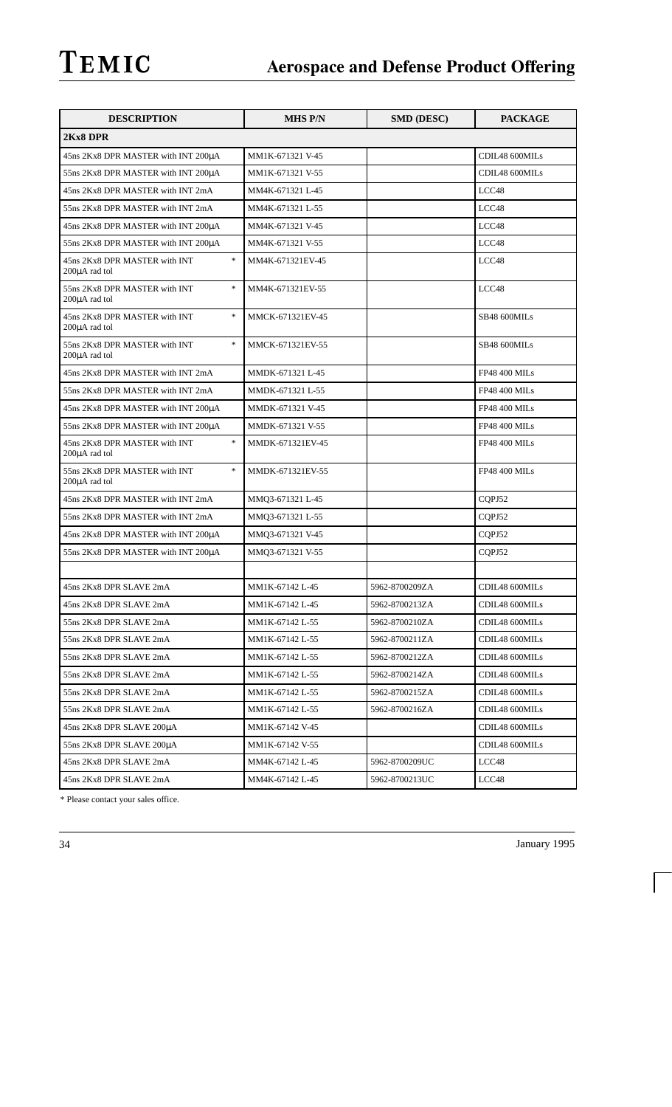| <b>DESCRIPTION</b>                                       | <b>MHS P/N</b>   | <b>SMD (DESC)</b> | <b>PACKAGE</b>       |
|----------------------------------------------------------|------------------|-------------------|----------------------|
| 2Kx8 DPR                                                 |                  |                   |                      |
| 45ns 2Kx8 DPR MASTER with INT 200µA                      | MM1K-671321 V-45 |                   | CDIL48 600MILs       |
| 55ns 2Kx8 DPR MASTER with INT 200µA                      | MM1K-671321 V-55 |                   | CDIL48 600MILs       |
| 45ns 2Kx8 DPR MASTER with INT 2mA                        | MM4K-671321 L-45 |                   | LCC48                |
| 55ns 2Kx8 DPR MASTER with INT 2mA                        | MM4K-671321 L-55 |                   | LCC48                |
| 45ns 2Kx8 DPR MASTER with INT 200µA                      | MM4K-671321 V-45 |                   | LCC48                |
| 55ns 2Kx8 DPR MASTER with INT 200µA                      | MM4K-671321 V-55 |                   | LCC48                |
| $\ast$<br>45ns 2Kx8 DPR MASTER with INT<br>200µA rad tol | MM4K-671321EV-45 |                   | LCC48                |
| $\ast$<br>55ns 2Kx8 DPR MASTER with INT<br>200µA rad tol | MM4K-671321EV-55 |                   | LCC48                |
| $\ast$<br>45ns 2Kx8 DPR MASTER with INT<br>200µA rad tol | MMCK-671321EV-45 |                   | SB48 600MILs         |
| $\ast$<br>55ns 2Kx8 DPR MASTER with INT<br>200µA rad tol | MMCK-671321EV-55 |                   | SB48 600MILs         |
| 45ns 2Kx8 DPR MASTER with INT 2mA                        | MMDK-671321 L-45 |                   | <b>FP48 400 MILs</b> |
| 55ns 2Kx8 DPR MASTER with INT 2mA                        | MMDK-671321 L-55 |                   | <b>FP48 400 MILs</b> |
| 45ns 2Kx8 DPR MASTER with INT 200µA                      | MMDK-671321 V-45 |                   | <b>FP48 400 MILs</b> |
| 55ns 2Kx8 DPR MASTER with INT 200µA                      | MMDK-671321 V-55 |                   | FP48 400 MILs        |
| $\ast$<br>45ns 2Kx8 DPR MASTER with INT<br>200µA rad tol | MMDK-671321EV-45 |                   | <b>FP48 400 MILs</b> |
| $\ast$<br>55ns 2Kx8 DPR MASTER with INT<br>200µA rad tol | MMDK-671321EV-55 |                   | <b>FP48 400 MILs</b> |
| 45ns 2Kx8 DPR MASTER with INT 2mA                        | MMQ3-671321 L-45 |                   | CQPJ52               |
| 55ns 2Kx8 DPR MASTER with INT 2mA                        | MMQ3-671321 L-55 |                   | CQPJ52               |
| 45ns 2Kx8 DPR MASTER with INT 200µA                      | MMQ3-671321 V-45 |                   | CQPJ52               |
| 55ns 2Kx8 DPR MASTER with INT 200µA                      | MMQ3-671321 V-55 |                   | CQPJ52               |
|                                                          |                  |                   |                      |
| 45ns 2Kx8 DPR SLAVE 2mA                                  | MM1K-67142 L-45  | 5962-8700209ZA    | CDIL48 600MILs       |
| 45ns 2Kx8 DPR SLAVE 2mA                                  | MM1K-67142 L-45  | 5962-8700213ZA    | CDIL48 600MILs       |
| 55ns 2Kx8 DPR SLAVE 2mA                                  | MM1K-67142 L-55  | 5962-8700210ZA    | CDIL48 600MILs       |
| 55ns 2Kx8 DPR SLAVE 2mA                                  | MM1K-67142 L-55  | 5962-8700211ZA    | CDIL48 600MILs       |
| 55ns 2Kx8 DPR SLAVE 2mA                                  | MM1K-67142 L-55  | 5962-8700212ZA    | CDIL48 600MILs       |
| 55ns 2Kx8 DPR SLAVE 2mA                                  | MM1K-67142 L-55  | 5962-8700214ZA    | CDIL48 600MILs       |
| 55ns 2Kx8 DPR SLAVE 2mA                                  | MM1K-67142 L-55  | 5962-8700215ZA    | CDIL48 600MILs       |
| 55ns 2Kx8 DPR SLAVE 2mA                                  | MM1K-67142 L-55  | 5962-8700216ZA    | CDIL48 600MILs       |
| 45ns 2Kx8 DPR SLAVE 200µA                                | MM1K-67142 V-45  |                   | CDIL48 600MILs       |
| 55ns 2Kx8 DPR SLAVE 200µA                                | MM1K-67142 V-55  |                   | CDIL48 600MILs       |
| 45ns 2Kx8 DPR SLAVE 2mA                                  | MM4K-67142 L-45  | 5962-8700209UC    | LCC48                |
| 45ns 2Kx8 DPR SLAVE 2mA                                  | MM4K-67142 L-45  | 5962-8700213UC    | LCC48                |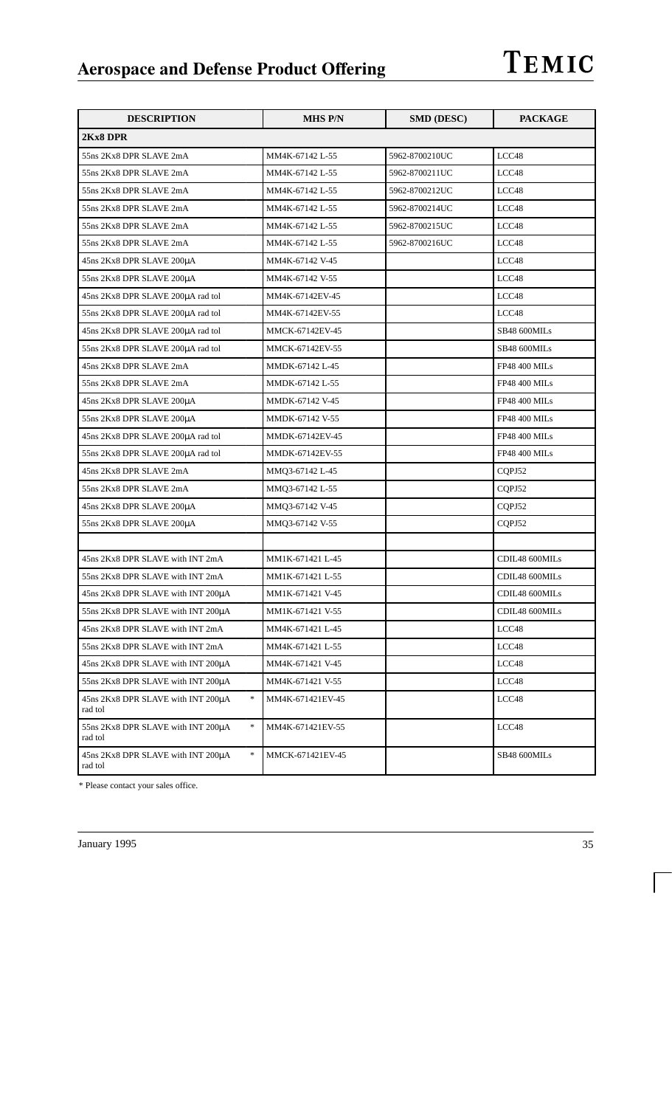| <b>DESCRIPTION</b>                                                                 | <b>MHS P/N</b>   | <b>SMD (DESC)</b> | <b>PACKAGE</b>       |
|------------------------------------------------------------------------------------|------------------|-------------------|----------------------|
| 2Kx8 DPR                                                                           |                  |                   |                      |
| 55ns 2Kx8 DPR SLAVE 2mA                                                            | MM4K-67142 L-55  | 5962-8700210UC    | LCC48                |
| 55ns 2Kx8 DPR SLAVE 2mA                                                            | MM4K-67142 L-55  | 5962-8700211UC    | LCC48                |
| 55ns 2Kx8 DPR SLAVE 2mA                                                            | MM4K-67142 L-55  | 5962-8700212UC    | LCC48                |
| 55ns 2Kx8 DPR SLAVE 2mA                                                            | MM4K-67142 L-55  | 5962-8700214UC    | LCC48                |
| 55ns 2Kx8 DPR SLAVE 2mA                                                            | MM4K-67142 L-55  | 5962-8700215UC    | LCC48                |
| 55ns 2Kx8 DPR SLAVE 2mA                                                            | MM4K-67142 L-55  | 5962-8700216UC    | LCC48                |
| 45ns 2Kx8 DPR SLAVE 200uA                                                          | MM4K-67142 V-45  |                   | LCC48                |
| 55ns 2Kx8 DPR SLAVE 200µA                                                          | MM4K-67142 V-55  |                   | LCC48                |
| 45ns 2Kx8 DPR SLAVE 200µA rad tol                                                  | MM4K-67142EV-45  |                   | LCC48                |
| 55ns 2Kx8 DPR SLAVE 200µA rad tol                                                  | MM4K-67142EV-55  |                   | LCC48                |
| 45ns 2Kx8 DPR SLAVE 200uA rad tol                                                  | MMCK-67142EV-45  |                   | SB48 600MILs         |
| 55ns 2Kx8 DPR SLAVE 200µA rad tol                                                  | MMCK-67142EV-55  |                   | SB48 600MILs         |
| 45ns 2Kx8 DPR SLAVE 2mA                                                            | MMDK-67142 L-45  |                   | <b>FP48 400 MILs</b> |
| 55ns 2Kx8 DPR SLAVE 2mA                                                            | MMDK-67142 L-55  |                   | <b>FP48 400 MILs</b> |
| 45ns 2Kx8 DPR SLAVE 200µA                                                          | MMDK-67142 V-45  |                   | <b>FP48 400 MILs</b> |
| 55ns 2Kx8 DPR SLAVE 200µA                                                          | MMDK-67142 V-55  |                   | <b>FP48 400 MILs</b> |
| 45ns 2Kx8 DPR SLAVE 200µA rad tol                                                  | MMDK-67142EV-45  |                   | <b>FP48 400 MILs</b> |
| 55ns 2Kx8 DPR SLAVE 200µA rad tol                                                  | MMDK-67142EV-55  |                   | <b>FP48 400 MILs</b> |
| 45ns 2Kx8 DPR SLAVE 2mA                                                            | MMQ3-67142 L-45  |                   | CQPJ52               |
| 55ns 2Kx8 DPR SLAVE 2mA                                                            | MMQ3-67142 L-55  |                   | CQPJ52               |
| 45ns 2Kx8 DPR SLAVE 200µA                                                          | MMQ3-67142 V-45  |                   | CQPJ52               |
| 55ns 2Kx8 DPR SLAVE 200µA                                                          | MMQ3-67142 V-55  |                   | CQPJ52               |
|                                                                                    |                  |                   |                      |
| 45ns 2Kx8 DPR SLAVE with INT 2mA                                                   | MM1K-671421 L-45 |                   | CDIL48 600MILs       |
| 55ns 2Kx8 DPR SLAVE with INT 2mA                                                   | MM1K-671421 L-55 |                   | CDIL48 600MILs       |
| 45ns 2Kx8 DPR SLAVE with INT 200µA                                                 | MM1K-671421 V-45 |                   | CDIL48 600MILs       |
| 55ns 2Kx8 DPR SLAVE with INT 200µA                                                 | MM1K-671421 V-55 |                   | CDIL48 600MILs       |
| 45ns 2Kx8 DPR SLAVE with INT 2mA                                                   | MM4K-671421 L-45 |                   | LCC48                |
| 55ns 2Kx8 DPR SLAVE with INT 2mA                                                   | MM4K-671421 L-55 |                   | LCC48                |
| 45ns 2Kx8 DPR SLAVE with INT 200µA                                                 | MM4K-671421 V-45 |                   | LCC48                |
| 55ns 2Kx8 DPR SLAVE with INT 200µA                                                 | MM4K-671421 V-55 |                   | LCC48                |
| $\ast$<br>45ns 2Kx8 DPR SLAVE with INT 200µA<br>rad tol                            | MM4K-671421EV-45 |                   | LCC48                |
| $\frac{d\mathbf{r}}{d\mathbf{r}}$<br>55ns 2Kx8 DPR SLAVE with INT 200µA<br>rad tol | MM4K-671421EV-55 |                   | LCC48                |
| $\ast$<br>45ns 2Kx8 DPR SLAVE with INT 200µA<br>rad tol                            | MMCK-671421EV-45 |                   | SB48 600MILs         |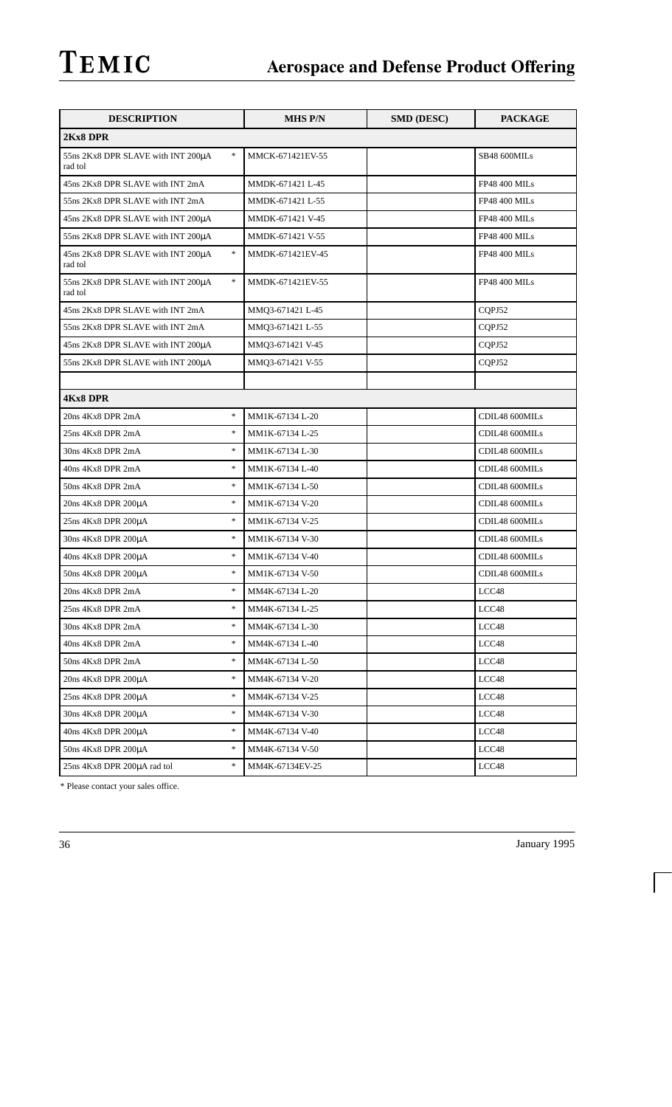| <b>DESCRIPTION</b>                                      | <b>MHS P/N</b>   | <b>SMD (DESC)</b> | <b>PACKAGE</b>       |
|---------------------------------------------------------|------------------|-------------------|----------------------|
| 2Kx8 DPR                                                |                  |                   |                      |
| $\ast$<br>55ns 2Kx8 DPR SLAVE with INT 200µA<br>rad tol | MMCK-671421EV-55 |                   | SB48 600MILs         |
| 45ns 2Kx8 DPR SLAVE with INT 2mA                        | MMDK-671421 L-45 |                   | <b>FP48 400 MILs</b> |
| 55ns 2Kx8 DPR SLAVE with INT 2mA                        | MMDK-671421 L-55 |                   | <b>FP48 400 MILs</b> |
| 45ns 2Kx8 DPR SLAVE with INT 200µA                      | MMDK-671421 V-45 |                   | <b>FP48 400 MILs</b> |
| 55ns 2Kx8 DPR SLAVE with INT 200µA                      | MMDK-671421 V-55 |                   | <b>FP48 400 MILs</b> |
| $\ast$<br>45ns 2Kx8 DPR SLAVE with INT 200µA<br>rad tol | MMDK-671421EV-45 |                   | <b>FP48 400 MILs</b> |
| $\ast$<br>55ns 2Kx8 DPR SLAVE with INT 200µA<br>rad tol | MMDK-671421EV-55 |                   | <b>FP48 400 MILs</b> |
| 45ns 2Kx8 DPR SLAVE with INT 2mA                        | MMQ3-671421 L-45 |                   | CQPJ52               |
| 55ns 2Kx8 DPR SLAVE with INT 2mA                        | MMQ3-671421 L-55 |                   | CQPJ52               |
| 45ns 2Kx8 DPR SLAVE with INT 200µA                      | MMQ3-671421 V-45 |                   | COPJ52               |
| 55ns 2Kx8 DPR SLAVE with INT 200µA                      | MMQ3-671421 V-55 |                   | CQPJ52               |
|                                                         |                  |                   |                      |
| <b>4Kx8 DPR</b>                                         |                  |                   |                      |
| $\ast$<br>20ns 4Kx8 DPR 2mA                             | MM1K-67134 L-20  |                   | CDIL48 600MILs       |
| $\ast$<br>25ns 4Kx8 DPR 2mA                             | MM1K-67134 L-25  |                   | CDIL48 600MILs       |
| $\ast$<br>30ns 4Kx8 DPR 2mA                             | MM1K-67134 L-30  |                   | CDIL48 600MILs       |
| $\ast$<br>40ns 4Kx8 DPR 2mA                             | MM1K-67134 L-40  |                   | CDIL48 600MILs       |
| $\ast$<br>50ns 4Kx8 DPR 2mA                             | MM1K-67134 L-50  |                   | CDIL48 600MILs       |
| $\ast$<br>20ns 4Kx8 DPR 200µA                           | MM1K-67134 V-20  |                   | CDIL48 600MILs       |
| $\ast$<br>25ns 4Kx8 DPR 200µA                           | MM1K-67134 V-25  |                   | CDIL48 600MILs       |
| $\ast$<br>30ns 4Kx8 DPR 200µA                           | MM1K-67134 V-30  |                   | CDIL48 600MILs       |
| $\ast$<br>40ns 4Kx8 DPR 200µA                           | MM1K-67134 V-40  |                   | CDIL48 600MILs       |
| $\ast$<br>50ns 4Kx8 DPR 200µA                           | MM1K-67134 V-50  |                   | CDIL48 600MILs       |
| $\ast$<br>20ns 4Kx8 DPR 2mA                             | MM4K-67134 L-20  |                   | LCC48                |
| 25ns 4Kx8 DPR 2mA<br>$\ast$                             | MM4K-67134 L-25  |                   | LCC48                |
| $\ast$<br>30ns 4Kx8 DPR 2mA                             | MM4K-67134 L-30  |                   | LCC48                |
| $\ast$<br>40ns 4Kx8 DPR 2mA                             | MM4K-67134 L-40  |                   | LCC48                |
| $\ast$<br>50ns 4Kx8 DPR 2mA                             | MM4K-67134 L-50  |                   | LCC48                |
| $\ast$<br>20ns 4Kx8 DPR 200µA                           | MM4K-67134 V-20  |                   | LCC48                |
| $\ast$<br>25ns 4Kx8 DPR 200µA                           | MM4K-67134 V-25  |                   | LCC48                |
| $\ast$<br>30ns 4Kx8 DPR 200µA                           | MM4K-67134 V-30  |                   | LCC48                |
| $\ast$<br>40ns 4Kx8 DPR 200μA                           | MM4K-67134 V-40  |                   | LCC48                |
| $\ast$<br>50ns 4Kx8 DPR 200µA                           | MM4K-67134 V-50  |                   | LCC48                |
| $\ast$<br>25ns 4Kx8 DPR 200µA rad tol                   | MM4K-67134EV-25  |                   | LCC48                |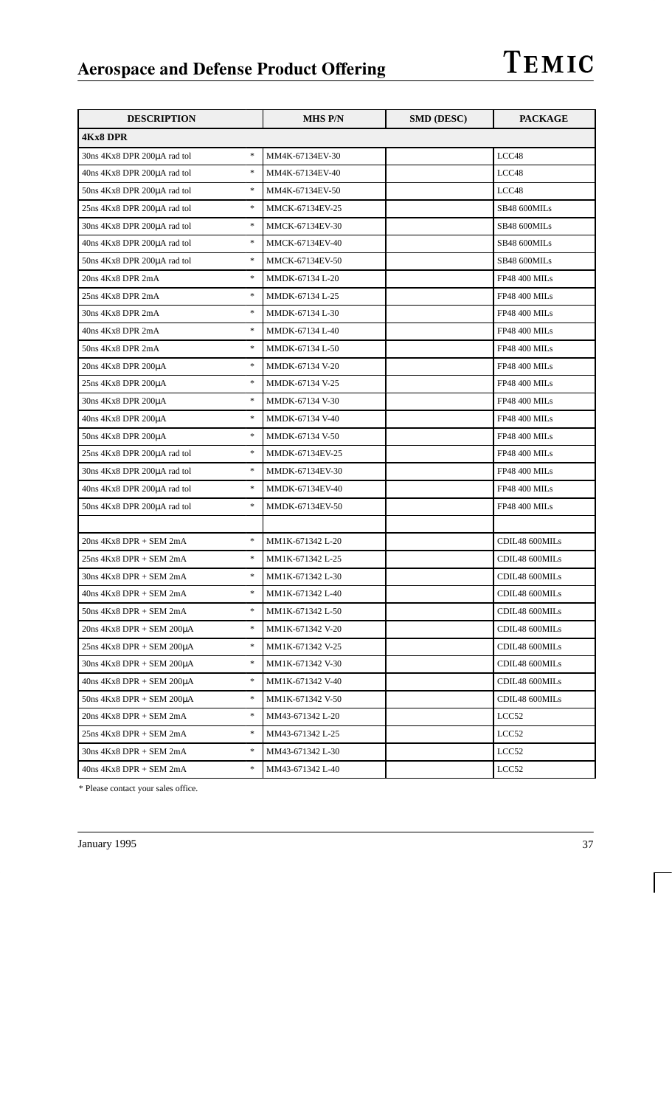| <b>DESCRIPTION</b>                                                     | <b>MHS P/N</b>   | <b>SMD (DESC)</b> | PACKAGE              |
|------------------------------------------------------------------------|------------------|-------------------|----------------------|
| <b>4Kx8 DPR</b>                                                        |                  |                   |                      |
| $\frac{1}{2}$<br>30ns 4Kx8 DPR 200µA rad tol                           | MM4K-67134EV-30  |                   | LCC48                |
| $\frac{1}{2}$<br>40ns 4Kx8 DPR 200µA rad tol                           | MM4K-67134EV-40  |                   | LCC48                |
| $\frac{d\mathbf{x}}{d\mathbf{x}}$<br>50ns 4Kx8 DPR 200µA rad tol       | MM4K-67134EV-50  |                   | LCC48                |
| $\frac{1}{2}$<br>25ns 4Kx8 DPR 200µA rad tol                           | MMCK-67134EV-25  |                   | SB48 600MILs         |
| $\frac{1}{2}$<br>30ns 4Kx8 DPR 200µA rad tol                           | MMCK-67134EV-30  |                   | SB48 600MILs         |
| $\frac{1}{2}$<br>40ns 4Kx8 DPR 200µA rad tol                           | MMCK-67134EV-40  |                   | SB48 600MILs         |
| $\ast$<br>50ns 4Kx8 DPR 200µA rad tol                                  | MMCK-67134EV-50  |                   | SB48 600MILs         |
| $\frac{1}{2}$<br>20ns 4Kx8 DPR 2mA                                     | MMDK-67134 L-20  |                   | <b>FP48 400 MILs</b> |
| $\frac{1}{2}$<br>25ns 4Kx8 DPR 2mA                                     | MMDK-67134 L-25  |                   | <b>FP48 400 MILs</b> |
| $\frac{1}{2}$<br>30ns 4Kx8 DPR 2mA                                     | MMDK-67134 L-30  |                   | <b>FP48 400 MILs</b> |
| $\frac{1}{2}$<br>40ns 4Kx8 DPR 2mA                                     | MMDK-67134 L-40  |                   | <b>FP48 400 MILs</b> |
| $\frac{1}{2}$<br>50ns 4Kx8 DPR 2mA                                     | MMDK-67134 L-50  |                   | <b>FP48 400 MILs</b> |
| $\frac{1}{2}$<br>20ns 4Kx8 DPR 200µA                                   | MMDK-67134 V-20  |                   | <b>FP48 400 MILs</b> |
| $\frac{1}{2}$<br>25ns 4Kx8 DPR 200µA                                   | MMDK-67134 V-25  |                   | <b>FP48 400 MILs</b> |
| $\frac{1}{2}$<br>30ns 4Kx8 DPR 200µA                                   | MMDK-67134 V-30  |                   | <b>FP48 400 MILs</b> |
| $\frac{1}{2}$<br>40ns 4Kx8 DPR 200µA                                   | MMDK-67134 V-40  |                   | <b>FP48 400 MILs</b> |
| $\frac{1}{2}$<br>50ns 4Kx8 DPR 200µA                                   | MMDK-67134 V-50  |                   | <b>FP48 400 MILs</b> |
| $\frac{1}{2}$<br>25ns 4Kx8 DPR 200µA rad tol                           | MMDK-67134EV-25  |                   | <b>FP48 400 MILs</b> |
| $\frac{1}{2}$<br>30ns 4Kx8 DPR 200µA rad tol                           | MMDK-67134EV-30  |                   | <b>FP48 400 MILs</b> |
| $\frac{1}{2}$<br>40ns 4Kx8 DPR 200µA rad tol                           | MMDK-67134EV-40  |                   | <b>FP48 400 MILs</b> |
| $\frac{1}{2}$<br>50ns 4Kx8 DPR 200µA rad tol                           | MMDK-67134EV-50  |                   | <b>FP48 400 MILs</b> |
|                                                                        |                  |                   |                      |
| $\frac{1}{2}$<br>$20ns$ 4Kx8 DPR + SEM $2mA$                           | MM1K-671342 L-20 |                   | CDIL48 600MILs       |
| $\frac{d\mathbf{x}}{d\mathbf{x}}$<br>$25ns$ 4Kx8 DPR + SEM $2mA$       | MM1K-671342 L-25 |                   | CDIL48 600MILs       |
| $\frac{1}{2}$<br>$30ns$ $4Kx8$ DPR $+$ SEM $2mA$                       | MM1K-671342 L-30 |                   | CDIL48 600MILs       |
| $\frac{1}{2}$<br>$40ns$ 4Kx8 DPR + SEM 2mA                             | MM1K-671342 L-40 |                   | CDIL48 600MILs       |
| $\frac{1}{2}$<br>$50ns$ $4Kx8$ DPR $+$ SEM $2mA$                       | MM1K-671342 L-50 |                   | CDIL48 600MILs       |
| $\frac{1}{2}$<br>$20ns$ 4Kx8 DPR + SEM $200\mu A$                      | MM1K-671342 V-20 |                   | CDIL48 600MILs       |
| $\frac{1}{2}$<br>$25ns$ 4Kx8 DPR + SEM $200\mu A$                      | MM1K-671342 V-25 |                   | CDIL48 600MILs       |
| $\ast$<br>$30ns$ 4Kx8 DPR + SEM $200\mu A$                             | MM1K-671342 V-30 |                   | CDIL48 600MILs       |
| $\frac{1}{2}$<br>$40ns$ 4Kx8 DPR + SEM 200µA                           | MM1K-671342 V-40 |                   | CDIL48 600MILs       |
| $\frac{d\mathbf{x}}{d\mathbf{x}}$<br>$50ns$ 4Kx8 DPR + SEM 200 $\mu$ A | MM1K-671342 V-50 |                   | CDIL48 600MILs       |
| $\frac{1}{2}$<br>$20ns$ 4Kx8 DPR + SEM $2mA$                           | MM43-671342 L-20 |                   | LCC52                |
| *<br>$25ns$ 4Kx8 DPR + SEM $2mA$                                       | MM43-671342 L-25 |                   | LCC52                |
| $\frac{d\mathbf{x}}{d\mathbf{x}}$<br>$30ns$ 4Kx8 DPR + SEM $2mA$       | MM43-671342 L-30 |                   | LCC52                |
| $\ast$<br>$40ns$ $4Kx8$ DPR $+$ SEM $2mA$                              | MM43-671342 L-40 |                   | LCC52                |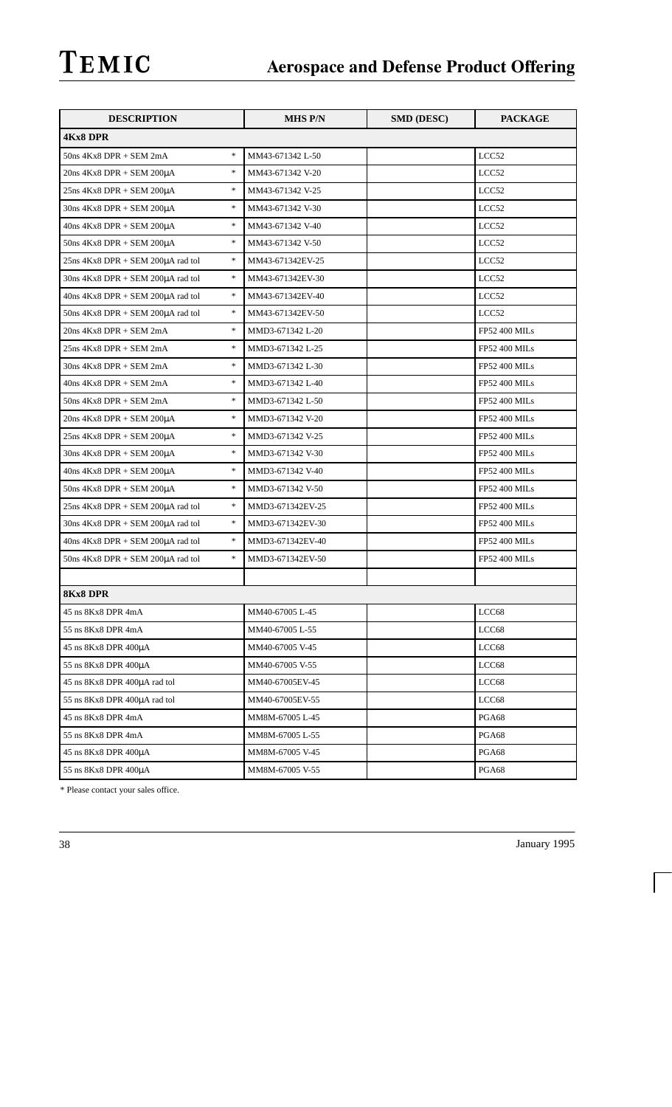| <b>DESCRIPTION</b>                                  | MHS P/N          | <b>SMD (DESC)</b> | <b>PACKAGE</b>       |
|-----------------------------------------------------|------------------|-------------------|----------------------|
| <b>4Kx8 DPR</b>                                     |                  |                   |                      |
| $\ast$<br>$50ns$ $4Kx8$ DPR $+$ SEM $2mA$           | MM43-671342 L-50 |                   | LCC52                |
| $\ast$<br>$20ns$ 4Kx8 DPR + SEM $200\mu A$          | MM43-671342 V-20 |                   | LCC52                |
| $\ast$<br>$25ns$ 4Kx8 DPR + SEM $200\mu A$          | MM43-671342 V-25 |                   | LCC52                |
| $\ast$<br>$30ns$ 4Kx8 DPR + SEM $200\mu A$          | MM43-671342 V-30 |                   | LCC52                |
| $\ast$<br>$40ns$ 4Kx8 DPR + SEM $200\mu A$          | MM43-671342 V-40 |                   | LCC52                |
| $\ast$<br>$50ns$ 4Kx8 DPR + SEM 200 $\mu$ A         | MM43-671342 V-50 |                   | LCC52                |
| $\ast$<br>25ns 4Kx8 DPR + SEM 200µA rad tol         | MM43-671342EV-25 |                   | LCC52                |
| $\ast$<br>$30ns$ 4Kx8 DPR + SEM 200 $\mu$ A rad tol | MM43-671342EV-30 |                   | LCC52                |
| $\ast$<br>$40ns$ 4Kx8 DPR + SEM $200\mu A$ rad tol  | MM43-671342EV-40 |                   | LCC52                |
| $\ast$<br>$50ns$ 4Kx8 DPR + SEM 200 $\mu$ A rad tol | MM43-671342EV-50 |                   | LCC52                |
| $\ast$<br>20ns 4Kx8 DPR + SEM 2mA                   | MMD3-671342 L-20 |                   | <b>FP52 400 MILs</b> |
| $\ast$<br>$25ns$ 4Kx8 DPR + SEM $2mA$               | MMD3-671342 L-25 |                   | <b>FP52 400 MILs</b> |
| $\ast$<br>$30ns 4Kx8 DPR + SEM 2mA$                 | MMD3-671342 L-30 |                   | <b>FP52 400 MILs</b> |
| $\ast$<br>$40ns 4Kx8 DPR + SEM 2mA$                 | MMD3-671342 L-40 |                   | <b>FP52 400 MILs</b> |
| $\ast$<br>$50ns$ 4Kx8 DPR + SEM 2mA                 | MMD3-671342 L-50 |                   | <b>FP52 400 MILs</b> |
| $\ast$<br>$20ns$ 4Kx8 DPR + SEM $200\mu A$          | MMD3-671342 V-20 |                   | <b>FP52 400 MILs</b> |
| $\ast$<br>$25ns$ 4Kx8 DPR + SEM $200\mu A$          | MMD3-671342 V-25 |                   | <b>FP52 400 MILs</b> |
| $\ast$<br>$30ns$ 4Kx8 DPR + SEM $200\mu A$          | MMD3-671342 V-30 |                   | <b>FP52 400 MILs</b> |
| $\ast$<br>$40ns$ 4Kx8 DPR + SEM $200\mu A$          | MMD3-671342 V-40 |                   | <b>FP52 400 MILs</b> |
| $\ast$<br>$50ns$ 4Kx8 DPR + SEM 200 $\mu$ A         | MMD3-671342 V-50 |                   | <b>FP52 400 MILs</b> |
| $\ast$<br>$25ns$ 4Kx8 DPR + SEM $200\mu A$ rad tol  | MMD3-671342EV-25 |                   | <b>FP52 400 MILs</b> |
| $\ast$<br>$30ns$ 4Kx8 DPR + SEM 200 $\mu$ A rad tol | MMD3-671342EV-30 |                   | <b>FP52 400 MILs</b> |
| $\ast$<br>$40ns$ 4Kx8 DPR + SEM 200 $\mu$ A rad tol | MMD3-671342EV-40 |                   | <b>FP52 400 MILs</b> |
| $\ast$<br>$50ns$ 4Kx8 DPR + SEM 200 $\mu$ A rad tol | MMD3-671342EV-50 |                   | <b>FP52 400 MILs</b> |
|                                                     |                  |                   |                      |
| 8Kx8 DPR                                            |                  |                   |                      |
| 45 ns 8Kx8 DPR 4mA                                  | MM40-67005 L-45  |                   | LCC68                |
| 55 ns 8Kx8 DPR 4mA                                  | MM40-67005 L-55  |                   | LCC68                |
| 45 ns 8Kx8 DPR 400μA                                | MM40-67005 V-45  |                   | LCC68                |
| 55 ns 8Kx8 DPR 400µA                                | MM40-67005 V-55  |                   | LCC68                |
| 45 ns 8Kx8 DPR 400µA rad tol                        | MM40-67005EV-45  |                   | LCC68                |
| 55 ns 8Kx8 DPR 400µA rad tol                        | MM40-67005EV-55  |                   | LCC68                |
| 45 ns 8Kx8 DPR 4mA                                  | MM8M-67005 L-45  |                   | PGA68                |
| 55 ns 8Kx8 DPR 4mA                                  | MM8M-67005 L-55  |                   | PGA68                |
| 45 ns 8Kx8 DPR 400µA                                | MM8M-67005 V-45  |                   | PGA68                |
| 55 ns 8Kx8 DPR 400μA                                | MM8M-67005 V-55  |                   | PGA68                |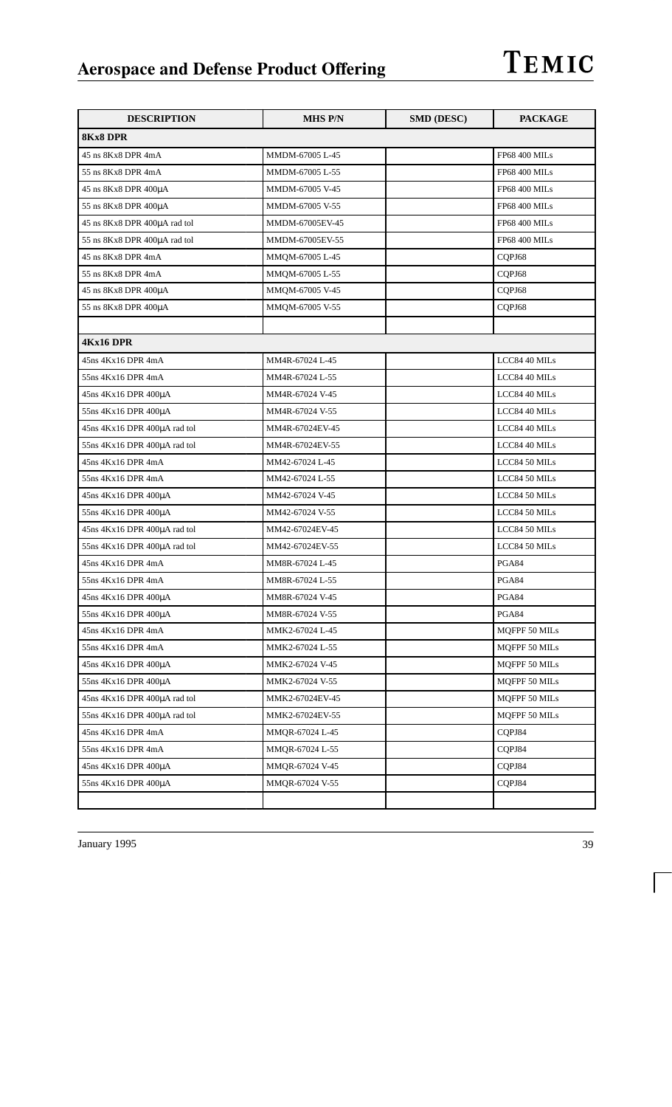| <b>DESCRIPTION</b>            | <b>MHS P/N</b>  | <b>SMD (DESC)</b> | <b>PACKAGE</b>       |
|-------------------------------|-----------------|-------------------|----------------------|
| <b>8Kx8 DPR</b>               |                 |                   |                      |
| 45 ns 8Kx8 DPR 4mA            | MMDM-67005 L-45 |                   | <b>FP68 400 MILs</b> |
| 55 ns 8Kx8 DPR 4mA            | MMDM-67005 L-55 |                   | <b>FP68 400 MILs</b> |
| 45 ns 8Kx8 DPR 400µA          | MMDM-67005 V-45 |                   | <b>FP68 400 MILs</b> |
| 55 ns 8Kx8 DPR 400µA          | MMDM-67005 V-55 |                   | <b>FP68 400 MILs</b> |
| 45 ns 8Kx8 DPR 400µA rad tol  | MMDM-67005EV-45 |                   | <b>FP68 400 MILs</b> |
| 55 ns 8Kx8 DPR 400µA rad tol  | MMDM-67005EV-55 |                   | <b>FP68 400 MILs</b> |
| 45 ns 8Kx8 DPR 4mA            | MMQM-67005 L-45 |                   | CQPJ68               |
| 55 ns 8Kx8 DPR 4mA            | MMQM-67005 L-55 |                   | CQPJ68               |
| 45 ns $8Kx8$ DPR $400\mu A$   | MMQM-67005 V-45 |                   | CQPJ68               |
| 55 ns 8Kx8 DPR 400µA          | MMQM-67005 V-55 |                   | CQPJ68               |
|                               |                 |                   |                      |
| 4Kx16 DPR                     |                 |                   |                      |
| 45ns 4Kx16 DPR 4mA            | MM4R-67024 L-45 |                   | LCC84 40 MILs        |
| 55ns 4Kx16 DPR 4mA            | MM4R-67024 L-55 |                   | LCC84 40 MILs        |
| 45ns 4Kx16 DPR 400uA          | MM4R-67024 V-45 |                   | LCC84 40 MILs        |
| 55ns 4Kx16 DPR 400µA          | MM4R-67024 V-55 |                   | LCC84 40 MILs        |
| 45ns 4Kx16 DPR 400µA rad tol  | MM4R-67024EV-45 |                   | LCC84 40 MILs        |
| 55ns 4Kx16 DPR 400µA rad tol  | MM4R-67024EV-55 |                   | LCC84 40 MILs        |
| 45ns 4Kx16 DPR 4mA            | MM42-67024 L-45 |                   | LCC84 50 MILs        |
| 55ns 4Kx16 DPR 4mA            | MM42-67024 L-55 |                   | LCC84 50 MILs        |
| 45ns 4Kx16 DPR 400µA          | MM42-67024 V-45 |                   | LCC84 50 MILs        |
| 55ns 4Kx16 DPR 400µA          | MM42-67024 V-55 |                   | LCC84 50 MILs        |
| 45ns 4Kx16 DPR 400µA rad tol  | MM42-67024EV-45 |                   | LCC84 50 MILs        |
| 55ns 4Kx16 DPR 400µA rad tol  | MM42-67024EV-55 |                   | LCC84 50 MILs        |
| 45ns 4Kx16 DPR 4mA            | MM8R-67024 L-45 |                   | PGA84                |
| 55ns 4Kx16 DPR 4mA            | MM8R-67024 L-55 |                   | PGA84                |
| $45ns$ $4Kx16$ DPR $400\mu A$ | MM8R-67024 V-45 |                   | PGA84                |
| 55ns 4Kx16 DPR 400µA          | MM8R-67024 V-55 |                   | PGA84                |
| 45ns 4Kx16 DPR 4mA            | MMK2-67024 L-45 |                   | MQFPF 50 MILs        |
| 55ns 4Kx16 DPR 4mA            | MMK2-67024 L-55 |                   | MQFPF 50 MILs        |
| 45ns 4Kx16 DPR 400µA          | MMK2-67024 V-45 |                   | MQFPF 50 MILs        |
| 55ns 4Kx16 DPR 400uA          | MMK2-67024 V-55 |                   | <b>MQFPF 50 MILs</b> |
| 45ns 4Kx16 DPR 400µA rad tol  | MMK2-67024EV-45 |                   | MQFPF 50 MILs        |
| 55ns 4Kx16 DPR 400µA rad tol  | MMK2-67024EV-55 |                   | <b>MQFPF 50 MILs</b> |
| 45ns 4Kx16 DPR 4mA            | MMQR-67024 L-45 |                   | CQPJ84               |
| 55ns 4Kx16 DPR 4mA            | MMQR-67024 L-55 |                   | CQPJ84               |
| 45ns 4Kx16 DPR 400µA          | MMQR-67024 V-45 |                   | CQPJ84               |
| 55ns 4Kx16 DPR 400µA          | MMQR-67024 V-55 |                   | CQPJ84               |
|                               |                 |                   |                      |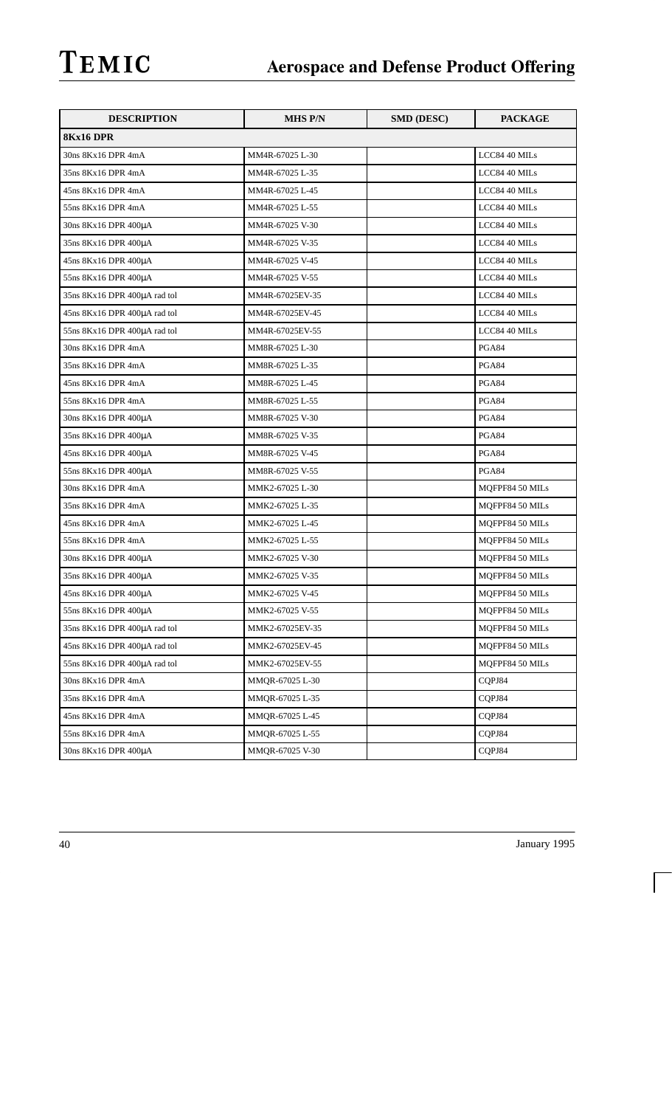| <b>DESCRIPTION</b>           | MHS P/N         | <b>SMD (DESC)</b> | <b>PACKAGE</b>  |
|------------------------------|-----------------|-------------------|-----------------|
| 8Kx16 DPR                    |                 |                   |                 |
| 30ns 8Kx16 DPR 4mA           | MM4R-67025 L-30 |                   | LCC84 40 MILs   |
| 35ns 8Kx16 DPR 4mA           | MM4R-67025 L-35 |                   | LCC84 40 MILs   |
| 45ns 8Kx16 DPR 4mA           | MM4R-67025 L-45 |                   | LCC84 40 MILs   |
| 55ns 8Kx16 DPR 4mA           | MM4R-67025 L-55 |                   | LCC84 40 MILs   |
| 30ns 8Kx16 DPR 400µA         | MM4R-67025 V-30 |                   | LCC84 40 MILs   |
| 35ns 8Kx16 DPR 400µA         | MM4R-67025 V-35 |                   | LCC84 40 MILs   |
| 45ns 8Kx16 DPR 400µA         | MM4R-67025 V-45 |                   | LCC84 40 MILs   |
| 55ns 8Kx16 DPR 400µA         | MM4R-67025 V-55 |                   | LCC84 40 MILs   |
| 35ns 8Kx16 DPR 400µA rad tol | MM4R-67025EV-35 |                   | LCC84 40 MILs   |
| 45ns 8Kx16 DPR 400µA rad tol | MM4R-67025EV-45 |                   | LCC84 40 MILs   |
| 55ns 8Kx16 DPR 400µA rad tol | MM4R-67025EV-55 |                   | LCC84 40 MILs   |
| 30ns 8Kx16 DPR 4mA           | MM8R-67025 L-30 |                   | PGA84           |
| 35ns 8Kx16 DPR 4mA           | MM8R-67025 L-35 |                   | PGA84           |
| 45ns 8Kx16 DPR 4mA           | MM8R-67025 L-45 |                   | <b>PGA84</b>    |
| 55ns 8Kx16 DPR 4mA           | MM8R-67025 L-55 |                   | PGA84           |
| 30ns 8Kx16 DPR 400µA         | MM8R-67025 V-30 |                   | PGA84           |
| 35ns 8Kx16 DPR 400µA         | MM8R-67025 V-35 |                   | PGA84           |
| $45ns 8Kx16$ DPR $400\mu A$  | MM8R-67025 V-45 |                   | PGA84           |
| $55ns 8Kx16$ DPR $400\mu A$  | MM8R-67025 V-55 |                   | PGA84           |
| 30ns 8Kx16 DPR 4mA           | MMK2-67025 L-30 |                   | MQFPF84 50 MILs |
| 35ns 8Kx16 DPR 4mA           | MMK2-67025 L-35 |                   | MQFPF84 50 MILs |
| 45ns 8Kx16 DPR 4mA           | MMK2-67025 L-45 |                   | MQFPF84 50 MILs |
| 55ns 8Kx16 DPR 4mA           | MMK2-67025 L-55 |                   | MQFPF84 50 MILs |
| 30ns 8Kx16 DPR 400µA         | MMK2-67025 V-30 |                   | MQFPF84 50 MILs |
| 35ns 8Kx16 DPR 400µA         | MMK2-67025 V-35 |                   | MQFPF84 50 MILs |
| 45ns 8Kx16 DPR 400µA         | MMK2-67025 V-45 |                   | MQFPF84 50 MILs |
| 55ns 8Kx16 DPR 400µA         | MMK2-67025 V-55 |                   | MQFPF84 50 MILs |
| 35ns 8Kx16 DPR 400uA rad tol | MMK2-67025EV-35 |                   | MOFPF84 50 MILs |
| 45ns 8Kx16 DPR 400µA rad tol | MMK2-67025EV-45 |                   | MQFPF84 50 MILs |
| 55ns 8Kx16 DPR 400µA rad tol | MMK2-67025EV-55 |                   | MQFPF84 50 MILs |
| 30ns 8Kx16 DPR 4mA           | MMQR-67025 L-30 |                   | CQPJ84          |
| 35ns 8Kx16 DPR 4mA           | MMQR-67025 L-35 |                   | COPJ84          |
| 45ns 8Kx16 DPR 4mA           | MMQR-67025 L-45 |                   | CQPJ84          |
| 55ns 8Kx16 DPR 4mA           | MMOR-67025 L-55 |                   | CQPJ84          |
| 30ns 8Kx16 DPR 400µA         | MMQR-67025 V-30 |                   | CQPJ84          |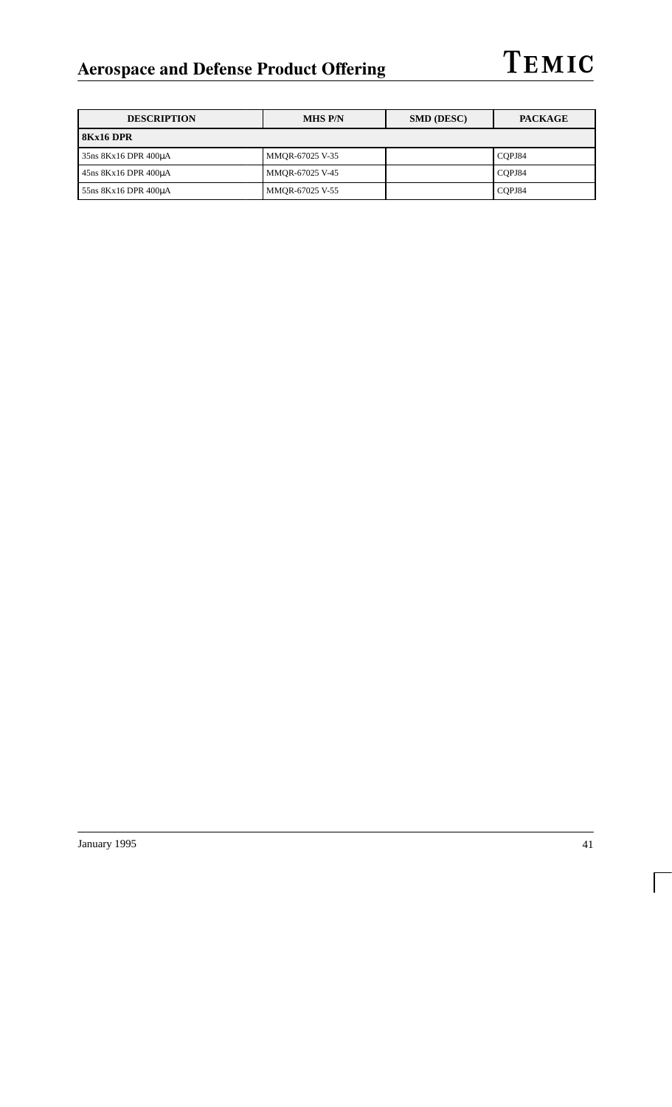| <b>DESCRIPTION</b>   | <b>MHS P/N</b>  | <b>SMD (DESC)</b> | <b>PACKAGE</b> |  |
|----------------------|-----------------|-------------------|----------------|--|
| 8Kx16 DPR            |                 |                   |                |  |
| 35ns 8Kx16 DPR 400uA | MMOR-67025 V-35 |                   | COPJ84         |  |
| 45ns 8Kx16 DPR 400µA | MMOR-67025 V-45 |                   | COPJ84         |  |
| 55ns 8Kx16 DPR 400uA | MMQR-67025 V-55 |                   | CQPJ84         |  |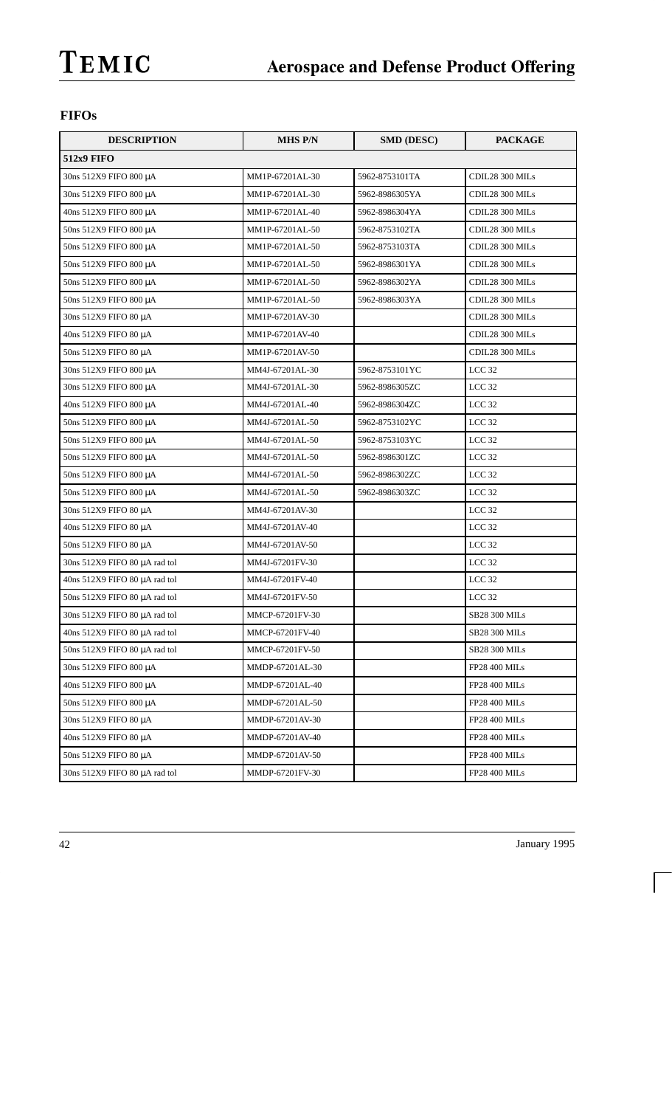## **FIFOs**

| <b>DESCRIPTION</b>            | <b>MHS P/N</b>  | <b>SMD (DESC)</b> | <b>PACKAGE</b>       |
|-------------------------------|-----------------|-------------------|----------------------|
| <b>512x9 FIFO</b>             |                 |                   |                      |
| 30ns 512X9 FIFO 800 μA        | MM1P-67201AL-30 | 5962-8753101TA    | CDIL28 300 MILs      |
| 30ns 512X9 FIFO 800 μA        | MM1P-67201AL-30 | 5962-8986305YA    | CDIL28 300 MILs      |
| 40ns 512X9 FIFO 800 μA        | MM1P-67201AL-40 | 5962-8986304YA    | CDIL28 300 MILs      |
| 50ns 512X9 FIFO 800 μA        | MM1P-67201AL-50 | 5962-8753102TA    | CDIL28 300 MILs      |
| 50ns 512X9 FIFO 800 μA        | MM1P-67201AL-50 | 5962-8753103TA    | CDIL28 300 MILs      |
| 50ns 512X9 FIFO 800 μA        | MM1P-67201AL-50 | 5962-8986301YA    | CDIL28 300 MILs      |
| 50ns 512X9 FIFO 800 μA        | MM1P-67201AL-50 | 5962-8986302YA    | CDIL28 300 MILs      |
| 50ns 512X9 FIFO 800 μA        | MM1P-67201AL-50 | 5962-8986303YA    | CDIL28 300 MILs      |
| 30ns 512X9 FIFO 80 μA         | MM1P-67201AV-30 |                   | CDIL28 300 MILs      |
| 40ns 512X9 FIFO 80 μA         | MM1P-67201AV-40 |                   | CDIL28 300 MILs      |
| 50ns 512X9 FIFO 80 μA         | MM1P-67201AV-50 |                   | CDIL28 300 MILs      |
| 30ns 512X9 FIFO 800 µA        | MM4J-67201AL-30 | 5962-8753101YC    | LCC <sub>32</sub>    |
| 30ns 512X9 FIFO 800 μA        | MM4J-67201AL-30 | 5962-8986305ZC    | LCC <sub>32</sub>    |
| 40ns 512X9 FIFO 800 μA        | MM4J-67201AL-40 | 5962-8986304ZC    | LCC <sub>32</sub>    |
| 50ns 512X9 FIFO 800 μA        | MM4J-67201AL-50 | 5962-8753102YC    | LCC <sub>32</sub>    |
| 50ns 512X9 FIFO 800 μA        | MM4J-67201AL-50 | 5962-8753103YC    | LCC <sub>32</sub>    |
| 50ns 512X9 FIFO 800 μA        | MM4J-67201AL-50 | 5962-8986301ZC    | LCC <sub>32</sub>    |
| 50ns 512X9 FIFO 800 μA        | MM4J-67201AL-50 | 5962-8986302ZC    | LCC <sub>32</sub>    |
| 50ns 512X9 FIFO 800 μA        | MM4J-67201AL-50 | 5962-8986303ZC    | LCC <sub>32</sub>    |
| 30ns 512X9 FIFO 80 μA         | MM4J-67201AV-30 |                   | LCC <sub>32</sub>    |
| 40ns 512X9 FIFO 80 μA         | MM4J-67201AV-40 |                   | LCC <sub>32</sub>    |
| 50ns 512X9 FIFO 80 μA         | MM4J-67201AV-50 |                   | LCC <sub>32</sub>    |
| 30ns 512X9 FIFO 80 µA rad tol | MM4J-67201FV-30 |                   | LCC <sub>32</sub>    |
| 40ns 512X9 FIFO 80 µA rad tol | MM4J-67201FV-40 |                   | LCC <sub>32</sub>    |
| 50ns 512X9 FIFO 80 µA rad tol | MM4J-67201FV-50 |                   | LCC <sub>32</sub>    |
| 30ns 512X9 FIFO 80 µA rad tol | MMCP-67201FV-30 |                   | <b>SB28 300 MILs</b> |
| 40ns 512X9 FIFO 80 µA rad tol | MMCP-67201FV-40 |                   | <b>SB28 300 MILs</b> |
| 50ns 512X9 FIFO 80 µA rad tol | MMCP-67201FV-50 |                   | SB28 300 MILs        |
| 30ns 512X9 FIFO 800 μA        | MMDP-67201AL-30 |                   | <b>FP28 400 MILs</b> |
| 40ns 512X9 FIFO 800 μA        | MMDP-67201AL-40 |                   | <b>FP28 400 MILs</b> |
| 50ns 512X9 FIFO 800 μA        | MMDP-67201AL-50 |                   | <b>FP28 400 MILs</b> |
| 30ns 512X9 FIFO 80 μA         | MMDP-67201AV-30 |                   | <b>FP28 400 MILs</b> |
| 40ns 512X9 FIFO 80 μA         | MMDP-67201AV-40 |                   | <b>FP28 400 MILs</b> |
| 50ns 512X9 FIFO 80 μA         | MMDP-67201AV-50 |                   | FP28 400 MILs        |
| 30ns 512X9 FIFO 80 µA rad tol | MMDP-67201FV-30 |                   | FP28 400 MILs        |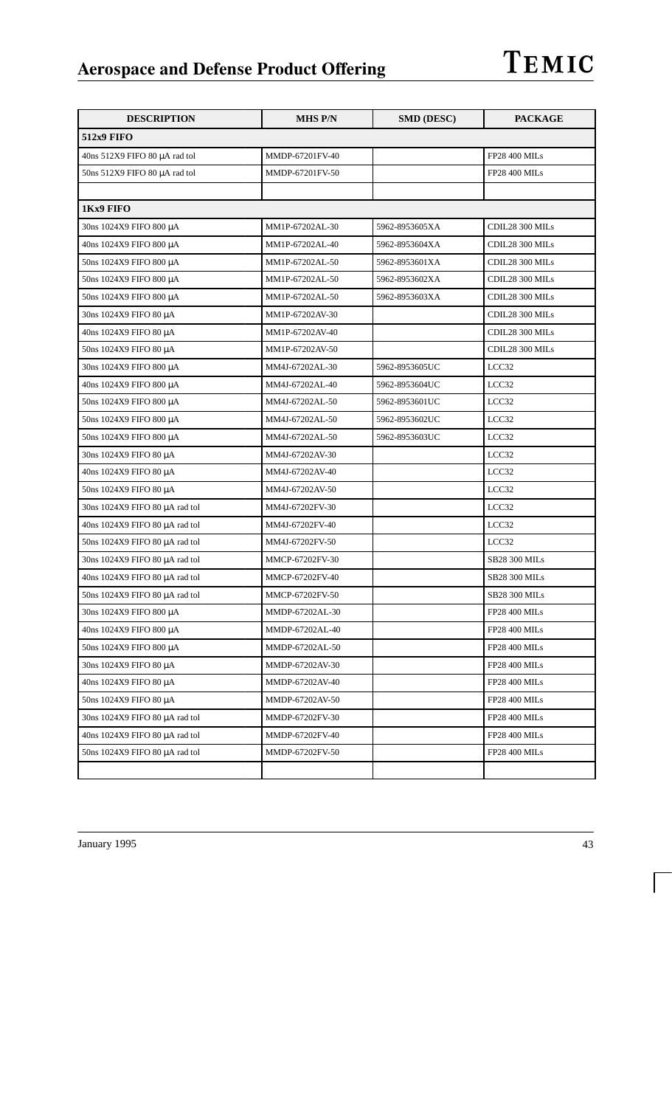| <b>DESCRIPTION</b>                  | <b>MHS P/N</b>  | <b>SMD (DESC)</b> | <b>PACKAGE</b>       |
|-------------------------------------|-----------------|-------------------|----------------------|
| <b>512x9 FIFO</b>                   |                 |                   |                      |
| 40ns 512X9 FIFO 80 µA rad tol       | MMDP-67201FV-40 |                   | <b>FP28 400 MILs</b> |
| 50ns 512X9 FIFO 80 µA rad tol       | MMDP-67201FV-50 |                   | <b>FP28 400 MILs</b> |
|                                     |                 |                   |                      |
| 1Kx9 FIFO                           |                 |                   |                      |
| 30ns 1024X9 FIFO 800 μA             | MM1P-67202AL-30 | 5962-8953605XA    | CDIL28 300 MILs      |
| 40ns 1024X9 FIFO 800 μA             | MM1P-67202AL-40 | 5962-8953604XA    | CDIL28 300 MILs      |
| 50ns 1024X9 FIFO 800 μA             | MM1P-67202AL-50 | 5962-8953601XA    | CDIL28 300 MILs      |
| 50ns 1024X9 FIFO 800 μA             | MM1P-67202AL-50 | 5962-8953602XA    | CDIL28 300 MILs      |
| 50ns 1024X9 FIFO 800 μA             | MM1P-67202AL-50 | 5962-8953603XA    | CDIL28 300 MILs      |
| 30ns 1024X9 FIFO 80 μA              | MM1P-67202AV-30 |                   | CDIL28 300 MILs      |
| 40ns 1024X9 FIFO 80 μA              | MM1P-67202AV-40 |                   | CDIL28 300 MILs      |
| 50ns 1024X9 FIFO 80 μA              | MM1P-67202AV-50 |                   | CDIL28 300 MILs      |
| 30ns 1024X9 FIFO 800 μA             | MM4J-67202AL-30 | 5962-8953605UC    | LCC32                |
| 40ns 1024X9 FIFO 800 μA             | MM4J-67202AL-40 | 5962-8953604UC    | LCC32                |
| 50ns 1024X9 FIFO 800 μA             | MM4J-67202AL-50 | 5962-8953601UC    | LCC32                |
| 50ns 1024X9 FIFO 800 μA             | MM4J-67202AL-50 | 5962-8953602UC    | LCC32                |
| 50ns 1024X9 FIFO 800 μA             | MM4J-67202AL-50 | 5962-8953603UC    | LCC32                |
| 30ns 1024X9 FIFO 80 μA              | MM4J-67202AV-30 |                   | LCC32                |
| 40ns 1024X9 FIFO 80 μA              | MM4J-67202AV-40 |                   | LCC32                |
| 50ns 1024X9 FIFO 80 μA              | MM4J-67202AV-50 |                   | LCC32                |
| 30ns 1024X9 FIFO 80 µA rad tol      | MM4J-67202FV-30 |                   | LCC32                |
| 40ns 1024X9 FIFO 80 µA rad tol      | MM4J-67202FV-40 |                   | LCC32                |
| 50ns 1024X9 FIFO 80 μA rad tol      | MM4J-67202FV-50 |                   | LCC32                |
| 30ns 1024X9 FIFO 80 µA rad tol      | MMCP-67202FV-30 |                   | SB28 300 MILs        |
| 40ns 1024X9 FIFO 80 µA rad tol      | MMCP-67202FV-40 |                   | <b>SB28 300 MILs</b> |
| 50ns 1024X9 FIFO 80 µA rad tol      | MMCP-67202FV-50 |                   | <b>SB28 300 MILs</b> |
| 30ns 1024X9 FIFO 800 μA             | MMDP-67202AL-30 |                   | <b>FP28 400 MILs</b> |
| 40ns 1024X9 FIFO 800 μA             | MMDP-67202AL-40 |                   | <b>FP28 400 MILs</b> |
| 50ns 1024X9 FIFO 800 μA             | MMDP-67202AL-50 |                   | <b>FP28 400 MILs</b> |
| 30ns 1024X9 FIFO 80 μA              | MMDP-67202AV-30 |                   | <b>FP28 400 MILs</b> |
| 40ns 1024X9 FIFO 80 μA              | MMDP-67202AV-40 |                   | <b>FP28 400 MILs</b> |
| 50ns 1024X9 FIFO 80 μA              | MMDP-67202AV-50 |                   | <b>FP28 400 MILs</b> |
| 30ns 1024X9 FIFO 80 µA rad tol      | MMDP-67202FV-30 |                   | <b>FP28 400 MILs</b> |
| 40ns 1024X9 FIFO 80 $\mu$ A rad tol | MMDP-67202FV-40 |                   | <b>FP28 400 MILs</b> |
| 50ns 1024X9 FIFO 80 µA rad tol      | MMDP-67202FV-50 |                   | FP28 400 MILs        |
|                                     |                 |                   |                      |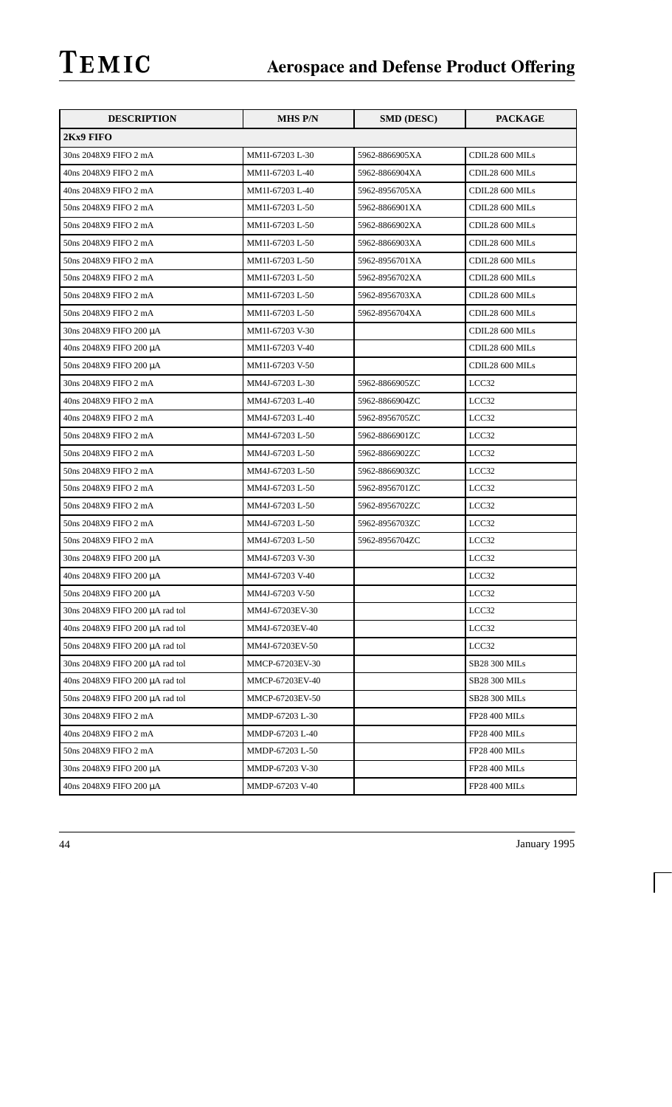| <b>DESCRIPTION</b>              | <b>MHS P/N</b>  | <b>SMD (DESC)</b> | <b>PACKAGE</b>       |
|---------------------------------|-----------------|-------------------|----------------------|
| 2Kx9 FIFO                       |                 |                   |                      |
| 30ns 2048X9 FIFO 2 mA           | MM1I-67203 L-30 | 5962-8866905XA    | CDIL28 600 MILs      |
| 40ns 2048X9 FIFO 2 mA           | MM1I-67203 L-40 | 5962-8866904XA    | CDIL28 600 MILs      |
| 40ns 2048X9 FIFO 2 mA           | MM1I-67203 L-40 | 5962-8956705XA    | CDIL28 600 MILs      |
| 50ns 2048X9 FIFO 2 mA           | MM1I-67203 L-50 | 5962-8866901XA    | CDIL28 600 MILs      |
| 50ns 2048X9 FIFO 2 mA           | MM1I-67203 L-50 | 5962-8866902XA    | CDIL28 600 MILs      |
| 50ns 2048X9 FIFO 2 mA           | MM1I-67203 L-50 | 5962-8866903XA    | CDIL28 600 MILs      |
| 50ns 2048X9 FIFO 2 mA           | MM1I-67203 L-50 | 5962-8956701XA    | CDIL28 600 MILs      |
| 50ns 2048X9 FIFO 2 mA           | MM1I-67203 L-50 | 5962-8956702XA    | CDIL28 600 MILs      |
| 50ns 2048X9 FIFO 2 mA           | MM1I-67203 L-50 | 5962-8956703XA    | CDIL28 600 MILs      |
| 50ns 2048X9 FIFO 2 mA           | MM1I-67203 L-50 | 5962-8956704XA    | CDIL28 600 MILs      |
| 30ns 2048X9 FIFO 200 μA         | MM1I-67203 V-30 |                   | CDIL28 600 MILs      |
| 40ns 2048X9 FIFO 200 μA         | MM1I-67203 V-40 |                   | CDIL28 600 MILs      |
| 50ns 2048X9 FIFO 200 μA         | MM1I-67203 V-50 |                   | CDIL28 600 MILs      |
| 30ns 2048X9 FIFO 2 mA           | MM4J-67203 L-30 | 5962-8866905ZC    | LCC32                |
| 40ns 2048X9 FIFO 2 mA           | MM4J-67203 L-40 | 5962-8866904ZC    | LCC32                |
| 40ns 2048X9 FIFO 2 mA           | MM4J-67203 L-40 | 5962-8956705ZC    | LCC32                |
| 50ns 2048X9 FIFO 2 mA           | MM4J-67203 L-50 | 5962-8866901ZC    | LCC32                |
| 50ns 2048X9 FIFO 2 mA           | MM4J-67203 L-50 | 5962-8866902ZC    | LCC32                |
| 50ns 2048X9 FIFO 2 mA           | MM4J-67203 L-50 | 5962-8866903ZC    | LCC32                |
| 50ns 2048X9 FIFO 2 mA           | MM4J-67203 L-50 | 5962-8956701ZC    | LCC32                |
| 50ns 2048X9 FIFO 2 mA           | MM4J-67203 L-50 | 5962-8956702ZC    | LCC32                |
| 50ns 2048X9 FIFO 2 mA           | MM4J-67203 L-50 | 5962-8956703ZC    | LCC32                |
| 50ns 2048X9 FIFO 2 mA           | MM4J-67203 L-50 | 5962-8956704ZC    | LCC32                |
| 30ns 2048X9 FIFO 200 μA         | MM4J-67203 V-30 |                   | LCC32                |
| 40ns 2048X9 FIFO 200 μA         | MM4J-67203 V-40 |                   | LCC32                |
| 50ns 2048X9 FIFO 200 μA         | MM4J-67203 V-50 |                   | LCC32                |
| 30ns 2048X9 FIFO 200 µA rad tol | MM4J-67203EV-30 |                   | LCC32                |
| 40ns 2048X9 FIFO 200 μA rad tol | MM4J-67203EV-40 |                   | LCC32                |
| 50ns 2048X9 FIFO 200 µA rad tol | MM4J-67203EV-50 |                   | LCC32                |
| 30ns 2048X9 FIFO 200 μA rad tol | MMCP-67203EV-30 |                   | SB28 300 MILs        |
| 40ns 2048X9 FIFO 200 µA rad tol | MMCP-67203EV-40 |                   | SB28 300 MILs        |
| 50ns 2048X9 FIFO 200 µA rad tol | MMCP-67203EV-50 |                   | <b>SB28 300 MILs</b> |
| 30ns 2048X9 FIFO 2 mA           | MMDP-67203 L-30 |                   | <b>FP28 400 MILs</b> |
| 40ns 2048X9 FIFO 2 mA           | MMDP-67203 L-40 |                   | <b>FP28 400 MILs</b> |
| 50ns 2048X9 FIFO 2 mA           | MMDP-67203 L-50 |                   | <b>FP28 400 MILs</b> |
| 30ns 2048X9 FIFO 200 μA         | MMDP-67203 V-30 |                   | FP28 400 MILs        |
| 40ns 2048X9 FIFO 200 μA         | MMDP-67203 V-40 |                   | <b>FP28 400 MILs</b> |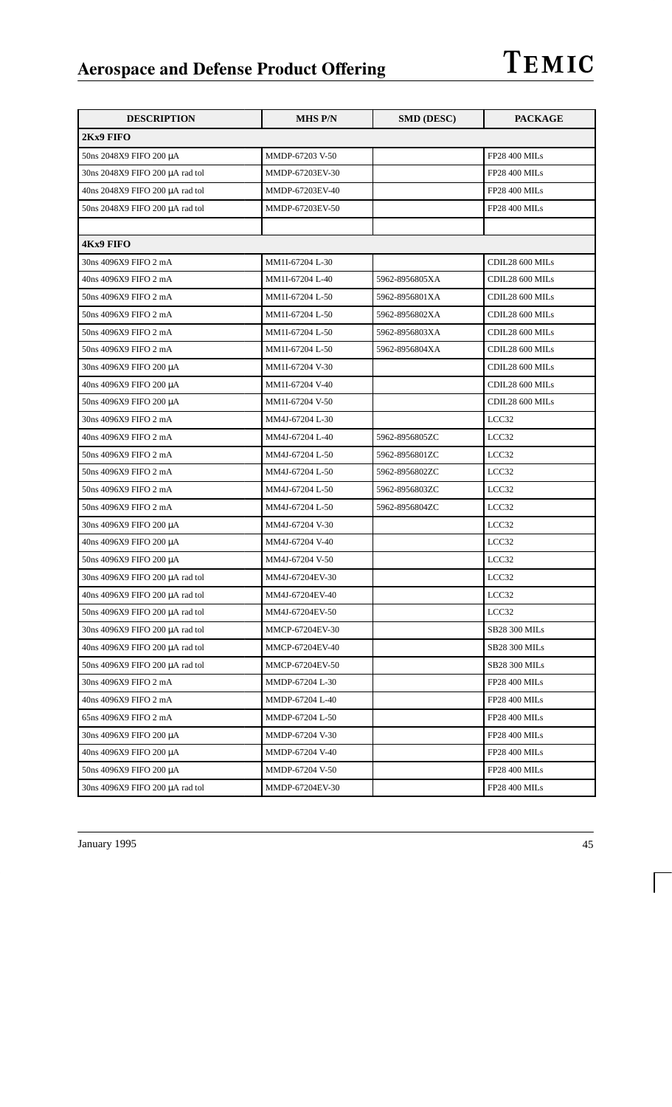| <b>DESCRIPTION</b>              | <b>MHS P/N</b>  | <b>SMD (DESC)</b> | <b>PACKAGE</b>       |
|---------------------------------|-----------------|-------------------|----------------------|
| 2Kx9 FIFO                       |                 |                   |                      |
| 50ns 2048X9 FIFO 200 μA         | MMDP-67203 V-50 |                   | FP28 400 MILs        |
| 30ns 2048X9 FIFO 200 µA rad tol | MMDP-67203EV-30 |                   | FP28 400 MILs        |
| 40ns 2048X9 FIFO 200 µA rad tol | MMDP-67203EV-40 |                   | <b>FP28 400 MILs</b> |
| 50ns 2048X9 FIFO 200 µA rad tol | MMDP-67203EV-50 |                   | <b>FP28 400 MILs</b> |
|                                 |                 |                   |                      |
| <b>4Kx9 FIFO</b>                |                 |                   |                      |
| 30ns 4096X9 FIFO 2 mA           | MM1I-67204 L-30 |                   | CDIL28 600 MILs      |
| 40ns 4096X9 FIFO 2 mA           | MM1I-67204 L-40 | 5962-8956805XA    | CDIL28 600 MILs      |
| 50ns 4096X9 FIFO 2 mA           | MM1I-67204 L-50 | 5962-8956801XA    | CDIL28 600 MILs      |
| 50ns 4096X9 FIFO 2 mA           | MM1I-67204 L-50 | 5962-8956802XA    | CDIL28 600 MILs      |
| 50ns 4096X9 FIFO 2 mA           | MM1I-67204 L-50 | 5962-8956803XA    | CDIL28 600 MILs      |
| 50ns 4096X9 FIFO 2 mA           | MM1I-67204 L-50 | 5962-8956804XA    | CDIL28 600 MILs      |
| 30ns 4096X9 FIFO 200 μA         | MM1I-67204 V-30 |                   | CDIL28 600 MILs      |
| 40ns 4096X9 FIFO 200 μA         | MM1I-67204 V-40 |                   | CDIL28 600 MILs      |
| 50ns 4096X9 FIFO 200 μA         | MM1I-67204 V-50 |                   | CDIL28 600 MILs      |
| 30ns 4096X9 FIFO 2 mA           | MM4J-67204 L-30 |                   | LCC32                |
| 40ns 4096X9 FIFO 2 mA           | MM4J-67204 L-40 | 5962-8956805ZC    | LCC32                |
| 50ns 4096X9 FIFO 2 mA           | MM4J-67204 L-50 | 5962-8956801ZC    | LCC32                |
| 50ns 4096X9 FIFO 2 mA           | MM4J-67204 L-50 | 5962-8956802ZC    | LCC32                |
| 50ns 4096X9 FIFO 2 mA           | MM4J-67204 L-50 | 5962-8956803ZC    | LCC32                |
| 50ns 4096X9 FIFO 2 mA           | MM4J-67204 L-50 | 5962-8956804ZC    | LCC32                |
| 30ns 4096X9 FIFO 200 μA         | MM4J-67204 V-30 |                   | LCC32                |
| 40ns 4096X9 FIFO 200 μA         | MM4J-67204 V-40 |                   | LCC32                |
| 50ns 4096X9 FIFO 200 μA         | MM4J-67204 V-50 |                   | LCC32                |
| 30ns 4096X9 FIFO 200 µA rad tol | MM4J-67204EV-30 |                   | LCC32                |
| 40ns 4096X9 FIFO 200 µA rad tol | MM4J-67204EV-40 |                   | LCC32                |
| 50ns 4096X9 FIFO 200 µA rad tol | MM4J-67204EV-50 |                   | LCC32                |
| 30ns 4096X9 FIFO 200 µA rad tol | MMCP-67204EV-30 |                   | SB28 300 MILs        |
| 40ns 4096X9 FIFO 200 µA rad tol | MMCP-67204EV-40 |                   | SB28 300 MILs        |
| 50ns 4096X9 FIFO 200 µA rad tol | MMCP-67204EV-50 |                   | <b>SB28 300 MILs</b> |
| 30ns 4096X9 FIFO 2 mA           | MMDP-67204 L-30 |                   | <b>FP28 400 MILs</b> |
| 40ns 4096X9 FIFO 2 mA           | MMDP-67204 L-40 |                   | FP28 400 MILs        |
| 65ns 4096X9 FIFO 2 mA           | MMDP-67204 L-50 |                   | <b>FP28 400 MILs</b> |
| 30ns 4096X9 FIFO 200 µA         | MMDP-67204 V-30 |                   | <b>FP28 400 MILs</b> |
| 40ns 4096X9 FIFO 200 μA         | MMDP-67204 V-40 |                   | FP28 400 MILs        |
| 50ns 4096X9 FIFO 200 μA         | MMDP-67204 V-50 |                   | <b>FP28 400 MILs</b> |
| 30ns 4096X9 FIFO 200 µA rad tol | MMDP-67204EV-30 |                   | <b>FP28 400 MILs</b> |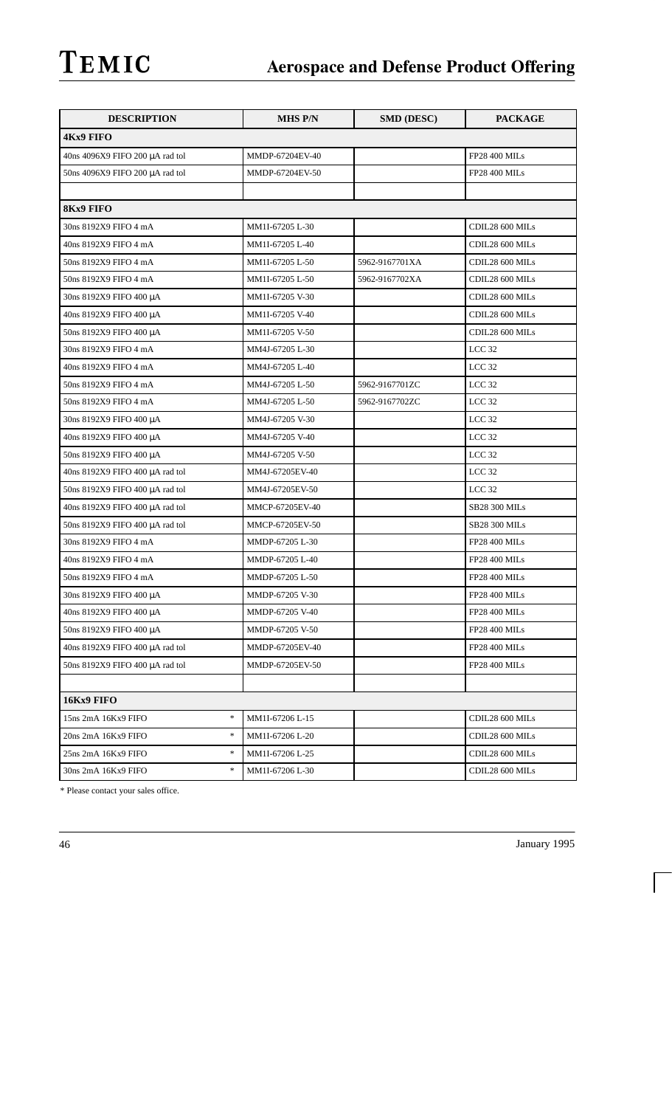| <b>DESCRIPTION</b>                                       | <b>MHS P/N</b>  | <b>SMD (DESC)</b> | <b>PACKAGE</b>       |
|----------------------------------------------------------|-----------------|-------------------|----------------------|
| <b>4Kx9 FIFO</b>                                         |                 |                   |                      |
| 40ns 4096X9 FIFO 200 µA rad tol                          | MMDP-67204EV-40 |                   | <b>FP28 400 MILs</b> |
| 50ns 4096X9 FIFO 200 µA rad tol                          | MMDP-67204EV-50 |                   | <b>FP28 400 MILs</b> |
|                                                          |                 |                   |                      |
| <b>8Kx9 FIFO</b>                                         |                 |                   |                      |
| 30ns 8192X9 FIFO 4 mA                                    | MM1I-67205 L-30 |                   | CDIL28 600 MILs      |
| 40ns 8192X9 FIFO 4 mA                                    | MM1I-67205 L-40 |                   | CDIL28 600 MILs      |
| 50ns 8192X9 FIFO 4 mA                                    | MM1I-67205 L-50 | 5962-9167701XA    | CDIL28 600 MILs      |
| 50ns 8192X9 FIFO 4 mA                                    | MM1I-67205 L-50 | 5962-9167702XA    | CDIL28 600 MILs      |
| 30ns 8192X9 FIFO 400 μA                                  | MM1I-67205 V-30 |                   | CDIL28 600 MILs      |
| 40ns 8192X9 FIFO 400 μA                                  | MM1I-67205 V-40 |                   | CDIL28 600 MILs      |
| 50ns 8192X9 FIFO 400 μA                                  | MM1I-67205 V-50 |                   | CDIL28 600 MILs      |
| 30ns 8192X9 FIFO 4 mA                                    | MM4J-67205 L-30 |                   | LCC <sub>32</sub>    |
| 40ns 8192X9 FIFO 4 mA                                    | MM4J-67205 L-40 |                   | LCC <sub>32</sub>    |
| 50ns 8192X9 FIFO 4 mA                                    | MM4J-67205 L-50 | 5962-9167701ZC    | LCC <sub>32</sub>    |
| 50ns 8192X9 FIFO 4 mA                                    | MM4J-67205 L-50 | 5962-9167702ZC    | LCC <sub>32</sub>    |
| 30ns 8192X9 FIFO 400 μA                                  | MM4J-67205 V-30 |                   | LCC <sub>32</sub>    |
| 40ns 8192X9 FIFO 400 μA                                  | MM4J-67205 V-40 |                   | LCC <sub>32</sub>    |
| 50ns 8192X9 FIFO 400 μA                                  | MM4J-67205 V-50 |                   | LCC <sub>32</sub>    |
| 40ns 8192X9 FIFO 400 µA rad tol                          | MM4J-67205EV-40 |                   | LCC <sub>32</sub>    |
| 50ns 8192X9 FIFO 400 µA rad tol                          | MM4J-67205EV-50 |                   | LCC <sub>32</sub>    |
| 40ns 8192X9 FIFO 400 µA rad tol                          | MMCP-67205EV-40 |                   | <b>SB28 300 MILs</b> |
| 50ns 8192X9 FIFO 400 μA rad tol                          | MMCP-67205EV-50 |                   | <b>SB28 300 MILs</b> |
| 30ns 8192X9 FIFO 4 mA                                    | MMDP-67205 L-30 |                   | <b>FP28 400 MILs</b> |
| 40ns 8192X9 FIFO 4 mA                                    | MMDP-67205 L-40 |                   | <b>FP28 400 MILs</b> |
| 50ns 8192X9 FIFO 4 mA                                    | MMDP-67205 L-50 |                   | <b>FP28 400 MILs</b> |
| 30ns 8192X9 FIFO 400 μA                                  | MMDP-67205 V-30 |                   | <b>FP28 400 MILs</b> |
| 40ns 8192X9 FIFO 400 μA                                  | MMDP-67205 V-40 |                   | <b>FP28 400 MILs</b> |
| 50ns 8192X9 FIFO 400 μA                                  | MMDP-67205 V-50 |                   | <b>FP28 400 MILs</b> |
| 40ns 8192X9 FIFO 400 µA rad tol                          | MMDP-67205EV-40 |                   | <b>FP28 400 MILs</b> |
| 50ns 8192X9 FIFO 400 µA rad tol                          | MMDP-67205EV-50 |                   | <b>FP28 400 MILs</b> |
|                                                          |                 |                   |                      |
| 16Kx9 FIFO                                               |                 |                   |                      |
| $\ast$<br>15ns 2mA 16Kx9 FIFO                            | MM1I-67206 L-15 |                   | CDIL28 600 MILs      |
| $\ast$<br>20ns 2mA 16Kx9 FIFO                            | MM1I-67206 L-20 |                   | CDIL28 600 MILs      |
| $\frac{d\mathbf{x}}{d\mathbf{x}}$<br>25ns 2mA 16Kx9 FIFO | MM1I-67206 L-25 |                   | CDIL28 600 MILs      |
| $\frac{d\mathbf{x}}{d\mathbf{x}}$<br>30ns 2mA 16Kx9 FIFO | MM1I-67206 L-30 |                   | CDIL28 600 MILs      |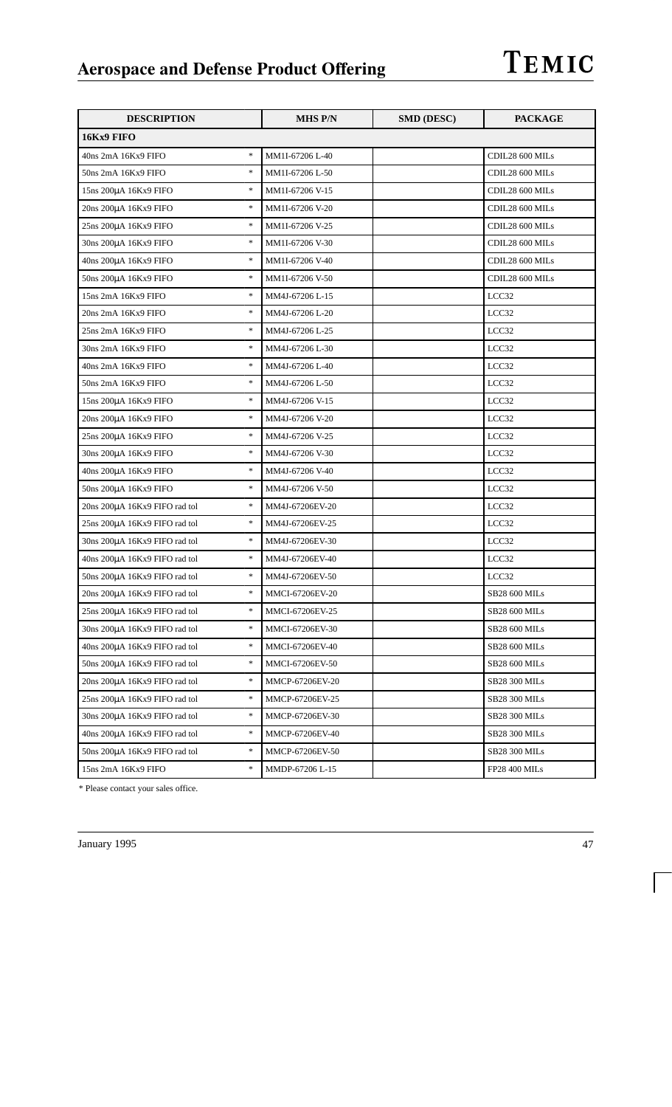| <b>DESCRIPTION</b>                      | <b>MHS P/N</b>  | <b>SMD (DESC)</b> | <b>PACKAGE</b>  |
|-----------------------------------------|-----------------|-------------------|-----------------|
| 16Kx9 FIFO                              |                 |                   |                 |
| $\ast$<br>40ns 2mA 16Kx9 FIFO           | MM1I-67206 L-40 |                   | CDIL28 600 MILs |
| $\ast$<br>50ns 2mA 16Kx9 FIFO           | MM1I-67206 L-50 |                   | CDIL28 600 MILs |
| $\ast$<br>15ns 200µA 16Kx9 FIFO         | MM1I-67206 V-15 |                   | CDIL28 600 MILs |
| $\ast$<br>20ns 200µA 16Kx9 FIFO         | MM1I-67206 V-20 |                   | CDIL28 600 MILs |
| $\ast$<br>25ns 200µA 16Kx9 FIFO         | MM1I-67206 V-25 |                   | CDIL28 600 MILs |
| $\ast$<br>30ns 200μA 16Kx9 FIFO         | MM1I-67206 V-30 |                   | CDIL28 600 MILs |
| $\ast$<br>40ns 200μA 16Kx9 FIFO         | MM1I-67206 V-40 |                   | CDIL28 600 MILs |
| $\ast$<br>50ns 200μA 16Kx9 FIFO         | MM1I-67206 V-50 |                   | CDIL28 600 MILs |
| $\ast$<br>15ns 2mA 16Kx9 FIFO           | MM4J-67206 L-15 |                   | LCC32           |
| $\ast$<br>20ns 2mA 16Kx9 FIFO           | MM4J-67206 L-20 |                   | LCC32           |
| $\ast$<br>25ns 2mA 16Kx9 FIFO           | MM4J-67206 L-25 |                   | LCC32           |
| $\ast$<br>30ns 2mA 16Kx9 FIFO           | MM4J-67206 L-30 |                   | LCC32           |
| $\ast$<br>40ns 2mA 16Kx9 FIFO           | MM4J-67206 L-40 |                   | LCC32           |
| $\ast$<br>50ns 2mA 16Kx9 FIFO           | MM4J-67206 L-50 |                   | LCC32           |
| $\ast$<br>15ns 200µA 16Kx9 FIFO         | MM4J-67206 V-15 |                   | LCC32           |
| $\ast$<br>20ns 200µA 16Kx9 FIFO         | MM4J-67206 V-20 |                   | LCC32           |
| $\ast$<br>25ns 200µA 16Kx9 FIFO         | MM4J-67206 V-25 |                   | LCC32           |
| $\ast$<br>30ns 200μA 16Kx9 FIFO         | MM4J-67206 V-30 |                   | LCC32           |
| $\ast$<br>40ns 200μA 16Kx9 FIFO         | MM4J-67206 V-40 |                   | LCC32           |
| $\ast$<br>50ns 200μA 16Kx9 FIFO         | MM4J-67206 V-50 |                   | LCC32           |
| $\ast$<br>20ns 200µA 16Kx9 FIFO rad tol | MM4J-67206EV-20 |                   | LCC32           |
| $\ast$<br>25ns 200µA 16Kx9 FIFO rad tol | MM4J-67206EV-25 |                   | LCC32           |
| $\ast$<br>30ns 200µA 16Kx9 FIFO rad tol | MM4J-67206EV-30 |                   | LCC32           |
| $\ast$<br>40ns 200µA 16Kx9 FIFO rad tol | MM4J-67206EV-40 |                   | LCC32           |
| $\ast$<br>50ns 200µA 16Kx9 FIFO rad tol | MM4J-67206EV-50 |                   | LCC32           |
| $\ast$<br>20ns 200µA 16Kx9 FIFO rad tol | MMCI-67206EV-20 |                   | SB28 600 MILs   |
| $\ast$<br>25ns 200µA 16Kx9 FIFO rad tol | MMCI-67206EV-25 |                   | SB28 600 MILs   |
| $\ast$<br>30ns 200µA 16Kx9 FIFO rad tol | MMCI-67206EV-30 |                   | SB28 600 MILs   |
| $\ast$<br>40ns 200µA 16Kx9 FIFO rad tol | MMCI-67206EV-40 |                   | SB28 600 MILs   |
| $\ast$<br>50ns 200µA 16Kx9 FIFO rad tol | MMCI-67206EV-50 |                   | SB28 600 MILs   |
| $\ast$<br>20ns 200µA 16Kx9 FIFO rad tol | MMCP-67206EV-20 |                   | SB28 300 MILs   |
| $\ast$<br>25ns 200µA 16Kx9 FIFO rad tol | MMCP-67206EV-25 |                   | SB28 300 MILs   |
| $\ast$<br>30ns 200µA 16Kx9 FIFO rad tol | MMCP-67206EV-30 |                   | SB28 300 MILs   |
| $\ast$<br>40ns 200µA 16Kx9 FIFO rad tol | MMCP-67206EV-40 |                   | SB28 300 MILs   |
| $\ast$<br>50ns 200µA 16Kx9 FIFO rad tol | MMCP-67206EV-50 |                   | SB28 300 MILs   |
| $\ast$<br>15ns 2mA 16Kx9 FIFO           | MMDP-67206 L-15 |                   | FP28 400 MILs   |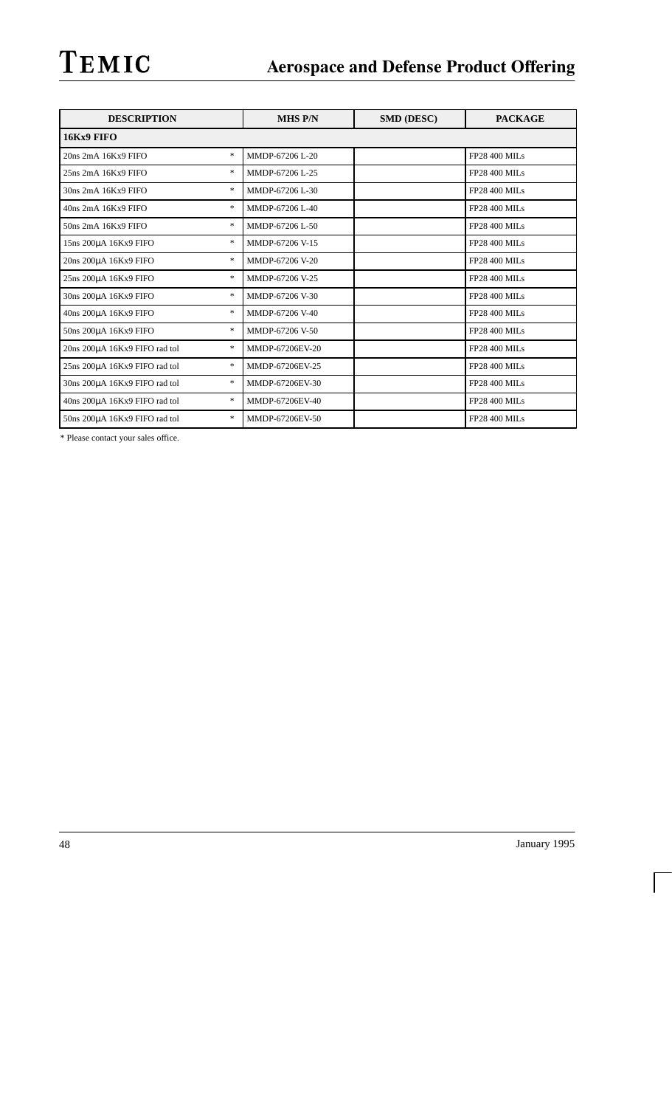| <b>DESCRIPTION</b>                  | <b>MHS P/N</b>  | <b>SMD (DESC)</b> | <b>PACKAGE</b>       |
|-------------------------------------|-----------------|-------------------|----------------------|
| 16Kx9 FIFO                          |                 |                   |                      |
| *.<br>20ns 2mA 16Kx9 FIFO           | MMDP-67206 L-20 |                   | <b>FP28 400 MILs</b> |
| *.<br>25ns 2mA 16Kx9 FIFO           | MMDP-67206 L-25 |                   | <b>FP28 400 MILs</b> |
| *<br>30ns 2mA 16Kx9 FIFO            | MMDP-67206 L-30 |                   | <b>FP28 400 MILs</b> |
| *<br>40ns 2mA 16Kx9 FIFO            | MMDP-67206 L-40 |                   | <b>FP28 400 MILs</b> |
| *<br>$50ns$ $2mA$ $16Kx9$ $FIFO$    | MMDP-67206 L-50 |                   | <b>FP28 400 MILs</b> |
| *.<br>15ns 200μA 16Kx9 FIFO         | MMDP-67206 V-15 |                   | FP28 400 MILs        |
| *.<br>20ns 200µA 16Kx9 FIFO         | MMDP-67206 V-20 |                   | <b>FP28 400 MILs</b> |
| *<br>25ns 200µA 16Kx9 FIFO          | MMDP-67206 V-25 |                   | <b>FP28 400 MILs</b> |
| *<br>30ns 200uA 16Kx9 FIFO          | MMDP-67206 V-30 |                   | <b>FP28 400 MILs</b> |
| *<br>40ns 200μA 16Kx9 FIFO          | MMDP-67206 V-40 |                   | <b>FP28 400 MILs</b> |
| *.<br>50ns 200µA 16Kx9 FIFO         | MMDP-67206 V-50 |                   | <b>FP28 400 MILs</b> |
| *<br>20ns 200µA 16Kx9 FIFO rad tol  | MMDP-67206EV-20 |                   | <b>FP28 400 MILs</b> |
| *<br>25ns 200µA 16Kx9 FIFO rad tol  | MMDP-67206EV-25 |                   | <b>FP28 400 MILs</b> |
| *<br>30ns 200µA 16Kx9 FIFO rad tol  | MMDP-67206EV-30 |                   | <b>FP28 400 MILs</b> |
| *.<br>40ns 200µA 16Kx9 FIFO rad tol | MMDP-67206EV-40 |                   | <b>FP28 400 MILs</b> |
| *<br>50ns 200µA 16Kx9 FIFO rad tol  | MMDP-67206EV-50 |                   | <b>FP28 400 MILs</b> |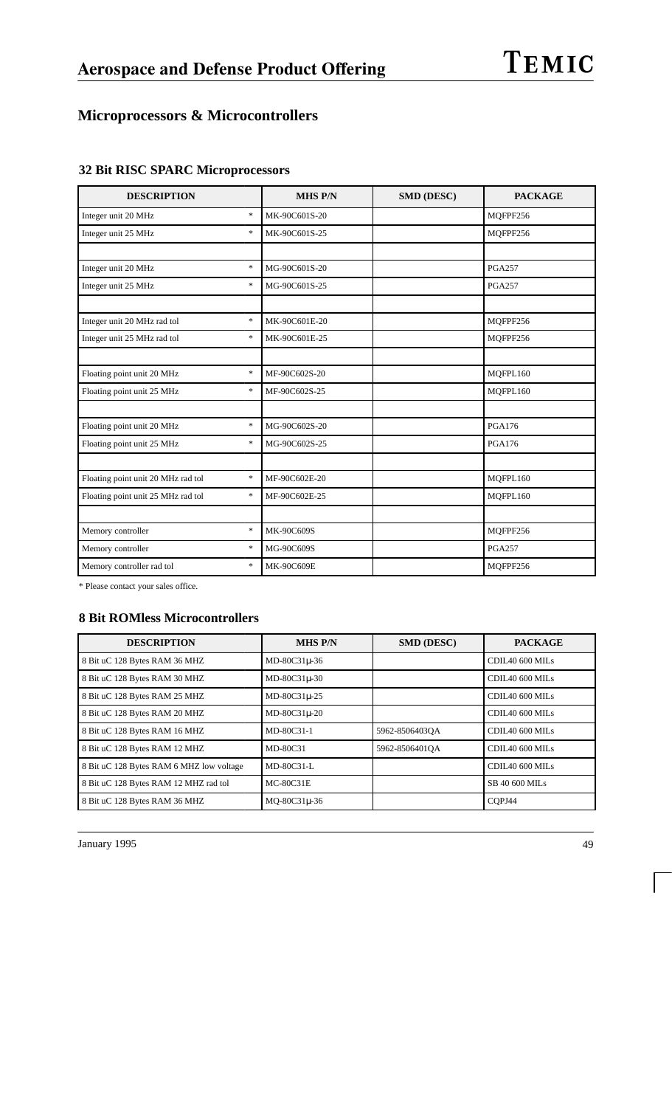## **Microprocessors & Microcontrollers**

| <b>DESCRIPTION</b>                           | <b>MHS P/N</b> | <b>SMD (DESC)</b> | <b>PACKAGE</b> |
|----------------------------------------------|----------------|-------------------|----------------|
| $\ast$<br>Integer unit 20 MHz                | MK-90C601S-20  |                   | MQFPF256       |
| $\ast$<br>Integer unit 25 MHz                | MK-90C601S-25  |                   | MQFPF256       |
|                                              |                |                   |                |
| $\ast$<br>Integer unit 20 MHz                | MG-90C601S-20  |                   | <b>PGA257</b>  |
| $\ast$<br>Integer unit 25 MHz                | MG-90C601S-25  |                   | <b>PGA257</b>  |
|                                              |                |                   |                |
| $\ast$<br>Integer unit 20 MHz rad tol        | MK-90C601E-20  |                   | MOFPF256       |
| $\ast$<br>Integer unit 25 MHz rad tol        | MK-90C601E-25  |                   | MQFPF256       |
|                                              |                |                   |                |
| $\ast$<br>Floating point unit 20 MHz         | MF-90C602S-20  |                   | MOFPL160       |
| $\ast$<br>Floating point unit 25 MHz         | MF-90C602S-25  |                   | MQFPL160       |
|                                              |                |                   |                |
| $\ast$<br>Floating point unit 20 MHz         | MG-90C602S-20  |                   | <b>PGA176</b>  |
| $\ast$<br>Floating point unit 25 MHz         | MG-90C602S-25  |                   | <b>PGA176</b>  |
|                                              |                |                   |                |
| $\ast$<br>Floating point unit 20 MHz rad tol | MF-90C602E-20  |                   | MQFPL160       |
| $\ast$<br>Floating point unit 25 MHz rad tol | MF-90C602E-25  |                   | MQFPL160       |
|                                              |                |                   |                |
| Memory controller<br>$\ast$                  | MK-90C609S     |                   | MQFPF256       |
| $\ast$<br>Memory controller                  | MG-90C609S     |                   | <b>PGA257</b>  |
| $\ast$<br>Memory controller rad tol          | MK-90C609E     |                   | MQFPF256       |

### **32 Bit RISC SPARC Microprocessors**

\* Please contact your sales office.

#### **8 Bit ROMless Microcontrollers**

| <b>DESCRIPTION</b>                       | <b>MHS P/N</b>   | <b>SMD (DESC)</b> | <b>PACKAGE</b>  |
|------------------------------------------|------------------|-------------------|-----------------|
| 8 Bit uC 128 Bytes RAM 36 MHZ            | MD-80C31u-36     |                   | CDIL40 600 MILs |
| 8 Bit uC 128 Bytes RAM 30 MHZ            | MD-80C31u-30     |                   | CDIL40 600 MILs |
| 8 Bit uC 128 Bytes RAM 25 MHZ            | MD-80C31u-25     |                   | CDIL40 600 MILs |
| 8 Bit uC 128 Bytes RAM 20 MHZ            | MD-80C31u-20     |                   | CDIL40 600 MILs |
| 8 Bit uC 128 Bytes RAM 16 MHZ            | MD-80C31-1       | 5962-8506403OA    | CDIL40 600 MILs |
| 8 Bit uC 128 Bytes RAM 12 MHZ            | MD-80C31         | 5962-8506401QA    | CDIL40 600 MILs |
| 8 Bit uC 128 Bytes RAM 6 MHZ low voltage | MD-80C31-L       |                   | CDIL40 600 MILs |
| 8 Bit uC 128 Bytes RAM 12 MHZ rad tol    | <b>MC-80C31E</b> |                   | SB 40 600 MILs  |
| 8 Bit uC 128 Bytes RAM 36 MHZ            | MO-80C31u-36     |                   | COPJ44          |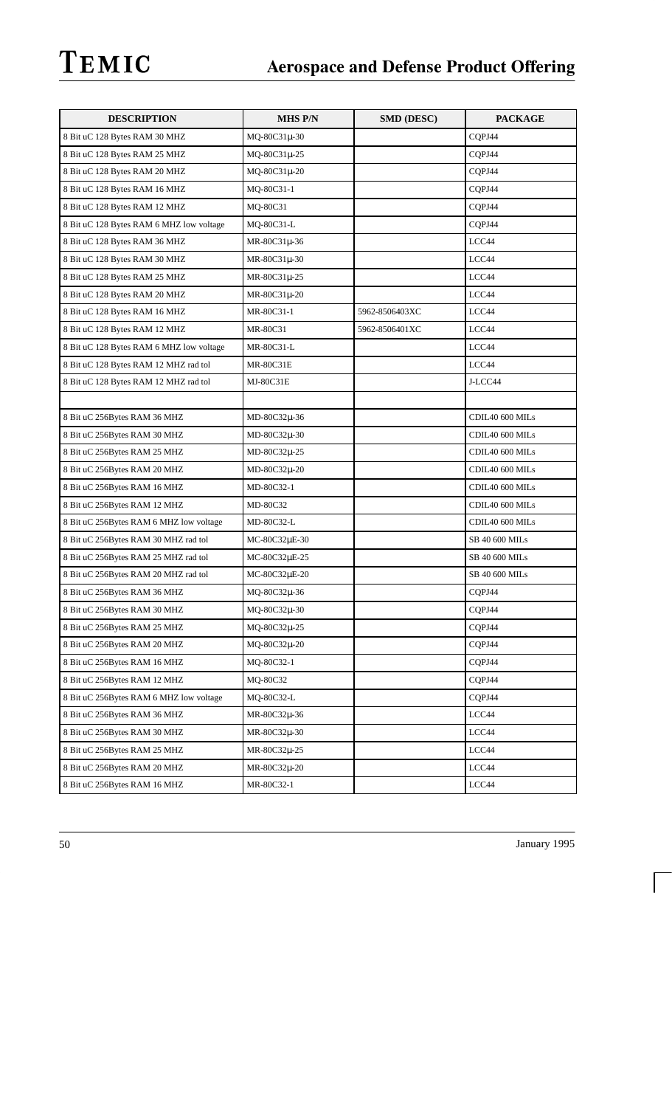| <b>DESCRIPTION</b>                       | <b>MHS P/N</b>   | SMD (DESC)     | <b>PACKAGE</b>  |
|------------------------------------------|------------------|----------------|-----------------|
| 8 Bit uC 128 Bytes RAM 30 MHZ            | MQ-80C31µ-30     |                | CQPJ44          |
| 8 Bit uC 128 Bytes RAM 25 MHZ            | MQ-80C31µ-25     |                | CQPJ44          |
| 8 Bit uC 128 Bytes RAM 20 MHZ            | MQ-80C31µ-20     |                | CQPJ44          |
| 8 Bit uC 128 Bytes RAM 16 MHZ            | MQ-80C31-1       |                | CQPJ44          |
| 8 Bit uC 128 Bytes RAM 12 MHZ            | MQ-80C31         |                | CQPJ44          |
| 8 Bit uC 128 Bytes RAM 6 MHZ low voltage | MQ-80C31-L       |                | CQPJ44          |
| 8 Bit uC 128 Bytes RAM 36 MHZ            | MR-80C31µ-36     |                | LCC44           |
| 8 Bit uC 128 Bytes RAM 30 MHZ            | MR-80C31µ-30     |                | LCC44           |
| 8 Bit uC 128 Bytes RAM 25 MHZ            | MR-80C31µ-25     |                | LCC44           |
| 8 Bit uC 128 Bytes RAM 20 MHZ            | $MR-80C31\mu-20$ |                | LCC44           |
| 8 Bit uC 128 Bytes RAM 16 MHZ            | MR-80C31-1       | 5962-8506403XC | LCC44           |
| 8 Bit uC 128 Bytes RAM 12 MHZ            | MR-80C31         | 5962-8506401XC | LCC44           |
| 8 Bit uC 128 Bytes RAM 6 MHZ low voltage | MR-80C31-L       |                | LCC44           |
| 8 Bit uC 128 Bytes RAM 12 MHZ rad tol    | <b>MR-80C31E</b> |                | LCC44           |
| 8 Bit uC 128 Bytes RAM 12 MHZ rad tol    | MJ-80C31E        |                | J-LCC44         |
|                                          |                  |                |                 |
| 8 Bit uC 256Bytes RAM 36 MHZ             | MD-80C32µ-36     |                | CDIL40 600 MILs |
| 8 Bit uC 256Bytes RAM 30 MHZ             | MD-80C32µ-30     |                | CDIL40 600 MILs |
| 8 Bit uC 256Bytes RAM 25 MHZ             | MD-80C32µ-25     |                | CDIL40 600 MILs |
| 8 Bit uC 256Bytes RAM 20 MHZ             | MD-80C32µ-20     |                | CDIL40 600 MILs |
| 8 Bit uC 256Bytes RAM 16 MHZ             | MD-80C32-1       |                | CDIL40 600 MILs |
| 8 Bit uC 256Bytes RAM 12 MHZ             | MD-80C32         |                | CDIL40 600 MILs |
| 8 Bit uC 256Bytes RAM 6 MHZ low voltage  | MD-80C32-L       |                | CDIL40 600 MILs |
| 8 Bit uC 256Bytes RAM 30 MHZ rad tol     | MC-80C32µE-30    |                | SB 40 600 MILs  |
| 8 Bit uC 256Bytes RAM 25 MHZ rad tol     | MC-80C32µE-25    |                | SB 40 600 MILs  |
| 8 Bit uC 256Bytes RAM 20 MHZ rad tol     | MC-80C32µE-20    |                | SB 40 600 MILs  |
| 8 Bit uC 256Bytes RAM 36 MHZ             | MQ-80C32µ-36     |                | CQPJ44          |
| 8 Bit uC 256Bytes RAM 30 MHZ             | MQ-80C32µ-30     |                | CQPJ44          |
| 8 Bit uC 256Bytes RAM 25 MHZ             | MQ-80C32µ-25     |                | CQPJ44          |
| 8 Bit uC 256Bytes RAM 20 MHZ             | MQ-80C32µ-20     |                | COPJ44          |
| 8 Bit uC 256Bytes RAM 16 MHZ             | MQ-80C32-1       |                | CQPJ44          |
| 8 Bit uC 256Bytes RAM 12 MHZ             | MQ-80C32         |                | CQPJ44          |
| 8 Bit uC 256Bytes RAM 6 MHZ low voltage  | MQ-80C32-L       |                | CQPJ44          |
| 8 Bit uC 256Bytes RAM 36 MHZ             | MR-80C32µ-36     |                | LCC44           |
| 8 Bit uC 256Bytes RAM 30 MHZ             | MR-80C32µ-30     |                | LCC44           |
| 8 Bit uC 256Bytes RAM 25 MHZ             | MR-80C32µ-25     |                | LCC44           |
| 8 Bit uC 256Bytes RAM 20 MHZ             | MR-80C32µ-20     |                | LCC44           |
| 8 Bit uC 256Bytes RAM 16 MHZ             | MR-80C32-1       |                | LCC44           |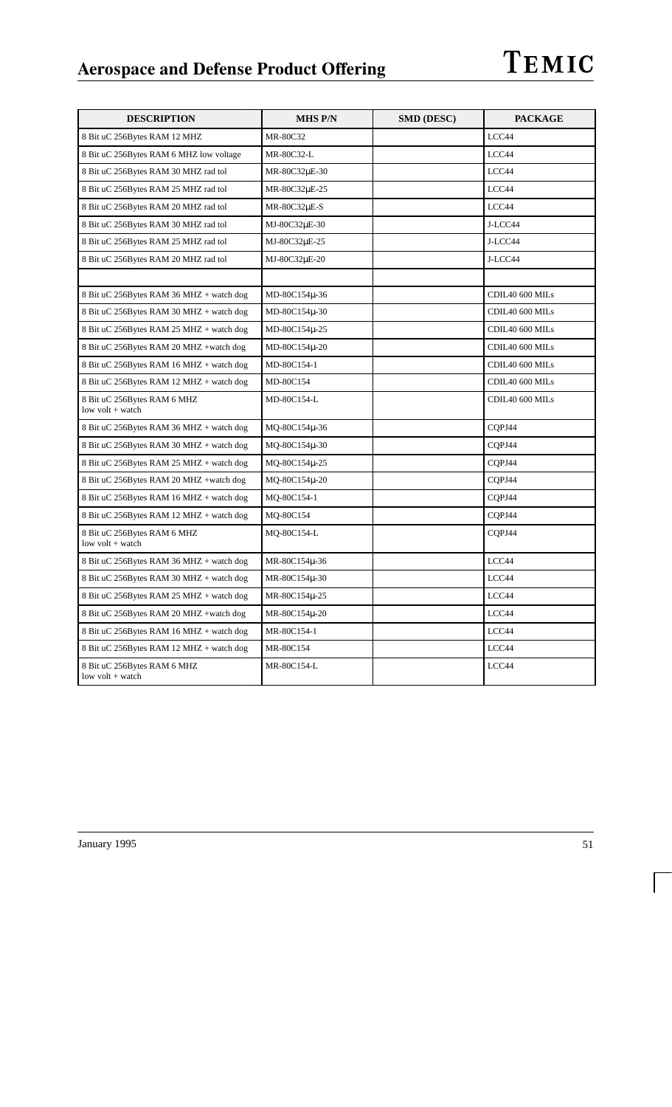| <b>DESCRIPTION</b>                              | <b>MHS P/N</b>    | <b>SMD (DESC)</b> | <b>PACKAGE</b>  |
|-------------------------------------------------|-------------------|-------------------|-----------------|
| 8 Bit uC 256Bytes RAM 12 MHZ                    | MR-80C32          |                   | LCC44           |
| 8 Bit uC 256Bytes RAM 6 MHZ low voltage         | MR-80C32-L        |                   | LCC44           |
| 8 Bit uC 256Bytes RAM 30 MHZ rad tol            | MR-80C32µE-30     |                   | LCC44           |
| 8 Bit uC 256Bytes RAM 25 MHZ rad tol            | MR-80C32µE-25     |                   | LCC44           |
| 8 Bit uC 256Bytes RAM 20 MHZ rad tol            | MR-80C32µE-S      |                   | LCC44           |
| 8 Bit uC 256Bytes RAM 30 MHZ rad tol            | MJ-80C32µE-30     |                   | J-LCC44         |
| 8 Bit uC 256Bytes RAM 25 MHZ rad tol            | MJ-80C32µE-25     |                   | J-LCC44         |
| 8 Bit uC 256Bytes RAM 20 MHZ rad tol            | MJ-80C32µE-20     |                   | J-LCC44         |
|                                                 |                   |                   |                 |
| 8 Bit uC 256Bytes RAM 36 MHZ + watch dog        | MD-80C154µ-36     |                   | CDIL40 600 MILs |
| 8 Bit uC 256Bytes RAM 30 MHZ + watch dog        | $MD-80C154\mu-30$ |                   | CDIL40 600 MILs |
| 8 Bit uC 256Bytes RAM 25 MHZ + watch dog        | MD-80C154µ-25     |                   | CDIL40 600 MILs |
| 8 Bit uC 256Bytes RAM 20 MHZ +watch dog         | MD-80C154µ-20     |                   | CDIL40 600 MILs |
| 8 Bit uC 256Bytes RAM 16 MHZ + watch dog        | MD-80C154-1       |                   | CDIL40 600 MILs |
| 8 Bit uC 256Bytes RAM 12 MHZ + watch dog        | MD-80C154         |                   | CDIL40 600 MILs |
| 8 Bit uC 256Bytes RAM 6 MHZ<br>low volt + watch | MD-80C154-L       |                   | CDIL40 600 MILs |
| 8 Bit uC 256Bytes RAM 36 MHZ + watch dog        | MQ-80C154µ-36     |                   | CQPJ44          |
| 8 Bit uC 256Bytes RAM 30 MHZ + watch dog        | MQ-80C154µ-30     |                   | CQPJ44          |
| 8 Bit uC 256Bytes RAM 25 MHZ + watch dog        | MQ-80C154µ-25     |                   | CQPJ44          |
| 8 Bit uC 256Bytes RAM 20 MHZ +watch dog         | MQ-80C154µ-20     |                   | CQPJ44          |
| 8 Bit uC 256Bytes RAM 16 MHZ + watch dog        | MQ-80C154-1       |                   | CQPJ44          |
| 8 Bit uC 256Bytes RAM 12 MHZ + watch dog        | MQ-80C154         |                   | CQPJ44          |
| 8 Bit uC 256Bytes RAM 6 MHZ<br>low volt + watch | MQ-80C154-L       |                   | CQPJ44          |
| 8 Bit uC 256Bytes RAM 36 MHZ + watch dog        | MR-80C154µ-36     |                   | LCC44           |
| 8 Bit uC 256Bytes RAM 30 MHZ + watch dog        | MR-80C154µ-30     |                   | LCC44           |
| 8 Bit uC 256Bytes RAM 25 MHZ + watch dog        | MR-80C154µ-25     |                   | LCC44           |
| 8 Bit uC 256Bytes RAM 20 MHZ +watch dog         | MR-80C154µ-20     |                   | LCC44           |
| 8 Bit uC 256Bytes RAM 16 MHZ + watch dog        | MR-80C154-1       |                   | LCC44           |
| 8 Bit uC 256Bytes RAM 12 MHZ + watch dog        | MR-80C154         |                   | LCC44           |
| 8 Bit uC 256Bytes RAM 6 MHZ<br>low volt + watch | MR-80C154-L       |                   | LCC44           |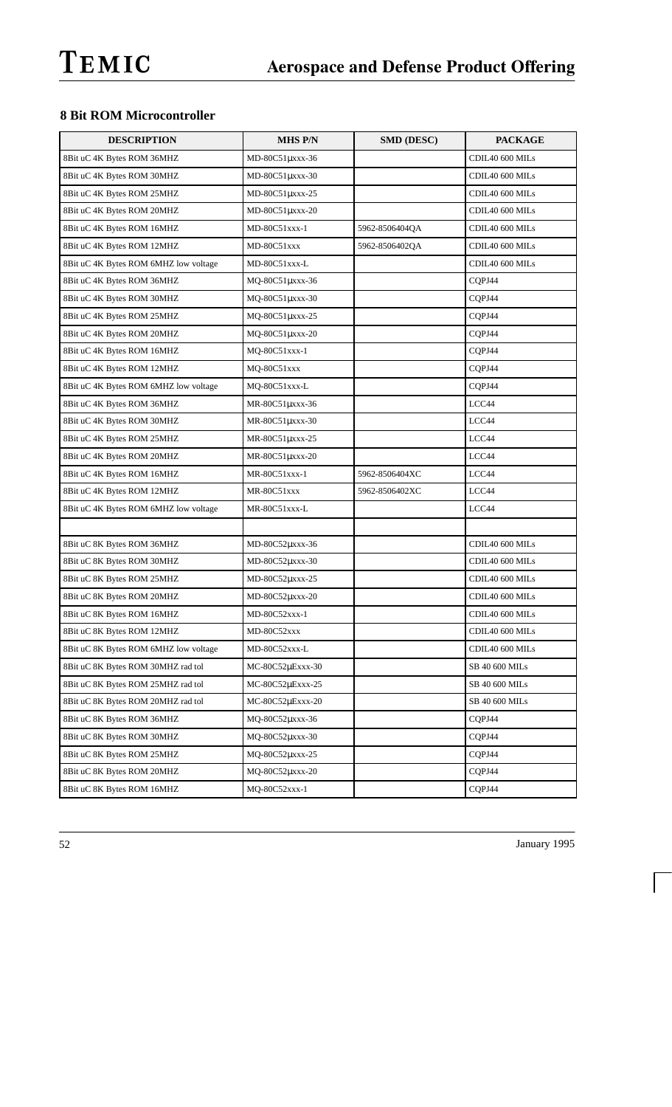## **8 Bit ROM Microcontroller**

| <b>DESCRIPTION</b>                    | <b>MHS P/N</b>   | SMD (DESC)     | <b>PACKAGE</b>  |
|---------------------------------------|------------------|----------------|-----------------|
| 8Bit uC 4K Bytes ROM 36MHZ            | MD-80C51µxxx-36  |                | CDIL40 600 MILs |
| 8Bit uC 4K Bytes ROM 30MHZ            | MD-80C51µxxx-30  |                | CDIL40 600 MILs |
| 8Bit uC 4K Bytes ROM 25MHZ            | MD-80C51µxxx-25  |                | CDIL40 600 MILs |
| 8Bit uC 4K Bytes ROM 20MHZ            | MD-80C51µxxx-20  |                | CDIL40 600 MILs |
| 8Bit uC 4K Bytes ROM 16MHZ            | MD-80C51xxx-1    | 5962-8506404QA | CDIL40 600 MILs |
| 8Bit uC 4K Bytes ROM 12MHZ            | MD-80C51xxx      | 5962-8506402QA | CDIL40 600 MILs |
| 8Bit uC 4K Bytes ROM 6MHZ low voltage | MD-80C51xxx-L    |                | CDIL40 600 MILs |
| 8Bit uC 4K Bytes ROM 36MHZ            | MQ-80C51µxxx-36  |                | CQPJ44          |
| 8Bit uC 4K Bytes ROM 30MHZ            | MQ-80C51µxxx-30  |                | CQPJ44          |
| 8Bit uC 4K Bytes ROM 25MHZ            | MQ-80C51µxxx-25  |                | CQPJ44          |
| 8Bit uC 4K Bytes ROM 20MHZ            | MQ-80C51µxxx-20  |                | CQPJ44          |
| 8Bit uC 4K Bytes ROM 16MHZ            | MQ-80C51xxx-1    |                | CQPJ44          |
| 8Bit uC 4K Bytes ROM 12MHZ            | MQ-80C51xxx      |                | CQPJ44          |
| 8Bit uC 4K Bytes ROM 6MHZ low voltage | MQ-80C51xxx-L    |                | CQPJ44          |
| 8Bit uC 4K Bytes ROM 36MHZ            | MR-80C51uxxx-36  |                | LCC44           |
| 8Bit uC 4K Bytes ROM 30MHZ            | MR-80C51µxxx-30  |                | LCC44           |
| 8Bit uC 4K Bytes ROM 25MHZ            | MR-80C51µxxx-25  |                | LCC44           |
| 8Bit uC 4K Bytes ROM 20MHZ            | MR-80C51µxxx-20  |                | LCC44           |
| 8Bit uC 4K Bytes ROM 16MHZ            | MR-80C51xxx-1    | 5962-8506404XC | LCC44           |
| 8Bit uC 4K Bytes ROM 12MHZ            | MR-80C51xxx      | 5962-8506402XC | LCC44           |
| 8Bit uC 4K Bytes ROM 6MHZ low voltage | MR-80C51xxx-L    |                | LCC44           |
|                                       |                  |                |                 |
| 8Bit uC 8K Bytes ROM 36MHZ            | MD-80C52µxxx-36  |                | CDIL40 600 MILs |
| 8Bit uC 8K Bytes ROM 30MHZ            | MD-80C52µxxx-30  |                | CDIL40 600 MILs |
| 8Bit uC 8K Bytes ROM 25MHZ            | MD-80C52µxxx-25  |                | CDIL40 600 MILs |
| 8Bit uC 8K Bytes ROM 20MHZ            | MD-80C52µxxx-20  |                | CDIL40 600 MILs |
| 8Bit uC 8K Bytes ROM 16MHZ            | MD-80C52xxx-1    |                | CDIL40 600 MILs |
| 8Bit uC 8K Bytes ROM 12MHZ            | MD-80C52xxx      |                | CDIL40 600 MILs |
| 8Bit uC 8K Bytes ROM 6MHZ low voltage | MD-80C52xxx-L    |                | CDIL40 600 MILs |
| 8Bit uC 8K Bytes ROM 30MHZ rad tol    | MC-80C52µExxx-30 |                | SB 40 600 MILs  |
| 8Bit uC 8K Bytes ROM 25MHZ rad tol    | MC-80C52µExxx-25 |                | SB 40 600 MILs  |
| 8Bit uC 8K Bytes ROM 20MHZ rad tol    | MC-80C52µExxx-20 |                | SB 40 600 MILs  |
| 8Bit uC 8K Bytes ROM 36MHZ            | MQ-80C52µxxx-36  |                | CQPJ44          |
| 8Bit uC 8K Bytes ROM 30MHZ            | MQ-80C52µxxx-30  |                | CQPJ44          |
| 8Bit uC 8K Bytes ROM 25MHZ            | MQ-80C52µxxx-25  |                | CQPJ44          |
| 8Bit uC 8K Bytes ROM 20MHZ            | MQ-80C52µxxx-20  |                | CQPJ44          |
| 8Bit uC 8K Bytes ROM 16MHZ            | MQ-80C52xxx-1    |                | CQPJ44          |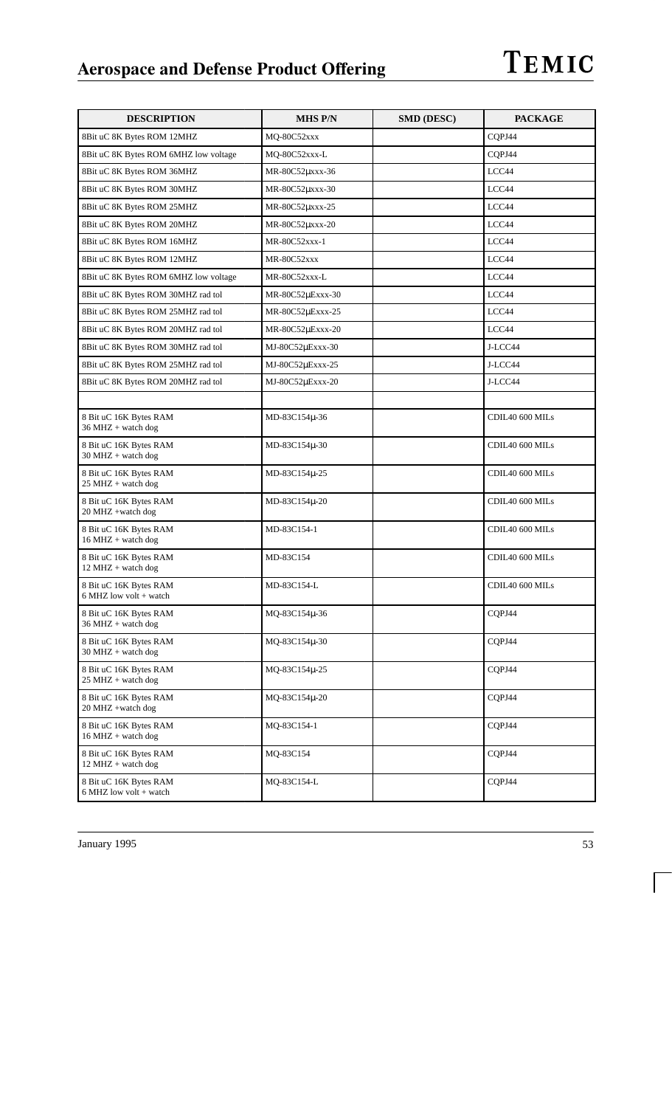| <b>DESCRIPTION</b>                                            | <b>MHS P/N</b>   | <b>SMD (DESC)</b> | <b>PACKAGE</b>  |
|---------------------------------------------------------------|------------------|-------------------|-----------------|
| 8Bit uC 8K Bytes ROM 12MHZ                                    | MQ-80C52xxx      |                   | CQPJ44          |
| 8Bit uC 8K Bytes ROM 6MHZ low voltage                         | MQ-80C52xxx-L    |                   | COPJ44          |
| 8Bit uC 8K Bytes ROM 36MHZ                                    | MR-80C52µxxx-36  |                   | LCC44           |
| 8Bit uC 8K Bytes ROM 30MHZ                                    | MR-80C52µxxx-30  |                   | LCC44           |
| 8Bit uC 8K Bytes ROM 25MHZ                                    | MR-80C52µxxx-25  |                   | LCC44           |
| 8Bit uC 8K Bytes ROM 20MHZ                                    | MR-80C52µxxx-20  |                   | LCC44           |
| 8Bit uC 8K Bytes ROM 16MHZ                                    | MR-80C52xxx-1    |                   | LCC44           |
| 8Bit uC 8K Bytes ROM 12MHZ                                    | MR-80C52xxx      |                   | LCC44           |
| 8Bit uC 8K Bytes ROM 6MHZ low voltage                         | MR-80C52xxx-L    |                   | LCC44           |
| 8Bit uC 8K Bytes ROM 30MHZ rad tol                            | MR-80C52µExxx-30 |                   | LCC44           |
| 8Bit uC 8K Bytes ROM 25MHZ rad tol                            | MR-80C52µExxx-25 |                   | LCC44           |
| 8Bit uC 8K Bytes ROM 20MHZ rad tol                            | MR-80C52µExxx-20 |                   | LCC44           |
| 8Bit uC 8K Bytes ROM 30MHZ rad tol                            | MJ-80C52µExxx-30 |                   | J-LCC44         |
| 8Bit uC 8K Bytes ROM 25MHZ rad tol                            | MJ-80C52µExxx-25 |                   | J-LCC44         |
| 8Bit uC 8K Bytes ROM 20MHZ rad tol                            | MJ-80C52uExxx-20 |                   | J-LCC44         |
|                                                               |                  |                   |                 |
| 8 Bit uC 16K Bytes RAM<br>$36 \text{ MHz} + \text{watch dog}$ | MD-83C154µ-36    |                   | CDIL40 600 MILs |
| 8 Bit uC 16K Bytes RAM<br>$30$ MHZ + watch dog                | MD-83C154µ-30    |                   | CDIL40 600 MILs |
| 8 Bit uC 16K Bytes RAM<br>$25$ MHZ + watch dog                | MD-83C154µ-25    |                   | CDIL40 600 MILs |
| 8 Bit uC 16K Bytes RAM<br>20 MHZ +watch dog                   | MD-83C154µ-20    |                   | CDIL40 600 MILs |
| 8 Bit uC 16K Bytes RAM<br>$16 MHz + watch dog$                | MD-83C154-1      |                   | CDIL40 600 MILs |
| 8 Bit uC 16K Bytes RAM<br>12 MHZ + watch dog                  | MD-83C154        |                   | CDIL40 600 MILs |
| 8 Bit uC 16K Bytes RAM<br>$6$ MHZ low volt + watch            | MD-83C154-L      |                   | CDIL40 600 MILs |
| 8 Bit uC 16K Bytes RAM<br>$36 MHz + watch dog$                | MQ-83C154µ-36    |                   | CQPJ44          |
| 8 Bit uC 16K Bytes RAM<br>$30$ MHZ + watch dog                | MQ-83C154µ-30    |                   | COPJ44          |
| 8 Bit uC 16K Bytes RAM<br>25 MHZ + watch dog                  | MQ-83C154u-25    |                   | CQPJ44          |
| 8 Bit uC 16K Bytes RAM<br>20 MHZ +watch dog                   | MQ-83C154µ-20    |                   | CQPJ44          |
| 8 Bit uC 16K Bytes RAM<br>$16 MHz + watch dog$                | MQ-83C154-1      |                   | CQPJ44          |
| 8 Bit uC 16K Bytes RAM<br>12 MHZ + watch dog                  | MQ-83C154        |                   | CQPJ44          |
| 8 Bit uC 16K Bytes RAM<br>6 MHZ low volt + watch              | MQ-83C154-L      |                   | CQPJ44          |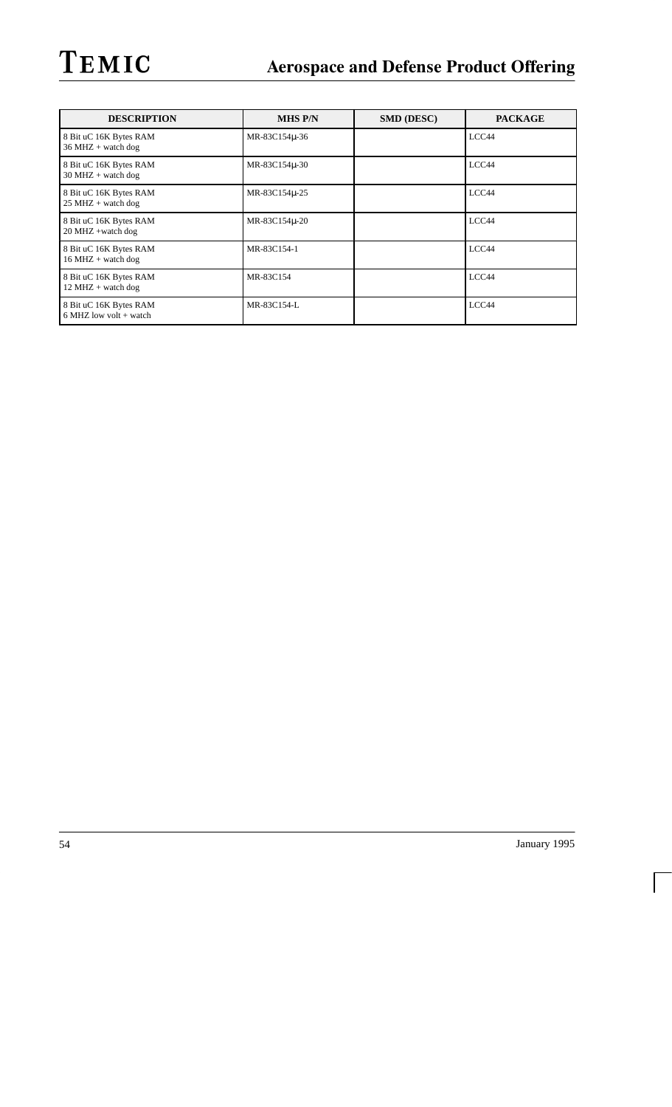| <b>DESCRIPTION</b>                                            | <b>MHS P/N</b> | <b>SMD (DESC)</b> | <b>PACKAGE</b> |
|---------------------------------------------------------------|----------------|-------------------|----------------|
| 8 Bit uC 16K Bytes RAM<br>$36 \text{ MHz} + \text{watch dog}$ | MR-83C154u-36  |                   | LCC44          |
| 8 Bit uC 16K Bytes RAM<br>$30 \text{ MHz} + \text{watch dog}$ | MR-83C154µ-30  |                   | LCC44          |
| 8 Bit uC 16K Bytes RAM<br>$25 \text{ MHz} + \text{watch dog}$ | MR-83C154u-25  |                   | LCC44          |
| 8 Bit uC 16K Bytes RAM<br>$20$ MHZ +watch dog                 | MR-83C154u-20  |                   | LCC44          |
| 8 Bit uC 16K Bytes RAM<br>$16 \text{ MHz} + \text{watch dog}$ | MR-83C154-1    |                   | LCC44          |
| 8 Bit uC 16K Bytes RAM<br>$12 \text{ MHz} + \text{watch dog}$ | MR-83C154      |                   | LCC44          |
| 8 Bit uC 16K Bytes RAM<br>$6$ MHZ low volt + watch            | MR-83C154-L    |                   | LCC44          |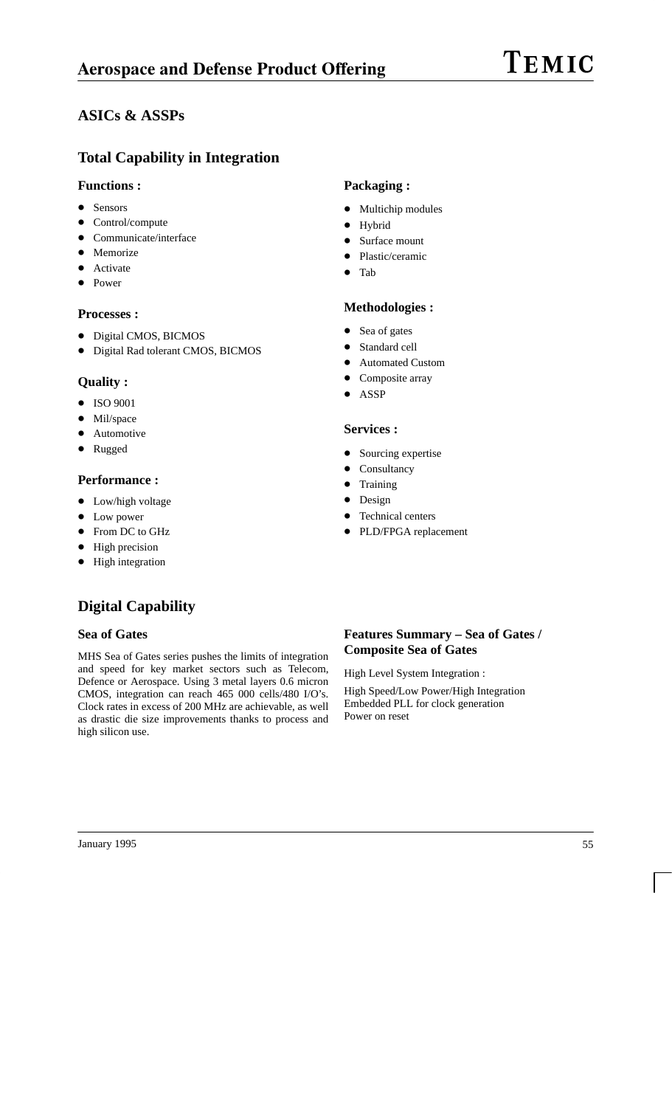# TEMIC

## **ASICs & ASSPs**

## **Total Capability in Integration**

#### **Functions :**

- Sensors
- $\bullet$ Control/compute
- $\bullet$ Communicate/interface
- Memorize
- $\bullet$ Activate
- $\bullet$ Power

#### **Processes :**

- Digital CMOS, BICMOS
- Digital Rad tolerant CMOS, BICMOS

#### **Quality :**

- $\bullet$  ISO 9001
- $\bullet$ Mil/space
- $\bullet$ Automotive
- $\bullet$ Rugged

#### **Performance :**

- Low/high voltage
- Low power
- From DC to GHz
- High precision
- $\bullet$  High integration

# **Digital Capability**

#### **Sea of Gates**

MHS Sea of Gates series pushes the limits of integration and speed for key market sectors such as Telecom, Defence or Aerospace. Using 3 metal layers 0.6 micron CMOS, integration can reach 465 000 cells/480 I/O's. Clock rates in excess of 200 MHz are achievable, as well as drastic die size improvements thanks to process and high silicon use.

## **Packaging :**

- Multichip modules
- $\bullet$ Hybrid
- $\bullet$ Surface mount
- $\bullet$ Plastic/ceramic
- $\bullet$ Tab

#### **Methodologies :**

- $\bullet$ Sea of gates
- $\bullet$ Standard cell
- $\bullet$ Automated Custom
- $\bullet$ Composite array
- $\bullet$ ASSP

#### **Services :**

- $\bullet$ Sourcing expertise
- $\bullet$ Consultancy
- $\bullet$ Training
- $\bullet$ Design
- $\bullet$ Technical centers
- $\bullet$ PLD/FPGA replacement

### **Features Summary – Sea of Gates / Composite Sea of Gates**

High Level System Integration :

High Speed/Low Power/High Integration Embedded PLL for clock generation Power on reset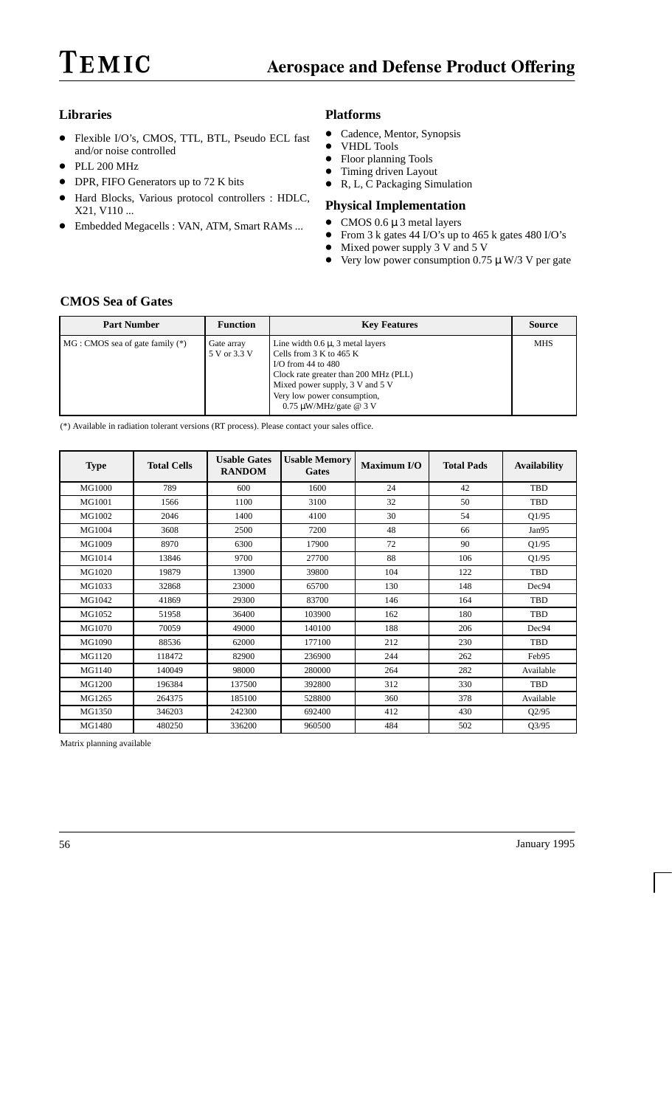#### **Libraries**

- Flexible I/O's, CMOS, TTL, BTL, Pseudo ECL fast and/or noise controlled
- PLL 200 MHz
- $\bullet$ DPR, FIFO Generators up to 72 K bits
- $\bullet$  Hard Blocks, Various protocol controllers : HDLC, X21, V110 ...
- Embedded Megacells : VAN, ATM, Smart RAMs ...

#### **Platforms**

- $\bullet$ Cadence, Mentor, Synopsis
- $\bullet$ VHDL Tools
- $\bullet$ Floor planning Tools
- Timing driven Layout
- $\bullet$  R, L, C Packaging Simulation

#### **Physical Implementation**

- CMOS  $0.6 \mu$  3 metal layers
- From 3 k gates 44 I/O's up to 465 k gates 480 I/O's
- Mixed power supply  $3 \text{ V}$  and  $5 \text{ V}$
- Very low power consumption  $0.75 \mu$  W/3 V per gate

#### **CMOS Sea of Gates**

| <b>Part Number</b>               | <b>Function</b>            | <b>Key Features</b>                                                                                                                                                                                                                           | <b>Source</b> |
|----------------------------------|----------------------------|-----------------------------------------------------------------------------------------------------------------------------------------------------------------------------------------------------------------------------------------------|---------------|
| MG : CMOS sea of gate family (*) | Gate array<br>5 V or 3.3 V | Line width $0.6 \mu$ , 3 metal layers<br>Cells from $3 K$ to $465 K$<br>I/O from $44$ to $480$<br>Clock rate greater than 200 MHz (PLL)<br>Mixed power supply, 3 V and 5 V<br>Very low power consumption,<br>$0.75 \mu W/MHz/gate \omega 3 V$ | <b>MHS</b>    |

(\*) Available in radiation tolerant versions (RT process). Please contact your sales office.

| <b>Type</b> | <b>Total Cells</b> | <b>Usable Gates</b><br><b>RANDOM</b> | <b>Usable Memory</b><br><b>Gates</b> | Maximum I/O | <b>Total Pads</b> | <b>Availability</b> |
|-------------|--------------------|--------------------------------------|--------------------------------------|-------------|-------------------|---------------------|
| MG1000      | 789                | 600                                  | 1600                                 | 24          | 42                | TBD                 |
| MG1001      | 1566               | 1100                                 | 3100                                 | 32          | 50                | TBD                 |
| MG1002      | 2046               | 1400                                 | 4100                                 | 30          | 54                | Q1/95               |
| MG1004      | 3608               | 2500                                 | 7200                                 | 48          | 66                | Jan95               |
| MG1009      | 8970               | 6300                                 | 17900                                | 72          | 90                | Q1/95               |
| MG1014      | 13846              | 9700                                 | 27700                                | 88          | 106               | Q1/95               |
| MG1020      | 19879              | 13900                                | 39800                                | 104         | 122               | TBD                 |
| MG1033      | 32868              | 23000                                | 65700                                | 130         | 148               | Dec94               |
| MG1042      | 41869              | 29300                                | 83700                                | 146         | 164               | TBD                 |
| MG1052      | 51958              | 36400                                | 103900                               | 162         | 180               | TBD                 |
| MG1070      | 70059              | 49000                                | 140100                               | 188         | 206               | Dec94               |
| MG1090      | 88536              | 62000                                | 177100                               | 212         | 230               | <b>TBD</b>          |
| MG1120      | 118472             | 82900                                | 236900                               | 244         | 262               | Feb95               |
| MG1140      | 140049             | 98000                                | 280000                               | 264         | 282               | Available           |
| MG1200      | 196384             | 137500                               | 392800                               | 312         | 330               | TBD                 |
| MG1265      | 264375             | 185100                               | 528800                               | 360         | 378               | Available           |
| MG1350      | 346203             | 242300                               | 692400                               | 412         | 430               | Q2/95               |
| MG1480      | 480250             | 336200                               | 960500                               | 484         | 502               | Q3/95               |

Matrix planning available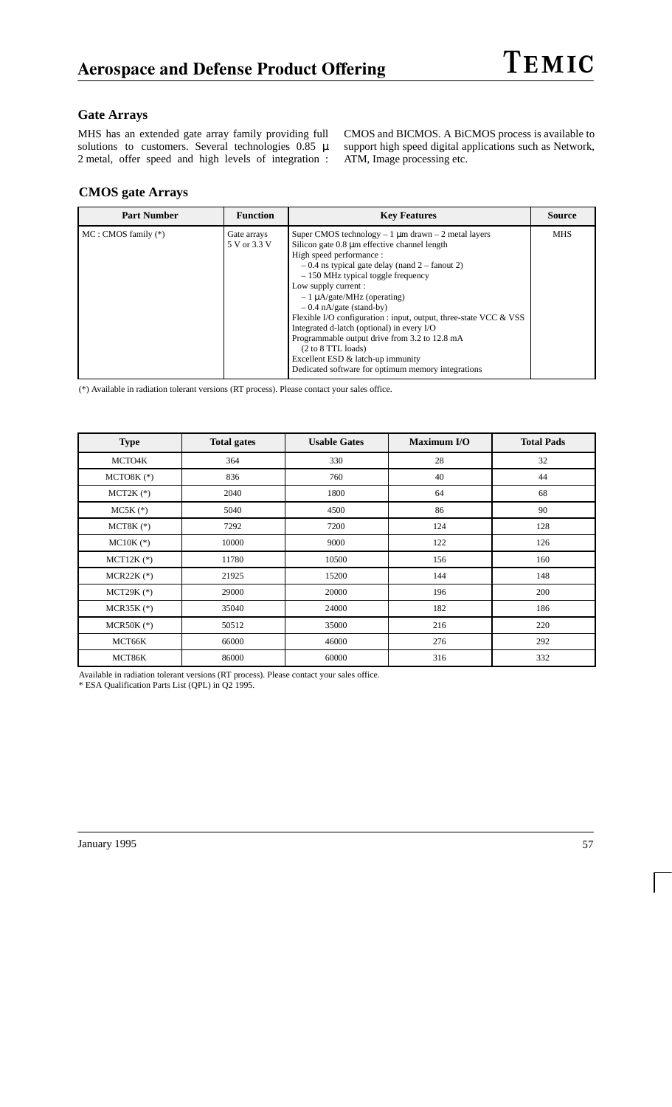#### **Gate Arrays**

MHS has an extended gate array family providing full solutions to customers. Several technologies  $0.85 \mu$ 2 metal, offer speed and high levels of integration : CMOS and BICMOS. A BiCMOS process is available to support high speed digital applications such as Network, ATM, Image processing etc.

#### **CMOS gate Arrays**

| <b>Part Number</b>      | <b>Function</b>             | <b>Key Features</b>                                                                                                                                                                                                                                                                                                                                                                                                                                                                                                                                                                                                            | <b>Source</b> |
|-------------------------|-----------------------------|--------------------------------------------------------------------------------------------------------------------------------------------------------------------------------------------------------------------------------------------------------------------------------------------------------------------------------------------------------------------------------------------------------------------------------------------------------------------------------------------------------------------------------------------------------------------------------------------------------------------------------|---------------|
| $MC: CMOS$ family $(*)$ | Gate arrays<br>5 V or 3.3 V | Super CMOS technology $-1 \mu m$ drawn $-2$ metal layers<br>Silicon gate 0.8 µm effective channel length<br>High speed performance:<br>$-0.4$ ns typical gate delay (nand 2 – fanout 2)<br>$-150$ MHz typical toggle frequency<br>Low supply current :<br>$-1 \mu A/gate/MHz$ (operating)<br>$-0.4$ nA/gate (stand-by)<br>Flexible I/O configuration : input, output, three-state VCC & VSS<br>Integrated d-latch (optional) in every I/O<br>Programmable output drive from 3.2 to 12.8 mA<br>$(2 \text{ to } 8 \text{ TTL loads})$<br>Excellent ESD & latch-up immunity<br>Dedicated software for optimum memory integrations | <b>MHS</b>    |

(\*) Available in radiation tolerant versions (RT process). Please contact your sales office.

| <b>Type</b>  | <b>Total gates</b> | <b>Usable Gates</b> | Maximum I/O | <b>Total Pads</b> |
|--------------|--------------------|---------------------|-------------|-------------------|
| MCTO4K       | 364                | 330                 | 28          | 32                |
| $MCTO8K$ (*) | 836                | 760                 | 40          | 44                |
| $MCT2K$ (*)  | 2040               | 1800                | 64          | 68                |
| $MC5K$ (*)   | 5040               | 4500                | 86          | 90                |
| $MCT8K$ (*)  | 7292               | 7200                | 124         | 128               |
| $MC10K$ (*)  | 10000              | 9000                | 122         | 126               |
| $MCT12K$ (*) | 11780              | 10500               | 156         | 160               |
| $MCR22K$ (*) | 21925              | 15200               | 144         | 148               |
| MCT29K $(*)$ | 29000              | 20000               | 196         | 200               |
| $MCR35K$ (*) | 35040              | 24000               | 182         | 186               |
| MCR50K $(*)$ | 50512              | 35000               | 216         | 220               |
| MCT66K       | 66000              | 46000               | 276         | 292               |
| MCT86K       | 86000              | 60000               | 316         | 332               |

Available in radiation tolerant versions (RT process). Please contact your sales office.

\* ESA Qualification Parts List (QPL) in Q2 1995.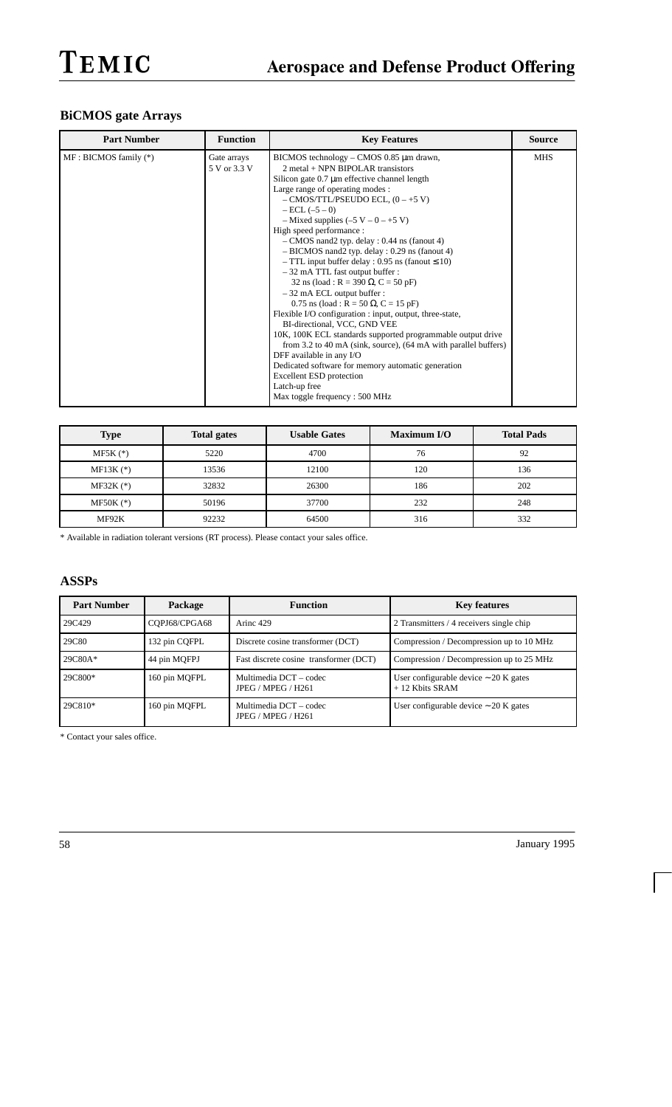### **BiCMOS gate Arrays**

| <b>Part Number</b>        | <b>Function</b>             | <b>Key Features</b>                                                                                                                                                                                                                                                                                                                                                                                                                                                                                                                                                                                                                                                                                                                                                                                                                                                                                                                                                                                                                             | <b>Source</b> |
|---------------------------|-----------------------------|-------------------------------------------------------------------------------------------------------------------------------------------------------------------------------------------------------------------------------------------------------------------------------------------------------------------------------------------------------------------------------------------------------------------------------------------------------------------------------------------------------------------------------------------------------------------------------------------------------------------------------------------------------------------------------------------------------------------------------------------------------------------------------------------------------------------------------------------------------------------------------------------------------------------------------------------------------------------------------------------------------------------------------------------------|---------------|
| $MF: BICMOS$ family $(*)$ | Gate arrays<br>5 V or 3.3 V | BICMOS technology – CMOS 0.85 µm drawn,<br>2 metal + NPN BIPOLAR transistors<br>Silicon gate 0.7 µm effective channel length<br>Large range of operating modes :<br>$-$ CMOS/TTL/PSEUDO ECL, $(0 - +5 V)$<br>$-$ ECL $(-5 - 0)$<br>$-$ Mixed supplies $(-5 V - 0 - +5 V)$<br>High speed performance:<br>$-$ CMOS nand2 typ. delay : 0.44 ns (fanout 4)<br>$- BICMOS$ nand 2 typ. delay : 0.29 ns (fanout 4)<br>$-$ TTL input buffer delay : 0.95 ns (fanout $\leq$ 10)<br>$-32$ mA TTL fast output buffer :<br>32 ns (load : R = 390 $\Omega$ , C = 50 pF)<br>$-32$ mA ECL output buffer :<br>0.75 ns (load : R = 50 $\Omega$ , C = 15 pF)<br>Flexible I/O configuration : input, output, three-state,<br>BI-directional, VCC, GND VEE<br>10K, 100K ECL standards supported programmable output drive<br>from 3.2 to 40 mA (sink, source), (64 mA with parallel buffers)<br>DFF available in any I/O<br>Dedicated software for memory automatic generation<br><b>Excellent ESD</b> protection<br>Latch-up free<br>Max toggle frequency: 500 MHz | <b>MHS</b>    |

| <b>Type</b>   | <b>Total gates</b> | <b>Usable Gates</b> | Maximum I/O | <b>Total Pads</b> |
|---------------|--------------------|---------------------|-------------|-------------------|
| $MF5K$ $(*)$  | 5220               | 4700                | 76          | 92                |
| $MF13K$ $(*)$ | 13536              | 12100               | 120         | 136               |
| $MF32K$ (*)   | 32832              | 26300               | 186         | 202               |
| $MF50K$ (*)   | 50196              | 37700               | 232         | 248               |
| MF92K         | 92232              | 64500               | 316         | 332               |

\* Available in radiation tolerant versions (RT process). Please contact your sales office.

#### **ASSPs**

| <b>Part Number</b> | Package       | <b>Function</b>                              | <b>Key features</b>                                            |
|--------------------|---------------|----------------------------------------------|----------------------------------------------------------------|
| 29C429             | COPJ68/CPGA68 | Arinc 429                                    | 2 Transmitters / 4 receivers single chip                       |
| 29C80              | 132 pin CQFPL | Discrete cosine transformer (DCT)            | Compression / Decompression up to 10 MHz                       |
| $29C80A*$          | 44 pin MQFPJ  | Fast discrete cosine transformer (DCT)       | Compression / Decompression up to 25 MHz                       |
| 29C800*            | 160 pin MQFPL | Multimedia DCT – codec<br>JPEG / MPEG / H261 | User configurable device $\sim$ 20 K gates<br>$+12$ Kbits SRAM |
| 29C810*            | 160 pin MQFPL | Multimedia DCT – codec<br>JPEG / MPEG / H261 | User configurable device $\sim$ 20 K gates                     |

\* Contact your sales office.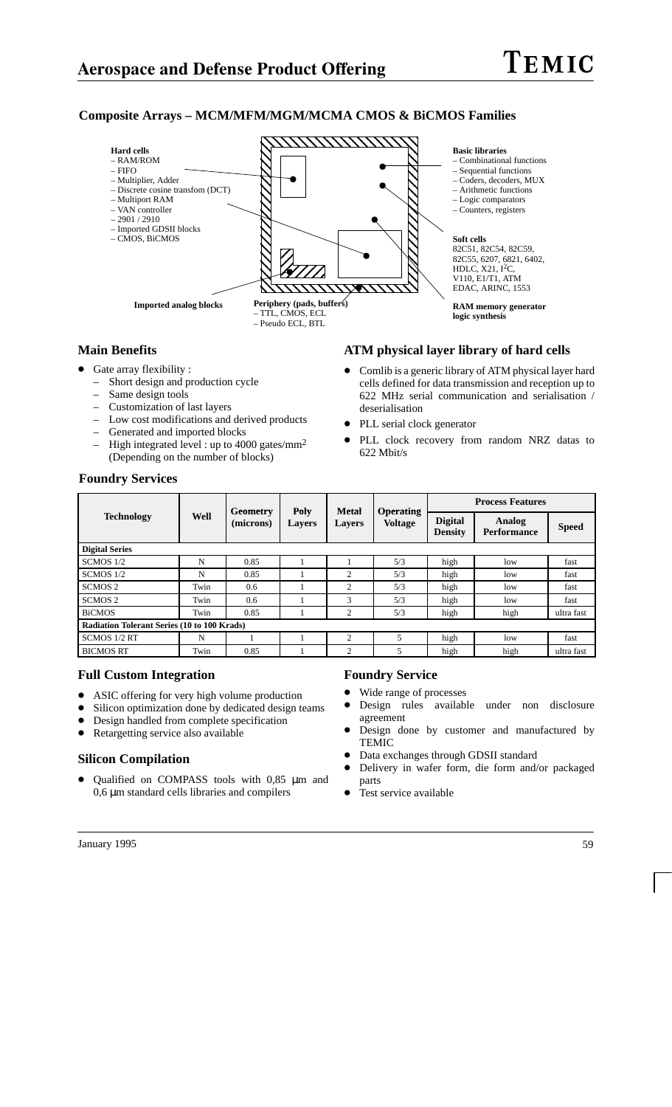#### **Composite Arrays – MCM/MFM/MGM/MCMA CMOS & BiCMOS Families**



#### **Main Benefits**

- Gate array flexibility :
	- Short design and production cycle
	- Same design tools
	- Customization of last layers
	- Low cost modifications and derived products
	- Generated and imported blocks
	- High integrated level : up to 4000 gates/ $mm<sup>2</sup>$ (Depending on the number of blocks)

#### **ATM physical layer library of hard cells**

- $\bullet$  Comlib is a generic library of ATM physical layer hard cells defined for data transmission and reception up to 622 MHz serial communication and serialisation / deserialisation
- PLL serial clock generator
- $\bullet$  PLL clock recovery from random NRZ datas to 622 Mbit/s

|                                                    |      | Geometry  | Poly   | <b>Metal</b>   | <b>Operating</b> | <b>Process Features</b>          |                              |              |
|----------------------------------------------------|------|-----------|--------|----------------|------------------|----------------------------------|------------------------------|--------------|
| <b>Technology</b>                                  | Well | (microns) | Lavers | <b>Layers</b>  | <b>Voltage</b>   | <b>Digital</b><br><b>Density</b> | Analog<br><b>Performance</b> | <b>Speed</b> |
| <b>Digital Series</b>                              |      |           |        |                |                  |                                  |                              |              |
| SCMOS 1/2                                          | N    | 0.85      |        |                | 5/3              | high                             | low                          | fast         |
| SCMOS 1/2                                          | N    | 0.85      |        | $\overline{2}$ | 5/3              | high                             | low                          | fast         |
| SCMOS <sub>2</sub>                                 | Twin | 0.6       |        | $\overline{c}$ | 5/3              | high                             | low                          | fast         |
| SCMOS <sub>2</sub>                                 | Twin | 0.6       |        | 3              | 5/3              | high                             | low                          | fast         |
| <b>BiCMOS</b>                                      | Twin | 0.85      |        | $\overline{c}$ | 5/3              | high                             | high                         | ultra fast   |
| <b>Radiation Tolerant Series (10 to 100 Krads)</b> |      |           |        |                |                  |                                  |                              |              |
| SCMOS 1/2 RT                                       | N    |           |        | $\overline{c}$ | 5                | high                             | low                          | fast         |
| <b>BICMOS RT</b>                                   | Twin | 0.85      |        | 2              | 5                | high                             | high                         | ultra fast   |

#### **Foundry Services**

#### **Full Custom Integration**

- ASIC offering for very high volume production<br>• Silicon optimization done by dedicated design t
- Silicon optimization done by dedicated design teams
- $\bullet$ Design handled from complete specification
- $\bullet$ Retargetting service also available

#### **Silicon Compilation**

 $\bullet$  Qualified on COMPASS tools with 0,85 µm and 0,6 µm standard cells libraries and compilers

#### **Foundry Service**

- $\bullet$ Wide range of processes
- $\bullet$  Design rules available under non disclosure agreement
- $\bullet$  Design done by customer and manufactured by TEMIC
- $\bullet$ Data exchanges through GDSII standard
- $\bullet$  Delivery in wafer form, die form and/or packaged parts
- $\bullet$ Test service available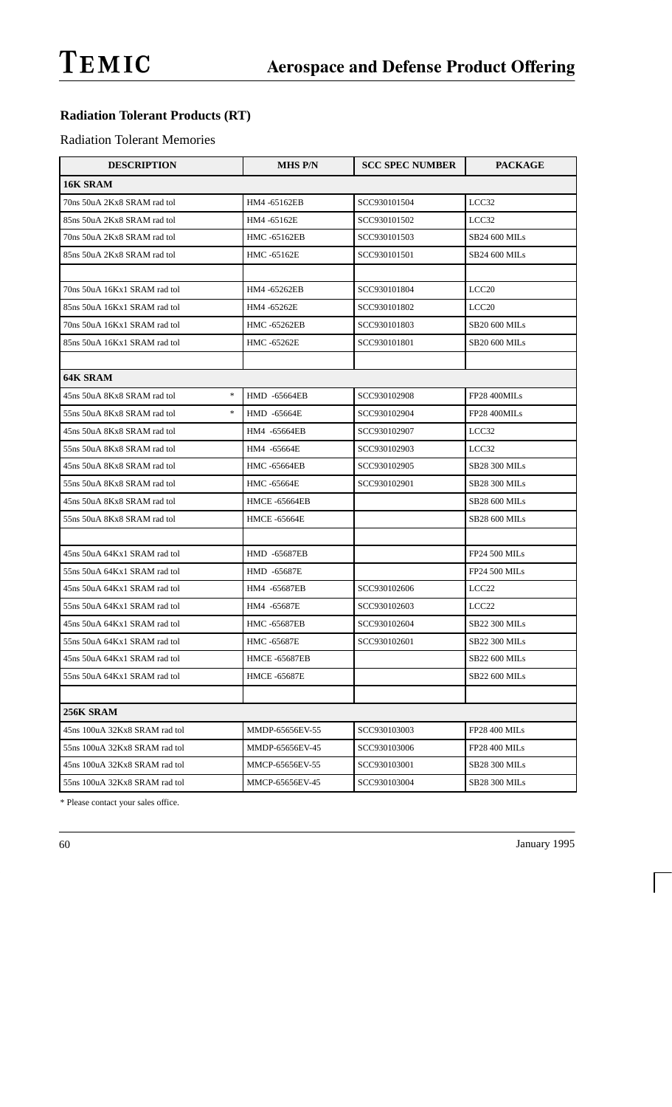## **Radiation Tolerant Products (RT)**

#### **Radiation Tolerant Memories**

| <b>DESCRIPTION</b>                    | <b>MHS P/N</b>       | <b>SCC SPEC NUMBER</b> | <b>PACKAGE</b>       |
|---------------------------------------|----------------------|------------------------|----------------------|
| 16K SRAM                              |                      |                        |                      |
| 70ns 50uA 2Kx8 SRAM rad tol           | HM4 -65162EB         | SCC930101504           | LCC32                |
| 85ns 50uA 2Kx8 SRAM rad tol           | HM4 -65162E          | SCC930101502           | LCC32                |
| 70ns 50uA 2Kx8 SRAM rad tol           | HMC -65162EB         | SCC930101503           | <b>SB24 600 MILs</b> |
| 85ns 50uA 2Kx8 SRAM rad tol           | HMC -65162E          | SCC930101501           | <b>SB24 600 MILs</b> |
|                                       |                      |                        |                      |
| 70ns 50uA 16Kx1 SRAM rad tol          | HM4-65262EB          | SCC930101804           | LCC <sub>20</sub>    |
| 85ns 50uA 16Kx1 SRAM rad tol          | HM4 -65262E          | SCC930101802           | LCC <sub>20</sub>    |
| 70ns 50uA 16Kx1 SRAM rad tol          | HMC -65262EB         | SCC930101803           | <b>SB20 600 MILs</b> |
| 85ns 50uA 16Kx1 SRAM rad tol          | HMC -65262E          | SCC930101801           | <b>SB20 600 MILs</b> |
|                                       |                      |                        |                      |
| 64K SRAM                              |                      |                        |                      |
| $\ast$<br>45ns 50uA 8Kx8 SRAM rad tol | <b>HMD -65664EB</b>  | SCC930102908           | FP28 400MILs         |
| $\ast$<br>55ns 50uA 8Kx8 SRAM rad tol | HMD -65664E          | SCC930102904           | FP28 400MILs         |
| 45ns 50uA 8Kx8 SRAM rad tol           | HM4 -65664EB         | SCC930102907           | LCC32                |
| 55ns 50uA 8Kx8 SRAM rad tol           | HM4 -65664E          | SCC930102903           | LCC32                |
| 45ns 50uA 8Kx8 SRAM rad tol           | <b>HMC -65664EB</b>  | SCC930102905           | <b>SB28 300 MILs</b> |
| 55ns 50uA 8Kx8 SRAM rad tol           | HMC -65664E          | SCC930102901           | <b>SB28 300 MILs</b> |
| 45ns 50uA 8Kx8 SRAM rad tol           | <b>HMCE -65664EB</b> |                        | <b>SB28 600 MILs</b> |
| 55ns 50uA 8Kx8 SRAM rad tol           | <b>HMCE-65664E</b>   |                        | <b>SB28 600 MILs</b> |
|                                       |                      |                        |                      |
| 45ns 50uA 64Kx1 SRAM rad tol          | HMD -65687EB         |                        | <b>FP24 500 MILs</b> |
| 55ns 50uA 64Kx1 SRAM rad tol          | HMD -65687E          |                        | <b>FP24 500 MILs</b> |
| 45ns 50uA 64Kx1 SRAM rad tol          | HM4 -65687EB         | SCC930102606           | LCC <sub>22</sub>    |
| 55ns 50uA 64Kx1 SRAM rad tol          | HM4 -65687E          | SCC930102603           | LCC <sub>22</sub>    |
| 45ns 50uA 64Kx1 SRAM rad tol          | <b>HMC -65687EB</b>  | SCC930102604           | <b>SB22 300 MILs</b> |
| 55ns 50uA 64Kx1 SRAM rad tol          | HMC -65687E          | SCC930102601           | <b>SB22 300 MILs</b> |
| 45ns 50uA 64Kx1 SRAM rad tol          | <b>HMCE-65687EB</b>  |                        | <b>SB22 600 MILs</b> |
| 55ns 50uA 64Kx1 SRAM rad tol          | <b>HMCE -65687E</b>  |                        | <b>SB22 600 MILs</b> |
|                                       |                      |                        |                      |
| 256K SRAM                             |                      |                        |                      |
| 45ns 100uA 32Kx8 SRAM rad tol         | MMDP-65656EV-55      | SCC930103003           | <b>FP28 400 MILs</b> |
| 55ns 100uA 32Kx8 SRAM rad tol         | MMDP-65656EV-45      | SCC930103006           | <b>FP28 400 MILs</b> |
| 45ns 100uA 32Kx8 SRAM rad tol         | MMCP-65656EV-55      | SCC930103001           | <b>SB28 300 MILs</b> |
| 55ns 100uA 32Kx8 SRAM rad tol         | MMCP-65656EV-45      | SCC930103004           | <b>SB28 300 MILs</b> |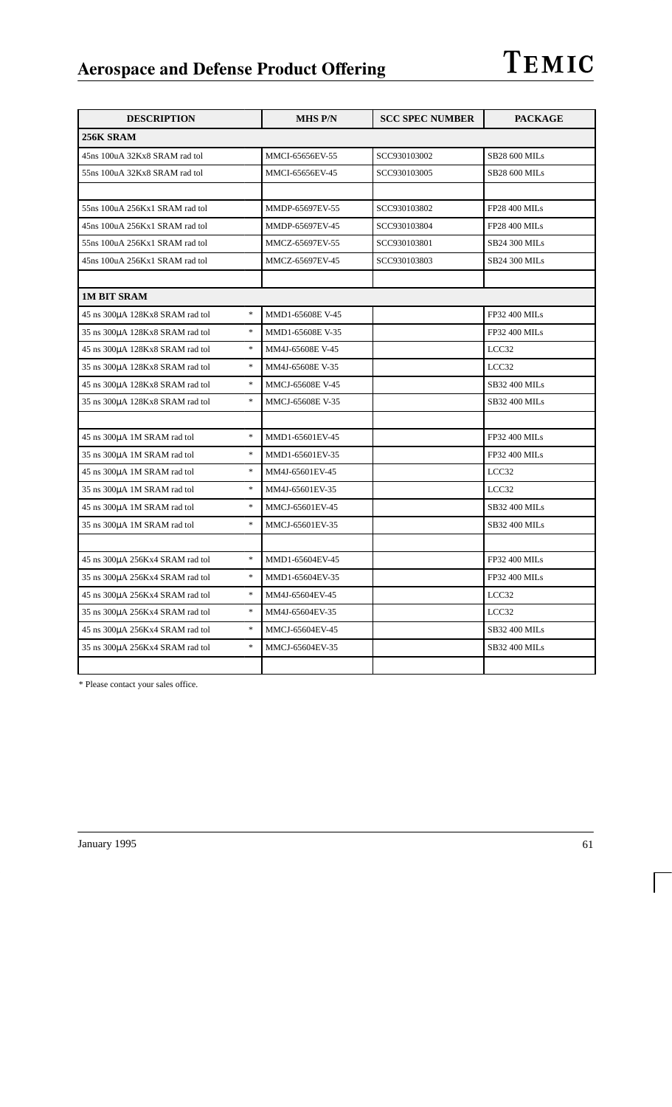| <b>DESCRIPTION</b>                           | <b>MHS P/N</b>   | <b>SCC SPEC NUMBER</b> | <b>PACKAGE</b>       |
|----------------------------------------------|------------------|------------------------|----------------------|
| 256K SRAM                                    |                  |                        |                      |
| 45ns 100uA 32Kx8 SRAM rad tol                | MMCI-65656EV-55  | SCC930103002           | <b>SB28 600 MILs</b> |
| 55ns 100uA 32Kx8 SRAM rad tol                | MMCI-65656EV-45  | SCC930103005           | SB28 600 MILs        |
|                                              |                  |                        |                      |
| 55ns 100uA 256Kx1 SRAM rad tol               | MMDP-65697EV-55  | SCC930103802           | <b>FP28 400 MILs</b> |
| 45ns 100uA 256Kx1 SRAM rad tol               | MMDP-65697EV-45  | SCC930103804           | FP28 400 MILs        |
| 55ns 100uA 256Kx1 SRAM rad tol               | MMCZ-65697EV-55  | SCC930103801           | <b>SB24 300 MILs</b> |
| 45ns 100uA 256Kx1 SRAM rad tol               | MMCZ-65697EV-45  | SCC930103803           | <b>SB24 300 MILs</b> |
|                                              |                  |                        |                      |
| <b>1M BIT SRAM</b>                           |                  |                        |                      |
| $\ast$<br>45 ns 300µA 128Kx8 SRAM rad tol    | MMD1-65608E V-45 |                        | FP32 400 MILs        |
| $\ast$<br>35 ns 300µA 128Kx8 SRAM rad tol    | MMD1-65608E V-35 |                        | FP32 400 MILs        |
| $\ast$<br>45 ns 300µA 128Kx8 SRAM rad tol    | MM4J-65608E V-45 |                        | LCC32                |
| $\ast$<br>35 ns 300µA 128Kx8 SRAM rad tol    | MM4J-65608E V-35 |                        | LCC32                |
| $\ast$<br>45 ns 300µA 128Kx8 SRAM rad tol    | MMCJ-65608E V-45 |                        | <b>SB32 400 MILs</b> |
| $\ast$<br>35 ns 300µA 128Kx8 SRAM rad tol    | MMCJ-65608E V-35 |                        | <b>SB32 400 MILs</b> |
|                                              |                  |                        |                      |
| $\ast$<br>45 ns 300µA 1M SRAM rad tol        | MMD1-65601EV-45  |                        | FP32 400 MILs        |
| $\ast$<br>35 ns 300µA 1M SRAM rad tol        | MMD1-65601EV-35  |                        | FP32 400 MILs        |
| $\ast$<br>45 ns 300µA 1M SRAM rad tol        | MM4J-65601EV-45  |                        | LCC32                |
| $\frac{1}{2}$<br>35 ns 300µA 1M SRAM rad tol | MM4J-65601EV-35  |                        | LCC32                |
| $\ast$<br>45 ns 300µA 1M SRAM rad tol        | MMCJ-65601EV-45  |                        | SB32 400 MILs        |
| $\ast$<br>35 ns 300µA 1M SRAM rad tol        | MMCJ-65601EV-35  |                        | <b>SB32 400 MILs</b> |
|                                              |                  |                        |                      |
| $\ast$<br>45 ns 300µA 256Kx4 SRAM rad tol    | MMD1-65604EV-45  |                        | FP32 400 MILs        |
| $\ast$<br>35 ns 300µA 256Kx4 SRAM rad tol    | MMD1-65604EV-35  |                        | FP32 400 MILs        |
| $\ast$<br>45 ns 300µA 256Kx4 SRAM rad tol    | MM4J-65604EV-45  |                        | LCC32                |
| $\ast$<br>35 ns 300µA 256Kx4 SRAM rad tol    | MM4J-65604EV-35  |                        | LCC32                |
| $\ast$<br>45 ns 300µA 256Kx4 SRAM rad tol    | MMCJ-65604EV-45  |                        | <b>SB32 400 MILs</b> |
| $\ast$<br>35 ns 300µA 256Kx4 SRAM rad tol    | MMCJ-65604EV-35  |                        | SB32 400 MILs        |
|                                              |                  |                        |                      |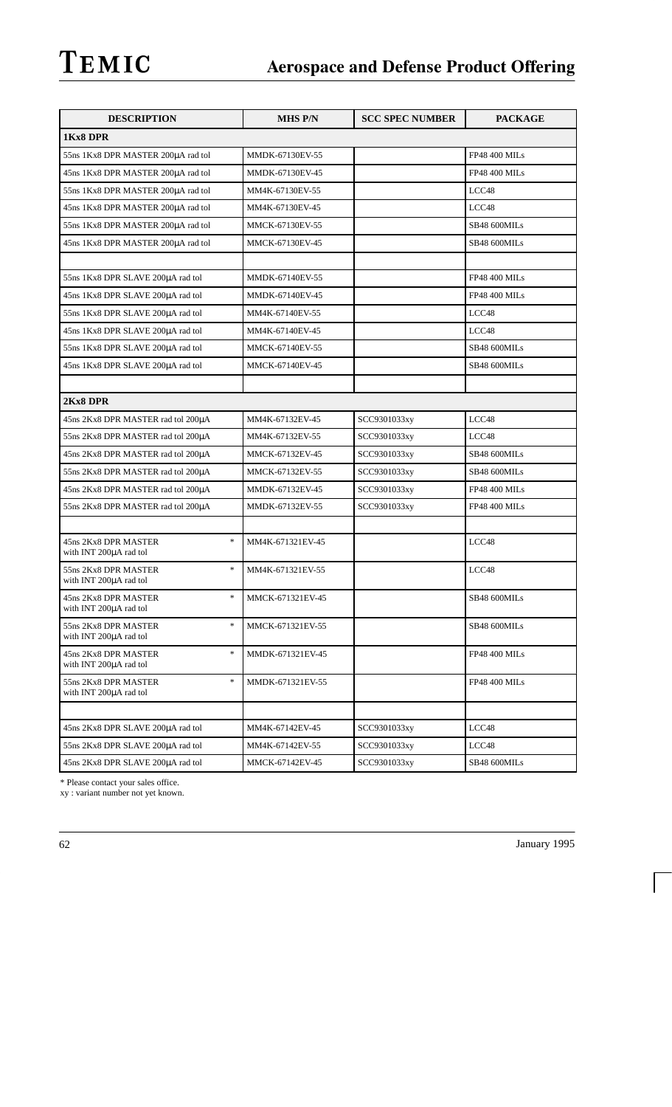| <b>DESCRIPTION</b>                                                                  | <b>MHS P/N</b>   | <b>SCC SPEC NUMBER</b> | <b>PACKAGE</b>       |  |  |
|-------------------------------------------------------------------------------------|------------------|------------------------|----------------------|--|--|
| 1Kx8 DPR                                                                            |                  |                        |                      |  |  |
| 55ns 1Kx8 DPR MASTER 200µA rad tol                                                  | MMDK-67130EV-55  |                        | <b>FP48 400 MILs</b> |  |  |
| 45ns 1Kx8 DPR MASTER 200µA rad tol                                                  | MMDK-67130EV-45  |                        | <b>FP48 400 MILs</b> |  |  |
| 55ns 1Kx8 DPR MASTER 200µA rad tol                                                  | MM4K-67130EV-55  |                        | LCC48                |  |  |
| 45ns 1Kx8 DPR MASTER 200µA rad tol                                                  | MM4K-67130EV-45  |                        | LCC48                |  |  |
| 55ns 1Kx8 DPR MASTER 200µA rad tol                                                  | MMCK-67130EV-55  |                        | SB48 600MILs         |  |  |
| 45ns 1Kx8 DPR MASTER 200µA rad tol                                                  | MMCK-67130EV-45  |                        | SB48 600MILs         |  |  |
|                                                                                     |                  |                        |                      |  |  |
| 55ns 1Kx8 DPR SLAVE 200µA rad tol                                                   | MMDK-67140EV-55  |                        | <b>FP48 400 MILs</b> |  |  |
| 45ns 1Kx8 DPR SLAVE 200µA rad tol                                                   | MMDK-67140EV-45  |                        | <b>FP48 400 MILs</b> |  |  |
| 55ns 1Kx8 DPR SLAVE 200µA rad tol                                                   | MM4K-67140EV-55  |                        | LCC48                |  |  |
| 45ns 1Kx8 DPR SLAVE 200µA rad tol                                                   | MM4K-67140EV-45  |                        | LCC48                |  |  |
| 55ns 1Kx8 DPR SLAVE 200µA rad tol                                                   | MMCK-67140EV-55  |                        | SB48 600MILs         |  |  |
| 45ns 1Kx8 DPR SLAVE 200µA rad tol                                                   | MMCK-67140EV-45  |                        | SB48 600MILs         |  |  |
|                                                                                     |                  |                        |                      |  |  |
| 2Kx8 DPR                                                                            |                  |                        |                      |  |  |
| 45ns 2Kx8 DPR MASTER rad tol 200µA                                                  | MM4K-67132EV-45  | SCC9301033xy           | LCC48                |  |  |
| 55ns 2Kx8 DPR MASTER rad tol 200µA                                                  | MM4K-67132EV-55  | SCC9301033xy           | LCC48                |  |  |
| 45ns 2Kx8 DPR MASTER rad tol 200µA                                                  | MMCK-67132EV-45  | SCC9301033xy           | SB48 600MILs         |  |  |
| 55ns 2Kx8 DPR MASTER rad tol 200µA                                                  | MMCK-67132EV-55  | SCC9301033xy           | SB48 600MILs         |  |  |
| 45ns 2Kx8 DPR MASTER rad tol 200µA                                                  | MMDK-67132EV-45  | SCC9301033xy           | <b>FP48 400 MILs</b> |  |  |
| 55ns 2Kx8 DPR MASTER rad tol 200µA                                                  | MMDK-67132EV-55  | SCC9301033xy           | <b>FP48 400 MILs</b> |  |  |
|                                                                                     |                  |                        |                      |  |  |
| $\ast$<br>45ns 2Kx8 DPR MASTER<br>with INT 200µA rad tol                            | MM4K-671321EV-45 |                        | LCC48                |  |  |
| $\frac{d\mathbf{x}}{d\mathbf{x}}$<br>55ns 2Kx8 DPR MASTER<br>with INT 200µA rad tol | MM4K-671321EV-55 |                        | LCC48                |  |  |
| $\frac{d\mathbf{x}}{d\mathbf{x}}$<br>45ns 2Kx8 DPR MASTER<br>with INT 200µA rad tol | MMCK-671321EV-45 |                        | SB48 600MILs         |  |  |
| $\ast$<br>55ns 2Kx8 DPR MASTER<br>with INT 200µA rad tol                            | MMCK-671321EV-55 |                        | SB48 600MILs         |  |  |
| $\approx$<br>45ns 2Kx8 DPR MASTER<br>with INT 200µA rad tol                         | MMDK-671321EV-45 |                        | <b>FP48 400 MILs</b> |  |  |
| $\ast$<br>55ns 2Kx8 DPR MASTER<br>with INT 200µA rad tol                            | MMDK-671321EV-55 |                        | <b>FP48 400 MILs</b> |  |  |
|                                                                                     |                  |                        |                      |  |  |
| 45ns 2Kx8 DPR SLAVE 200µA rad tol                                                   | MM4K-67142EV-45  | SCC9301033xy           | LCC48                |  |  |
| 55ns 2Kx8 DPR SLAVE 200µA rad tol                                                   | MM4K-67142EV-55  | SCC9301033xy           | LCC48                |  |  |
| 45ns 2Kx8 DPR SLAVE 200µA rad tol                                                   | MMCK-67142EV-45  | SCC9301033xy           | SB48 600MILs         |  |  |

\* Please contact your sales office.

xy : variant number not yet known.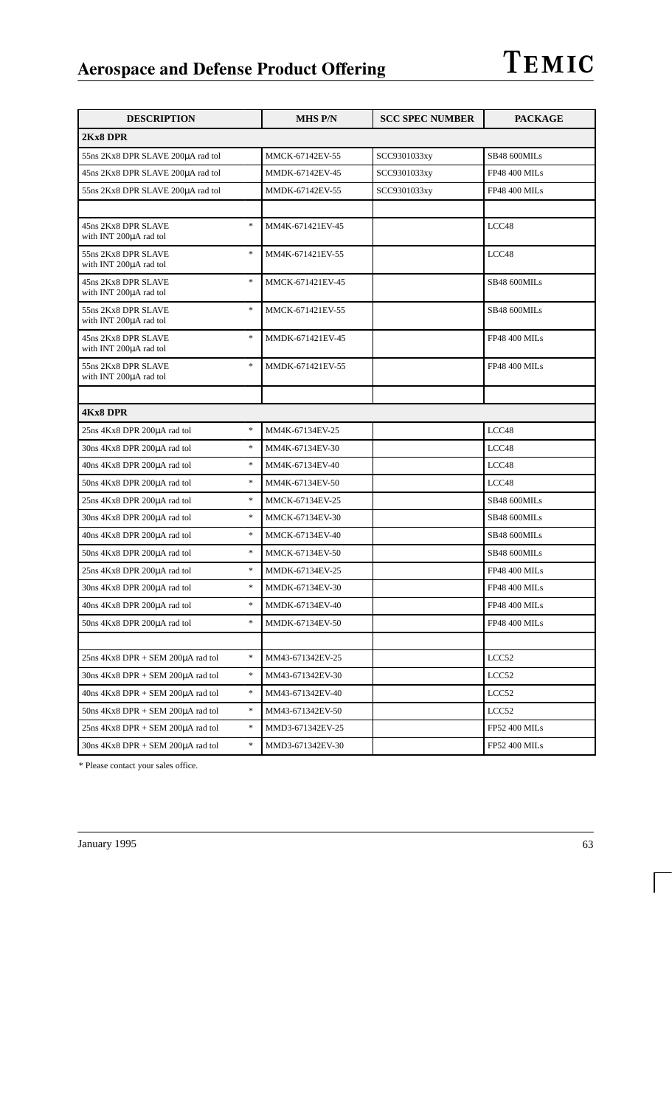| <b>DESCRIPTION</b>                                      | <b>MHS P/N</b>   | <b>SCC SPEC NUMBER</b> | <b>PACKAGE</b>       |
|---------------------------------------------------------|------------------|------------------------|----------------------|
| 2Kx8 DPR                                                |                  |                        |                      |
| 55ns 2Kx8 DPR SLAVE 200µA rad tol                       | MMCK-67142EV-55  | SCC9301033xy           | SB48 600MILs         |
| 45ns 2Kx8 DPR SLAVE 200µA rad tol                       | MMDK-67142EV-45  | SCC9301033xy           | <b>FP48 400 MILs</b> |
| 55ns 2Kx8 DPR SLAVE 200µA rad tol                       | MMDK-67142EV-55  | SCC9301033xy           | <b>FP48 400 MILs</b> |
|                                                         |                  |                        |                      |
| $\ast$<br>45ns 2Kx8 DPR SLAVE<br>with INT 200µA rad tol | MM4K-671421EV-45 |                        | LCC48                |
| $\ast$<br>55ns 2Kx8 DPR SLAVE<br>with INT 200µA rad tol | MM4K-671421EV-55 |                        | LCC48                |
| $\ast$<br>45ns 2Kx8 DPR SLAVE<br>with INT 200µA rad tol | MMCK-671421EV-45 |                        | SB48 600MILs         |
| $\ast$<br>55ns 2Kx8 DPR SLAVE<br>with INT 200µA rad tol | MMCK-671421EV-55 |                        | SB48 600MILs         |
| $\ast$<br>45ns 2Kx8 DPR SLAVE<br>with INT 200µA rad tol | MMDK-671421EV-45 |                        | <b>FP48 400 MILs</b> |
| $\ast$<br>55ns 2Kx8 DPR SLAVE<br>with INT 200µA rad tol | MMDK-671421EV-55 |                        | <b>FP48 400 MILs</b> |
|                                                         |                  |                        |                      |
| <b>4Kx8 DPR</b>                                         |                  |                        |                      |
| $\ast$<br>25ns 4Kx8 DPR 200µA rad tol                   | MM4K-67134EV-25  |                        | LCC48                |
| $\ast$<br>30ns 4Kx8 DPR 200µA rad tol                   | MM4K-67134EV-30  |                        | LCC48                |
| $\ast$<br>40ns 4Kx8 DPR 200µA rad tol                   | MM4K-67134EV-40  |                        | LCC48                |
| $\ast$<br>50ns 4Kx8 DPR 200µA rad tol                   | MM4K-67134EV-50  |                        | LCC48                |
| $\ast$<br>25ns 4Kx8 DPR 200µA rad tol                   | MMCK-67134EV-25  |                        | SB48 600MILs         |
| $\ast$<br>30ns 4Kx8 DPR 200µA rad tol                   | MMCK-67134EV-30  |                        | SB48 600MILs         |
| $\ast$<br>40ns 4Kx8 DPR 200µA rad tol                   | MMCK-67134EV-40  |                        | SB48 600MILs         |
| $\ast$<br>50ns 4Kx8 DPR 200µA rad tol                   | MMCK-67134EV-50  |                        | SB48 600MILs         |
| $\ast$<br>25ns 4Kx8 DPR 200µA rad tol                   | MMDK-67134EV-25  |                        | <b>FP48 400 MILs</b> |
| $\ast$<br>30ns 4Kx8 DPR 200µA rad tol                   | MMDK-67134EV-30  |                        | <b>FP48 400 MILs</b> |
| 40ns 4Kx8 DPR 200µA rad tol                             | MMDK-67134EV-40  |                        | <b>FP48 400 MILs</b> |
| $\ast$<br>50ns 4Kx8 DPR 200µA rad tol                   | MMDK-67134EV-50  |                        | <b>FP48 400 MILs</b> |
|                                                         |                  |                        |                      |
| $\ast$<br>$25ns$ 4Kx8 DPR + SEM 200 $\mu$ A rad tol     | MM43-671342EV-25 |                        | LCC52                |
| $\ast$<br>$30ns$ 4Kx8 DPR + SEM 200 $\mu$ A rad tol     | MM43-671342EV-30 |                        | LCC52                |
| $\ast$<br>$40ns$ 4Kx8 DPR + SEM 200 $\mu$ A rad tol     | MM43-671342EV-40 |                        | LCC52                |
| $\ast$<br>$50ns$ 4Kx8 DPR + SEM 200 $\mu$ A rad tol     | MM43-671342EV-50 |                        | LCC52                |
| $\ast$<br>$25ns$ 4Kx8 DPR + SEM 200 $\mu$ A rad tol     | MMD3-671342EV-25 |                        | FP52 400 MILs        |
| $\ast$<br>$30ns$ 4Kx8 DPR + SEM 200 $\mu$ A rad tol     | MMD3-671342EV-30 |                        | FP52 400 MILs        |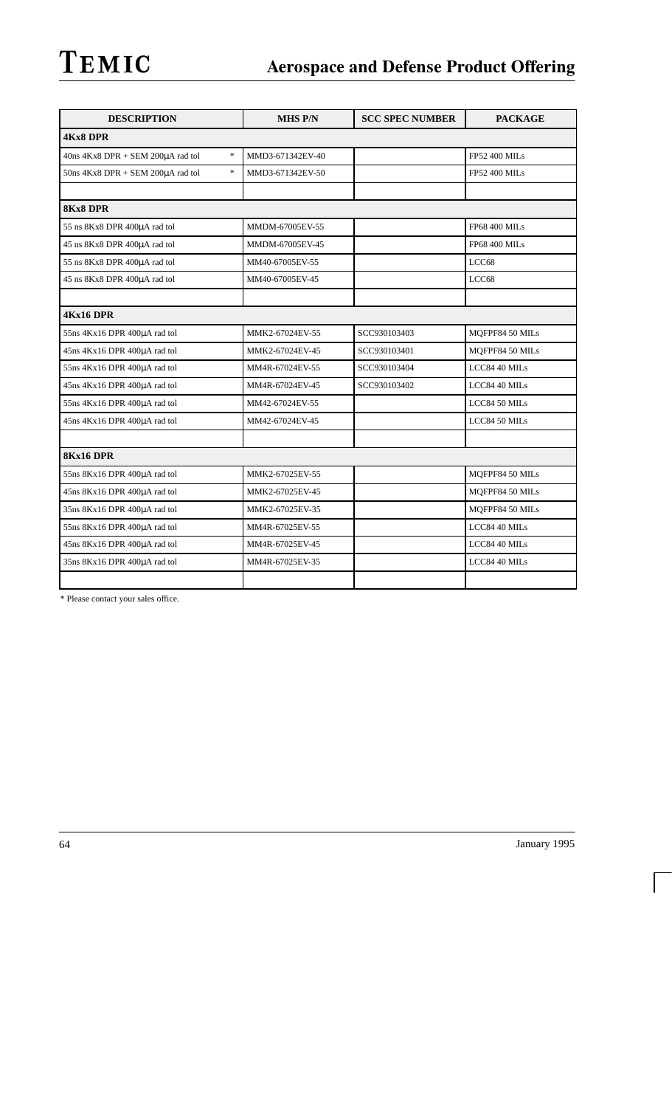| <b>DESCRIPTION</b>                                                             | <b>MHS P/N</b>   | <b>SCC SPEC NUMBER</b> | <b>PACKAGE</b>       |
|--------------------------------------------------------------------------------|------------------|------------------------|----------------------|
| <b>4Kx8 DPR</b>                                                                |                  |                        |                      |
| $\ast$<br>40ns 4Kx8 DPR + SEM 200µA rad tol                                    | MMD3-671342EV-40 |                        | <b>FP52 400 MILs</b> |
| $\frac{d\mathbf{x}}{d\mathbf{x}}$<br>$50ns$ 4Kx8 DPR + SEM 200 $\mu$ A rad tol | MMD3-671342EV-50 |                        | <b>FP52 400 MILs</b> |
|                                                                                |                  |                        |                      |
| 8Kx8 DPR                                                                       |                  |                        |                      |
| 55 ns 8Kx8 DPR 400µA rad tol                                                   | MMDM-67005EV-55  |                        | <b>FP68 400 MILs</b> |
| 45 ns 8Kx8 DPR 400µA rad tol                                                   | MMDM-67005EV-45  |                        | <b>FP68 400 MILs</b> |
| 55 ns 8Kx8 DPR 400µA rad tol                                                   | MM40-67005EV-55  |                        | LCC68                |
| 45 ns 8Kx8 DPR 400µA rad tol                                                   | MM40-67005EV-45  |                        | LCC68                |
|                                                                                |                  |                        |                      |
| 4Kx16 DPR                                                                      |                  |                        |                      |
| 55ns 4Kx16 DPR 400µA rad tol                                                   | MMK2-67024EV-55  | SCC930103403           | MQFPF84 50 MILs      |
| 45ns 4Kx16 DPR 400µA rad tol                                                   | MMK2-67024EV-45  | SCC930103401           | MQFPF84 50 MILs      |
| 55ns 4Kx16 DPR 400µA rad tol                                                   | MM4R-67024EV-55  | SCC930103404           | LCC84 40 MILs        |
| 45ns 4Kx16 DPR 400µA rad tol                                                   | MM4R-67024EV-45  | SCC930103402           | LCC84 40 MILs        |
| 55ns 4Kx16 DPR 400µA rad tol                                                   | MM42-67024EV-55  |                        | LCC84 50 MILs        |
| 45ns 4Kx16 DPR 400µA rad tol                                                   | MM42-67024EV-45  |                        | LCC84 50 MILs        |
|                                                                                |                  |                        |                      |
| <b>8Kx16 DPR</b>                                                               |                  |                        |                      |
| 55ns 8Kx16 DPR 400µA rad tol                                                   | MMK2-67025EV-55  |                        | MQFPF84 50 MILs      |
| 45ns 8Kx16 DPR 400µA rad tol                                                   | MMK2-67025EV-45  |                        | MQFPF84 50 MILs      |
| 35ns 8Kx16 DPR 400µA rad tol                                                   | MMK2-67025EV-35  |                        | MQFPF84 50 MILs      |
| 55ns 8Kx16 DPR 400µA rad tol                                                   | MM4R-67025EV-55  |                        | LCC84 40 MILs        |
| 45ns 8Kx16 DPR 400µA rad tol                                                   | MM4R-67025EV-45  |                        | LCC84 40 MILs        |
| 35ns 8Kx16 DPR 400µA rad tol                                                   | MM4R-67025EV-35  |                        | LCC84 40 MILs        |
|                                                                                |                  |                        |                      |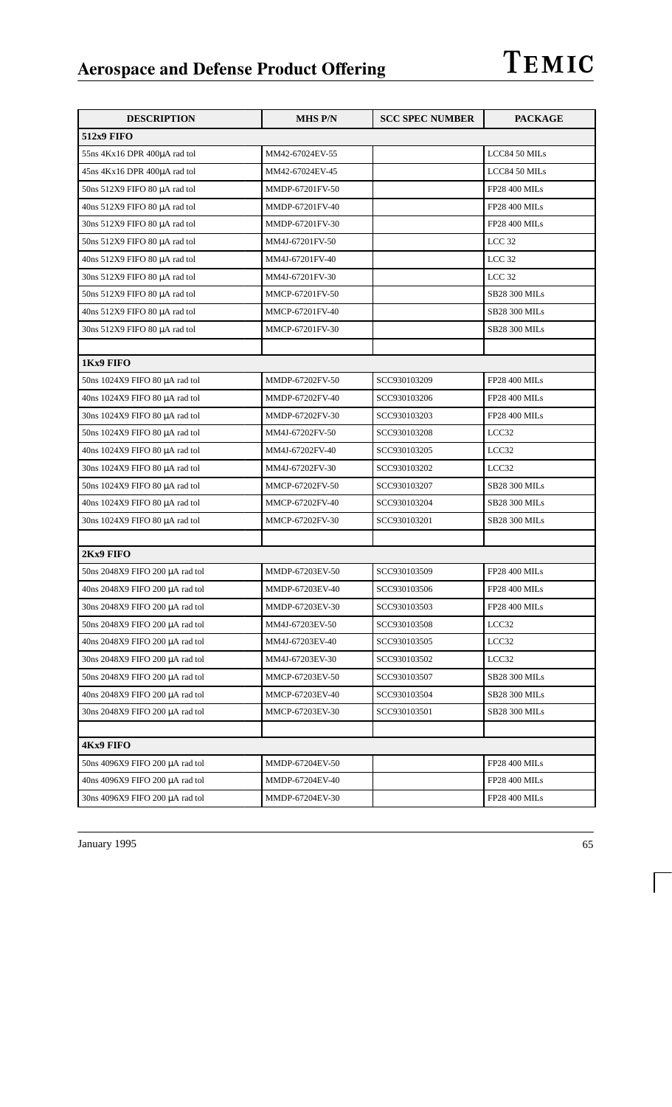| <b>DESCRIPTION</b>              | <b>MHS P/N</b>  | <b>SCC SPEC NUMBER</b> | <b>PACKAGE</b>       |
|---------------------------------|-----------------|------------------------|----------------------|
| <b>512x9 FIFO</b>               |                 |                        |                      |
| 55ns 4Kx16 DPR 400µA rad tol    | MM42-67024EV-55 |                        | LCC84 50 MILs        |
| 45ns 4Kx16 DPR 400µA rad tol    | MM42-67024EV-45 |                        | LCC84 50 MILs        |
| 50ns 512X9 FIFO 80 µA rad tol   | MMDP-67201FV-50 |                        | <b>FP28 400 MILs</b> |
| 40ns 512X9 FIFO 80 µA rad tol   | MMDP-67201FV-40 |                        | <b>FP28 400 MILs</b> |
| 30ns 512X9 FIFO 80 µA rad tol   | MMDP-67201FV-30 |                        | <b>FP28 400 MILs</b> |
| 50ns 512X9 FIFO 80 µA rad tol   | MM4J-67201FV-50 |                        | LCC <sub>32</sub>    |
| 40ns 512X9 FIFO 80 µA rad tol   | MM4J-67201FV-40 |                        | LCC <sub>32</sub>    |
| 30ns 512X9 FIFO 80 µA rad tol   | MM4J-67201FV-30 |                        | LCC <sub>32</sub>    |
| 50ns 512X9 FIFO 80 µA rad tol   | MMCP-67201FV-50 |                        | <b>SB28 300 MILs</b> |
| 40ns 512X9 FIFO 80 µA rad tol   | MMCP-67201FV-40 |                        | <b>SB28 300 MILs</b> |
| 30ns 512X9 FIFO 80 µA rad tol   | MMCP-67201FV-30 |                        | SB28 300 MILs        |
|                                 |                 |                        |                      |
| 1Kx9 FIFO                       |                 |                        |                      |
| 50ns 1024X9 FIFO 80 µA rad tol  | MMDP-67202FV-50 | SCC930103209           | <b>FP28 400 MILs</b> |
| 40ns 1024X9 FIFO 80 µA rad tol  | MMDP-67202FV-40 | SCC930103206           | <b>FP28 400 MILs</b> |
| 30ns 1024X9 FIFO 80 µA rad tol  | MMDP-67202FV-30 | SCC930103203           | <b>FP28 400 MILs</b> |
| 50ns 1024X9 FIFO 80 µA rad tol  | MM4J-67202FV-50 | SCC930103208           | LCC32                |
| 40ns 1024X9 FIFO 80 µA rad tol  | MM4J-67202FV-40 | SCC930103205           | LCC32                |
| 30ns 1024X9 FIFO 80 µA rad tol  | MM4J-67202FV-30 | SCC930103202           | LCC32                |
| 50ns 1024X9 FIFO 80 µA rad tol  | MMCP-67202FV-50 | SCC930103207           | <b>SB28 300 MILs</b> |
| 40ns 1024X9 FIFO 80 µA rad tol  | MMCP-67202FV-40 | SCC930103204           | SB28 300 MILs        |
| 30ns 1024X9 FIFO 80 µA rad tol  | MMCP-67202FV-30 | SCC930103201           | SB28 300 MILs        |
|                                 |                 |                        |                      |
| 2Kx9 FIFO                       |                 |                        |                      |
| 50ns 2048X9 FIFO 200 µA rad tol | MMDP-67203EV-50 | SCC930103509           | FP28 400 MILs        |
| 40ns 2048X9 FIFO 200 µA rad tol | MMDP-67203EV-40 | SCC930103506           | <b>FP28 400 MILs</b> |
| 30ns 2048X9 FIFO 200 µA rad tol | MMDP-67203EV-30 | SCC930103503           | <b>FP28 400 MILs</b> |
| 50ns 2048X9 FIFO 200 µA rad tol | MM4J-67203EV-50 | SCC930103508           | LCC32                |
| 40ns 2048X9 FIFO 200 µA rad tol | MM4J-67203EV-40 | SCC930103505           | LCC32                |
| 30ns 2048X9 FIFO 200 µA rad tol | MM4J-67203EV-30 | SCC930103502           | LCC32                |
| 50ns 2048X9 FIFO 200 µA rad tol | MMCP-67203EV-50 | SCC930103507           | SB28 300 MILs        |
| 40ns 2048X9 FIFO 200 µA rad tol | MMCP-67203EV-40 | SCC930103504           | SB28 300 MILs        |
| 30ns 2048X9 FIFO 200 µA rad tol | MMCP-67203EV-30 | SCC930103501           | SB28 300 MILs        |
|                                 |                 |                        |                      |
| <b>4Kx9 FIFO</b>                |                 |                        |                      |
| 50ns 4096X9 FIFO 200 µA rad tol | MMDP-67204EV-50 |                        | <b>FP28 400 MILs</b> |
| 40ns 4096X9 FIFO 200 µA rad tol | MMDP-67204EV-40 |                        | FP28 400 MILs        |
| 30ns 4096X9 FIFO 200 µA rad tol | MMDP-67204EV-30 |                        | FP28 400 MILs        |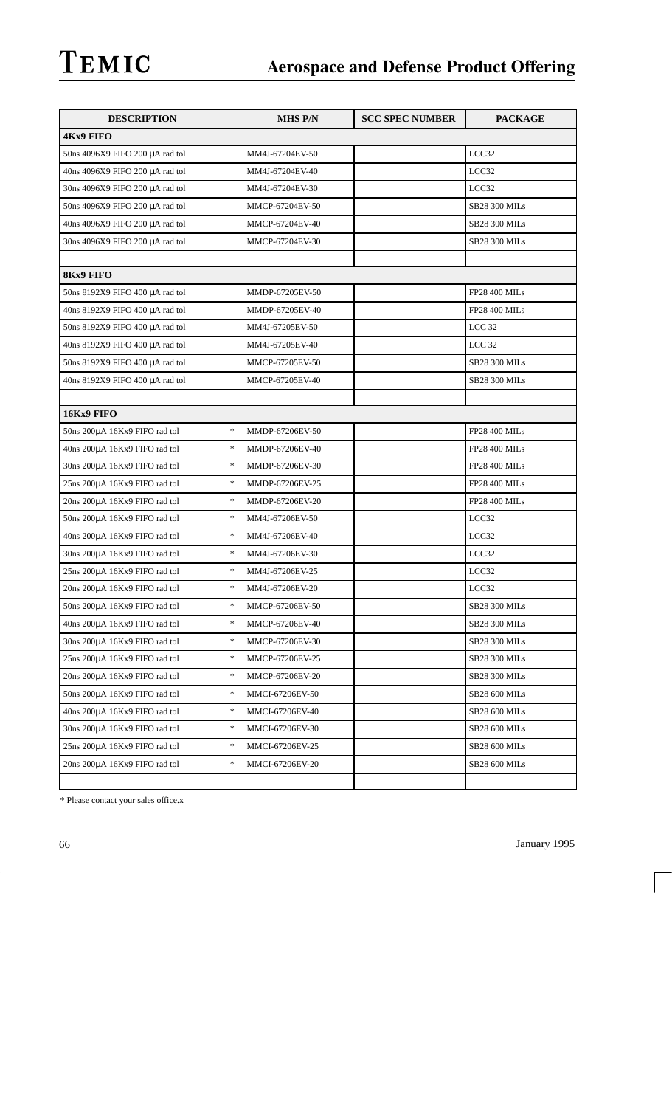| <b>DESCRIPTION</b>                                                 | <b>MHS P/N</b>  | <b>SCC SPEC NUMBER</b> | <b>PACKAGE</b>       |
|--------------------------------------------------------------------|-----------------|------------------------|----------------------|
| <b>4Kx9 FIFO</b>                                                   |                 |                        |                      |
| 50ns 4096X9 FIFO 200 µA rad tol                                    | MM4J-67204EV-50 |                        | LCC32                |
| 40ns 4096X9 FIFO 200 µA rad tol                                    | MM4J-67204EV-40 |                        | LCC32                |
| 30ns 4096X9 FIFO 200 µA rad tol                                    | MM4J-67204EV-30 |                        | LCC32                |
| 50ns 4096X9 FIFO 200 µA rad tol                                    | MMCP-67204EV-50 |                        | <b>SB28 300 MILs</b> |
| 40ns 4096X9 FIFO 200 µA rad tol                                    | MMCP-67204EV-40 |                        | <b>SB28 300 MILs</b> |
| 30ns 4096X9 FIFO 200 µA rad tol                                    | MMCP-67204EV-30 |                        | <b>SB28 300 MILs</b> |
|                                                                    |                 |                        |                      |
| <b>8Kx9 FIFO</b>                                                   |                 |                        |                      |
| 50ns 8192X9 FIFO 400 µA rad tol                                    | MMDP-67205EV-50 |                        | <b>FP28 400 MILs</b> |
| 40ns 8192X9 FIFO 400 μA rad tol                                    | MMDP-67205EV-40 |                        | <b>FP28 400 MILs</b> |
| 50ns 8192X9 FIFO 400 µA rad tol                                    | MM4J-67205EV-50 |                        | LCC <sub>32</sub>    |
| 40ns 8192X9 FIFO 400 µA rad tol                                    | MM4J-67205EV-40 |                        | LCC <sub>32</sub>    |
| 50ns 8192X9 FIFO 400 µA rad tol                                    | MMCP-67205EV-50 |                        | <b>SB28 300 MILs</b> |
| 40ns 8192X9 FIFO 400 µA rad tol                                    | MMCP-67205EV-40 |                        | <b>SB28 300 MILs</b> |
|                                                                    |                 |                        |                      |
| 16Kx9 FIFO                                                         |                 |                        |                      |
| $\ast$<br>50ns 200µA 16Kx9 FIFO rad tol                            | MMDP-67206EV-50 |                        | <b>FP28 400 MILs</b> |
| $\frac{d\mathbf{x}}{d\mathbf{x}}$<br>40ns 200µA 16Kx9 FIFO rad tol | MMDP-67206EV-40 |                        | <b>FP28 400 MILs</b> |
| $\frac{d\mathbf{x}}{d\mathbf{x}}$<br>30ns 200µA 16Kx9 FIFO rad tol | MMDP-67206EV-30 |                        | <b>FP28 400 MILs</b> |
| $\ast$<br>25ns 200µA 16Kx9 FIFO rad tol                            | MMDP-67206EV-25 |                        | <b>FP28 400 MILs</b> |
| $\ast$<br>20ns 200µA 16Kx9 FIFO rad tol                            | MMDP-67206EV-20 |                        | FP28 400 MILs        |
| $\frac{d\mathbf{x}}{d\mathbf{x}}$<br>50ns 200µA 16Kx9 FIFO rad tol | MM4J-67206EV-50 |                        | LCC32                |
| $\ast$<br>40ns 200µA 16Kx9 FIFO rad tol                            | MM4J-67206EV-40 |                        | LCC32                |
| $\frac{d\mathbf{x}}{d\mathbf{x}}$<br>30ns 200µA 16Kx9 FIFO rad tol | MM4J-67206EV-30 |                        | LCC32                |
| $\frac{d\mathbf{x}}{d\mathbf{x}}$<br>25ns 200µA 16Kx9 FIFO rad tol | MM4J-67206EV-25 |                        | LCC32                |
| $\frac{d\mathbf{x}}{d\mathbf{x}}$<br>20ns 200µA 16Kx9 FIFO rad tol | MM4J-67206EV-20 |                        | LCC32                |
| 50ns 200µA 16Kx9 FIFO rad tol<br>∗                                 | MMCP-67206EV-50 |                        | <b>SB28 300 MILs</b> |
| *<br>40ns 200µA 16Kx9 FIFO rad tol                                 | MMCP-67206EV-40 |                        | <b>SB28 300 MILs</b> |
| *<br>30ns 200µA 16Kx9 FIFO rad tol                                 | MMCP-67206EV-30 |                        | SB28 300 MILs        |
| $\frac{d\mathbf{x}}{d\mathbf{x}}$<br>25ns 200µA 16Kx9 FIFO rad tol | MMCP-67206EV-25 |                        | SB28 300 MILs        |
| $\frac{d\mathbf{x}}{d\mathbf{x}}$<br>20ns 200uA 16Kx9 FIFO rad tol | MMCP-67206EV-20 |                        | <b>SB28 300 MILs</b> |
| *<br>50ns 200µA 16Kx9 FIFO rad tol                                 | MMCI-67206EV-50 |                        | <b>SB28 600 MILs</b> |
| $\frac{d\mathbf{x}}{d\mathbf{x}}$<br>40ns 200µA 16Kx9 FIFO rad tol | MMCI-67206EV-40 |                        | SB28 600 MILs        |
| *<br>30ns 200µA 16Kx9 FIFO rad tol                                 | MMCI-67206EV-30 |                        | <b>SB28 600 MILs</b> |
| $\ast$<br>25ns 200µA 16Kx9 FIFO rad tol                            | MMCI-67206EV-25 |                        | SB28 600 MILs        |
| $\ast$<br>20ns 200µA 16Kx9 FIFO rad tol                            | MMCI-67206EV-20 |                        | SB28 600 MILs        |
|                                                                    |                 |                        |                      |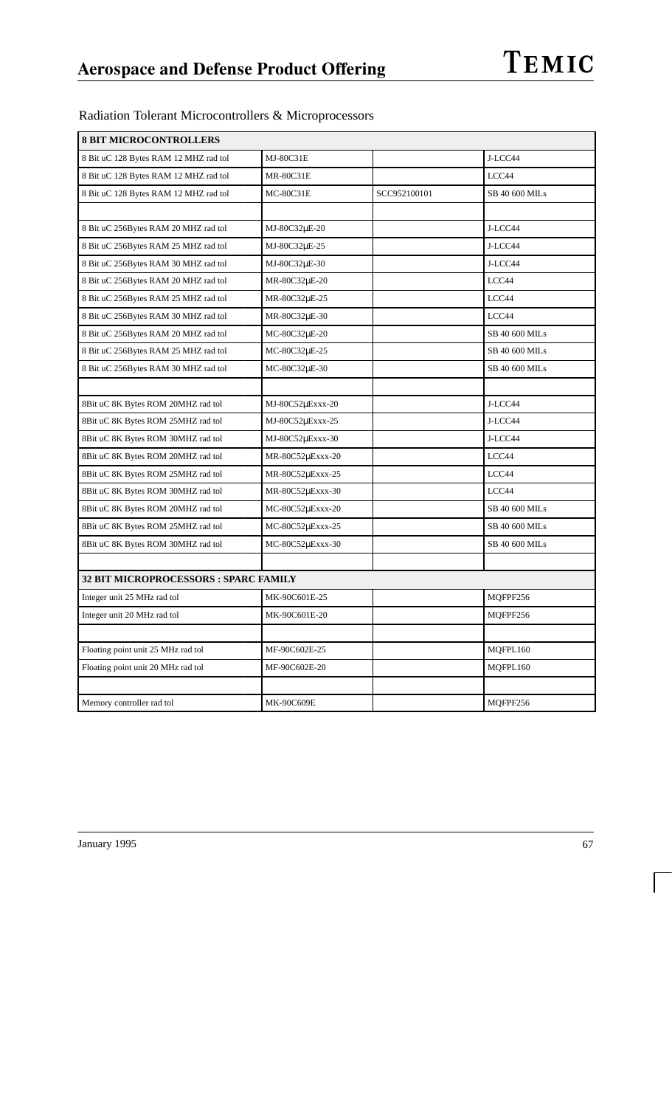| <b>8 BIT MICROCONTROLLERS</b>         |                  |              |                |  |
|---------------------------------------|------------------|--------------|----------------|--|
| 8 Bit uC 128 Bytes RAM 12 MHZ rad tol | MJ-80C31E        |              | J-LCC44        |  |
| 8 Bit uC 128 Bytes RAM 12 MHZ rad tol | <b>MR-80C31E</b> |              | LCC44          |  |
| 8 Bit uC 128 Bytes RAM 12 MHZ rad tol | <b>MC-80C31E</b> | SCC952100101 | SB 40 600 MILs |  |
|                                       |                  |              |                |  |
| 8 Bit uC 256Bytes RAM 20 MHZ rad tol  | MJ-80C32µE-20    |              | J-LCC44        |  |
| 8 Bit uC 256Bytes RAM 25 MHZ rad tol  | MJ-80C32µE-25    |              | J-LCC44        |  |
| 8 Bit uC 256Bytes RAM 30 MHZ rad tol  | MJ-80C32µE-30    |              | J-LCC44        |  |
| 8 Bit uC 256Bytes RAM 20 MHZ rad tol  | MR-80C32µE-20    |              | LCC44          |  |
| 8 Bit uC 256Bytes RAM 25 MHZ rad tol  | MR-80C32µE-25    |              | LCC44          |  |
| 8 Bit uC 256Bytes RAM 30 MHZ rad tol  | MR-80C32µE-30    |              | LCC44          |  |
| 8 Bit uC 256Bytes RAM 20 MHZ rad tol  | MC-80C32µE-20    |              | SB 40 600 MILs |  |
| 8 Bit uC 256Bytes RAM 25 MHZ rad tol  | MC-80C32µE-25    |              | SB 40 600 MILs |  |
| 8 Bit uC 256Bytes RAM 30 MHZ rad tol  | MC-80C32µE-30    |              | SB 40 600 MILs |  |
|                                       |                  |              |                |  |
| 8Bit uC 8K Bytes ROM 20MHZ rad tol    | MJ-80C52µExxx-20 |              | J-LCC44        |  |
| 8Bit uC 8K Bytes ROM 25MHZ rad tol    | MJ-80C52µExxx-25 |              | J-LCC44        |  |
| 8Bit uC 8K Bytes ROM 30MHZ rad tol    | MJ-80C52µExxx-30 |              | J-LCC44        |  |
| 8Bit uC 8K Bytes ROM 20MHZ rad tol    | MR-80C52µExxx-20 |              | LCC44          |  |
| 8Bit uC 8K Bytes ROM 25MHZ rad tol    | MR-80C52µExxx-25 |              | LCC44          |  |
| 8Bit uC 8K Bytes ROM 30MHZ rad tol    | MR-80C52µExxx-30 |              | LCC44          |  |
| 8Bit uC 8K Bytes ROM 20MHZ rad tol    | MC-80C52µExxx-20 |              | SB 40 600 MILs |  |
| 8Bit uC 8K Bytes ROM 25MHZ rad tol    | MC-80C52µExxx-25 |              | SB 40 600 MILs |  |
| 8Bit uC 8K Bytes ROM 30MHZ rad tol    | MC-80C52µExxx-30 |              | SB 40 600 MILs |  |
|                                       |                  |              |                |  |
| 32 BIT MICROPROCESSORS : SPARC FAMILY |                  |              |                |  |
| Integer unit 25 MHz rad tol           | MK-90C601E-25    |              | MQFPF256       |  |
| Integer unit 20 MHz rad tol           | MK-90C601E-20    |              | MQFPF256       |  |
|                                       |                  |              |                |  |
| Floating point unit 25 MHz rad tol    | MF-90C602E-25    |              | MQFPL160       |  |
| Floating point unit 20 MHz rad tol    | MF-90C602E-20    |              | MOFPL160       |  |
|                                       |                  |              |                |  |
| Memory controller rad tol             | MK-90C609E       |              | MOFPF256       |  |

Radiation Tolerant Microcontrollers & Microprocessors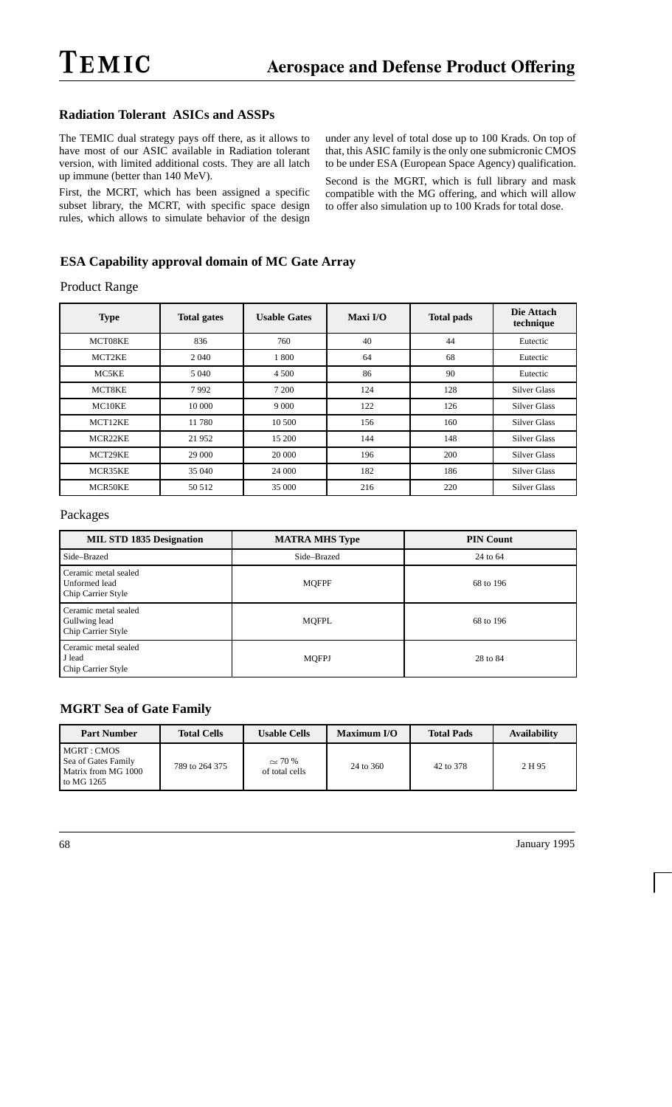#### **Radiation Tolerant ASICs and ASSPs**

The TEMIC dual strategy pays off there, as it allows to have most of our ASIC available in Radiation tolerant version, with limited additional costs. They are all latch up immune (better than 140 MeV).

First, the MCRT, which has been assigned a specific subset library, the MCRT, with specific space design rules, which allows to simulate behavior of the design under any level of total dose up to 100 Krads. On top of that, this ASIC family is the only one submicronic CMOS to be under ESA (European Space Agency) qualification.

Second is the MGRT, which is full library and mask compatible with the MG offering, and which will allow to offer also simulation up to 100 Krads for total dose.

#### **ESA Capability approval domain of MC Gate Array**

Product Range

| <b>Type</b> | <b>Total gates</b> | <b>Usable Gates</b> | Maxi $I/O$ | <b>Total pads</b> | Die Attach<br>technique |
|-------------|--------------------|---------------------|------------|-------------------|-------------------------|
| MCT08KE     | 836                | 760                 | 40         | 44                | Eutectic                |
| MCT2KE      | 2 0 4 0            | 1800                | 64         | 68                | Eutectic                |
| MC5KE       | 5 0 4 0            | 4 5 0 0             | 86         | 90                | Eutectic                |
| MCT8KE      | 7992               | 7 200               | 124        | 128               | <b>Silver Glass</b>     |
| MC10KE      | 10 000             | 9 0 0 0             | 122        | 126               | <b>Silver Glass</b>     |
| MCT12KE     | 11 780             | 10 500              | 156        | 160               | <b>Silver Glass</b>     |
| MCR22KE     | 21 952             | 15 200              | 144        | 148               | <b>Silver Glass</b>     |
| MCT29KE     | 29 000             | 20 000              | 196        | 200               | <b>Silver Glass</b>     |
| MCR35KE     | 35 040             | 24 000              | 182        | 186               | <b>Silver Glass</b>     |
| MCR50KE     | 50 512             | 35 000              | 216        | 220               | <b>Silver Glass</b>     |

#### Packages

| <b>MIL STD 1835 Designation</b>                             | <b>MATRA MHS Type</b> | <b>PIN Count</b> |
|-------------------------------------------------------------|-----------------------|------------------|
| Side-Brazed                                                 | Side-Brazed           | 24 to 64         |
| Ceramic metal sealed<br>Unformed lead<br>Chip Carrier Style | <b>MQFPF</b>          | 68 to 196        |
| Ceramic metal sealed<br>Gullwing lead<br>Chip Carrier Style | MQFPL                 | 68 to 196        |
| Ceramic metal sealed<br>J lead<br>Chip Carrier Style        | <b>MQFPJ</b>          | 28 to 84         |

#### **MGRT Sea of Gate Family**

| <b>Part Number</b>                                                      | <b>Total Cells</b> | <b>Usable Cells</b>           | Maximum I/O | <b>Total Pads</b> | <b>Availability</b> |
|-------------------------------------------------------------------------|--------------------|-------------------------------|-------------|-------------------|---------------------|
| MGRT : CMOS<br>Sea of Gates Family<br>Matrix from MG 1000<br>to MG 1265 | 789 to 264 375     | $\sim$ 70 %<br>of total cells | 24 to 360   | 42 to 378         | 2 H 95              |